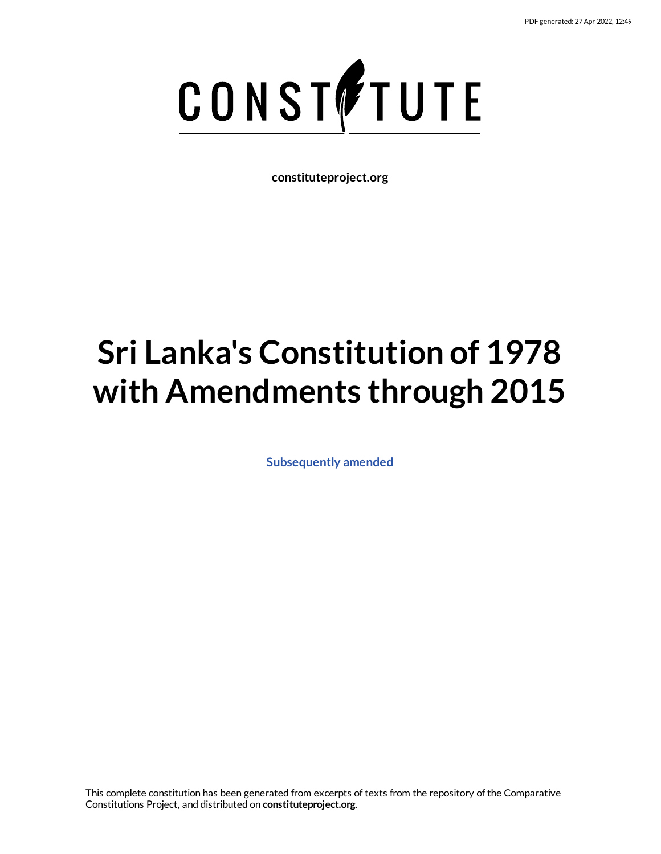

**constituteproject.org**

# **Sri Lanka's Constitution of 1978 with Amendments through 2015**

**[Subsequently](https://www.constituteproject.org/Asia/Sri_Lanka_2015?lang=en) amended**

This complete constitution has been generated from excerpts of texts from the repository of the Comparative Constitutions Project, and distributed on **constituteproject.org**.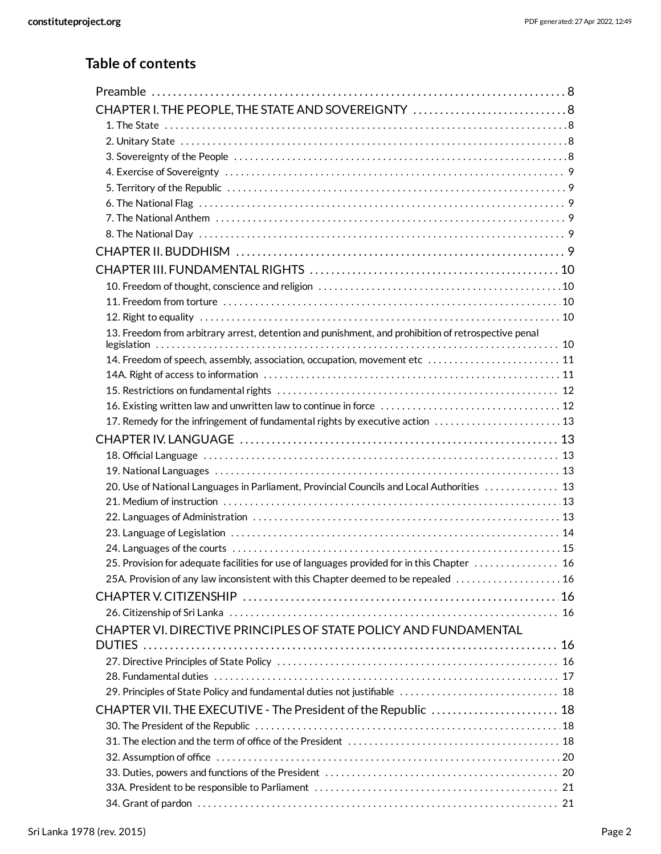### **Table of contents**

| CHAPTER I. THE PEOPLE, THE STATE AND SOVEREIGNTY 8                                                  |  |
|-----------------------------------------------------------------------------------------------------|--|
|                                                                                                     |  |
|                                                                                                     |  |
|                                                                                                     |  |
|                                                                                                     |  |
|                                                                                                     |  |
|                                                                                                     |  |
|                                                                                                     |  |
|                                                                                                     |  |
|                                                                                                     |  |
|                                                                                                     |  |
|                                                                                                     |  |
|                                                                                                     |  |
|                                                                                                     |  |
| 13. Freedom from arbitrary arrest, detention and punishment, and prohibition of retrospective penal |  |
|                                                                                                     |  |
| 14. Freedom of speech, assembly, association, occupation, movement etc  11                          |  |
|                                                                                                     |  |
|                                                                                                     |  |
|                                                                                                     |  |
| 17. Remedy for the infringement of fundamental rights by executive action  13                       |  |
|                                                                                                     |  |
|                                                                                                     |  |
|                                                                                                     |  |
| 20. Use of National Languages in Parliament, Provincial Councils and Local Authorities  13          |  |
|                                                                                                     |  |
|                                                                                                     |  |
|                                                                                                     |  |
|                                                                                                     |  |
| 25. Provision for adequate facilities for use of languages provided for in this Chapter  16         |  |
| 25A. Provision of any law inconsistent with this Chapter deemed to be repealed  16                  |  |
|                                                                                                     |  |
|                                                                                                     |  |
| CHAPTER VI. DIRECTIVE PRINCIPLES OF STATE POLICY AND FUNDAMENTAL                                    |  |
|                                                                                                     |  |
|                                                                                                     |  |
|                                                                                                     |  |
| 29. Principles of State Policy and fundamental duties not justifiable  18                           |  |
| CHAPTER VII. THE EXECUTIVE - The President of the Republic  18                                      |  |
|                                                                                                     |  |
|                                                                                                     |  |
|                                                                                                     |  |
|                                                                                                     |  |
|                                                                                                     |  |
|                                                                                                     |  |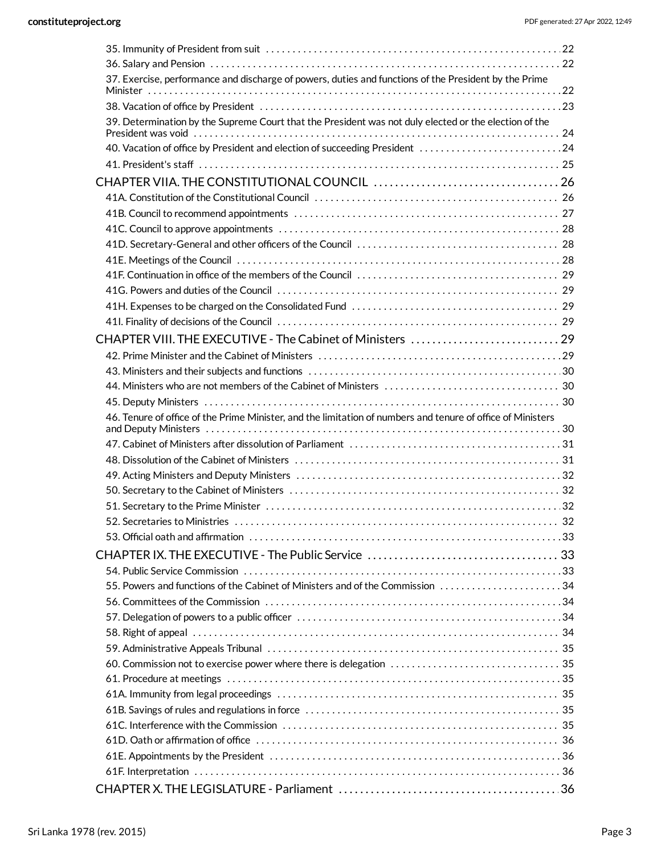| 37. Exercise, performance and discharge of powers, duties and functions of the President by the Prime       |  |
|-------------------------------------------------------------------------------------------------------------|--|
|                                                                                                             |  |
| 39. Determination by the Supreme Court that the President was not duly elected or the election of the       |  |
|                                                                                                             |  |
| 40. Vacation of office by President and election of succeeding President 24                                 |  |
|                                                                                                             |  |
|                                                                                                             |  |
|                                                                                                             |  |
|                                                                                                             |  |
|                                                                                                             |  |
|                                                                                                             |  |
|                                                                                                             |  |
|                                                                                                             |  |
|                                                                                                             |  |
|                                                                                                             |  |
|                                                                                                             |  |
|                                                                                                             |  |
|                                                                                                             |  |
|                                                                                                             |  |
|                                                                                                             |  |
|                                                                                                             |  |
| 46. Tenure of office of the Prime Minister, and the limitation of numbers and tenure of office of Ministers |  |
|                                                                                                             |  |
|                                                                                                             |  |
|                                                                                                             |  |
|                                                                                                             |  |
|                                                                                                             |  |
|                                                                                                             |  |
|                                                                                                             |  |
|                                                                                                             |  |
|                                                                                                             |  |
|                                                                                                             |  |
| 55. Powers and functions of the Cabinet of Ministers and of the Commission 34                               |  |
|                                                                                                             |  |
|                                                                                                             |  |
|                                                                                                             |  |
|                                                                                                             |  |
|                                                                                                             |  |
|                                                                                                             |  |
|                                                                                                             |  |
|                                                                                                             |  |
|                                                                                                             |  |
|                                                                                                             |  |
|                                                                                                             |  |
|                                                                                                             |  |
|                                                                                                             |  |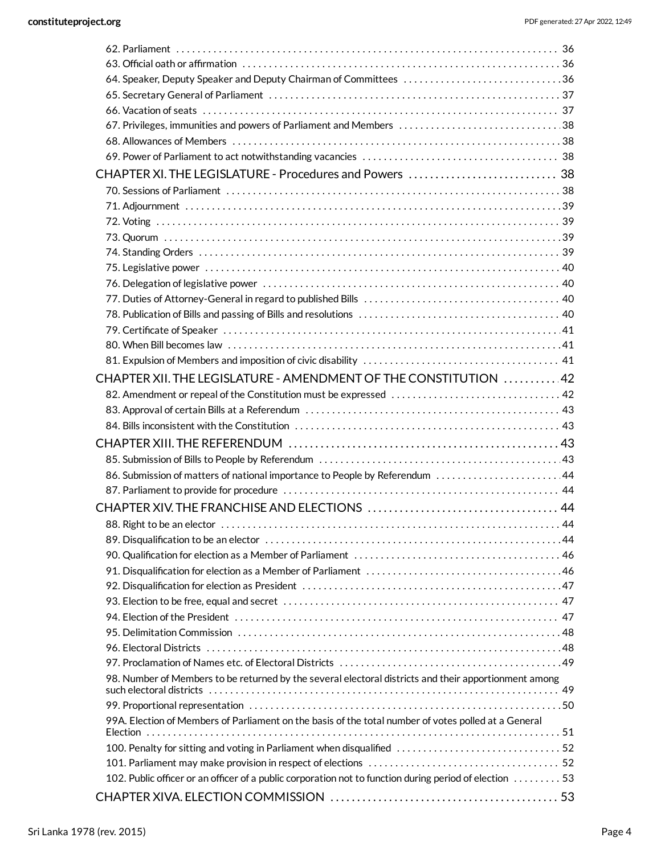| 64. Speaker, Deputy Speaker and Deputy Chairman of Committees 36                                       |  |
|--------------------------------------------------------------------------------------------------------|--|
|                                                                                                        |  |
|                                                                                                        |  |
| 67. Privileges, immunities and powers of Parliament and Members 38                                     |  |
|                                                                                                        |  |
|                                                                                                        |  |
|                                                                                                        |  |
|                                                                                                        |  |
|                                                                                                        |  |
|                                                                                                        |  |
|                                                                                                        |  |
|                                                                                                        |  |
|                                                                                                        |  |
|                                                                                                        |  |
|                                                                                                        |  |
|                                                                                                        |  |
|                                                                                                        |  |
|                                                                                                        |  |
|                                                                                                        |  |
| CHAPTER XII. THE LEGISLATURE - AMENDMENT OF THE CONSTITUTION 42                                        |  |
|                                                                                                        |  |
|                                                                                                        |  |
|                                                                                                        |  |
|                                                                                                        |  |
|                                                                                                        |  |
|                                                                                                        |  |
| 86. Submission of matters of national importance to People by Referendum 44                            |  |
|                                                                                                        |  |
|                                                                                                        |  |
|                                                                                                        |  |
|                                                                                                        |  |
|                                                                                                        |  |
|                                                                                                        |  |
|                                                                                                        |  |
|                                                                                                        |  |
|                                                                                                        |  |
|                                                                                                        |  |
|                                                                                                        |  |
|                                                                                                        |  |
| 98. Number of Members to be returned by the several electoral districts and their apportionment among  |  |
|                                                                                                        |  |
| 99A. Election of Members of Parliament on the basis of the total number of votes polled at a General   |  |
|                                                                                                        |  |
|                                                                                                        |  |
|                                                                                                        |  |
| 102. Public officer or an officer of a public corporation not to function during period of election 53 |  |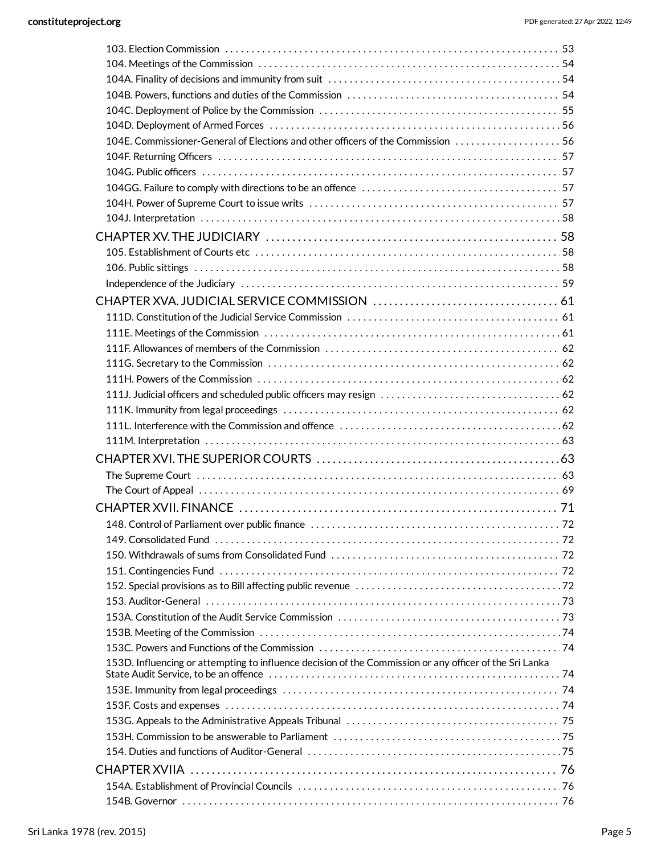| 104E. Commissioner-General of Elections and other officers of the Commission  56                        |  |
|---------------------------------------------------------------------------------------------------------|--|
|                                                                                                         |  |
|                                                                                                         |  |
|                                                                                                         |  |
|                                                                                                         |  |
|                                                                                                         |  |
|                                                                                                         |  |
|                                                                                                         |  |
|                                                                                                         |  |
|                                                                                                         |  |
|                                                                                                         |  |
|                                                                                                         |  |
|                                                                                                         |  |
|                                                                                                         |  |
|                                                                                                         |  |
|                                                                                                         |  |
|                                                                                                         |  |
|                                                                                                         |  |
|                                                                                                         |  |
|                                                                                                         |  |
|                                                                                                         |  |
|                                                                                                         |  |
|                                                                                                         |  |
|                                                                                                         |  |
|                                                                                                         |  |
|                                                                                                         |  |
|                                                                                                         |  |
|                                                                                                         |  |
|                                                                                                         |  |
|                                                                                                         |  |
|                                                                                                         |  |
|                                                                                                         |  |
|                                                                                                         |  |
|                                                                                                         |  |
|                                                                                                         |  |
| 153D. Influencing or attempting to influence decision of the Commission or any officer of the Sri Lanka |  |
|                                                                                                         |  |
|                                                                                                         |  |
|                                                                                                         |  |
|                                                                                                         |  |
|                                                                                                         |  |
|                                                                                                         |  |
|                                                                                                         |  |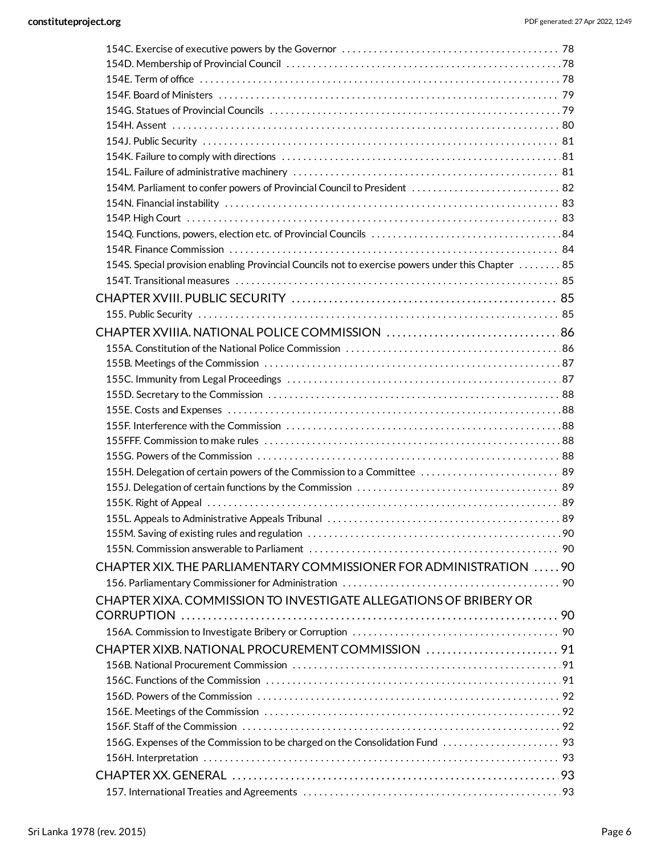| 154M. Parliament to confer powers of Provincial Council to President  82                          |  |
|---------------------------------------------------------------------------------------------------|--|
|                                                                                                   |  |
|                                                                                                   |  |
|                                                                                                   |  |
|                                                                                                   |  |
| 1545. Special provision enabling Provincial Councils not to exercise powers under this Chapter 85 |  |
|                                                                                                   |  |
|                                                                                                   |  |
|                                                                                                   |  |
|                                                                                                   |  |
|                                                                                                   |  |
|                                                                                                   |  |
|                                                                                                   |  |
|                                                                                                   |  |
|                                                                                                   |  |
|                                                                                                   |  |
|                                                                                                   |  |
|                                                                                                   |  |
| 155H. Delegation of certain powers of the Commission to a Committee  89                           |  |
|                                                                                                   |  |
|                                                                                                   |  |
|                                                                                                   |  |
|                                                                                                   |  |
|                                                                                                   |  |
|                                                                                                   |  |
| CHAPTER XIX. THE PARLIAMENTARY COMMISSIONER FOR ADMINISTRATION  90                                |  |
|                                                                                                   |  |
| CHAPTER XIXA. COMMISSION TO INVESTIGATE ALLEGATIONS OF BRIBERY OR                                 |  |
|                                                                                                   |  |
| CHAPTER XIXB. NATIONAL PROCUREMENT COMMISSION  91                                                 |  |
|                                                                                                   |  |
|                                                                                                   |  |
|                                                                                                   |  |
|                                                                                                   |  |
|                                                                                                   |  |
|                                                                                                   |  |
|                                                                                                   |  |
|                                                                                                   |  |
|                                                                                                   |  |
|                                                                                                   |  |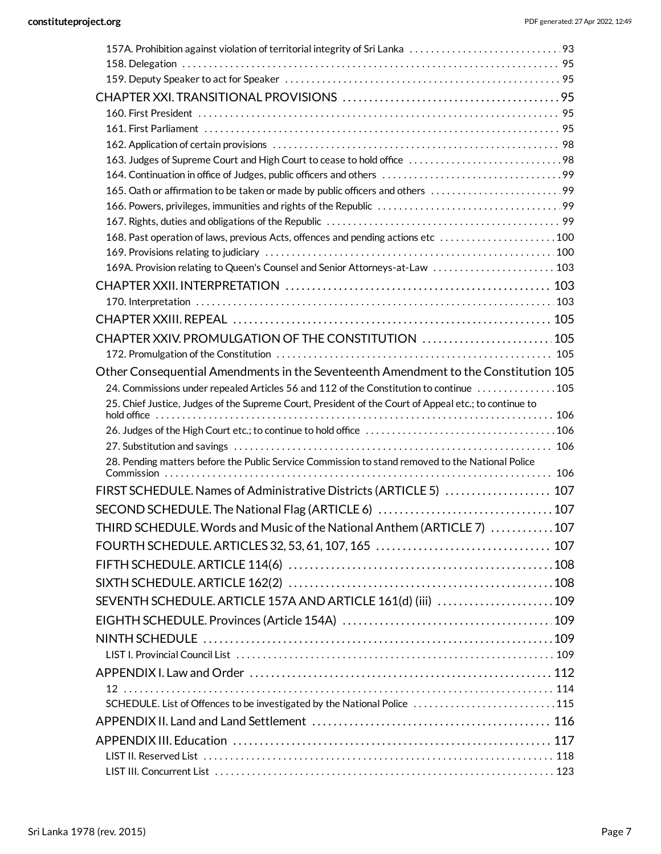| 165. Oath or affirmation to be taken or made by public officers and others                                                                                   |  |
|--------------------------------------------------------------------------------------------------------------------------------------------------------------|--|
|                                                                                                                                                              |  |
|                                                                                                                                                              |  |
| 168. Past operation of laws, previous Acts, offences and pending actions etc  100                                                                            |  |
|                                                                                                                                                              |  |
| 169A. Provision relating to Queen's Counsel and Senior Attorneys-at-Law  103                                                                                 |  |
|                                                                                                                                                              |  |
|                                                                                                                                                              |  |
|                                                                                                                                                              |  |
| CHAPTER XXIV. PROMULGATION OF THE CONSTITUTION  105                                                                                                          |  |
|                                                                                                                                                              |  |
| Other Consequential Amendments in the Seventeenth Amendment to the Constitution 105                                                                          |  |
| 24. Commissions under repealed Articles 56 and 112 of the Constitution to continue  105                                                                      |  |
| 25. Chief Justice, Judges of the Supreme Court, President of the Court of Appeal etc.; to continue to<br>hold office …………………………………………………………………………………………… 106 |  |
|                                                                                                                                                              |  |
|                                                                                                                                                              |  |
| 28. Pending matters before the Public Service Commission to stand removed to the National Police                                                             |  |
| FIRST SCHEDULE. Names of Administrative Districts (ARTICLE 5)  107                                                                                           |  |
|                                                                                                                                                              |  |
| SECOND SCHEDULE. The National Flag (ARTICLE 6)  107                                                                                                          |  |
| THIRD SCHEDULE. Words and Music of the National Anthem (ARTICLE 7) 107                                                                                       |  |
|                                                                                                                                                              |  |
|                                                                                                                                                              |  |
|                                                                                                                                                              |  |
| SEVENTH SCHEDULE. ARTICLE 157A AND ARTICLE 161(d) (iii) 109                                                                                                  |  |
|                                                                                                                                                              |  |
|                                                                                                                                                              |  |
|                                                                                                                                                              |  |
|                                                                                                                                                              |  |
|                                                                                                                                                              |  |
| SCHEDULE. List of Offences to be investigated by the National Police 115                                                                                     |  |
|                                                                                                                                                              |  |
|                                                                                                                                                              |  |
|                                                                                                                                                              |  |
|                                                                                                                                                              |  |
|                                                                                                                                                              |  |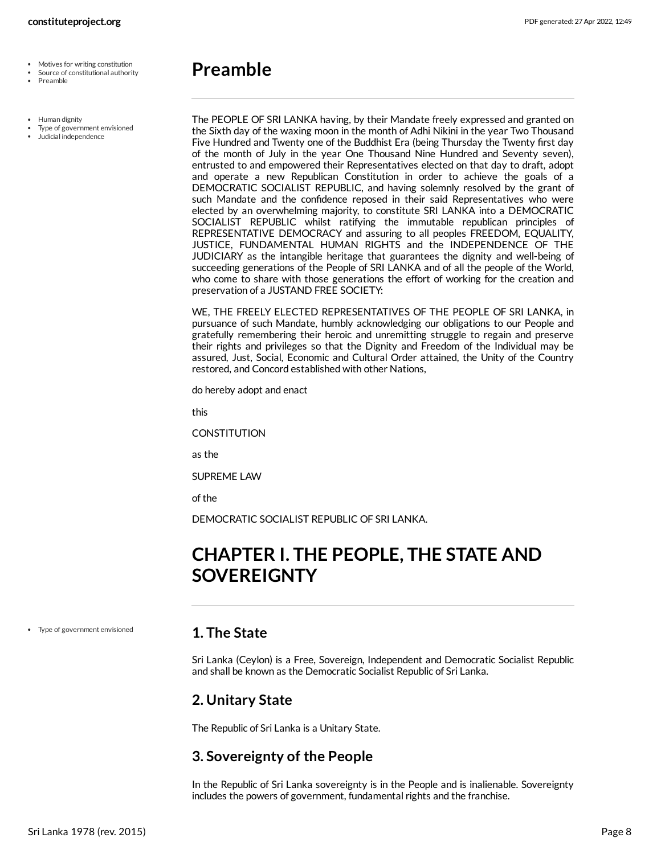- Motives for writing constitution  $\sim$
- Source of constitutional authority
- Preamble
- Human dignity
- Type of government envisioned Judicial independence

<span id="page-7-0"></span>**Preamble**

The PEOPLE OF SRI LANKA having, by their Mandate freely expressed and granted on the Sixth day of the waxing moon in the month of Adhi Nikini in the year Two Thousand Five Hundred and Twenty one of the Buddhist Era (being Thursday the Twenty first day of the month of July in the year One Thousand Nine Hundred and Seventy seven), entrusted to and empowered their Representatives elected on that day to draft, adopt and operate a new Republican Constitution in order to achieve the goals of a DEMOCRATIC SOCIALIST REPUBLIC, and having solemnly resolved by the grant of such Mandate and the confidence reposed in their said Representatives who were elected by an overwhelming majority, to constitute SRI LANKA into a DEMOCRATIC SOCIALIST REPUBLIC whilst ratifying the immutable republican principles of REPRESENTATIVE DEMOCRACY and assuring to all peoples FREEDOM, EQUALITY, JUSTICE, FUNDAMENTAL HUMAN RIGHTS and the INDEPENDENCE OF THE JUDICIARY as the intangible heritage that guarantees the dignity and well-being of succeeding generations of the People of SRI LANKA and of all the people of the World, who come to share with those generations the effort of working for the creation and preservation of a JUSTAND FREE SOCIETY:

WE, THE FREELY ELECTED REPRESENTATIVES OF THE PEOPLE OF SRI LANKA, in pursuance of such Mandate, humbly acknowledging our obligations to our People and gratefully remembering their heroic and unremitting struggle to regain and preserve their rights and privileges so that the Dignity and Freedom of the Individual may be assured, Just, Social, Economic and Cultural Order attained, the Unity of the Country restored, and Concord established with other Nations,

do hereby adopt and enact

this

**CONSTITUTION** 

as the

SUPREME LAW

of the

DEMOCRATIC SOCIALIST REPUBLIC OF SRI LANKA.

# <span id="page-7-1"></span>**CHAPTER I. THE PEOPLE, THE STATE AND SOVEREIGNTY**

Type of government envisioned

### <span id="page-7-2"></span>**1. The State**

Sri Lanka (Ceylon) is a Free, Sovereign, Independent and Democratic Socialist Republic and shall be known as the Democratic Socialist Republic of Sri Lanka.

### <span id="page-7-3"></span>**2. Unitary State**

The Republic of Sri Lanka is a Unitary State.

### <span id="page-7-4"></span>**3. Sovereignty of the People**

In the Republic of Sri Lanka sovereignty is in the People and is inalienable. Sovereignty includes the powers of government, fundamental rights and the franchise.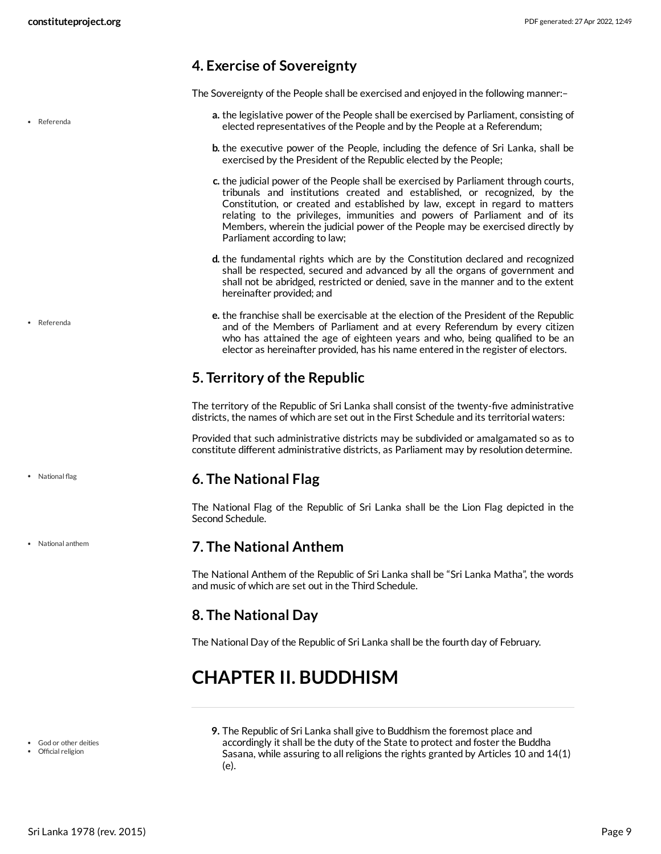Referenda

Referenda

• National flag

National anthem

### <span id="page-8-0"></span>**4. Exercise of Sovereignty**

The Sovereignty of the People shall be exercised and enjoyed in the following manner:–

- **a.** the legislative power of the People shall be exercised by Parliament, consisting of elected representatives of the People and by the People at a Referendum;
- **b.** the executive power of the People, including the defence of Sri Lanka, shall be exercised by the President of the Republic elected by the People;
- **c.** the judicial power of the People shall be exercised by Parliament through courts, tribunals and institutions created and established, or recognized, by the Constitution, or created and established by law, except in regard to matters relating to the privileges, immunities and powers of Parliament and of its Members, wherein the judicial power of the People may be exercised directly by Parliament according to law;
- **d.** the fundamental rights which are by the Constitution declared and recognized shall be respected, secured and advanced by all the organs of government and shall not be abridged, restricted or denied, save in the manner and to the extent hereinafter provided; and
- **e.** the franchise shall be exercisable at the election of the President of the Republic and of the Members of Parliament and at every Referendum by every citizen who has attained the age of eighteen years and who, being qualified to be an elector as hereinafter provided, has his name entered in the register of electors.

### <span id="page-8-1"></span>**5. Territory of the Republic**

The territory of the Republic of Sri Lanka shall consist of the twenty-five administrative districts, the names of which are set out in the First Schedule and its territorial waters:

Provided that such administrative districts may be subdivided or amalgamated so as to constitute different administrative districts, as Parliament may by resolution determine.

### <span id="page-8-2"></span>**6. The National Flag**

The National Flag of the Republic of Sri Lanka shall be the Lion Flag depicted in the Second Schedule.

### <span id="page-8-3"></span>**7. The National Anthem**

The National Anthem of the Republic of Sri Lanka shall be "Sri Lanka Matha", the words and music of which are set out in the Third Schedule.

### <span id="page-8-4"></span>**8. The National Day**

The National Day of the Republic of Sri Lanka shall be the fourth day of February.

# <span id="page-8-5"></span>**CHAPTER II. BUDDHISM**

God or other deities Official religion

**9.** The Republic of Sri Lanka shall give to Buddhism the foremost place and accordingly it shall be the duty of the State to protect and foster the Buddha Sasana, while assuring to all religions the rights granted by Articles 10 and 14(1) (e).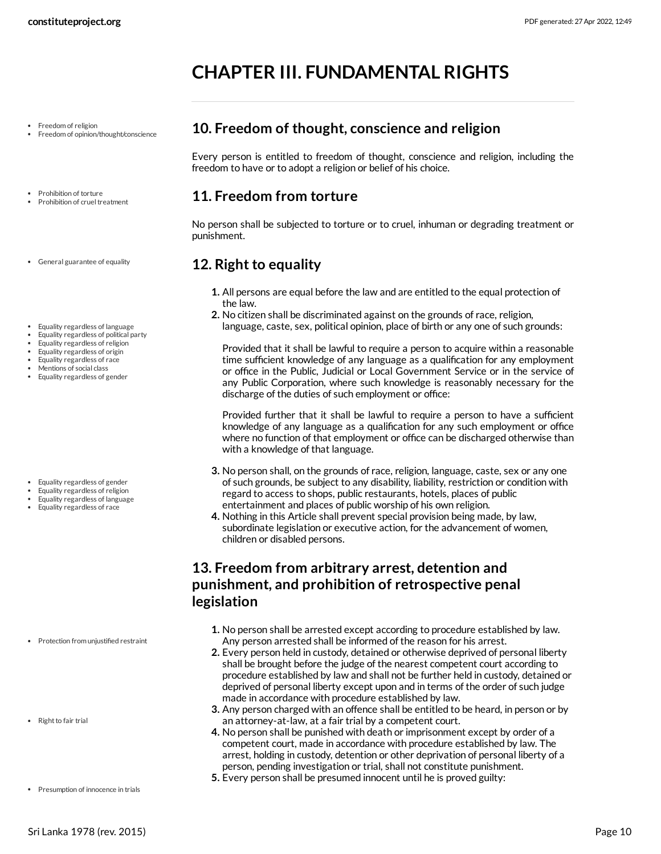# <span id="page-9-0"></span>**CHAPTER III. FUNDAMENTAL RIGHTS**

Freedom of religion Freedom of opinion/thought/conscience

- Prohibition of torture
- Prohibition of cruel treatment

General guarantee of equality

- Equality regardless of language
- Equality regardless of political party
- Equality regardless of religion Equality regardless of origin
- Equality regardless of race
- Mentions of social class
- Equality regardless of gender

- Equality regardless of gender
- Equality regardless of religion
- Equality regardless of language
- Equality regardless of race

- Protection from uniustified restraint
- Right to fair trial
- Presumption of innocence in trials

### <span id="page-9-1"></span>**10. Freedom of thought, conscience and religion**

Every person is entitled to freedom of thought, conscience and religion, including the freedom to have or to adopt a religion or belief of his choice.

### <span id="page-9-2"></span>**11. Freedom from torture**

No person shall be subjected to torture or to cruel, inhuman or degrading treatment or punishment.

### <span id="page-9-3"></span>**12. Right to equality**

- **1.** All persons are equal before the law and are entitled to the equal protection of the law.
- **2.** No citizen shall be discriminated against on the grounds of race, religion, language, caste, sex, political opinion, place of birth or any one of such grounds:

Provided that it shall be lawful to require a person to acquire within a reasonable time sufficient knowledge of any language as a qualification for any employment or office in the Public, Judicial or Local Government Service or in the service of any Public Corporation, where such knowledge is reasonably necessary for the discharge of the duties of such employment or office:

Provided further that it shall be lawful to require a person to have a sufficient knowledge of any language as a qualification for any such employment or office where no function of that employment or office can be discharged otherwise than with a knowledge of that language.

- **3.** No person shall, on the grounds of race, religion, language, caste, sex or any one of such grounds, be subject to any disability, liability, restriction or condition with regard to access to shops, public restaurants, hotels, places of public entertainment and places of public worship of his own religion.
- **4.** Nothing in this Article shall prevent special provision being made, by law, subordinate legislation or executive action, for the advancement of women, children or disabled persons.

### <span id="page-9-4"></span>**13. Freedom from arbitrary arrest, detention and punishment, and prohibition of retrospective penal legislation**

- **1.** No person shall be arrested except according to procedure established by law. Any person arrested shall be informed of the reason for his arrest.
- **2.** Every person held in custody, detained or otherwise deprived of personal liberty shall be brought before the judge of the nearest competent court according to procedure established by law and shall not be further held in custody, detained or deprived of personal liberty except upon and in terms of the order of such judge made in accordance with procedure established by law.
- **3.** Any person charged with an offence shall be entitled to be heard, in person or by an attorney-at-law, at a fair trial by a competent court.
- **4.** No person shall be punished with death or imprisonment except by order of a competent court, made in accordance with procedure established by law. The arrest, holding in custody, detention or other deprivation of personal liberty of a person, pending investigation or trial, shall not constitute punishment.
- **5.** Every person shall be presumed innocent until he is proved guilty: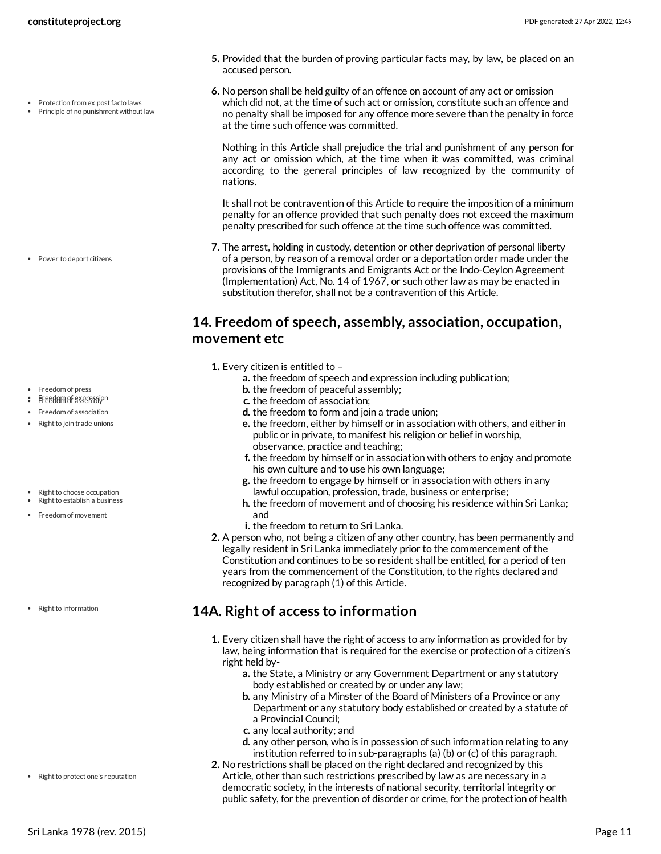- Protection from ex post facto laws
- Principle of no punishment without law

• Power to deport citizens

- Freedom of press
- $F$  Freedom of sxpression
- Freedom of association
- Right to join trade unions
- Right to choose occupation Right to establish a business
- Freedom of movement
- Right to information

• Right to protect one's reputation

- **5.** Provided that the burden of proving particular facts may, by law, be placed on an accused person.
- **6.** No person shall be held guilty of an offence on account of any act or omission which did not, at the time of such act or omission, constitute such an offence and no penalty shall be imposed for any offence more severe than the penalty in force at the time such offence was committed.

Nothing in this Article shall prejudice the trial and punishment of any person for any act or omission which, at the time when it was committed, was criminal according to the general principles of law recognized by the community of nations.

It shall not be contravention of this Article to require the imposition of a minimum penalty for an offence provided that such penalty does not exceed the maximum penalty prescribed for such offence at the time such offence was committed.

**7.** The arrest, holding in custody, detention or other deprivation of personal liberty of a person, by reason of a removal order or a deportation order made under the provisions of the Immigrants and Emigrants Act or the Indo-Ceylon Agreement (Implementation) Act, No. 14 of 1967, or such other law as may be enacted in substitution therefor, shall not be a contravention of this Article.

### <span id="page-10-0"></span>**14. Freedom of speech, assembly, association, occupation, movement etc**

- **1.** Every citizen is entitled to
	- **a.** the freedom of speech and expression including publication;
	- **b.** the freedom of peaceful assembly;
	- **c.** the freedom of association;
	- **d.** the freedom to form and join a trade union;
	- **e.** the freedom, either by himself or in association with others, and either in public or in private, to manifest his religion or belief in worship, observance, practice and teaching;
	- **f.** the freedom by himself or in association with others to enjoy and promote his own culture and to use his own language;
	- **g.** the freedom to engage by himself or in association with others in any lawful occupation, profession, trade, business or enterprise;
	- **h.** the freedom of movement and of choosing his residence within Sri Lanka; and
	- **i.** the freedom to return to Sri Lanka.
- **2.** A person who, not being a citizen of any other country, has been permanently and legally resident in Sri Lanka immediately prior to the commencement of the Constitution and continues to be so resident shall be entitled, for a period of ten years from the commencement of the Constitution, to the rights declared and recognized by paragraph (1) of this Article.

### <span id="page-10-1"></span>**14A. Right of access to information**

- **1.** Every citizen shall have the right of access to any information as provided for by law, being information that is required for the exercise or protection of a citizen's right held by
	- **a.** the State, a Ministry or any Government Department or any statutory body established or created by or under any law;
	- **b.** any Ministry of a Minster of the Board of Ministers of a Province or any Department or any statutory body established or created by a statute of a Provincial Council;
	- **c.** any local authority; and
	- **d.** any other person, who is in possession of such information relating to any institution referred to in sub-paragraphs (a) (b) or (c) of this paragraph.
- **2.** No restrictions shall be placed on the right declared and recognized by this Article, other than such restrictions prescribed by law as are necessary in a democratic society, in the interests of national security, territorial integrity or public safety, for the prevention of disorder or crime, for the protection of health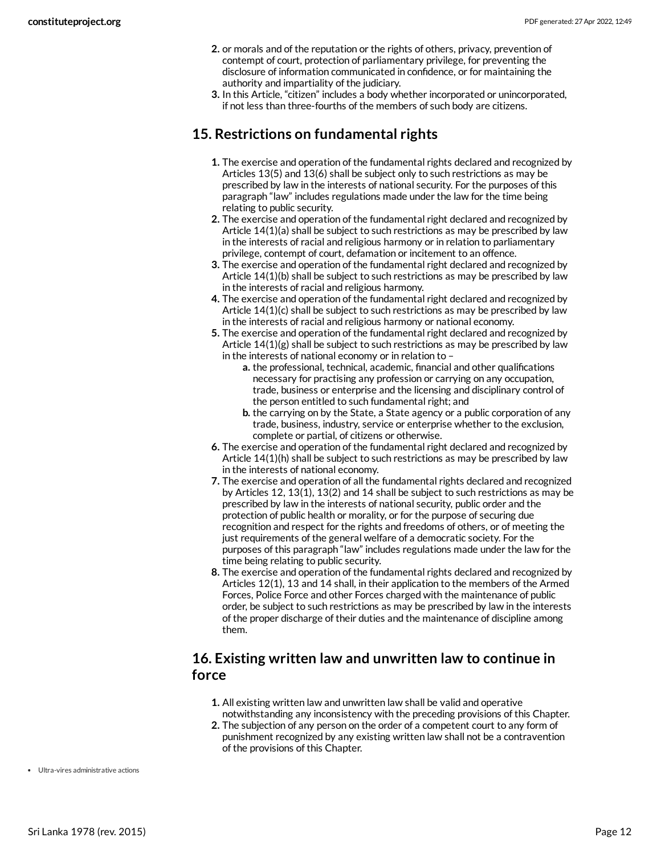- **2.** or morals and of the reputation or the rights of others, privacy, prevention of contempt of court, protection of parliamentary privilege, for preventing the disclosure of information communicated in confidence, or for maintaining the authority and impartiality of the judiciary.
- **3.** In this Article, "citizen" includes a body whether incorporated or unincorporated, if not less than three-fourths of the members of such body are citizens.

### <span id="page-11-0"></span>**15. Restrictions on fundamental rights**

- **1.** The exercise and operation of the fundamental rights declared and recognized by Articles 13(5) and 13(6) shall be subject only to such restrictions as may be prescribed by law in the interests of national security. For the purposes of this paragraph "law" includes regulations made under the law for the time being relating to public security.
- **2.** The exercise and operation of the fundamental right declared and recognized by Article 14(1)(a) shall be subject to such restrictions as may be prescribed by law in the interests of racial and religious harmony or in relation to parliamentary privilege, contempt of court, defamation or incitement to an offence.
- **3.** The exercise and operation of the fundamental right declared and recognized by Article 14(1)(b) shall be subject to such restrictions as may be prescribed by law in the interests of racial and religious harmony.
- **4.** The exercise and operation of the fundamental right declared and recognized by Article 14(1)(c) shall be subject to such restrictions as may be prescribed by law in the interests of racial and religious harmony or national economy.
- **5.** The exercise and operation of the fundamental right declared and recognized by Article 14(1)(g) shall be subject to such restrictions as may be prescribed by law in the interests of national economy or in relation to –
	- **a.** the professional, technical, academic, financial and other qualifications necessary for practising any profession or carrying on any occupation, trade, business or enterprise and the licensing and disciplinary control of the person entitled to such fundamental right; and
	- **b.** the carrying on by the State, a State agency or a public corporation of any trade, business, industry, service or enterprise whether to the exclusion, complete or partial, of citizens or otherwise.
- **6.** The exercise and operation of the fundamental right declared and recognized by Article 14(1)(h) shall be subject to such restrictions as may be prescribed by law in the interests of national economy.
- **7.** The exercise and operation of all the fundamental rights declared and recognized by Articles 12, 13(1), 13(2) and 14 shall be subject to such restrictions as may be prescribed by law in the interests of national security, public order and the protection of public health or morality, or for the purpose of securing due recognition and respect for the rights and freedoms of others, or of meeting the just requirements of the general welfare of a democratic society. For the purposes of this paragraph "law" includes regulations made under the law for the time being relating to public security.
- **8.** The exercise and operation of the fundamental rights declared and recognized by Articles 12(1), 13 and 14 shall, in their application to the members of the Armed Forces, Police Force and other Forces charged with the maintenance of public order, be subject to such restrictions as may be prescribed by law in the interests of the proper discharge of their duties and the maintenance of discipline among them.

### <span id="page-11-1"></span>**16. Existing written law and unwritten law to continue in force**

- **1.** All existing written law and unwritten law shall be valid and operative notwithstanding any inconsistency with the preceding provisions of this Chapter.
- **2.** The subjection of any person on the order of a competent court to any form of punishment recognized by any existing written law shall not be a contravention of the provisions of this Chapter.

Ultra-vires administrative actions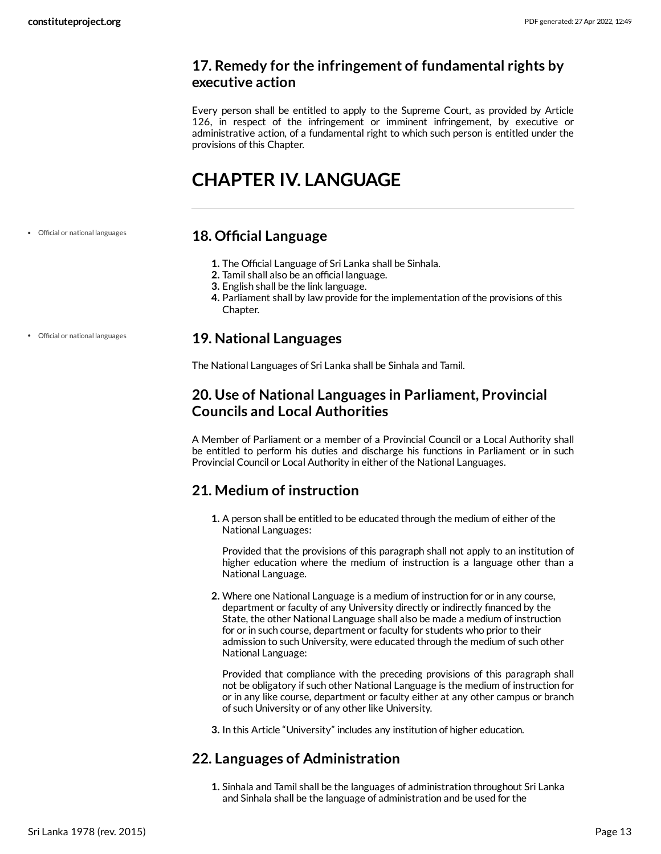### <span id="page-12-0"></span>**17. Remedy for the infringement of fundamental rights by executive action**

Every person shall be entitled to apply to the Supreme Court, as provided by Article 126, in respect of the infringement or imminent infringement, by executive or administrative action, of a fundamental right to which such person is entitled under the provisions of this Chapter.

# <span id="page-12-1"></span>**CHAPTER IV. LANGUAGE**

Official or national languages

### <span id="page-12-2"></span>**18. Official Language**

- **1.** The Official Language of Sri Lanka shall be Sinhala.
- **2.** Tamil shall also be an official language.
- **3.** English shall be the link language.
- **4.** Parliament shall by law provide for the implementation of the provisions of this Chapter.

### <span id="page-12-3"></span>**19. National Languages**

The National Languages of Sri Lanka shall be Sinhala and Tamil.

### <span id="page-12-4"></span>**20. Use of National Languages in Parliament, Provincial Councils and Local Authorities**

A Member of Parliament or a member of a Provincial Council or a Local Authority shall be entitled to perform his duties and discharge his functions in Parliament or in such Provincial Council or Local Authority in either of the National Languages.

### <span id="page-12-5"></span>**21. Medium of instruction**

**1.** A person shall be entitled to be educated through the medium of either of the National Languages:

Provided that the provisions of this paragraph shall not apply to an institution of higher education where the medium of instruction is a language other than a National Language.

**2.** Where one National Language is a medium of instruction for or in any course, department or faculty of any University directly or indirectly financed by the State, the other National Language shall also be made a medium of instruction for or in such course, department or faculty for students who prior to their admission to such University, were educated through the medium of such other National Language:

Provided that compliance with the preceding provisions of this paragraph shall not be obligatory if such other National Language is the medium of instruction for or in any like course, department or faculty either at any other campus or branch of such University or of any other like University.

**3.** In this Article "University" includes any institution of higher education.

### <span id="page-12-6"></span>**22. Languages of Administration**

**1.** Sinhala and Tamil shall be the languages of administration throughout Sri Lanka and Sinhala shall be the language of administration and be used for the

Official or national languages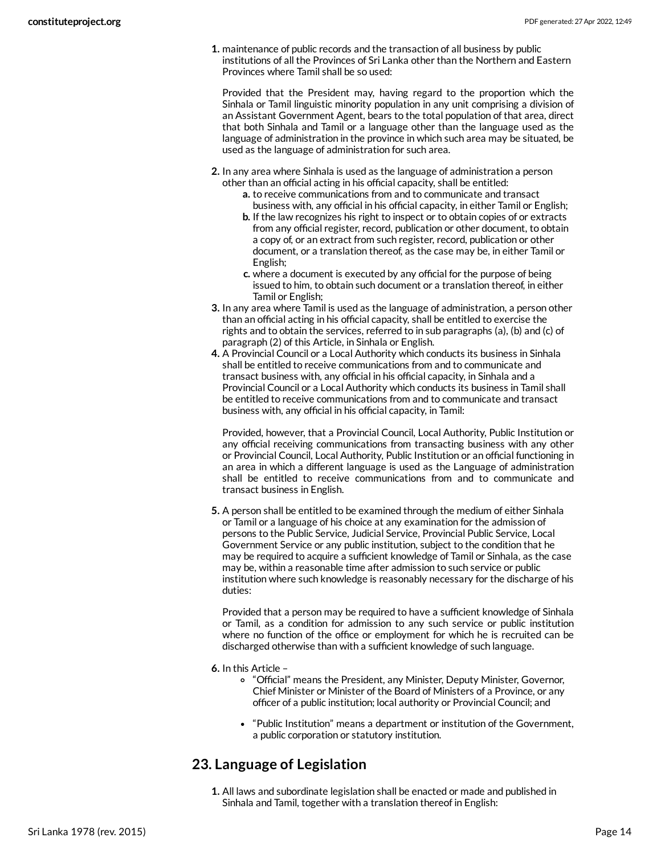**1.** maintenance of public records and the transaction of all business by public institutions of all the Provinces of Sri Lanka other than the Northern and Eastern Provinces where Tamil shall be so used:

Provided that the President may, having regard to the proportion which the Sinhala or Tamil linguistic minority population in any unit comprising a division of an Assistant Government Agent, bears to the total population of that area, direct that both Sinhala and Tamil or a language other than the language used as the language of administration in the province in which such area may be situated, be used as the language of administration for such area.

- **2.** In any area where Sinhala is used as the language of administration a person other than an official acting in his official capacity, shall be entitled:
	- **a.** to receive communications from and to communicate and transact business with, any official in his official capacity, in either Tamil or English;
	- **b.** If the law recognizes his right to inspect or to obtain copies of or extracts from any official register, record, publication or other document, to obtain a copy of, or an extract from such register, record, publication or other document, or a translation thereof, as the case may be, in either Tamil or English;
	- **c.** where a document is executed by any official for the purpose of being issued to him, to obtain such document or a translation thereof, in either Tamil or English;
- **3.** In any area where Tamil is used as the language of administration, a person other than an official acting in his official capacity, shall be entitled to exercise the rights and to obtain the services, referred to in sub paragraphs (a), (b) and (c) of paragraph (2) of this Article, in Sinhala or English.
- **4.** A Provincial Council or a Local Authority which conducts its business in Sinhala shall be entitled to receive communications from and to communicate and transact business with, any official in his official capacity, in Sinhala and a Provincial Council or a Local Authority which conducts its business in Tamil shall be entitled to receive communications from and to communicate and transact business with, any official in his official capacity, in Tamil:

Provided, however, that a Provincial Council, Local Authority, Public Institution or any official receiving communications from transacting business with any other or Provincial Council, Local Authority, Public Institution or an official functioning in an area in which a different language is used as the Language of administration shall be entitled to receive communications from and to communicate and transact business in English.

**5.** A person shall be entitled to be examined through the medium of either Sinhala or Tamil or a language of his choice at any examination for the admission of persons to the Public Service, Judicial Service, Provincial Public Service, Local Government Service or any public institution, subject to the condition that he may be required to acquire a sufficient knowledge of Tamil or Sinhala, as the case may be, within a reasonable time after admission to such service or public institution where such knowledge is reasonably necessary for the discharge of his duties:

Provided that a person may be required to have a sufficient knowledge of Sinhala or Tamil, as a condition for admission to any such service or public institution where no function of the office or employment for which he is recruited can be discharged otherwise than with a sufficient knowledge of such language.

- **6.** In this Article
	- "Official" means the President, any Minister, Deputy Minister, Governor, Chief Minister or Minister of the Board of Ministers of a Province, or any officer of a public institution; local authority or Provincial Council; and
	- "Public Institution" means a department or institution of the Government, a public corporation or statutory institution.

### <span id="page-13-0"></span>**23. Language of Legislation**

**1.** All laws and subordinate legislation shall be enacted or made and published in Sinhala and Tamil, together with a translation thereof in English: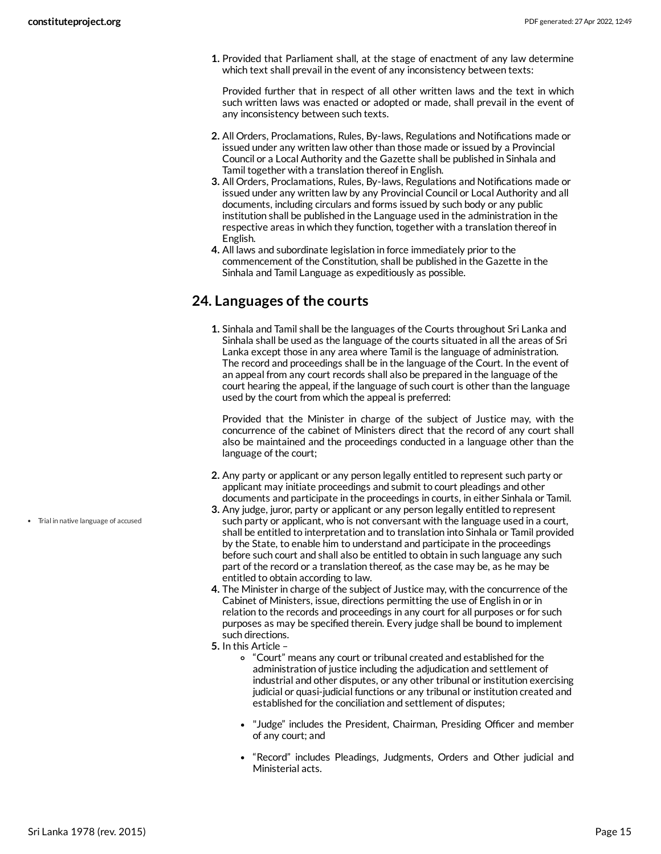**1.** Provided that Parliament shall, at the stage of enactment of any law determine which text shall prevail in the event of any inconsistency between texts:

Provided further that in respect of all other written laws and the text in which such written laws was enacted or adopted or made, shall prevail in the event of any inconsistency between such texts.

- **2.** All Orders, Proclamations, Rules, By-laws, Regulations and Notifications made or issued under any written law other than those made or issued by a Provincial Council or a Local Authority and the Gazette shall be published in Sinhala and Tamil together with a translation thereof in English.
- **3.** All Orders, Proclamations, Rules, By-laws, Regulations and Notifications made or issued under any written law by any Provincial Council or Local Authority and all documents, including circulars and forms issued by such body or any public institution shall be published in the Language used in the administration in the respective areas in which they function, together with a translation thereof in English.
- **4.** All laws and subordinate legislation in force immediately prior to the commencement of the Constitution, shall be published in the Gazette in the Sinhala and Tamil Language as expeditiously as possible.

### <span id="page-14-0"></span>**24. Languages of the courts**

**1.** Sinhala and Tamil shall be the languages of the Courts throughout Sri Lanka and Sinhala shall be used as the language of the courts situated in all the areas of Sri Lanka except those in any area where Tamil is the language of administration. The record and proceedings shall be in the language of the Court. In the event of an appeal from any court records shall also be prepared in the language of the court hearing the appeal, if the language of such court is other than the language used by the court from which the appeal is preferred:

Provided that the Minister in charge of the subject of Justice may, with the concurrence of the cabinet of Ministers direct that the record of any court shall also be maintained and the proceedings conducted in a language other than the language of the court;

- **2.** Any party or applicant or any person legally entitled to represent such party or applicant may initiate proceedings and submit to court pleadings and other documents and participate in the proceedings in courts, in either Sinhala or Tamil.
- **3.** Any judge, juror, party or applicant or any person legally entitled to represent such party or applicant, who is not conversant with the language used in a court, shall be entitled to interpretation and to translation into Sinhala or Tamil provided by the State, to enable him to understand and participate in the proceedings before such court and shall also be entitled to obtain in such language any such part of the record or a translation thereof, as the case may be, as he may be entitled to obtain according to law.
- **4.** The Minister in charge of the subject of Justice may, with the concurrence of the Cabinet of Ministers, issue, directions permitting the use of English in or in relation to the records and proceedings in any court for all purposes or for such purposes as may be specified therein. Every judge shall be bound to implement such directions.
- **5.** In this Article
	- "Court" means any court or tribunal created and established for the administration of justice including the adjudication and settlement of industrial and other disputes, or any other tribunal or institution exercising judicial or quasi-judicial functions or any tribunal or institution created and established for the conciliation and settlement of disputes;
	- "Judge" includes the President, Chairman, Presiding Officer and member of any court; and
	- "Record" includes Pleadings, Judgments, Orders and Other judicial and Ministerial acts.

• Trial in native language of accused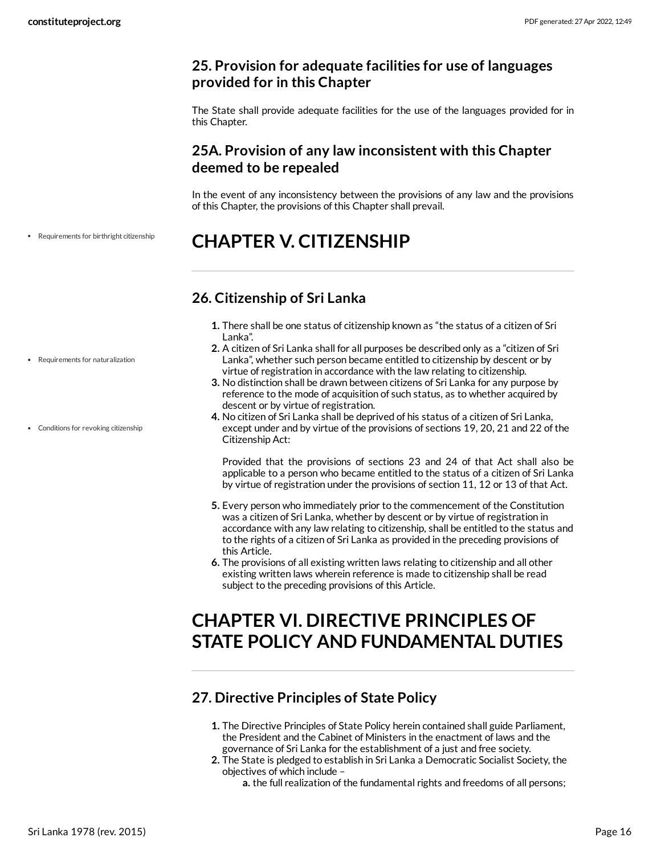### <span id="page-15-0"></span>**25. Provision for adequate facilities for use of languages provided for in this Chapter**

The State shall provide adequate facilities for the use of the languages provided for in this Chapter.

### <span id="page-15-1"></span>**25A. Provision of any law inconsistent with this Chapter deemed to be repealed**

In the event of any inconsistency between the provisions of any law and the provisions of this Chapter, the provisions of this Chapter shall prevail.

• Requirements for birthright citizenship

# <span id="page-15-2"></span>**CHAPTER V. CITIZENSHIP**

### <span id="page-15-3"></span>**26. Citizenship of Sri Lanka**

- **1.** There shall be one status of citizenship known as "the status of a citizen of Sri Lanka".
- **2.** A citizen of Sri Lanka shall for all purposes be described only as a "citizen of Sri Lanka", whether such person became entitled to citizenship by descent or by virtue of registration in accordance with the law relating to citizenship.
- **3.** No distinction shall be drawn between citizens of Sri Lanka for any purpose by reference to the mode of acquisition of such status, as to whether acquired by descent or by virtue of registration.
- **4.** No citizen of Sri Lanka shall be deprived of his status of a citizen of Sri Lanka, except under and by virtue of the provisions of sections 19, 20, 21 and 22 of the Citizenship Act:

Provided that the provisions of sections 23 and 24 of that Act shall also be applicable to a person who became entitled to the status of a citizen of Sri Lanka by virtue of registration under the provisions of section 11, 12 or 13 of that Act.

- **5.** Every person who immediately prior to the commencement of the Constitution was a citizen of Sri Lanka, whether by descent or by virtue of registration in accordance with any law relating to citizenship, shall be entitled to the status and to the rights of a citizen of Sri Lanka as provided in the preceding provisions of this Article.
- **6.** The provisions of all existing written laws relating to citizenship and all other existing written laws wherein reference is made to citizenship shall be read subject to the preceding provisions of this Article.

# <span id="page-15-4"></span>**CHAPTER VI. DIRECTIVE PRINCIPLES OF STATE POLICY AND FUNDAMENTAL DUTIES**

### <span id="page-15-5"></span>**27. Directive Principles of State Policy**

- **1.** The Directive Principles of State Policy herein contained shall guide Parliament, the President and the Cabinet of Ministers in the enactment of laws and the governance of Sri Lanka for the establishment of a just and free society.
- **2.** The State is pledged to establish in Sri Lanka a Democratic Socialist Society, the objectives of which include –
	- **a.** the full realization of the fundamental rights and freedoms of all persons;

Requirements for naturalization

Conditions for revoking citizenship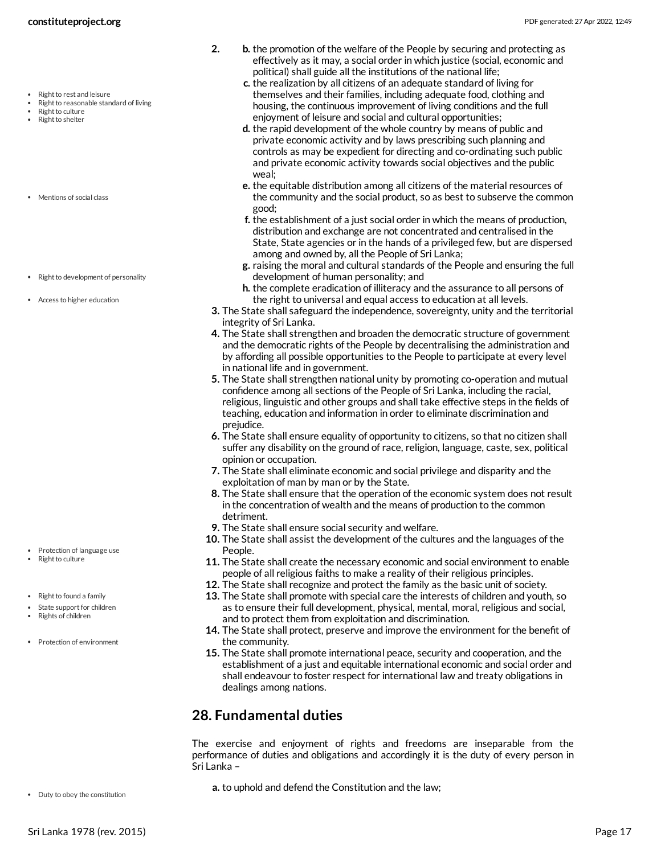- Right to rest and leisure
- Right to reasonable standard of living
- Right to culture
- Right to shelter
- Mentions of social class
- Right to development of personality
- Access to higher education

- Protection of language use • Right to culture
- Right to found a family
- State support for children
- Rights of children
- Protection of environment

Duty to obey the constitution

- **2. b.** the promotion of the welfare of the People by securing and protecting as effectively as it may, a social order in which justice (social, economic and political) shall guide all the institutions of the national life;
	- **c.** the realization by all citizens of an adequate standard of living for themselves and their families, including adequate food, clothing and housing, the continuous improvement of living conditions and the full enjoyment of leisure and social and cultural opportunities;
	- **d.** the rapid development of the whole country by means of public and private economic activity and by laws prescribing such planning and controls as may be expedient for directing and co-ordinating such public and private economic activity towards social objectives and the public weal;
	- **e.** the equitable distribution among all citizens of the material resources of the community and the social product, so as best to subserve the common good;
	- **f.** the establishment of a just social order in which the means of production, distribution and exchange are not concentrated and centralised in the State, State agencies or in the hands of a privileged few, but are dispersed among and owned by, all the People of Sri Lanka;
	- **g.** raising the moral and cultural standards of the People and ensuring the full development of human personality; and
	- **h.** the complete eradication of illiteracy and the assurance to all persons of the right to universal and equal access to education at all levels.
- **3.** The State shall safeguard the independence, sovereignty, unity and the territorial integrity of Sri Lanka.
- **4.** The State shall strengthen and broaden the democratic structure of government and the democratic rights of the People by decentralising the administration and by affording all possible opportunities to the People to participate at every level in national life and in government.
- **5.** The State shall strengthen national unity by promoting co-operation and mutual confidence among all sections of the People of Sri Lanka, including the racial, religious, linguistic and other groups and shall take effective steps in the fields of teaching, education and information in order to eliminate discrimination and prejudice.
- **6.** The State shall ensure equality of opportunity to citizens, so that no citizen shall suffer any disability on the ground of race, religion, language, caste, sex, political opinion or occupation.
- **7.** The State shall eliminate economic and social privilege and disparity and the exploitation of man by man or by the State.
- **8.** The State shall ensure that the operation of the economic system does not result in the concentration of wealth and the means of production to the common detriment.
- **9.** The State shall ensure social security and welfare.
- **10.** The State shall assist the development of the cultures and the languages of the People.
- **11.** The State shall create the necessary economic and social environment to enable people of all religious faiths to make a reality of their religious principles.
- **12.** The State shall recognize and protect the family as the basic unit of society.
- **13.** The State shall promote with special care the interests of children and youth, so as to ensure their full development, physical, mental, moral, religious and social, and to protect them from exploitation and discrimination.
- **14.** The State shall protect, preserve and improve the environment for the benefit of the community.
- **15.** The State shall promote international peace, security and cooperation, and the establishment of a just and equitable international economic and social order and shall endeavour to foster respect for international law and treaty obligations in dealings among nations.

### <span id="page-16-0"></span>**28. Fundamental duties**

The exercise and enjoyment of rights and freedoms are inseparable from the performance of duties and obligations and accordingly it is the duty of every person in Sri Lanka –

**a.** to uphold and defend the Constitution and the law;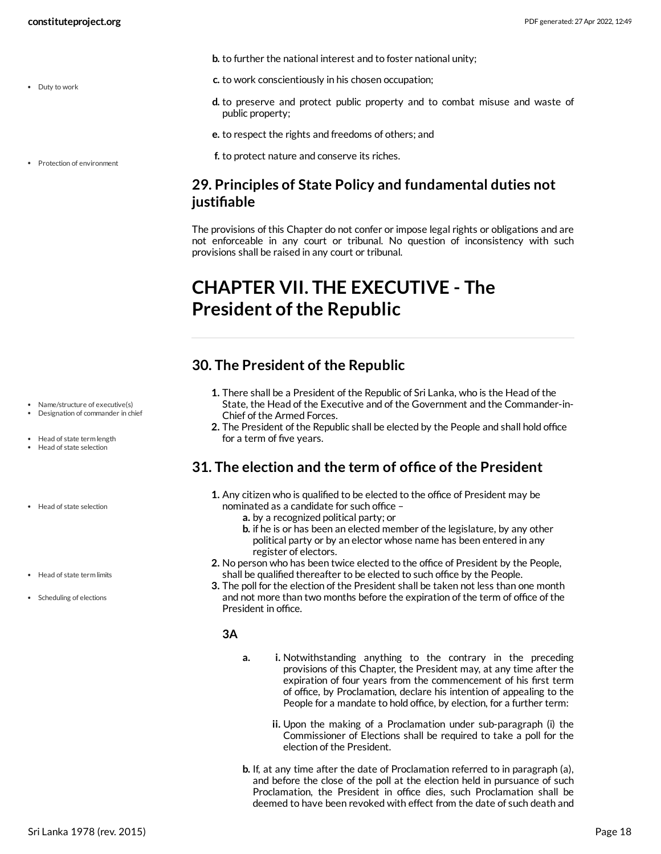• Protection of environment

• Duty to work

- **b.** to further the national interest and to foster national unity;
- **c.** to work conscientiously in his chosen occupation;
- **d.** to preserve and protect public property and to combat misuse and waste of public property;
- **e.** to respect the rights and freedoms of others; and
- **f.** to protect nature and conserve its riches.

### <span id="page-17-0"></span>**29. Principles of State Policy and fundamental duties not justifiable**

The provisions of this Chapter do not confer or impose legal rights or obligations and are not enforceable in any court or tribunal. No question of inconsistency with such provisions shall be raised in any court or tribunal.

# <span id="page-17-1"></span>**CHAPTER VII. THE EXECUTIVE - The President of the Republic**

### <span id="page-17-2"></span>**30. The President of the Republic**

- **1.** There shall be a President of the Republic of Sri Lanka, who is the Head of the State, the Head of the Executive and of the Government and the Commander-in-Chief of the Armed Forces.
- **2.** The President of the Republic shall be elected by the People and shall hold office for a term of five years.

### <span id="page-17-3"></span>**31. The election and the term of office of the President**

- **1.** Any citizen who is qualified to be elected to the office of President may be nominated as a candidate for such office –
	- **a.** by a recognized political party; or
	- **b.** if he is or has been an elected member of the legislature, by any other political party or by an elector whose name has been entered in any register of electors.
- **2.** No person who has been twice elected to the office of President by the People, shall be qualified thereafter to be elected to such office by the People.
- **3.** The poll for the election of the President shall be taken not less than one month and not more than two months before the expiration of the term of office of the President in office.

#### **3A**

- **a. i.** Notwithstanding anything to the contrary in the preceding provisions of this Chapter, the President may, at any time after the expiration of four years from the commencement of his first term of office, by Proclamation, declare his intention of appealing to the People for a mandate to hold office, by election, for a further term:
	- **ii.** Upon the making of a Proclamation under sub-paragraph (i) the Commissioner of Elections shall be required to take a poll for the election of the President.
- **b.** If, at any time after the date of Proclamation referred to in paragraph (a), and before the close of the poll at the election held in pursuance of such Proclamation, the President in office dies, such Proclamation shall be deemed to have been revoked with effect from the date of such death and
- 
- Name/structure of executive(s)
- Designation of commander in chief
- Head of state term length • Head of state selection
- 
- Head of state selection
- Head of state term limits
- Scheduling of elections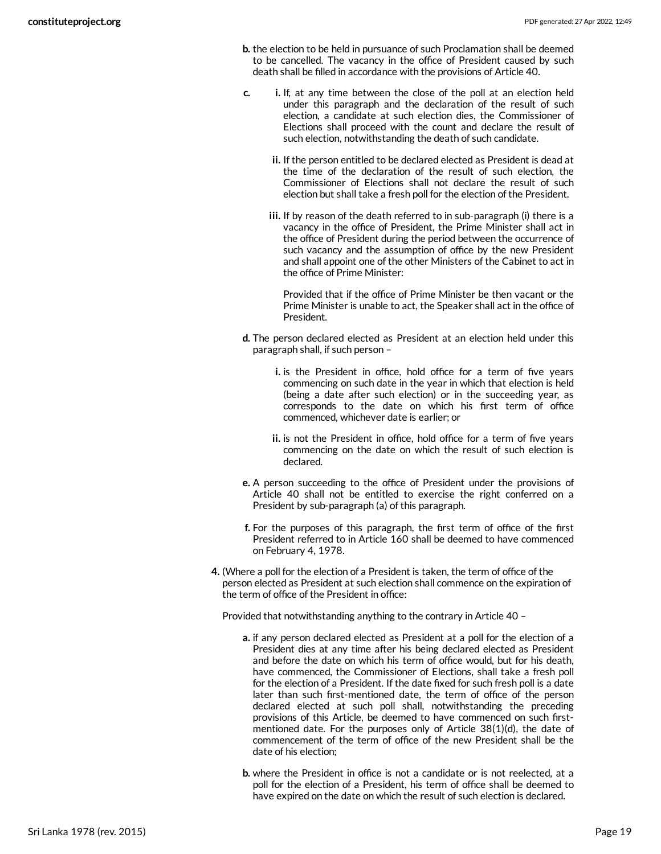- **b.** the election to be held in pursuance of such Proclamation shall be deemed to be cancelled. The vacancy in the office of President caused by such death shall be filled in accordance with the provisions of Article 40.
- **c. i.** If, at any time between the close of the poll at an election held under this paragraph and the declaration of the result of such election, a candidate at such election dies, the Commissioner of Elections shall proceed with the count and declare the result of such election, notwithstanding the death of such candidate.
	- **ii.** If the person entitled to be declared elected as President is dead at the time of the declaration of the result of such election, the Commissioner of Elections shall not declare the result of such election but shall take a fresh poll for the election of the President.
	- **iii.** If by reason of the death referred to in sub-paragraph (i) there is a vacancy in the office of President, the Prime Minister shall act in the office of President during the period between the occurrence of such vacancy and the assumption of office by the new President and shall appoint one of the other Ministers of the Cabinet to act in the office of Prime Minister:

Provided that if the office of Prime Minister be then vacant or the Prime Minister is unable to act, the Speaker shall act in the office of President.

- **d.** The person declared elected as President at an election held under this paragraph shall, if such person –
	- **i.** is the President in office, hold office for a term of five years commencing on such date in the year in which that election is held (being a date after such election) or in the succeeding year, as corresponds to the date on which his first term of office commenced, whichever date is earlier; or
	- **ii.** is not the President in office, hold office for a term of five years commencing on the date on which the result of such election is declared.
- **e.** A person succeeding to the office of President under the provisions of Article 40 shall not be entitled to exercise the right conferred on a President by sub-paragraph (a) of this paragraph.
- **f.** For the purposes of this paragraph, the first term of office of the first President referred to in Article 160 shall be deemed to have commenced on February 4, 1978.
- **4.** (Where a poll for the election of a President is taken, the term of office of the person elected as President at such election shall commence on the expiration of the term of office of the President in office:

Provided that notwithstanding anything to the contrary in Article 40 –

- **a.** if any person declared elected as President at a poll for the election of a President dies at any time after his being declared elected as President and before the date on which his term of office would, but for his death, have commenced, the Commissioner of Elections, shall take a fresh poll for the election of a President. If the date fixed for such fresh poll is a date later than such first-mentioned date, the term of office of the person declared elected at such poll shall, notwithstanding the preceding provisions of this Article, be deemed to have commenced on such firstmentioned date. For the purposes only of Article 38(1)(d), the date of commencement of the term of office of the new President shall be the date of his election;
- **b.** where the President in office is not a candidate or is not reelected, at a poll for the election of a President, his term of office shall be deemed to have expired on the date on which the result of such election is declared.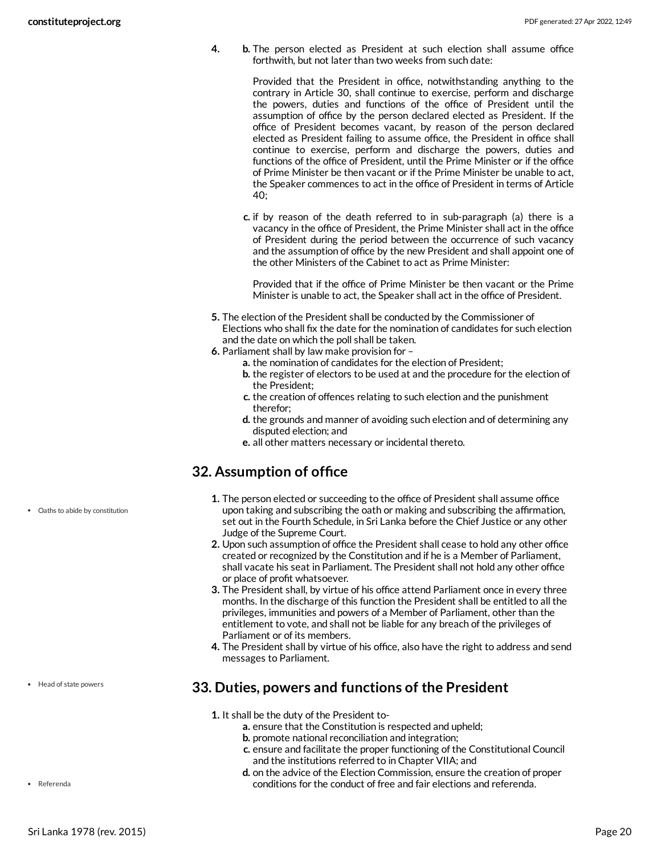**4. b.** The person elected as President at such election shall assume office forthwith, but not later than two weeks from such date:

> Provided that the President in office, notwithstanding anything to the contrary in Article 30, shall continue to exercise, perform and discharge the powers, duties and functions of the office of President until the assumption of office by the person declared elected as President. If the office of President becomes vacant, by reason of the person declared elected as President failing to assume office, the President in office shall continue to exercise, perform and discharge the powers, duties and functions of the office of President, until the Prime Minister or if the office of Prime Minister be then vacant or if the Prime Minister be unable to act, the Speaker commences to act in the office of President in terms of Article 40;

**c.** if by reason of the death referred to in sub-paragraph (a) there is a vacancy in the office of President, the Prime Minister shall act in the office of President during the period between the occurrence of such vacancy and the assumption of office by the new President and shall appoint one of the other Ministers of the Cabinet to act as Prime Minister:

Provided that if the office of Prime Minister be then vacant or the Prime Minister is unable to act, the Speaker shall act in the office of President.

- **5.** The election of the President shall be conducted by the Commissioner of Elections who shall fix the date for the nomination of candidates for such election and the date on which the poll shall be taken.
- **6.** Parliament shall by law make provision for
	- **a.** the nomination of candidates for the election of President;
	- **b.** the register of electors to be used at and the procedure for the election of the President;
	- **c.** the creation of offences relating to such election and the punishment therefor;
	- **d.** the grounds and manner of avoiding such election and of determining any disputed election; and
	- **e.** all other matters necessary or incidental thereto.

### <span id="page-19-0"></span>**32. Assumption of office**

- **1.** The person elected or succeeding to the office of President shall assume office upon taking and subscribing the oath or making and subscribing the affirmation, set out in the Fourth Schedule, in Sri Lanka before the Chief Justice or any other Judge of the Supreme Court.
- **2.** Upon such assumption of office the President shall cease to hold any other office created or recognized by the Constitution and if he is a Member of Parliament, shall vacate his seat in Parliament. The President shall not hold any other office or place of profit whatsoever.
- **3.** The President shall, by virtue of his office attend Parliament once in every three months. In the discharge of this function the President shall be entitled to all the privileges, immunities and powers of a Member of Parliament, other than the entitlement to vote, and shall not be liable for any breach of the privileges of Parliament or of its members.
- **4.** The President shall by virtue of his office, also have the right to address and send messages to Parliament.

### <span id="page-19-1"></span>**33. Duties, powers and functions of the President**

- **1.** It shall be the duty of the President to
	- **a.** ensure that the Constitution is respected and upheld;
	- **b.** promote national reconciliation and integration;
	- **c.** ensure and facilitate the proper functioning of the Constitutional Council and the institutions referred to in Chapter VIIA; and
	- **d.** on the advice of the Election Commission, ensure the creation of proper conditions for the conduct of free and fair elections and referenda.

Oaths to abide by constitution

• Head of state powers

Referenda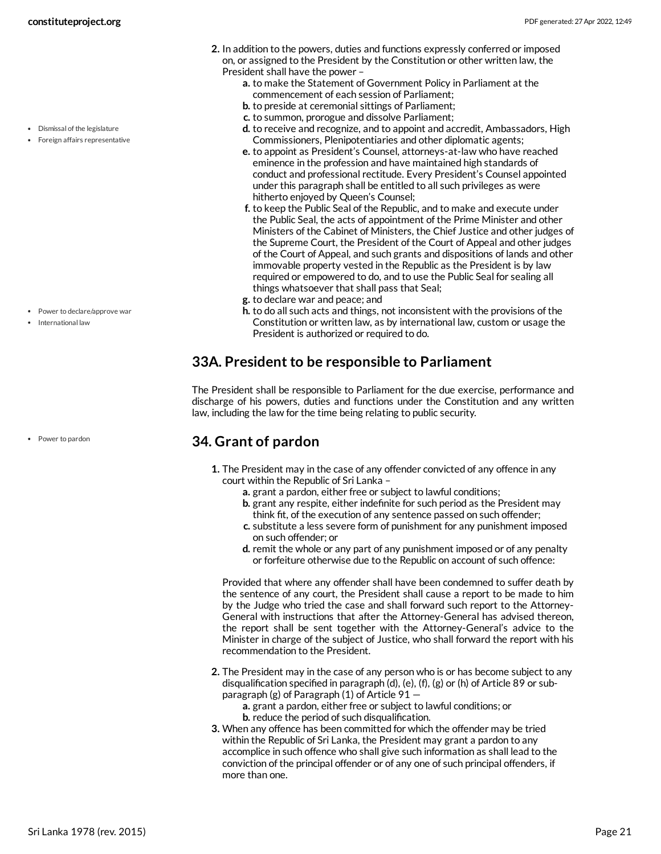Foreign affairs representative

- Power to declare/approve war
- International law

Power to pardon

- **2.** In addition to the powers, duties and functions expressly conferred or imposed on, or assigned to the President by the Constitution or other written law, the President shall have the power –
	- **a.** to make the Statement of Government Policy in Parliament at the commencement of each session of Parliament;
	- **b.** to preside at ceremonial sittings of Parliament;
	- **c.** to summon, prorogue and dissolve Parliament;
	- **d.** to receive and recognize, and to appoint and accredit, Ambassadors, High Commissioners, Plenipotentiaries and other diplomatic agents;
	- **e.** to appoint as President's Counsel, attorneys-at-law who have reached eminence in the profession and have maintained high standards of conduct and professional rectitude. Every President's Counsel appointed under this paragraph shall be entitled to all such privileges as were hitherto enjoyed by Queen's Counsel;
	- **f.** to keep the Public Seal of the Republic, and to make and execute under the Public Seal, the acts of appointment of the Prime Minister and other Ministers of the Cabinet of Ministers, the Chief Justice and other judges of the Supreme Court, the President of the Court of Appeal and other judges of the Court of Appeal, and such grants and dispositions of lands and other immovable property vested in the Republic as the President is by law required or empowered to do, and to use the Public Seal for sealing all things whatsoever that shall pass that Seal;
	- **g.** to declare war and peace; and
	- **h.** to do all such acts and things, not inconsistent with the provisions of the Constitution or written law, as by international law, custom or usage the President is authorized or required to do.

### <span id="page-20-0"></span>**33A. President to be responsible to Parliament**

The President shall be responsible to Parliament for the due exercise, performance and discharge of his powers, duties and functions under the Constitution and any written law, including the law for the time being relating to public security.

### <span id="page-20-1"></span>**34. Grant of pardon**

- **1.** The President may in the case of any offender convicted of any offence in any court within the Republic of Sri Lanka –
	- **a.** grant a pardon, either free or subject to lawful conditions;
	- **b.** grant any respite, either indefinite for such period as the President may think fit, of the execution of any sentence passed on such offender;
	- **c.** substitute a less severe form of punishment for any punishment imposed on such offender; or
	- **d.** remit the whole or any part of any punishment imposed or of any penalty or forfeiture otherwise due to the Republic on account of such offence:

Provided that where any offender shall have been condemned to suffer death by the sentence of any court, the President shall cause a report to be made to him by the Judge who tried the case and shall forward such report to the Attorney-General with instructions that after the Attorney-General has advised thereon, the report shall be sent together with the Attorney-General's advice to the Minister in charge of the subject of Justice, who shall forward the report with his recommendation to the President.

- **2.** The President may in the case of any person who is or has become subject to any disqualification specified in paragraph (d), (e), (f), (g) or (h) of Article 89 or subparagraph (g) of Paragraph (1) of Article 91
	- **a.** grant a pardon, either free or subject to lawful conditions; or **b.** reduce the period of such disqualification.
- **3.** When any offence has been committed for which the offender may be tried within the Republic of Sri Lanka, the President may grant a pardon to any accomplice in such offence who shall give such information as shall lead to the conviction of the principal offender or of any one of such principal offenders, if more than one.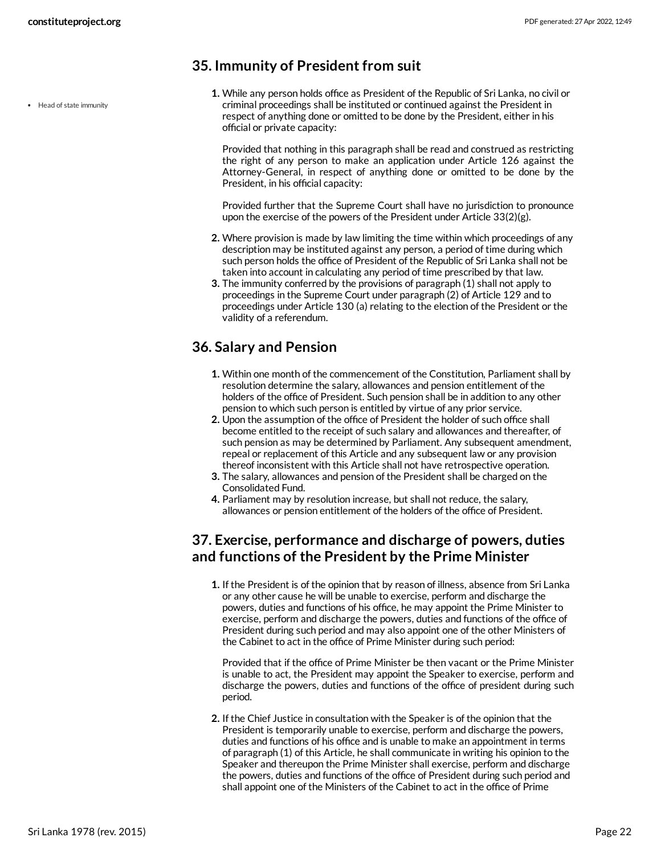Head of state immunity

### <span id="page-21-0"></span>**35. Immunity of President from suit**

**1.** While any person holds office as President of the Republic of Sri Lanka, no civil or criminal proceedings shall be instituted or continued against the President in respect of anything done or omitted to be done by the President, either in his official or private capacity:

Provided that nothing in this paragraph shall be read and construed as restricting the right of any person to make an application under Article 126 against the Attorney-General, in respect of anything done or omitted to be done by the President, in his official capacity:

Provided further that the Supreme Court shall have no jurisdiction to pronounce upon the exercise of the powers of the President under Article 33(2)(g).

- **2.** Where provision is made by law limiting the time within which proceedings of any description may be instituted against any person, a period of time during which such person holds the office of President of the Republic of Sri Lanka shall not be taken into account in calculating any period of time prescribed by that law.
- **3.** The immunity conferred by the provisions of paragraph (1) shall not apply to proceedings in the Supreme Court under paragraph (2) of Article 129 and to proceedings under Article 130 (a) relating to the election of the President or the validity of a referendum.

### <span id="page-21-1"></span>**36. Salary and Pension**

- **1.** Within one month of the commencement of the Constitution, Parliament shall by resolution determine the salary, allowances and pension entitlement of the holders of the office of President. Such pension shall be in addition to any other pension to which such person is entitled by virtue of any prior service.
- **2.** Upon the assumption of the office of President the holder of such office shall become entitled to the receipt of such salary and allowances and thereafter, of such pension as may be determined by Parliament. Any subsequent amendment, repeal or replacement of this Article and any subsequent law or any provision thereof inconsistent with this Article shall not have retrospective operation.
- **3.** The salary, allowances and pension of the President shall be charged on the Consolidated Fund.
- **4.** Parliament may by resolution increase, but shall not reduce, the salary, allowances or pension entitlement of the holders of the office of President.

### <span id="page-21-2"></span>**37. Exercise, performance and discharge of powers, duties and functions of the President by the Prime Minister**

**1.** If the President is of the opinion that by reason of illness, absence from Sri Lanka or any other cause he will be unable to exercise, perform and discharge the powers, duties and functions of his office, he may appoint the Prime Minister to exercise, perform and discharge the powers, duties and functions of the office of President during such period and may also appoint one of the other Ministers of the Cabinet to act in the office of Prime Minister during such period:

Provided that if the office of Prime Minister be then vacant or the Prime Minister is unable to act, the President may appoint the Speaker to exercise, perform and discharge the powers, duties and functions of the office of president during such period.

**2.** If the Chief Justice in consultation with the Speaker is of the opinion that the President is temporarily unable to exercise, perform and discharge the powers, duties and functions of his office and is unable to make an appointment in terms of paragraph (1) of this Article, he shall communicate in writing his opinion to the Speaker and thereupon the Prime Minister shall exercise, perform and discharge the powers, duties and functions of the office of President during such period and shall appoint one of the Ministers of the Cabinet to act in the office of Prime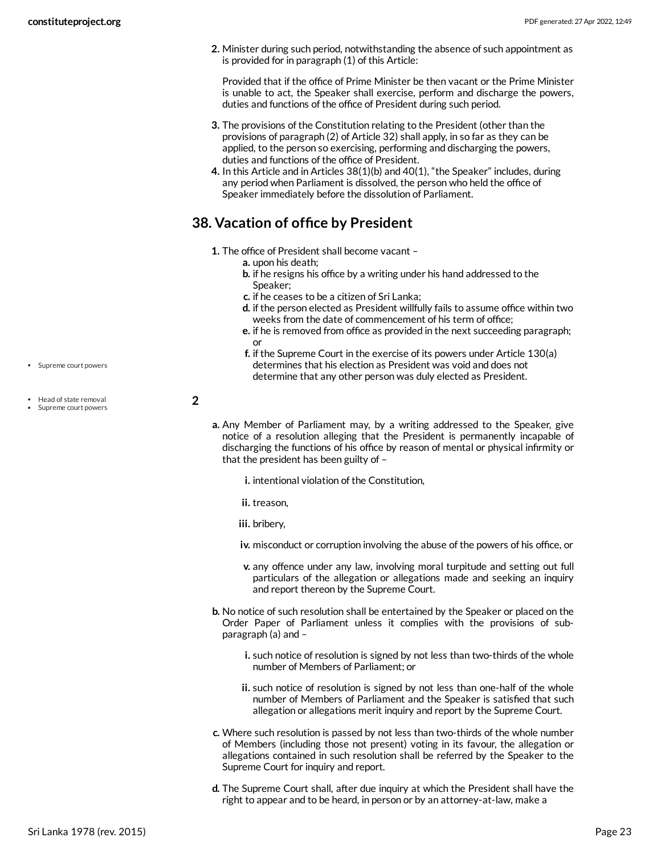**2.** Minister during such period, notwithstanding the absence of such appointment as is provided for in paragraph (1) of this Article:

Provided that if the office of Prime Minister be then vacant or the Prime Minister is unable to act, the Speaker shall exercise, perform and discharge the powers, duties and functions of the office of President during such period.

- **3.** The provisions of the Constitution relating to the President (other than the provisions of paragraph (2) of Article 32) shall apply, in so far as they can be applied, to the person so exercising, performing and discharging the powers, duties and functions of the office of President.
- **4.** In this Article and in Articles 38(1)(b) and 40(1), "the Speaker" includes, during any period when Parliament is dissolved, the person who held the office of Speaker immediately before the dissolution of Parliament.

### <span id="page-22-0"></span>**38. Vacation of office by President**

- **1.** The office of President shall become vacant
	- **a.** upon his death;
	- **b.** if he resigns his office by a writing under his hand addressed to the Speaker;
	- **c.** if he ceases to be a citizen of Sri Lanka;
	- **d.** if the person elected as President willfully fails to assume office within two weeks from the date of commencement of his term of office;
	- **e.** if he is removed from office as provided in the next succeeding paragraph; or
	- **f.** if the Supreme Court in the exercise of its powers under Article 130(a) determines that his election as President was void and does not determine that any other person was duly elected as President.

Head of state removal Supreme court powers

Supreme court powers

- **2**
- **a.** Any Member of Parliament may, by a writing addressed to the Speaker, give notice of a resolution alleging that the President is permanently incapable of discharging the functions of his office by reason of mental or physical infirmity or that the president has been guilty of –
	- **i.** intentional violation of the Constitution,
	- **ii.** treason,
	- **iii.** bribery,
	- **iv.** misconduct or corruption involving the abuse of the powers of his office, or
	- **v.** any offence under any law, involving moral turpitude and setting out full particulars of the allegation or allegations made and seeking an inquiry and report thereon by the Supreme Court.
- **b.** No notice of such resolution shall be entertained by the Speaker or placed on the Order Paper of Parliament unless it complies with the provisions of subparagraph (a) and –
	- **i.** such notice of resolution is signed by not less than two-thirds of the whole number of Members of Parliament; or
	- **ii.** such notice of resolution is signed by not less than one-half of the whole number of Members of Parliament and the Speaker is satisfied that such allegation or allegations merit inquiry and report by the Supreme Court.
- **c.** Where such resolution is passed by not less than two-thirds of the whole number of Members (including those not present) voting in its favour, the allegation or allegations contained in such resolution shall be referred by the Speaker to the Supreme Court for inquiry and report.
- **d.** The Supreme Court shall, after due inquiry at which the President shall have the right to appear and to be heard, in person or by an attorney-at-law, make a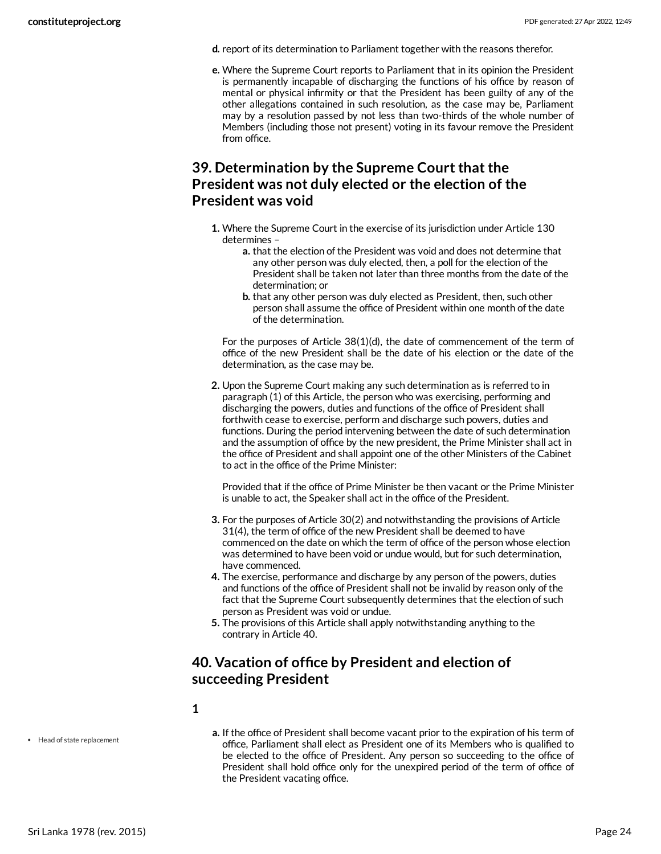**d.** report of its determination to Parliament together with the reasons therefor.

**e.** Where the Supreme Court reports to Parliament that in its opinion the President is permanently incapable of discharging the functions of his office by reason of mental or physical infirmity or that the President has been guilty of any of the other allegations contained in such resolution, as the case may be, Parliament may by a resolution passed by not less than two-thirds of the whole number of Members (including those not present) voting in its favour remove the President from office.

### <span id="page-23-0"></span>**39. Determination by the Supreme Court that the President was not duly elected or the election of the President was void**

- **1.** Where the Supreme Court in the exercise of its jurisdiction under Article 130 determines –
	- **a.** that the election of the President was void and does not determine that any other person was duly elected, then, a poll for the election of the President shall be taken not later than three months from the date of the determination; or
	- **b.** that any other person was duly elected as President, then, such other person shall assume the office of President within one month of the date of the determination.

For the purposes of Article 38(1)(d), the date of commencement of the term of office of the new President shall be the date of his election or the date of the determination, as the case may be.

**2.** Upon the Supreme Court making any such determination as is referred to in paragraph (1) of this Article, the person who was exercising, performing and discharging the powers, duties and functions of the office of President shall forthwith cease to exercise, perform and discharge such powers, duties and functions. During the period intervening between the date of such determination and the assumption of office by the new president, the Prime Minister shall act in the office of President and shall appoint one of the other Ministers of the Cabinet to act in the office of the Prime Minister:

Provided that if the office of Prime Minister be then vacant or the Prime Minister is unable to act, the Speaker shall act in the office of the President.

- **3.** For the purposes of Article 30(2) and notwithstanding the provisions of Article 31(4), the term of office of the new President shall be deemed to have commenced on the date on which the term of office of the person whose election was determined to have been void or undue would, but for such determination, have commenced.
- **4.** The exercise, performance and discharge by any person of the powers, duties and functions of the office of President shall not be invalid by reason only of the fact that the Supreme Court subsequently determines that the election of such person as President was void or undue.
- **5.** The provisions of this Article shall apply notwithstanding anything to the contrary in Article 40.

### <span id="page-23-1"></span>**40. Vacation of office by President and election of succeeding President**

**1**

• Head of state replacement

**a.** If the office of President shall become vacant prior to the expiration of his term of office, Parliament shall elect as President one of its Members who is qualified to be elected to the office of President. Any person so succeeding to the office of President shall hold office only for the unexpired period of the term of office of the President vacating office.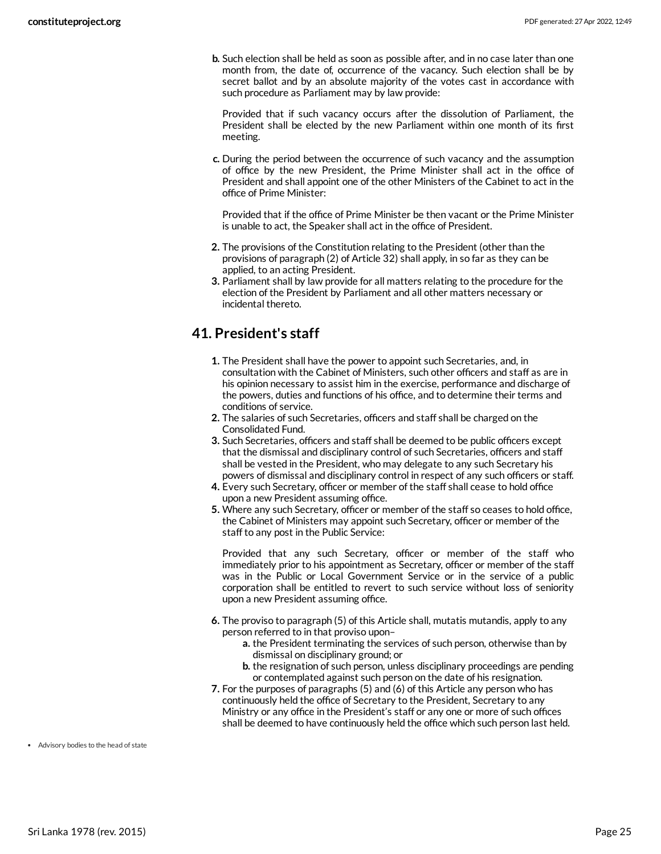**b.** Such election shall be held as soon as possible after, and in no case later than one month from, the date of, occurrence of the vacancy. Such election shall be by secret ballot and by an absolute majority of the votes cast in accordance with such procedure as Parliament may by law provide:

Provided that if such vacancy occurs after the dissolution of Parliament, the President shall be elected by the new Parliament within one month of its first meeting.

**c.** During the period between the occurrence of such vacancy and the assumption of office by the new President, the Prime Minister shall act in the office of President and shall appoint one of the other Ministers of the Cabinet to act in the office of Prime Minister:

Provided that if the office of Prime Minister be then vacant or the Prime Minister is unable to act, the Speaker shall act in the office of President.

- **2.** The provisions of the Constitution relating to the President (other than the provisions of paragraph (2) of Article 32) shall apply, in so far as they can be applied, to an acting President.
- **3.** Parliament shall by law provide for all matters relating to the procedure for the election of the President by Parliament and all other matters necessary or incidental thereto.

### <span id="page-24-0"></span>**41. President's staff**

- **1.** The President shall have the power to appoint such Secretaries, and, in consultation with the Cabinet of Ministers, such other officers and staff as are in his opinion necessary to assist him in the exercise, performance and discharge of the powers, duties and functions of his office, and to determine their terms and conditions of service.
- **2.** The salaries of such Secretaries, officers and staff shall be charged on the Consolidated Fund.
- **3.** Such Secretaries, officers and staff shall be deemed to be public officers except that the dismissal and disciplinary control of such Secretaries, officers and staff shall be vested in the President, who may delegate to any such Secretary his powers of dismissal and disciplinary control in respect of any such officers or staff.
- **4.** Every such Secretary, officer or member of the staff shall cease to hold office upon a new President assuming office.
- **5.** Where any such Secretary, officer or member of the staff so ceases to hold office, the Cabinet of Ministers may appoint such Secretary, officer or member of the staff to any post in the Public Service:

Provided that any such Secretary, officer or member of the staff who immediately prior to his appointment as Secretary, officer or member of the staff was in the Public or Local Government Service or in the service of a public corporation shall be entitled to revert to such service without loss of seniority upon a new President assuming office.

- **6.** The proviso to paragraph (5) of this Article shall, mutatis mutandis, apply to any person referred to in that proviso upon–
	- **a.** the President terminating the services of such person, otherwise than by dismissal on disciplinary ground; or
	- **b.** the resignation of such person, unless disciplinary proceedings are pending or contemplated against such person on the date of his resignation.
- **7.** For the purposes of paragraphs (5) and (6) of this Article any person who has continuously held the office of Secretary to the President, Secretary to any Ministry or any office in the President's staff or any one or more of such offices shall be deemed to have continuously held the office which such person last held.

Advisory bodies to the head of state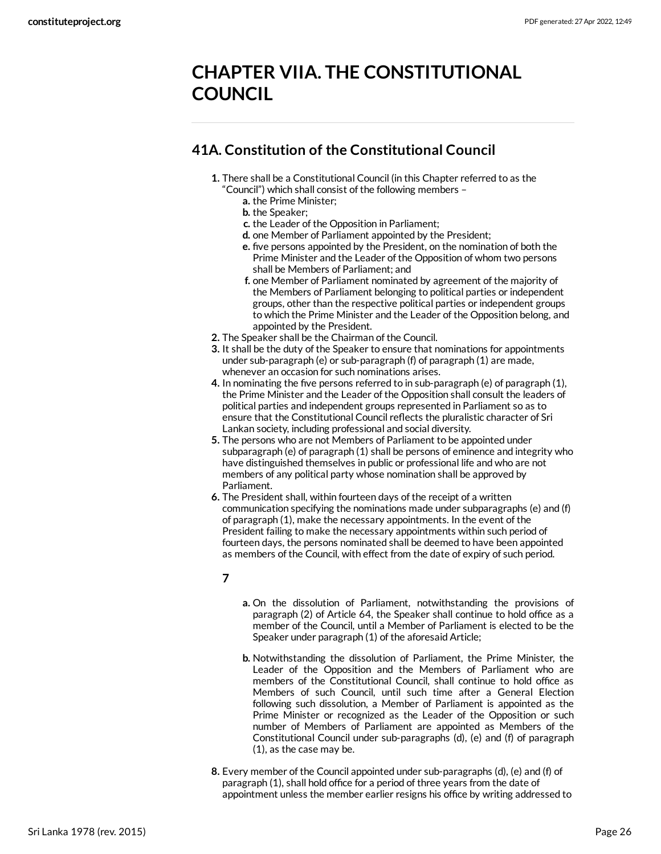## <span id="page-25-0"></span>**CHAPTER VIIA. THE CONSTITUTIONAL COUNCIL**

### <span id="page-25-1"></span>**41A. Constitution of the Constitutional Council**

- **1.** There shall be a Constitutional Council (in this Chapter referred to as the "Council") which shall consist of the following members –
	- **a.** the Prime Minister;
	- **b.** the Speaker;
	- **c.** the Leader of the Opposition in Parliament;
	- **d.** one Member of Parliament appointed by the President;
	- **e.** five persons appointed by the President, on the nomination of both the Prime Minister and the Leader of the Opposition of whom two persons shall be Members of Parliament; and
	- **f.** one Member of Parliament nominated by agreement of the majority of the Members of Parliament belonging to political parties or independent groups, other than the respective political parties or independent groups to which the Prime Minister and the Leader of the Opposition belong, and appointed by the President.
- **2.** The Speaker shall be the Chairman of the Council.
- **3.** It shall be the duty of the Speaker to ensure that nominations for appointments under sub-paragraph (e) or sub-paragraph (f) of paragraph (1) are made, whenever an occasion for such nominations arises.
- **4.** In nominating the five persons referred to in sub-paragraph (e) of paragraph (1), the Prime Minister and the Leader of the Opposition shall consult the leaders of political parties and independent groups represented in Parliament so as to ensure that the Constitutional Council reflects the pluralistic character of Sri Lankan society, including professional and social diversity.
- **5.** The persons who are not Members of Parliament to be appointed under subparagraph (e) of paragraph (1) shall be persons of eminence and integrity who have distinguished themselves in public or professional life and who are not members of any political party whose nomination shall be approved by Parliament.
- **6.** The President shall, within fourteen days of the receipt of a written communication specifying the nominations made under subparagraphs (e) and (f) of paragraph (1), make the necessary appointments. In the event of the President failing to make the necessary appointments within such period of fourteen days, the persons nominated shall be deemed to have been appointed as members of the Council, with effect from the date of expiry of such period.

#### **7**

- **a.** On the dissolution of Parliament, notwithstanding the provisions of paragraph (2) of Article 64, the Speaker shall continue to hold office as a member of the Council, until a Member of Parliament is elected to be the Speaker under paragraph (1) of the aforesaid Article;
- **b.** Notwithstanding the dissolution of Parliament, the Prime Minister, the Leader of the Opposition and the Members of Parliament who are members of the Constitutional Council, shall continue to hold office as Members of such Council, until such time after a General Election following such dissolution, a Member of Parliament is appointed as the Prime Minister or recognized as the Leader of the Opposition or such number of Members of Parliament are appointed as Members of the Constitutional Council under sub-paragraphs (d), (e) and (f) of paragraph (1), as the case may be.
- **8.** Every member of the Council appointed under sub-paragraphs (d), (e) and (f) of paragraph (1), shall hold office for a period of three years from the date of appointment unless the member earlier resigns his office by writing addressed to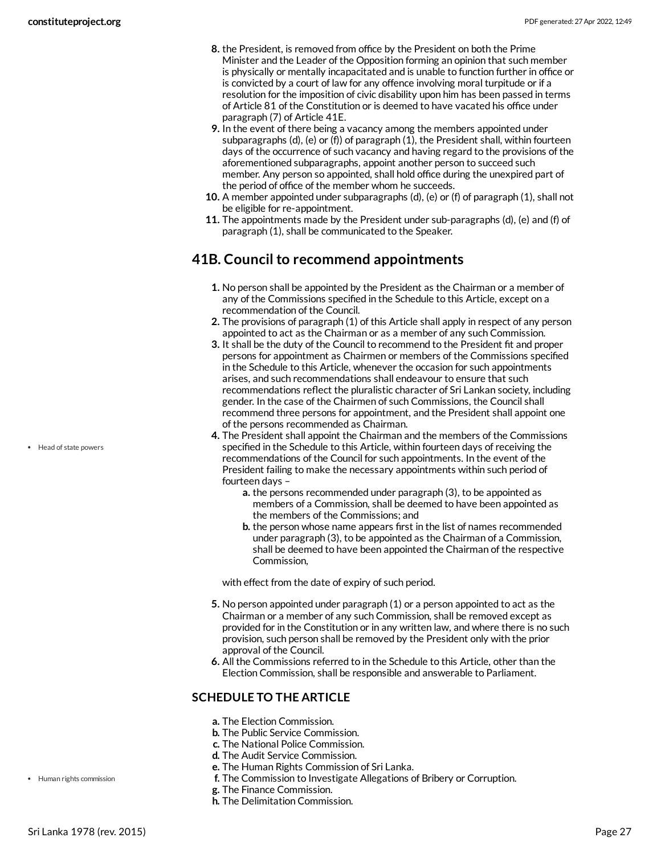- **8.** the President, is removed from office by the President on both the Prime Minister and the Leader of the Opposition forming an opinion that such member is physically or mentally incapacitated and is unable to function further in office or is convicted by a court of law for any offence involving moral turpitude or if a resolution for the imposition of civic disability upon him has been passed in terms of Article 81 of the Constitution or is deemed to have vacated his office under paragraph (7) of Article 41E.
- **9.** In the event of there being a vacancy among the members appointed under subparagraphs (d), (e) or (f)) of paragraph (1), the President shall, within fourteen days of the occurrence of such vacancy and having regard to the provisions of the aforementioned subparagraphs, appoint another person to succeed such member. Any person so appointed, shall hold office during the unexpired part of the period of office of the member whom he succeeds.
- **10.** A member appointed under subparagraphs (d), (e) or (f) of paragraph (1), shall not be eligible for re-appointment.
- **11.** The appointments made by the President under sub-paragraphs (d), (e) and (f) of paragraph (1), shall be communicated to the Speaker.

### <span id="page-26-0"></span>**41B. Council to recommend appointments**

- **1.** No person shall be appointed by the President as the Chairman or a member of any of the Commissions specified in the Schedule to this Article, except on a recommendation of the Council.
- **2.** The provisions of paragraph (1) of this Article shall apply in respect of any person appointed to act as the Chairman or as a member of any such Commission.
- **3.** It shall be the duty of the Council to recommend to the President fit and proper persons for appointment as Chairmen or members of the Commissions specified in the Schedule to this Article, whenever the occasion for such appointments arises, and such recommendations shall endeavour to ensure that such recommendations reflect the pluralistic character of Sri Lankan society, including gender. In the case of the Chairmen of such Commissions, the Council shall recommend three persons for appointment, and the President shall appoint one of the persons recommended as Chairman.
- **4.** The President shall appoint the Chairman and the members of the Commissions specified in the Schedule to this Article, within fourteen days of receiving the recommendations of the Council for such appointments. In the event of the President failing to make the necessary appointments within such period of fourteen days –
	- **a.** the persons recommended under paragraph (3), to be appointed as members of a Commission, shall be deemed to have been appointed as the members of the Commissions; and
	- **b.** the person whose name appears first in the list of names recommended under paragraph (3), to be appointed as the Chairman of a Commission, shall be deemed to have been appointed the Chairman of the respective Commission,

with effect from the date of expiry of such period.

- **5.** No person appointed under paragraph (1) or a person appointed to act as the Chairman or a member of any such Commission, shall be removed except as provided for in the Constitution or in any written law, and where there is no such provision, such person shall be removed by the President only with the prior approval of the Council.
- **6.** All the Commissions referred to in the Schedule to this Article, other than the Election Commission, shall be responsible and answerable to Parliament.

### **SCHEDULE TO THE ARTICLE**

- **a.** The Election Commission.
- **b.** The Public Service Commission.
- **c.** The National Police Commission.
- **d.** The Audit Service Commission.
- **e.** The Human Rights Commission of Sri Lanka.
- **f.** The Commission to Investigate Allegations of Bribery or Corruption.
	- **g.** The Finance Commission.
	- **h.** The Delimitation Commission.

• Head of state powers

• Human rights commission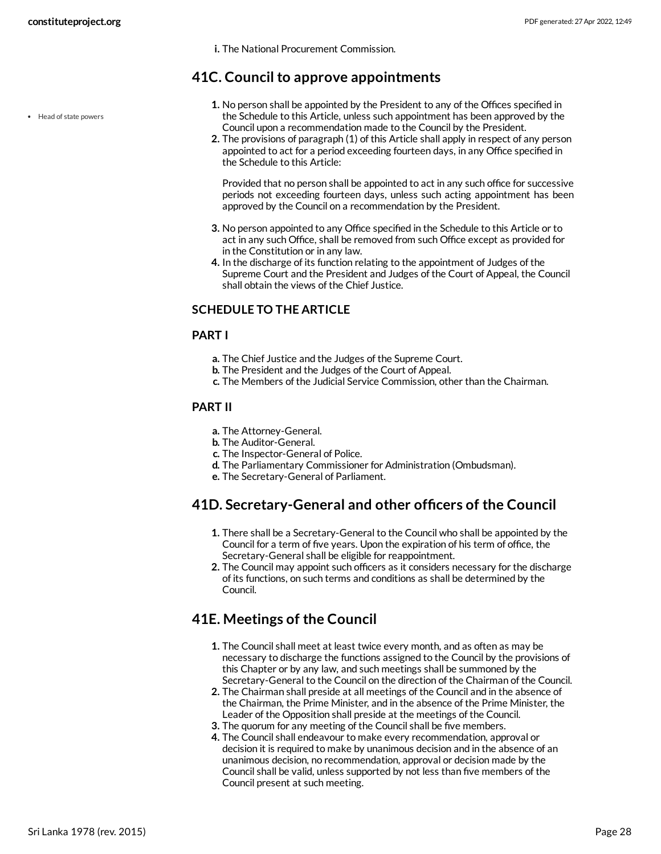**i.** The National Procurement Commission.

### <span id="page-27-0"></span>**41C. Council to approve appointments**

- **1.** No person shall be appointed by the President to any of the Offices specified in the Schedule to this Article, unless such appointment has been approved by the Council upon a recommendation made to the Council by the President.
- **2.** The provisions of paragraph (1) of this Article shall apply in respect of any person appointed to act for a period exceeding fourteen days, in any Office specified in the Schedule to this Article:

Provided that no person shall be appointed to act in any such office for successive periods not exceeding fourteen days, unless such acting appointment has been approved by the Council on a recommendation by the President.

- **3.** No person appointed to any Office specified in the Schedule to this Article or to act in any such Office, shall be removed from such Office except as provided for in the Constitution or in any law.
- **4.** In the discharge of its function relating to the appointment of Judges of the Supreme Court and the President and Judges of the Court of Appeal, the Council shall obtain the views of the Chief Justice.

#### **SCHEDULE TO THE ARTICLE**

#### **PART I**

- **a.** The Chief Justice and the Judges of the Supreme Court.
- **b.** The President and the Judges of the Court of Appeal.
- **c.** The Members of the Judicial Service Commission, other than the Chairman.

#### **PART II**

- **a.** The Attorney-General.
- **b.** The Auditor-General.
- **c.** The Inspector-General of Police.
- **d.** The Parliamentary Commissioner for Administration (Ombudsman).
- **e.** The Secretary-General of Parliament.

### <span id="page-27-1"></span>**41D. Secretary-General and other officers of the Council**

- **1.** There shall be a Secretary-General to the Council who shall be appointed by the Council for a term of five years. Upon the expiration of his term of office, the Secretary-General shall be eligible for reappointment.
- **2.** The Council may appoint such officers as it considers necessary for the discharge of its functions, on such terms and conditions as shall be determined by the Council.

### <span id="page-27-2"></span>**41E. Meetings of the Council**

- **1.** The Council shall meet at least twice every month, and as often as may be necessary to discharge the functions assigned to the Council by the provisions of this Chapter or by any law, and such meetings shall be summoned by the Secretary-General to the Council on the direction of the Chairman of the Council.
- **2.** The Chairman shall preside at all meetings of the Council and in the absence of the Chairman, the Prime Minister, and in the absence of the Prime Minister, the Leader of the Opposition shall preside at the meetings of the Council.
- **3.** The quorum for any meeting of the Council shall be five members.
- **4.** The Council shall endeavour to make every recommendation, approval or decision it is required to make by unanimous decision and in the absence of an unanimous decision, no recommendation, approval or decision made by the Council shall be valid, unless supported by not less than five members of the Council present at such meeting.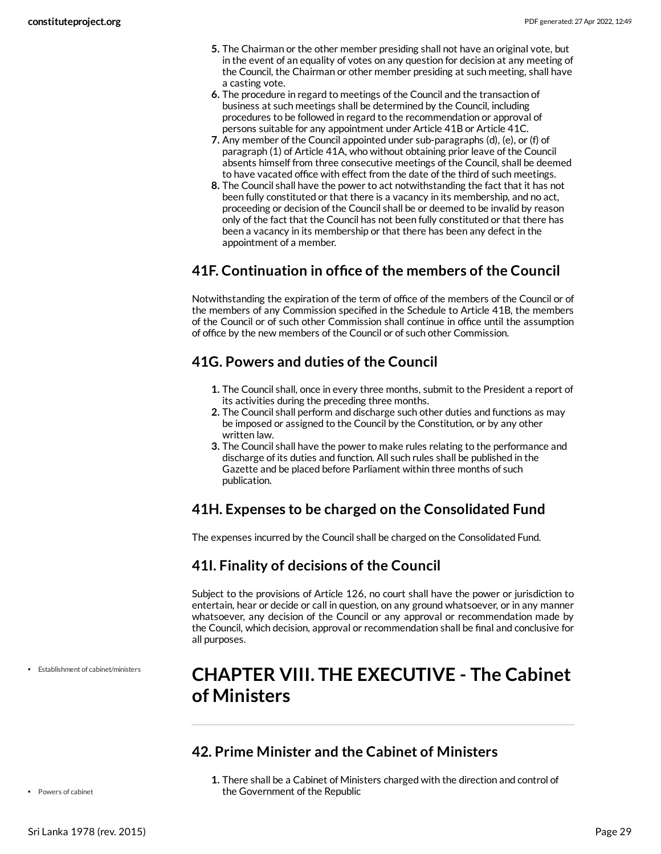- **5.** The Chairman or the other member presiding shall not have an original vote, but in the event of an equality of votes on any question for decision at any meeting of the Council, the Chairman or other member presiding at such meeting, shall have a casting vote.
- **6.** The procedure in regard to meetings of the Council and the transaction of business at such meetings shall be determined by the Council, including procedures to be followed in regard to the recommendation or approval of persons suitable for any appointment under Article 41B or Article 41C.
- **7.** Any member of the Council appointed under sub-paragraphs (d), (e), or (f) of paragraph (1) of Article 41A, who without obtaining prior leave of the Council absents himself from three consecutive meetings of the Council, shall be deemed to have vacated office with effect from the date of the third of such meetings.
- **8.** The Council shall have the power to act notwithstanding the fact that it has not been fully constituted or that there is a vacancy in its membership, and no act, proceeding or decision of the Council shall be or deemed to be invalid by reason only of the fact that the Council has not been fully constituted or that there has been a vacancy in its membership or that there has been any defect in the appointment of a member.

### <span id="page-28-0"></span>**41F. Continuation in office of the members of the Council**

Notwithstanding the expiration of the term of office of the members of the Council or of the members of any Commission specified in the Schedule to Article 41B, the members of the Council or of such other Commission shall continue in office until the assumption of office by the new members of the Council or of such other Commission.

### <span id="page-28-1"></span>**41G. Powers and duties of the Council**

- **1.** The Council shall, once in every three months, submit to the President a report of its activities during the preceding three months.
- **2.** The Council shall perform and discharge such other duties and functions as may be imposed or assigned to the Council by the Constitution, or by any other written law.
- **3.** The Council shall have the power to make rules relating to the performance and discharge of its duties and function. All such rules shall be published in the Gazette and be placed before Parliament within three months of such publication.

### <span id="page-28-2"></span>**41H. Expenses to be charged on the Consolidated Fund**

The expenses incurred by the Council shall be charged on the Consolidated Fund.

### <span id="page-28-3"></span>**41I. Finality of decisions of the Council**

Subject to the provisions of Article 126, no court shall have the power or jurisdiction to entertain, hear or decide or call in question, on any ground whatsoever, or in any manner whatsoever, any decision of the Council or any approval or recommendation made by the Council, which decision, approval or recommendation shall be final and conclusive for all purposes.

Establishment of cabinet/ministers

# <span id="page-28-4"></span>**CHAPTER VIII. THE EXECUTIVE - The Cabinet of Ministers**

### <span id="page-28-5"></span>**42. Prime Minister and the Cabinet of Ministers**

**1.** There shall be a Cabinet of Ministers charged with the direction and control of the Government of the Republic

Powers of cabinet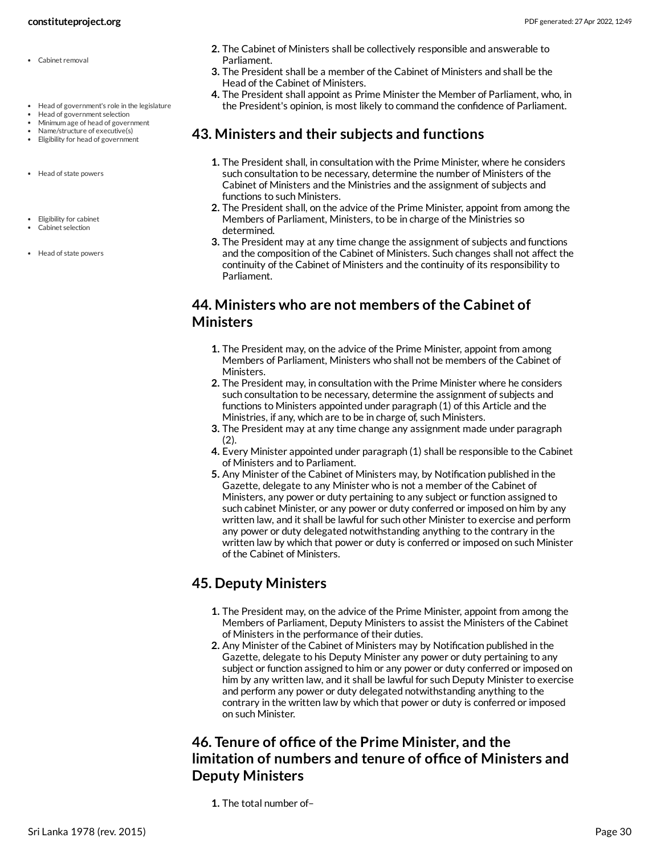- Cabinet removal
- Head of government's role in the legislature
- Head of government selection
- Minimum age of head of government
- Name/structure of executive(s)
- Eligibility for head of government
- Head of state powers
- Eligibility for cabinet
- Cabinet selection
- Head of state powers
- **2.** The Cabinet of Ministers shall be collectively responsible and answerable to Parliament.
- **3.** The President shall be a member of the Cabinet of Ministers and shall be the Head of the Cabinet of Ministers.
- **4.** The President shall appoint as Prime Minister the Member of Parliament, who, in the President's opinion, is most likely to command the confidence of Parliament.

### <span id="page-29-0"></span>**43. Ministers and their subjects and functions**

- **1.** The President shall, in consultation with the Prime Minister, where he considers such consultation to be necessary, determine the number of Ministers of the Cabinet of Ministers and the Ministries and the assignment of subjects and functions to such Ministers.
- **2.** The President shall, on the advice of the Prime Minister, appoint from among the Members of Parliament, Ministers, to be in charge of the Ministries so determined.
- **3.** The President may at any time change the assignment of subjects and functions and the composition of the Cabinet of Ministers. Such changes shall not affect the continuity of the Cabinet of Ministers and the continuity of its responsibility to Parliament.

### <span id="page-29-1"></span>**44. Ministers who are not members of the Cabinet of Ministers**

- **1.** The President may, on the advice of the Prime Minister, appoint from among Members of Parliament, Ministers who shall not be members of the Cabinet of Ministers.
- **2.** The President may, in consultation with the Prime Minister where he considers such consultation to be necessary, determine the assignment of subjects and functions to Ministers appointed under paragraph (1) of this Article and the Ministries, if any, which are to be in charge of, such Ministers.
- **3.** The President may at any time change any assignment made under paragraph (2).
- **4.** Every Minister appointed under paragraph (1) shall be responsible to the Cabinet of Ministers and to Parliament.
- **5.** Any Minister of the Cabinet of Ministers may, by Notification published in the Gazette, delegate to any Minister who is not a member of the Cabinet of Ministers, any power or duty pertaining to any subject or function assigned to such cabinet Minister, or any power or duty conferred or imposed on him by any written law, and it shall be lawful for such other Minister to exercise and perform any power or duty delegated notwithstanding anything to the contrary in the written law by which that power or duty is conferred or imposed on such Minister of the Cabinet of Ministers.

### <span id="page-29-2"></span>**45. Deputy Ministers**

- **1.** The President may, on the advice of the Prime Minister, appoint from among the Members of Parliament, Deputy Ministers to assist the Ministers of the Cabinet of Ministers in the performance of their duties.
- **2.** Any Minister of the Cabinet of Ministers may by Notification published in the Gazette, delegate to his Deputy Minister any power or duty pertaining to any subject or function assigned to him or any power or duty conferred or imposed on him by any written law, and it shall be lawful for such Deputy Minister to exercise and perform any power or duty delegated notwithstanding anything to the contrary in the written law by which that power or duty is conferred or imposed on such Minister.

### <span id="page-29-3"></span>**46. Tenure of office of the Prime Minister, and the limitation of numbers and tenure of office of Ministers and Deputy Ministers**

**1.** The total number of–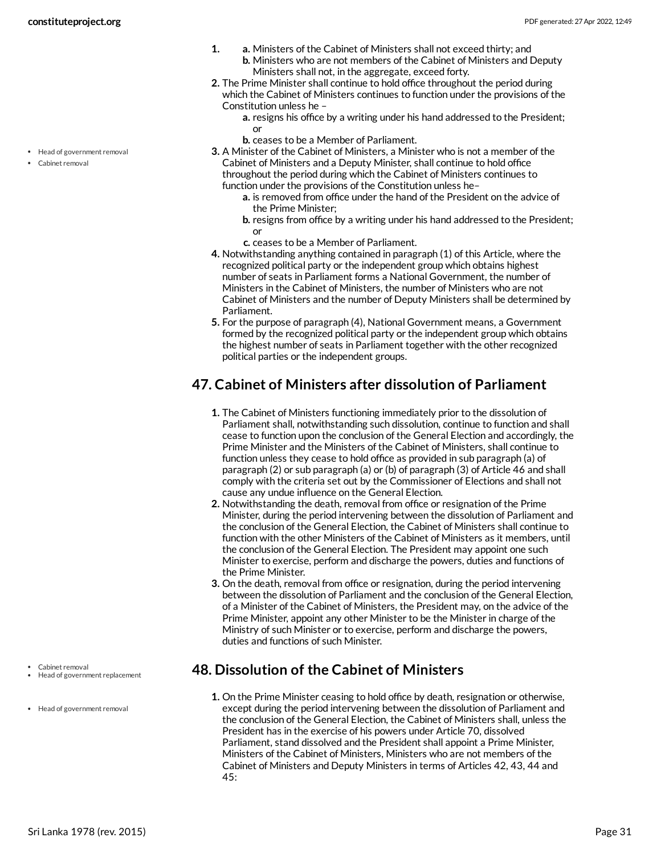- Head of government removal
- Cabinet removal
- **1. a.** Ministers of the Cabinet of Ministers shall not exceed thirty; and
	- **b.** Ministers who are not members of the Cabinet of Ministers and Deputy Ministers shall not, in the aggregate, exceed forty.
- **2.** The Prime Minister shall continue to hold office throughout the period during which the Cabinet of Ministers continues to function under the provisions of the Constitution unless he –
	- **a.** resigns his office by a writing under his hand addressed to the President; or
	- **b.** ceases to be a Member of Parliament.
- **3.** A Minister of the Cabinet of Ministers, a Minister who is not a member of the Cabinet of Ministers and a Deputy Minister, shall continue to hold office throughout the period during which the Cabinet of Ministers continues to function under the provisions of the Constitution unless he–
	- **a.** is removed from office under the hand of the President on the advice of the Prime Minister;
	- **b.** resigns from office by a writing under his hand addressed to the President; or
	- **c.** ceases to be a Member of Parliament.
- **4.** Notwithstanding anything contained in paragraph (1) of this Article, where the recognized political party or the independent group which obtains highest number of seats in Parliament forms a National Government, the number of Ministers in the Cabinet of Ministers, the number of Ministers who are not Cabinet of Ministers and the number of Deputy Ministers shall be determined by Parliament.
- **5.** For the purpose of paragraph (4), National Government means, a Government formed by the recognized political party or the independent group which obtains the highest number of seats in Parliament together with the other recognized political parties or the independent groups.

### <span id="page-30-0"></span>**47. Cabinet of Ministers after dissolution of Parliament**

- **1.** The Cabinet of Ministers functioning immediately prior to the dissolution of Parliament shall, notwithstanding such dissolution, continue to function and shall cease to function upon the conclusion of the General Election and accordingly, the Prime Minister and the Ministers of the Cabinet of Ministers, shall continue to function unless they cease to hold office as provided in sub paragraph (a) of paragraph (2) or sub paragraph (a) or (b) of paragraph (3) of Article 46 and shall comply with the criteria set out by the Commissioner of Elections and shall not cause any undue influence on the General Election.
- **2.** Notwithstanding the death, removal from office or resignation of the Prime Minister, during the period intervening between the dissolution of Parliament and the conclusion of the General Election, the Cabinet of Ministers shall continue to function with the other Ministers of the Cabinet of Ministers as it members, until the conclusion of the General Election. The President may appoint one such Minister to exercise, perform and discharge the powers, duties and functions of the Prime Minister.
- **3.** On the death, removal from office or resignation, during the period intervening between the dissolution of Parliament and the conclusion of the General Election, of a Minister of the Cabinet of Ministers, the President may, on the advice of the Prime Minister, appoint any other Minister to be the Minister in charge of the Ministry of such Minister or to exercise, perform and discharge the powers, duties and functions of such Minister.

#### Cabinet removal

- Head of government replacement
- Head of government removal

### <span id="page-30-1"></span>**48. Dissolution of the Cabinet of Ministers**

**1.** On the Prime Minister ceasing to hold office by death, resignation or otherwise, except during the period intervening between the dissolution of Parliament and the conclusion of the General Election, the Cabinet of Ministers shall, unless the President has in the exercise of his powers under Article 70, dissolved Parliament, stand dissolved and the President shall appoint a Prime Minister, Ministers of the Cabinet of Ministers, Ministers who are not members of the Cabinet of Ministers and Deputy Ministers in terms of Articles 42, 43, 44 and 45: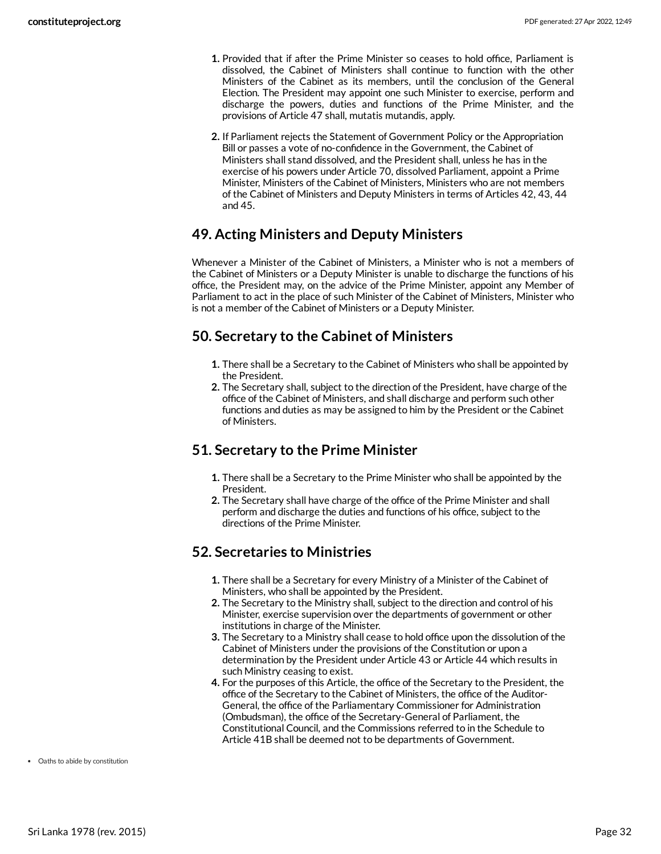- **1.** Provided that if after the Prime Minister so ceases to hold office, Parliament is dissolved, the Cabinet of Ministers shall continue to function with the other Ministers of the Cabinet as its members, until the conclusion of the General Election. The President may appoint one such Minister to exercise, perform and discharge the powers, duties and functions of the Prime Minister, and the provisions of Article 47 shall, mutatis mutandis, apply.
- **2.** If Parliament rejects the Statement of Government Policy or the Appropriation Bill or passes a vote of no-confidence in the Government, the Cabinet of Ministers shall stand dissolved, and the President shall, unless he has in the exercise of his powers under Article 70, dissolved Parliament, appoint a Prime Minister, Ministers of the Cabinet of Ministers, Ministers who are not members of the Cabinet of Ministers and Deputy Ministers in terms of Articles 42, 43, 44 and 45.

### <span id="page-31-0"></span>**49. Acting Ministers and Deputy Ministers**

Whenever a Minister of the Cabinet of Ministers, a Minister who is not a members of the Cabinet of Ministers or a Deputy Minister is unable to discharge the functions of his office, the President may, on the advice of the Prime Minister, appoint any Member of Parliament to act in the place of such Minister of the Cabinet of Ministers, Minister who is not a member of the Cabinet of Ministers or a Deputy Minister.

### <span id="page-31-1"></span>**50. Secretary to the Cabinet of Ministers**

- **1.** There shall be a Secretary to the Cabinet of Ministers who shall be appointed by the President.
- **2.** The Secretary shall, subject to the direction of the President, have charge of the office of the Cabinet of Ministers, and shall discharge and perform such other functions and duties as may be assigned to him by the President or the Cabinet of Ministers.

### <span id="page-31-2"></span>**51. Secretary to the Prime Minister**

- **1.** There shall be a Secretary to the Prime Minister who shall be appointed by the President.
- **2.** The Secretary shall have charge of the office of the Prime Minister and shall perform and discharge the duties and functions of his office, subject to the directions of the Prime Minister.

### <span id="page-31-3"></span>**52. Secretaries to Ministries**

- **1.** There shall be a Secretary for every Ministry of a Minister of the Cabinet of Ministers, who shall be appointed by the President.
- **2.** The Secretary to the Ministry shall, subject to the direction and control of his Minister, exercise supervision over the departments of government or other institutions in charge of the Minister.
- **3.** The Secretary to a Ministry shall cease to hold office upon the dissolution of the Cabinet of Ministers under the provisions of the Constitution or upon a determination by the President under Article 43 or Article 44 which results in such Ministry ceasing to exist.
- **4.** For the purposes of this Article, the office of the Secretary to the President, the office of the Secretary to the Cabinet of Ministers, the office of the Auditor-General, the office of the Parliamentary Commissioner for Administration (Ombudsman), the office of the Secretary-General of Parliament, the Constitutional Council, and the Commissions referred to in the Schedule to Article 41B shall be deemed not to be departments of Government.

Oaths to abide by constitution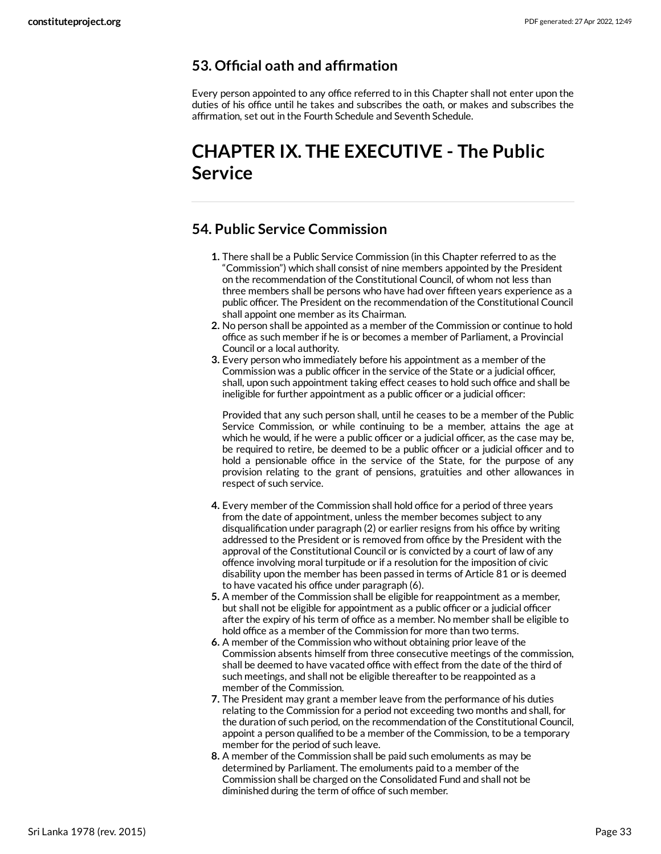### <span id="page-32-0"></span>**53. Official oath and affirmation**

Every person appointed to any office referred to in this Chapter shall not enter upon the duties of his office until he takes and subscribes the oath, or makes and subscribes the affirmation, set out in the Fourth Schedule and Seventh Schedule.

# <span id="page-32-1"></span>**CHAPTER IX. THE EXECUTIVE - The Public Service**

### <span id="page-32-2"></span>**54. Public Service Commission**

- **1.** There shall be a Public Service Commission (in this Chapter referred to as the "Commission") which shall consist of nine members appointed by the President on the recommendation of the Constitutional Council, of whom not less than three members shall be persons who have had over fifteen years experience as a public officer. The President on the recommendation of the Constitutional Council shall appoint one member as its Chairman.
- **2.** No person shall be appointed as a member of the Commission or continue to hold office as such member if he is or becomes a member of Parliament, a Provincial Council or a local authority.
- **3.** Every person who immediately before his appointment as a member of the Commission was a public officer in the service of the State or a judicial officer, shall, upon such appointment taking effect ceases to hold such office and shall be ineligible for further appointment as a public officer or a judicial officer:

Provided that any such person shall, until he ceases to be a member of the Public Service Commission, or while continuing to be a member, attains the age at which he would, if he were a public officer or a judicial officer, as the case may be, be required to retire, be deemed to be a public officer or a judicial officer and to hold a pensionable office in the service of the State, for the purpose of any provision relating to the grant of pensions, gratuities and other allowances in respect of such service.

- **4.** Every member of the Commission shall hold office for a period of three years from the date of appointment, unless the member becomes subject to any disqualification under paragraph (2) or earlier resigns from his office by writing addressed to the President or is removed from office by the President with the approval of the Constitutional Council or is convicted by a court of law of any offence involving moral turpitude or if a resolution for the imposition of civic disability upon the member has been passed in terms of Article 81 or is deemed to have vacated his office under paragraph (6).
- **5.** A member of the Commission shall be eligible for reappointment as a member, but shall not be eligible for appointment as a public officer or a judicial officer after the expiry of his term of office as a member. No member shall be eligible to hold office as a member of the Commission for more than two terms.
- **6.** A member of the Commission who without obtaining prior leave of the Commission absents himself from three consecutive meetings of the commission, shall be deemed to have vacated office with effect from the date of the third of such meetings, and shall not be eligible thereafter to be reappointed as a member of the Commission.
- **7.** The President may grant a member leave from the performance of his duties relating to the Commission for a period not exceeding two months and shall, for the duration of such period, on the recommendation of the Constitutional Council, appoint a person qualified to be a member of the Commission, to be a temporary member for the period of such leave.
- **8.** A member of the Commission shall be paid such emoluments as may be determined by Parliament. The emoluments paid to a member of the Commission shall be charged on the Consolidated Fund and shall not be diminished during the term of office of such member.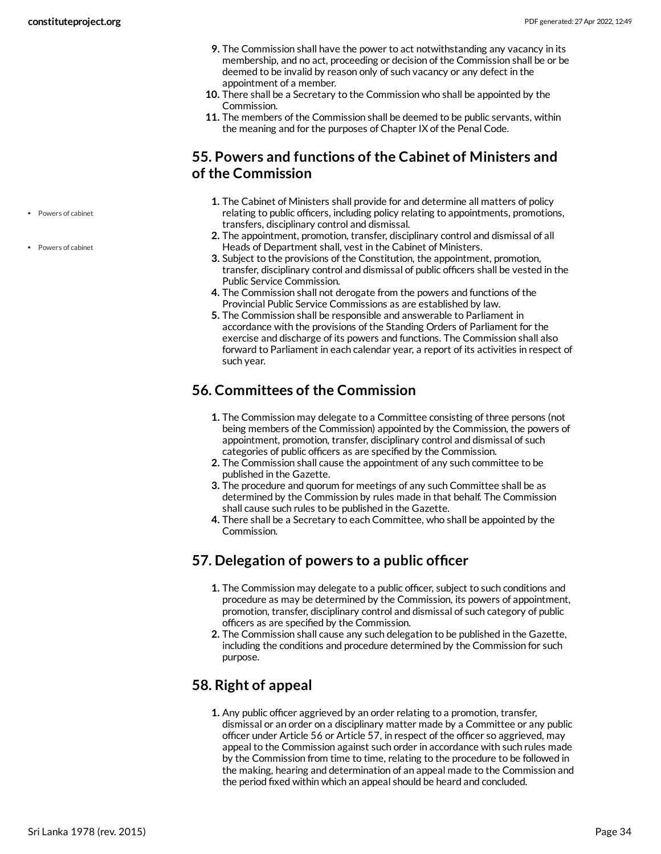- **9.** The Commission shall have the power to act notwithstanding any vacancy in its membership, and no act, proceeding or decision of the Commission shall be or be deemed to be invalid by reason only of such vacancy or any defect in the appointment of a member.
- **10.** There shall be a Secretary to the Commission who shall be appointed by the Commission.
- **11.** The members of the Commission shall be deemed to be public servants, within the meaning and for the purposes of Chapter IX of the Penal Code.

### <span id="page-33-0"></span>**55. Powers and functions of the Cabinet of Ministers and of the Commission**

- **1.** The Cabinet of Ministers shall provide for and determine all matters of policy relating to public officers, including policy relating to appointments, promotions, transfers, disciplinary control and dismissal.
- **2.** The appointment, promotion, transfer, disciplinary control and dismissal of all Heads of Department shall, vest in the Cabinet of Ministers.
- **3.** Subject to the provisions of the Constitution, the appointment, promotion, transfer, disciplinary control and dismissal of public officers shall be vested in the Public Service Commission.
- **4.** The Commission shall not derogate from the powers and functions of the Provincial Public Service Commissions as are established by law.
- **5.** The Commission shall be responsible and answerable to Parliament in accordance with the provisions of the Standing Orders of Parliament for the exercise and discharge of its powers and functions. The Commission shall also forward to Parliament in each calendar year, a report of its activities in respect of such year.

### <span id="page-33-1"></span>**56. Committees of the Commission**

- **1.** The Commission may delegate to a Committee consisting of three persons (not being members of the Commission) appointed by the Commission, the powers of appointment, promotion, transfer, disciplinary control and dismissal of such categories of public officers as are specified by the Commission.
- **2.** The Commission shall cause the appointment of any such committee to be published in the Gazette.
- **3.** The procedure and quorum for meetings of any such Committee shall be as determined by the Commission by rules made in that behalf. The Commission shall cause such rules to be published in the Gazette.
- **4.** There shall be a Secretary to each Committee, who shall be appointed by the Commission.

### <span id="page-33-2"></span>**57. Delegation of powers to a public officer**

- **1.** The Commission may delegate to a public officer, subject to such conditions and procedure as may be determined by the Commission, its powers of appointment, promotion, transfer, disciplinary control and dismissal of such category of public officers as are specified by the Commission.
- **2.** The Commission shall cause any such delegation to be published in the Gazette, including the conditions and procedure determined by the Commission for such purpose.

### <span id="page-33-3"></span>**58. Right of appeal**

**1.** Any public officer aggrieved by an order relating to a promotion, transfer, dismissal or an order on a disciplinary matter made by a Committee or any public officer under Article 56 or Article 57, in respect of the officer so aggrieved, may appeal to the Commission against such order in accordance with such rules made by the Commission from time to time, relating to the procedure to be followed in the making, hearing and determination of an appeal made to the Commission and the period fixed within which an appeal should be heard and concluded.

Powers of cabinet

Powers of cabinet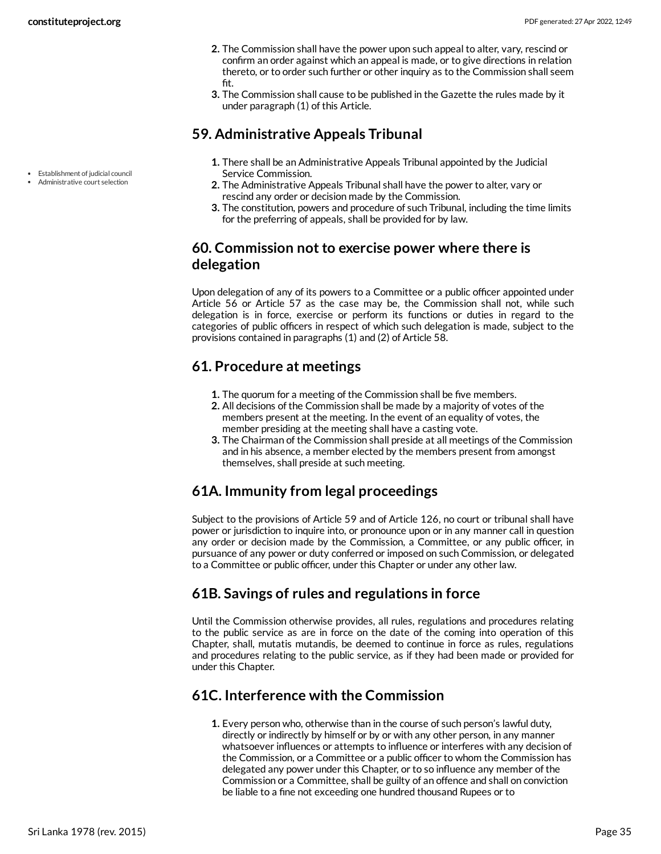- **2.** The Commission shall have the power upon such appeal to alter, vary, rescind or confirm an order against which an appeal is made, or to give directions in relation thereto, or to order such further or other inquiry as to the Commission shall seem fit.
- **3.** The Commission shall cause to be published in the Gazette the rules made by it under paragraph (1) of this Article.

### <span id="page-34-0"></span>**59. Administrative Appeals Tribunal**

- **1.** There shall be an Administrative Appeals Tribunal appointed by the Judicial Service Commission.
- **2.** The Administrative Appeals Tribunal shall have the power to alter, vary or rescind any order or decision made by the Commission.
- **3.** The constitution, powers and procedure of such Tribunal, including the time limits for the preferring of appeals, shall be provided for by law.

### <span id="page-34-1"></span>**60. Commission not to exercise power where there is delegation**

Upon delegation of any of its powers to a Committee or a public officer appointed under Article 56 or Article 57 as the case may be, the Commission shall not, while such delegation is in force, exercise or perform its functions or duties in regard to the categories of public officers in respect of which such delegation is made, subject to the provisions contained in paragraphs (1) and (2) of Article 58.

### <span id="page-34-2"></span>**61. Procedure at meetings**

- **1.** The quorum for a meeting of the Commission shall be five members.
- **2.** All decisions of the Commission shall be made by a majority of votes of the members present at the meeting. In the event of an equality of votes, the member presiding at the meeting shall have a casting vote.
- **3.** The Chairman of the Commission shall preside at all meetings of the Commission and in his absence, a member elected by the members present from amongst themselves, shall preside at such meeting.

### <span id="page-34-3"></span>**61A. Immunity from legal proceedings**

Subject to the provisions of Article 59 and of Article 126, no court or tribunal shall have power or jurisdiction to inquire into, or pronounce upon or in any manner call in question any order or decision made by the Commission, a Committee, or any public officer, in pursuance of any power or duty conferred or imposed on such Commission, or delegated to a Committee or public officer, under this Chapter or under any other law.

### <span id="page-34-4"></span>**61B. Savings of rules and regulations in force**

Until the Commission otherwise provides, all rules, regulations and procedures relating to the public service as are in force on the date of the coming into operation of this Chapter, shall, mutatis mutandis, be deemed to continue in force as rules, regulations and procedures relating to the public service, as if they had been made or provided for under this Chapter.

### <span id="page-34-5"></span>**61C. Interference with the Commission**

**1.** Every person who, otherwise than in the course of such person's lawful duty, directly or indirectly by himself or by or with any other person, in any manner whatsoever influences or attempts to influence or interferes with any decision of the Commission, or a Committee or a public officer to whom the Commission has delegated any power under this Chapter, or to so influence any member of the Commission or a Committee, shall be guilty of an offence and shall on conviction be liable to a fine not exceeding one hundred thousand Rupees or to

Establishment of judicial council Administrative court selection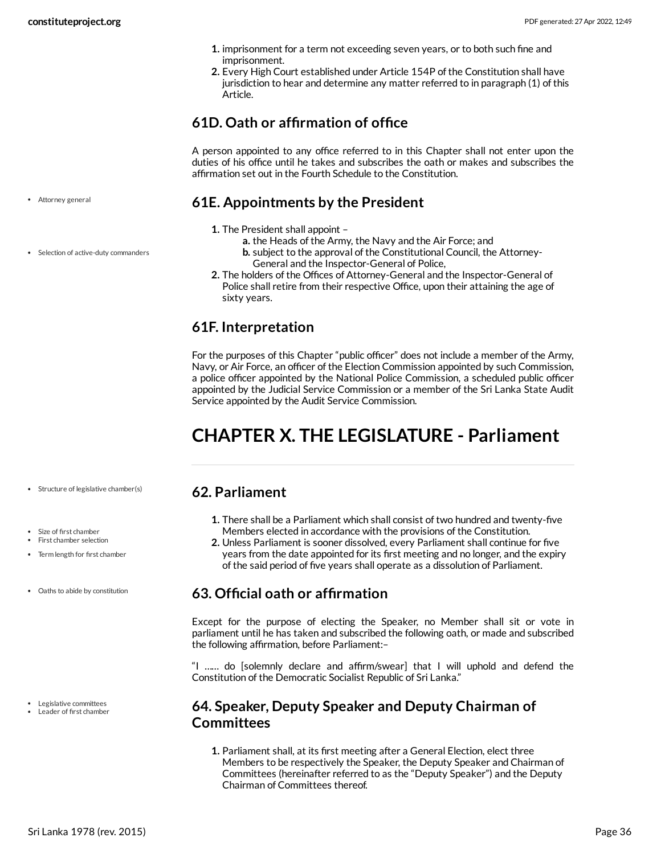- **1.** imprisonment for a term not exceeding seven years, or to both such fine and imprisonment.
- **2.** Every High Court established under Article 154P of the Constitution shall have jurisdiction to hear and determine any matter referred to in paragraph (1) of this Article.

### <span id="page-35-0"></span>**61D. Oath or affirmation of office**

A person appointed to any office referred to in this Chapter shall not enter upon the duties of his office until he takes and subscribes the oath or makes and subscribes the affirmation set out in the Fourth Schedule to the Constitution.

### <span id="page-35-1"></span>**61E. Appointments by the President**

- **1.** The President shall appoint
	- **a.** the Heads of the Army, the Navy and the Air Force; and
	- **b.** subject to the approval of the Constitutional Council, the Attorney-General and the Inspector-General of Police,
- **2.** The holders of the Offices of Attorney-General and the Inspector-General of Police shall retire from their respective Office, upon their attaining the age of sixty years.

### <span id="page-35-2"></span>**61F. Interpretation**

For the purposes of this Chapter "public officer" does not include a member of the Army, Navy, or Air Force, an officer of the Election Commission appointed by such Commission, a police officer appointed by the National Police Commission, a scheduled public officer appointed by the Judicial Service Commission or a member of the Sri Lanka State Audit Service appointed by the Audit Service Commission.

# <span id="page-35-3"></span>**CHAPTER X. THE LEGISLATURE - Parliament**

### <span id="page-35-4"></span>**62. Parliament**

- **1.** There shall be a Parliament which shall consist of two hundred and twenty-five Members elected in accordance with the provisions of the Constitution.
- **2.** Unless Parliament is sooner dissolved, every Parliament shall continue for five years from the date appointed for its first meeting and no longer, and the expiry of the said period of five years shall operate as a dissolution of Parliament.

### <span id="page-35-5"></span>**63. Official oath or affirmation**

Except for the purpose of electing the Speaker, no Member shall sit or vote in parliament until he has taken and subscribed the following oath, or made and subscribed the following affirmation, before Parliament:–

"I …… do [solemnly declare and affirm/swear] that I will uphold and defend the Constitution of the Democratic Socialist Republic of Sri Lanka."

### <span id="page-35-6"></span>**64. Speaker, Deputy Speaker and Deputy Chairman of Committees**

**1.** Parliament shall, at its first meeting after a General Election, elect three Members to be respectively the Speaker, the Deputy Speaker and Chairman of Committees (hereinafter referred to as the "Deputy Speaker") and the Deputy Chairman of Committees thereof.

Attorney general

• Selection of active-duty commanders

• Structure of legislative chamber(s)

Size of first chamber • First chamber selection

- Term length for first chamber
- Oaths to abide by constitution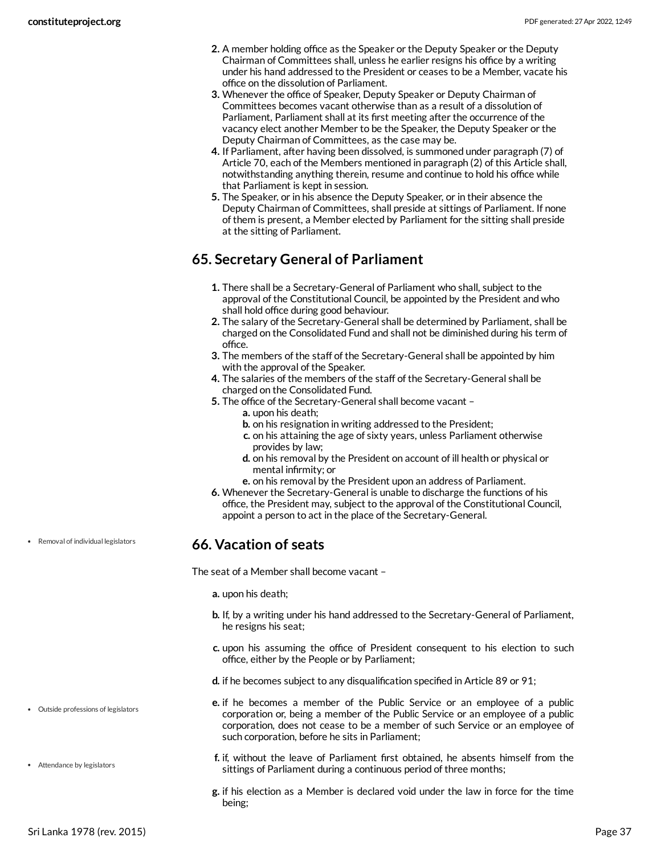- **2.** A member holding office as the Speaker or the Deputy Speaker or the Deputy Chairman of Committees shall, unless he earlier resigns his office by a writing under his hand addressed to the President or ceases to be a Member, vacate his office on the dissolution of Parliament.
- **3.** Whenever the office of Speaker, Deputy Speaker or Deputy Chairman of Committees becomes vacant otherwise than as a result of a dissolution of Parliament, Parliament shall at its first meeting after the occurrence of the vacancy elect another Member to be the Speaker, the Deputy Speaker or the Deputy Chairman of Committees, as the case may be.
- **4.** If Parliament, after having been dissolved, is summoned under paragraph (7) of Article 70, each of the Members mentioned in paragraph (2) of this Article shall, notwithstanding anything therein, resume and continue to hold his office while that Parliament is kept in session.
- **5.** The Speaker, or in his absence the Deputy Speaker, or in their absence the Deputy Chairman of Committees, shall preside at sittings of Parliament. If none of them is present, a Member elected by Parliament for the sitting shall preside at the sitting of Parliament.

# **65. Secretary General of Parliament**

- **1.** There shall be a Secretary-General of Parliament who shall, subject to the approval of the Constitutional Council, be appointed by the President and who shall hold office during good behaviour.
- **2.** The salary of the Secretary-General shall be determined by Parliament, shall be charged on the Consolidated Fund and shall not be diminished during his term of office.
- **3.** The members of the staff of the Secretary-General shall be appointed by him with the approval of the Speaker.
- **4.** The salaries of the members of the staff of the Secretary-General shall be charged on the Consolidated Fund.
- **5.** The office of the Secretary-General shall become vacant
	- **a.** upon his death;
	- **b.** on his resignation in writing addressed to the President;
	- **c.** on his attaining the age of sixty years, unless Parliament otherwise provides by law;
	- **d.** on his removal by the President on account of ill health or physical or mental infirmity; or
	- **e.** on his removal by the President upon an address of Parliament.
- **6.** Whenever the Secretary-General is unable to discharge the functions of his office, the President may, subject to the approval of the Constitutional Council, appoint a person to act in the place of the Secretary-General.

### **66. Vacation of seats**

The seat of a Member shall become vacant –

**a.** upon his death;

- **b.** If, by a writing under his hand addressed to the Secretary-General of Parliament, he resigns his seat;
- **c.** upon his assuming the office of President consequent to his election to such office, either by the People or by Parliament;
- **d.** if he becomes subject to any disqualification specified in Article 89 or 91;
- **e.** if he becomes a member of the Public Service or an employee of a public corporation or, being a member of the Public Service or an employee of a public corporation, does not cease to be a member of such Service or an employee of such corporation, before he sits in Parliament;
- **f.** if, without the leave of Parliament first obtained, he absents himself from the sittings of Parliament during a continuous period of three months;
- **g.** if his election as a Member is declared void under the law in force for the time being;

Removal of individual legislators

- Outside professions of legislators
- Attendance by legislators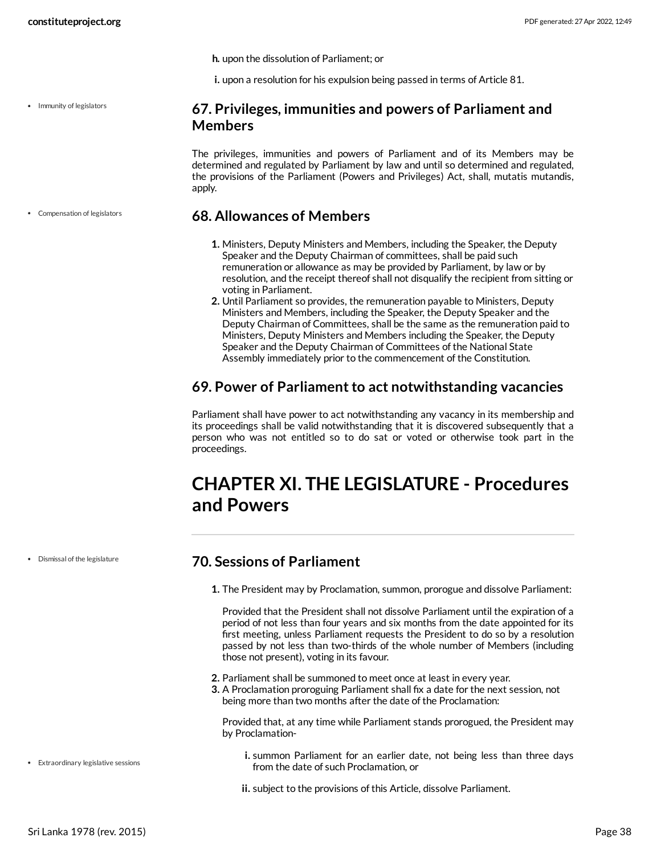**h.** upon the dissolution of Parliament; or

**i.** upon a resolution for his expulsion being passed in terms of Article 81.

• Immunity of legislators

### **67. Privileges, immunities and powers of Parliament and Members**

The privileges, immunities and powers of Parliament and of its Members may be determined and regulated by Parliament by law and until so determined and regulated, the provisions of the Parliament (Powers and Privileges) Act, shall, mutatis mutandis, apply.

### **68. Allowances of Members**

- **1.** Ministers, Deputy Ministers and Members, including the Speaker, the Deputy Speaker and the Deputy Chairman of committees, shall be paid such remuneration or allowance as may be provided by Parliament, by law or by resolution, and the receipt thereof shall not disqualify the recipient from sitting or voting in Parliament.
- **2.** Until Parliament so provides, the remuneration payable to Ministers, Deputy Ministers and Members, including the Speaker, the Deputy Speaker and the Deputy Chairman of Committees, shall be the same as the remuneration paid to Ministers, Deputy Ministers and Members including the Speaker, the Deputy Speaker and the Deputy Chairman of Committees of the National State Assembly immediately prior to the commencement of the Constitution.

### **69. Power of Parliament to act notwithstanding vacancies**

Parliament shall have power to act notwithstanding any vacancy in its membership and its proceedings shall be valid notwithstanding that it is discovered subsequently that a person who was not entitled so to do sat or voted or otherwise took part in the proceedings.

# **CHAPTER XI. THE LEGISLATURE - Procedures and Powers**

**70. Sessions of Parliament**

**1.** The President may by Proclamation, summon, prorogue and dissolve Parliament:

Provided that the President shall not dissolve Parliament until the expiration of a period of not less than four years and six months from the date appointed for its first meeting, unless Parliament requests the President to do so by a resolution passed by not less than two-thirds of the whole number of Members (including those not present), voting in its favour.

- **2.** Parliament shall be summoned to meet once at least in every year.
- **3.** A Proclamation proroguing Parliament shall fix a date for the next session, not being more than two months after the date of the Proclamation:

Provided that, at any time while Parliament stands prorogued, the President may by Proclamation-

- **i.** summon Parliament for an earlier date, not being less than three days from the date of such Proclamation, or
- **ii.** subject to the provisions of this Article, dissolve Parliament.

Compensation of legislators

Dismissal of the legislature

Extraordinary legislative sessions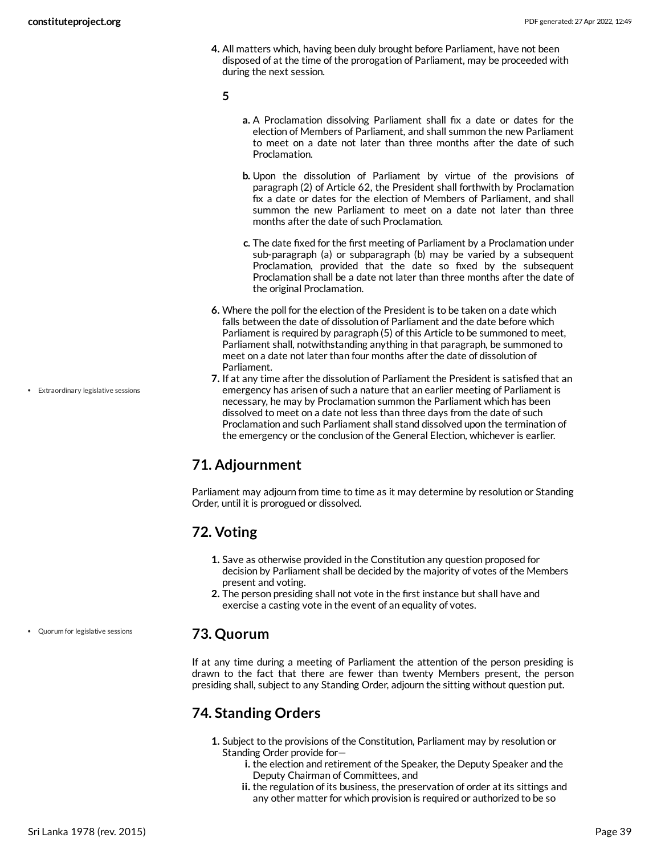**4.** All matters which, having been duly brought before Parliament, have not been disposed of at the time of the prorogation of Parliament, may be proceeded with during the next session.

**5**

- **a.** A Proclamation dissolving Parliament shall fix a date or dates for the election of Members of Parliament, and shall summon the new Parliament to meet on a date not later than three months after the date of such Proclamation.
- **b.** Upon the dissolution of Parliament by virtue of the provisions of paragraph (2) of Article 62, the President shall forthwith by Proclamation fix a date or dates for the election of Members of Parliament, and shall summon the new Parliament to meet on a date not later than three months after the date of such Proclamation.
- **c.** The date fixed for the first meeting of Parliament by a Proclamation under sub-paragraph (a) or subparagraph (b) may be varied by a subsequent Proclamation, provided that the date so fixed by the subsequent Proclamation shall be a date not later than three months after the date of the original Proclamation.
- **6.** Where the poll for the election of the President is to be taken on a date which falls between the date of dissolution of Parliament and the date before which Parliament is required by paragraph (5) of this Article to be summoned to meet, Parliament shall, notwithstanding anything in that paragraph, be summoned to meet on a date not later than four months after the date of dissolution of Parliament.
- **7.** If at any time after the dissolution of Parliament the President is satisfied that an emergency has arisen of such a nature that an earlier meeting of Parliament is necessary, he may by Proclamation summon the Parliament which has been dissolved to meet on a date not less than three days from the date of such Proclamation and such Parliament shall stand dissolved upon the termination of the emergency or the conclusion of the General Election, whichever is earlier.

# **71. Adjournment**

Parliament may adjourn from time to time as it may determine by resolution or Standing Order, until it is prorogued or dissolved.

# **72. Voting**

- **1.** Save as otherwise provided in the Constitution any question proposed for decision by Parliament shall be decided by the majority of votes of the Members present and voting.
- **2.** The person presiding shall not vote in the first instance but shall have and exercise a casting vote in the event of an equality of votes.

Quorum for legislative sessions

Extraordinary legislative sessions

### **73. Quorum**

If at any time during a meeting of Parliament the attention of the person presiding is drawn to the fact that there are fewer than twenty Members present, the person presiding shall, subject to any Standing Order, adjourn the sitting without question put.

## **74. Standing Orders**

- **1.** Subject to the provisions of the Constitution, Parliament may by resolution or Standing Order provide for
	- **i.** the election and retirement of the Speaker, the Deputy Speaker and the Deputy Chairman of Committees, and
	- **ii.** the regulation of its business, the preservation of order at its sittings and any other matter for which provision is required or authorized to be so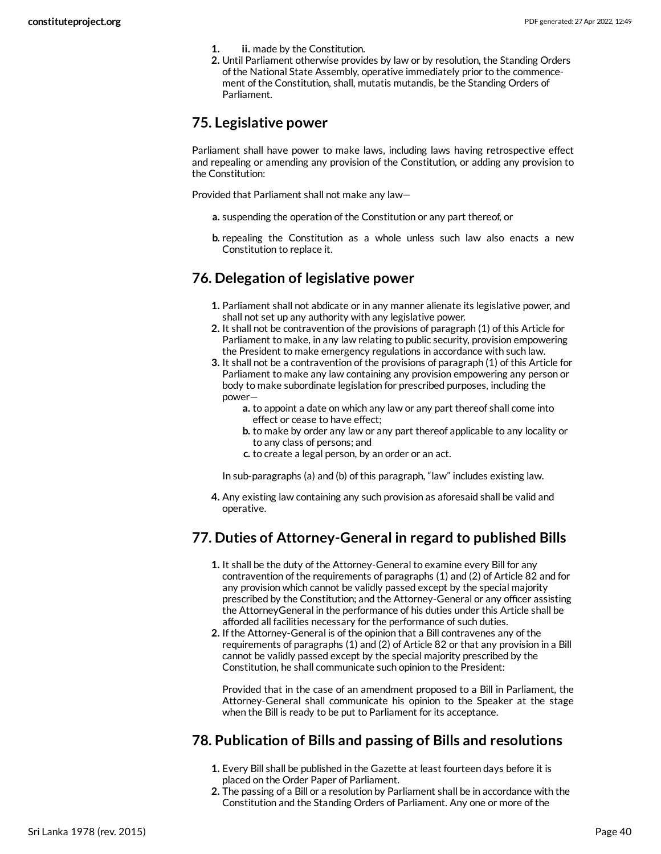- **1. ii.** made by the Constitution.
- **2.** Until Parliament otherwise provides by law or by resolution, the Standing Orders of the National State Assembly, operative immediately prior to the commencement of the Constitution, shall, mutatis mutandis, be the Standing Orders of Parliament.

### **75. Legislative power**

Parliament shall have power to make laws, including laws having retrospective effect and repealing or amending any provision of the Constitution, or adding any provision to the Constitution:

Provided that Parliament shall not make any law—

- **a.** suspending the operation of the Constitution or any part thereof, or
- **b.** repealing the Constitution as a whole unless such law also enacts a new Constitution to replace it.

### **76. Delegation of legislative power**

- **1.** Parliament shall not abdicate or in any manner alienate its legislative power, and shall not set up any authority with any legislative power.
- **2.** It shall not be contravention of the provisions of paragraph (1) of this Article for Parliament to make, in any law relating to public security, provision empowering the President to make emergency regulations in accordance with such law.
- **3.** It shall not be a contravention of the provisions of paragraph (1) of this Article for Parliament to make any law containing any provision empowering any person or body to make subordinate legislation for prescribed purposes, including the power
	- **a.** to appoint a date on which any law or any part thereof shall come into effect or cease to have effect;
	- **b.** to make by order any law or any part thereof applicable to any locality or to any class of persons; and
	- **c.** to create a legal person, by an order or an act.

In sub-paragraphs (a) and (b) of this paragraph, "law" includes existing law.

**4.** Any existing law containing any such provision as aforesaid shall be valid and operative.

### **77. Duties of Attorney-General in regard to published Bills**

- **1.** It shall be the duty of the Attorney-General to examine every Bill for any contravention of the requirements of paragraphs (1) and (2) of Article 82 and for any provision which cannot be validly passed except by the special majority prescribed by the Constitution; and the Attorney-General or any officer assisting the AttorneyGeneral in the performance of his duties under this Article shall be afforded all facilities necessary for the performance of such duties.
- **2.** If the Attorney-General is of the opinion that a Bill contravenes any of the requirements of paragraphs (1) and (2) of Article 82 or that any provision in a Bill cannot be validly passed except by the special majority prescribed by the Constitution, he shall communicate such opinion to the President:

Provided that in the case of an amendment proposed to a Bill in Parliament, the Attorney-General shall communicate his opinion to the Speaker at the stage when the Bill is ready to be put to Parliament for its acceptance.

### **78. Publication of Bills and passing of Bills and resolutions**

- **1.** Every Bill shall be published in the Gazette at least fourteen days before it is placed on the Order Paper of Parliament.
- **2.** The passing of a Bill or a resolution by Parliament shall be in accordance with the Constitution and the Standing Orders of Parliament. Any one or more of the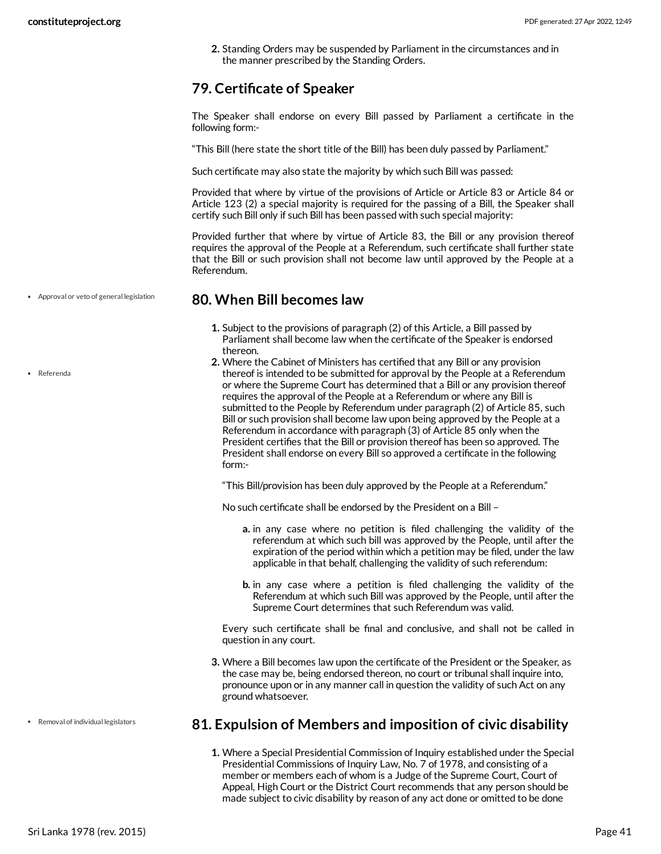**2.** Standing Orders may be suspended by Parliament in the circumstances and in the manner prescribed by the Standing Orders.

# **79. Certificate of Speaker**

The Speaker shall endorse on every Bill passed by Parliament a certificate in the following form:-

"This Bill (here state the short title of the Bill) has been duly passed by Parliament."

Such certificate may also state the majority by which such Bill was passed:

Provided that where by virtue of the provisions of Article or Article 83 or Article 84 or Article 123 (2) a special majority is required for the passing of a Bill, the Speaker shall certify such Bill only if such Bill has been passed with such special majority:

Provided further that where by virtue of Article 83, the Bill or any provision thereof requires the approval of the People at a Referendum, such certificate shall further state that the Bill or such provision shall not become law until approved by the People at a Referendum.

### **80. When Bill becomes law**

- **1.** Subject to the provisions of paragraph (2) of this Article, a Bill passed by Parliament shall become law when the certificate of the Speaker is endorsed thereon.
- **2.** Where the Cabinet of Ministers has certified that any Bill or any provision thereof is intended to be submitted for approval by the People at a Referendum or where the Supreme Court has determined that a Bill or any provision thereof requires the approval of the People at a Referendum or where any Bill is submitted to the People by Referendum under paragraph (2) of Article 85, such Bill or such provision shall become law upon being approved by the People at a Referendum in accordance with paragraph (3) of Article 85 only when the President certifies that the Bill or provision thereof has been so approved. The President shall endorse on every Bill so approved a certificate in the following form:-

"This Bill/provision has been duly approved by the People at a Referendum."

No such certificate shall be endorsed by the President on a Bill –

- **a.** in any case where no petition is filed challenging the validity of the referendum at which such bill was approved by the People, until after the expiration of the period within which a petition may be filed, under the law applicable in that behalf, challenging the validity of such referendum:
- **b.** in any case where a petition is filed challenging the validity of the Referendum at which such Bill was approved by the People, until after the Supreme Court determines that such Referendum was valid.

Every such certificate shall be final and conclusive, and shall not be called in question in any court.

**3.** Where a Bill becomes law upon the certificate of the President or the Speaker, as the case may be, being endorsed thereon, no court or tribunal shall inquire into, pronounce upon or in any manner call in question the validity of such Act on any ground whatsoever.

### **81. Expulsion of Members and imposition of civic disability**

**1.** Where a Special Presidential Commission of Inquiry established under the Special Presidential Commissions of Inquiry Law, No. 7 of 1978, and consisting of a member or members each of whom is a Judge of the Supreme Court, Court of Appeal, High Court or the District Court recommends that any person should be made subject to civic disability by reason of any act done or omitted to be done

Approval or veto of general legislation

Referenda

Removal of individual legislators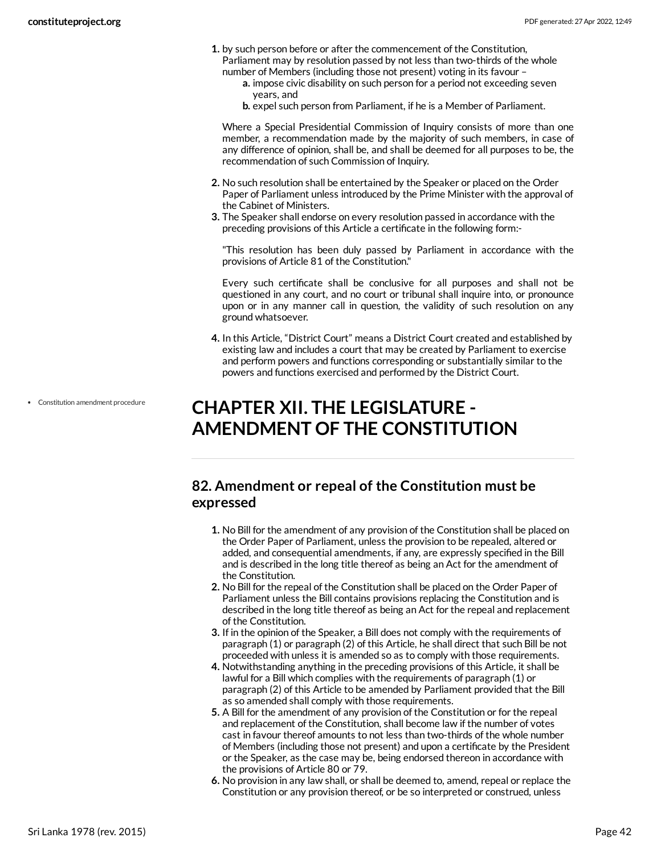- **1.** by such person before or after the commencement of the Constitution, Parliament may by resolution passed by not less than two-thirds of the whole number of Members (including those not present) voting in its favour –
	- **a.** impose civic disability on such person for a period not exceeding seven years, and
	- **b.** expel such person from Parliament, if he is a Member of Parliament.

Where a Special Presidential Commission of Inquiry consists of more than one member, a recommendation made by the majority of such members, in case of any difference of opinion, shall be, and shall be deemed for all purposes to be, the recommendation of such Commission of Inquiry.

- **2.** No such resolution shall be entertained by the Speaker or placed on the Order Paper of Parliament unless introduced by the Prime Minister with the approval of the Cabinet of Ministers.
- **3.** The Speaker shall endorse on every resolution passed in accordance with the preceding provisions of this Article a certificate in the following form:-

"This resolution has been duly passed by Parliament in accordance with the provisions of Article 81 of the Constitution."

Every such certificate shall be conclusive for all purposes and shall not be questioned in any court, and no court or tribunal shall inquire into, or pronounce upon or in any manner call in question, the validity of such resolution on any ground whatsoever.

**4.** In this Article, "District Court" means a District Court created and established by existing law and includes a court that may be created by Parliament to exercise and perform powers and functions corresponding or substantially similar to the powers and functions exercised and performed by the District Court.

• Constitution amendment procedure

# **CHAPTER XII. THE LEGISLATURE - AMENDMENT OF THE CONSTITUTION**

## **82. Amendment or repeal of the Constitution must be expressed**

- **1.** No Bill for the amendment of any provision of the Constitution shall be placed on the Order Paper of Parliament, unless the provision to be repealed, altered or added, and consequential amendments, if any, are expressly specified in the Bill and is described in the long title thereof as being an Act for the amendment of the Constitution.
- **2.** No Bill for the repeal of the Constitution shall be placed on the Order Paper of Parliament unless the Bill contains provisions replacing the Constitution and is described in the long title thereof as being an Act for the repeal and replacement of the Constitution.
- **3.** If in the opinion of the Speaker, a Bill does not comply with the requirements of paragraph (1) or paragraph (2) of this Article, he shall direct that such Bill be not proceeded with unless it is amended so as to comply with those requirements.
- **4.** Notwithstanding anything in the preceding provisions of this Article, it shall be lawful for a Bill which complies with the requirements of paragraph (1) or paragraph (2) of this Article to be amended by Parliament provided that the Bill as so amended shall comply with those requirements.
- **5.** A Bill for the amendment of any provision of the Constitution or for the repeal and replacement of the Constitution, shall become law if the number of votes cast in favour thereof amounts to not less than two-thirds of the whole number of Members (including those not present) and upon a certificate by the President or the Speaker, as the case may be, being endorsed thereon in accordance with the provisions of Article 80 or 79.
- **6.** No provision in any law shall, or shall be deemed to, amend, repeal or replace the Constitution or any provision thereof, or be so interpreted or construed, unless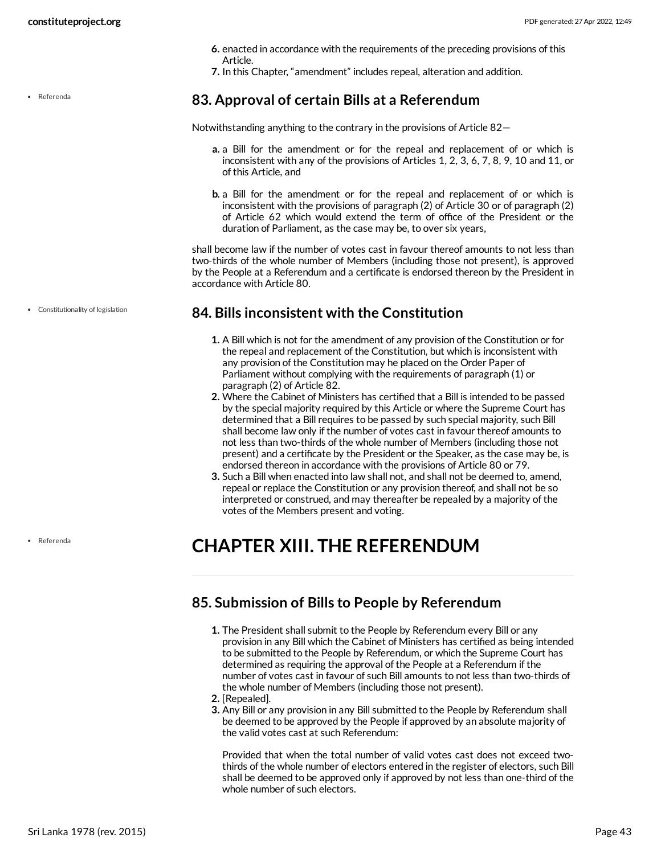- **6.** enacted in accordance with the requirements of the preceding provisions of this Article.
- **7.** In this Chapter, "amendment" includes repeal, alteration and addition.

## **83. Approval of certain Bills at a Referendum**

Notwithstanding anything to the contrary in the provisions of Article 82—

- **a.** a Bill for the amendment or for the repeal and replacement of or which is inconsistent with any of the provisions of Articles 1, 2, 3, 6, 7, 8, 9, 10 and 11, or of this Article, and
- **b.** a Bill for the amendment or for the repeal and replacement of or which is inconsistent with the provisions of paragraph (2) of Article 30 or of paragraph (2) of Article 62 which would extend the term of office of the President or the duration of Parliament, as the case may be, to over six years,

shall become law if the number of votes cast in favour thereof amounts to not less than two-thirds of the whole number of Members (including those not present), is approved by the People at a Referendum and a certificate is endorsed thereon by the President in accordance with Article 80.

## **84. Bills inconsistent with the Constitution**

- **1.** A Bill which is not for the amendment of any provision of the Constitution or for the repeal and replacement of the Constitution, but which is inconsistent with any provision of the Constitution may he placed on the Order Paper of Parliament without complying with the requirements of paragraph (1) or paragraph (2) of Article 82.
- **2.** Where the Cabinet of Ministers has certified that a Bill is intended to be passed by the special majority required by this Article or where the Supreme Court has determined that a Bill requires to be passed by such special majority, such Bill shall become law only if the number of votes cast in favour thereof amounts to not less than two-thirds of the whole number of Members (including those not present) and a certificate by the President or the Speaker, as the case may be, is endorsed thereon in accordance with the provisions of Article 80 or 79.
- **3.** Such a Bill when enacted into law shall not, and shall not be deemed to, amend, repeal or replace the Constitution or any provision thereof, and shall not be so interpreted or construed, and may thereafter be repealed by a majority of the votes of the Members present and voting.

# **CHAPTER XIII. THE REFERENDUM**

# **85. Submission of Bills to People by Referendum**

- **1.** The President shall submit to the People by Referendum every Bill or any provision in any Bill which the Cabinet of Ministers has certified as being intended to be submitted to the People by Referendum, or which the Supreme Court has determined as requiring the approval of the People at a Referendum if the number of votes cast in favour of such Bill amounts to not less than two-thirds of the whole number of Members (including those not present).
- **2.** [Repealed].
- **3.** Any Bill or any provision in any Bill submitted to the People by Referendum shall be deemed to be approved by the People if approved by an absolute majority of the valid votes cast at such Referendum:

Provided that when the total number of valid votes cast does not exceed twothirds of the whole number of electors entered in the register of electors, such Bill shall be deemed to be approved only if approved by not less than one-third of the whole number of such electors.

• Referenda

Constitutionality of legislation

Referenda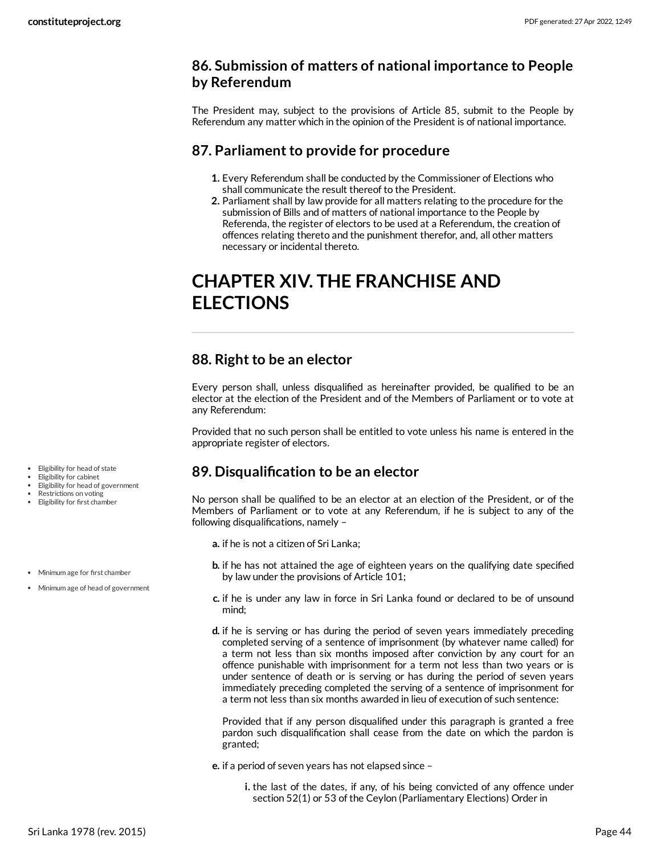### **86. Submission of matters of national importance to People by Referendum**

The President may, subject to the provisions of Article 85, submit to the People by Referendum any matter which in the opinion of the President is of national importance.

## **87. Parliament to provide for procedure**

- **1.** Every Referendum shall be conducted by the Commissioner of Elections who shall communicate the result thereof to the President.
- **2.** Parliament shall by law provide for all matters relating to the procedure for the submission of Bills and of matters of national importance to the People by Referenda, the register of electors to be used at a Referendum, the creation of offences relating thereto and the punishment therefor, and, all other matters necessary or incidental thereto.

# **CHAPTER XIV. THE FRANCHISE AND ELECTIONS**

# **88. Right to be an elector**

Every person shall, unless disqualified as hereinafter provided, be qualified to be an elector at the election of the President and of the Members of Parliament or to vote at any Referendum:

Provided that no such person shall be entitled to vote unless his name is entered in the appropriate register of electors.

## **89. Disqualification to be an elector**

No person shall be qualified to be an elector at an election of the President, or of the Members of Parliament or to vote at any Referendum, if he is subject to any of the following disqualifications, namely –

- **a.** if he is not a citizen of Sri Lanka;
- **b.** if he has not attained the age of eighteen years on the qualifying date specified by law under the provisions of Article 101;
- **c.** if he is under any law in force in Sri Lanka found or declared to be of unsound mind;
- **d.** if he is serving or has during the period of seven years immediately preceding completed serving of a sentence of imprisonment (by whatever name called) for a term not less than six months imposed after conviction by any court for an offence punishable with imprisonment for a term not less than two years or is under sentence of death or is serving or has during the period of seven years immediately preceding completed the serving of a sentence of imprisonment for a term not less than six months awarded in lieu of execution of such sentence:

Provided that if any person disqualified under this paragraph is granted a free pardon such disqualification shall cease from the date on which the pardon is granted;

**e.** if a period of seven years has not elapsed since –

**i.** the last of the dates, if any, of his being convicted of any offence under section 52(1) or 53 of the Ceylon (Parliamentary Elections) Order in

- Eligibility for head of state
- Eligibility for cabinet
- Eligibility for head of government Restrictions on voting
- Eligibility for first chamber
- Minimum age for first chamber
- Minimum age of head of government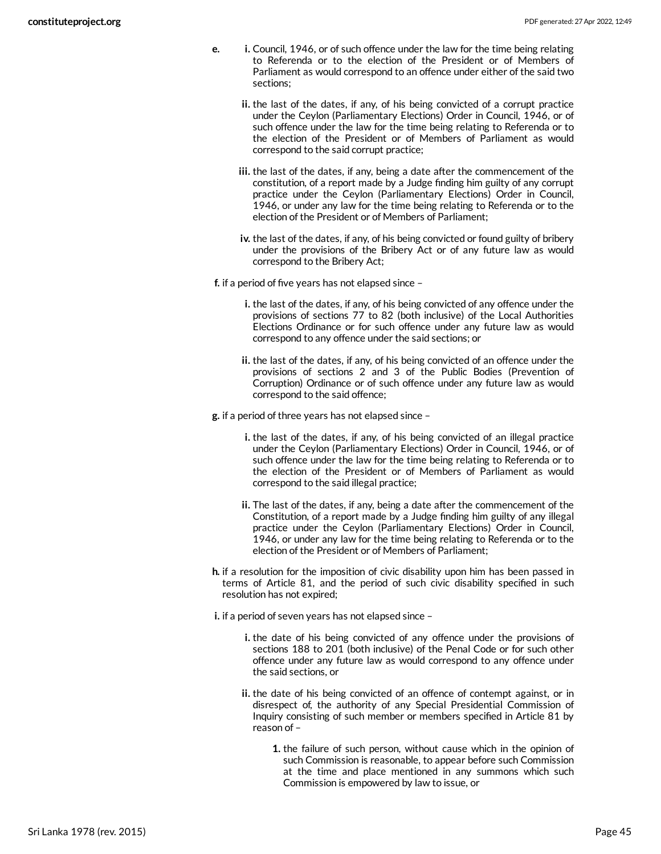- **e. i.** Council, 1946, or of such offence under the law for the time being relating to Referenda or to the election of the President or of Members of Parliament as would correspond to an offence under either of the said two sections;
	- **ii.** the last of the dates, if any, of his being convicted of a corrupt practice under the Ceylon (Parliamentary Elections) Order in Council, 1946, or of such offence under the law for the time being relating to Referenda or to the election of the President or of Members of Parliament as would correspond to the said corrupt practice;
	- **iii.** the last of the dates, if any, being a date after the commencement of the constitution, of a report made by a Judge finding him guilty of any corrupt practice under the Ceylon (Parliamentary Elections) Order in Council, 1946, or under any law for the time being relating to Referenda or to the election of the President or of Members of Parliament;
	- **iv.** the last of the dates, if any, of his being convicted or found guilty of bribery under the provisions of the Bribery Act or of any future law as would correspond to the Bribery Act;
- **f.** if a period of five years has not elapsed since
	- **i.** the last of the dates, if any, of his being convicted of any offence under the provisions of sections 77 to 82 (both inclusive) of the Local Authorities Elections Ordinance or for such offence under any future law as would correspond to any offence under the said sections; or
	- **ii.** the last of the dates, if any, of his being convicted of an offence under the provisions of sections 2 and 3 of the Public Bodies (Prevention of Corruption) Ordinance or of such offence under any future law as would correspond to the said offence;
- **g.** if a period of three years has not elapsed since
	- **i.** the last of the dates, if any, of his being convicted of an illegal practice under the Ceylon (Parliamentary Elections) Order in Council, 1946, or of such offence under the law for the time being relating to Referenda or to the election of the President or of Members of Parliament as would correspond to the said illegal practice;
	- **ii.** The last of the dates, if any, being a date after the commencement of the Constitution, of a report made by a Judge finding him guilty of any illegal practice under the Ceylon (Parliamentary Elections) Order in Council, 1946, or under any law for the time being relating to Referenda or to the election of the President or of Members of Parliament;
- **h.** if a resolution for the imposition of civic disability upon him has been passed in terms of Article 81, and the period of such civic disability specified in such resolution has not expired;
- **i.** if a period of seven years has not elapsed since
	- **i.** the date of his being convicted of any offence under the provisions of sections 188 to 201 (both inclusive) of the Penal Code or for such other offence under any future law as would correspond to any offence under the said sections, or
	- **ii.** the date of his being convicted of an offence of contempt against, or in disrespect of, the authority of any Special Presidential Commission of Inquiry consisting of such member or members specified in Article 81 by reason of –
		- **1.** the failure of such person, without cause which in the opinion of such Commission is reasonable, to appear before such Commission at the time and place mentioned in any summons which such Commission is empowered by law to issue, or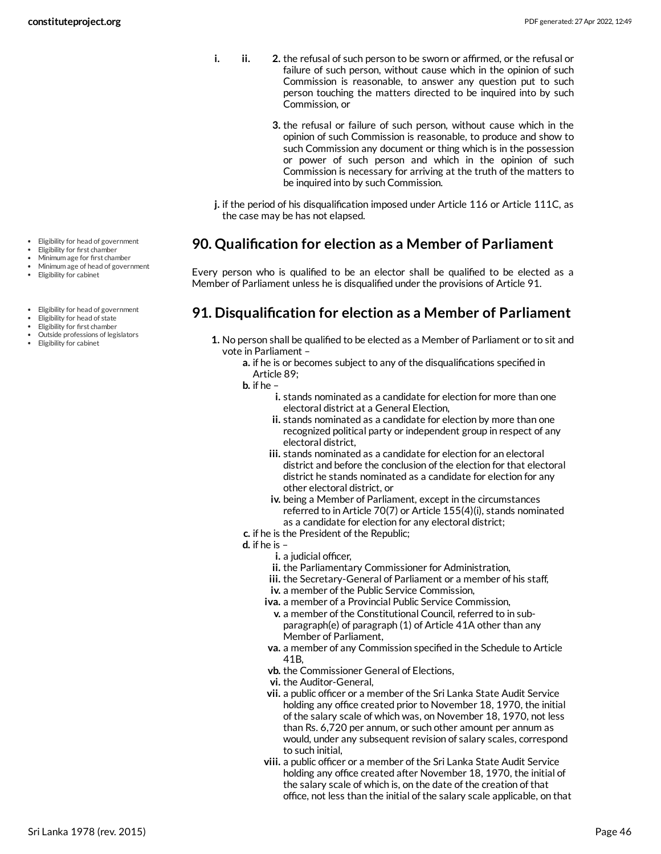- **i. ii. 2.** the refusal of such person to be sworn or affirmed, or the refusal or failure of such person, without cause which in the opinion of such Commission is reasonable, to answer any question put to such person touching the matters directed to be inquired into by such Commission, or
	- **3.** the refusal or failure of such person, without cause which in the opinion of such Commission is reasonable, to produce and show to such Commission any document or thing which is in the possession or power of such person and which in the opinion of such Commission is necessary for arriving at the truth of the matters to be inquired into by such Commission.
- **j.** if the period of his disqualification imposed under Article 116 or Article 111C, as the case may be has not elapsed.

### **90. Qualification for election as a Member of Parliament**

Every person who is qualified to be an elector shall be qualified to be elected as a Member of Parliament unless he is disqualified under the provisions of Article 91.

### **91. Disqualification for election as a Member of Parliament**

- **1.** No person shall be qualified to be elected as a Member of Parliament or to sit and vote in Parliament –
	- **a.** if he is or becomes subject to any of the disqualifications specified in Article 89;
	- **b.** if he
		- **i.** stands nominated as a candidate for election for more than one electoral district at a General Election,
		- **ii.** stands nominated as a candidate for election by more than one recognized political party or independent group in respect of any electoral district,
		- **iii.** stands nominated as a candidate for election for an electoral district and before the conclusion of the election for that electoral district he stands nominated as a candidate for election for any other electoral district, or
		- **iv.** being a Member of Parliament, except in the circumstances referred to in Article 70(7) or Article 155(4)(i), stands nominated as a candidate for election for any electoral district;
	- **c.** if he is the President of the Republic;
	- **d.** if he is
		- **i.** a judicial officer,
		- **ii.** the Parliamentary Commissioner for Administration,
		- **iii.** the Secretary-General of Parliament or a member of his staff,
		- **iv.** a member of the Public Service Commission,
		- **iva.** a member of a Provincial Public Service Commission,
			- **v.** a member of the Constitutional Council, referred to in subparagraph(e) of paragraph (1) of Article 41A other than any Member of Parliament,
		- **va.** a member of any Commission specified in the Schedule to Article 41B,
		- **vb.** the Commissioner General of Elections,
		- **vi.** the Auditor-General,
		- **vii.** a public officer or a member of the Sri Lanka State Audit Service holding any office created prior to November 18, 1970, the initial of the salary scale of which was, on November 18, 1970, not less than Rs. 6,720 per annum, or such other amount per annum as would, under any subsequent revision of salary scales, correspond to such initial,
		- **viii.** a public officer or a member of the Sri Lanka State Audit Service holding any office created after November 18, 1970, the initial of the salary scale of which is, on the date of the creation of that office, not less than the initial of the salary scale applicable, on that
- Eligibility for head of government
- Eligibility for first chamber Minimum age for first chamber
- Minimum age of head of government
- Eligibility for cabinet
- Eligibility for head of government
- Eligibility for head of state
- Eligibility for first chamber
- Outside professions of legislators
- Eligibility for cabinet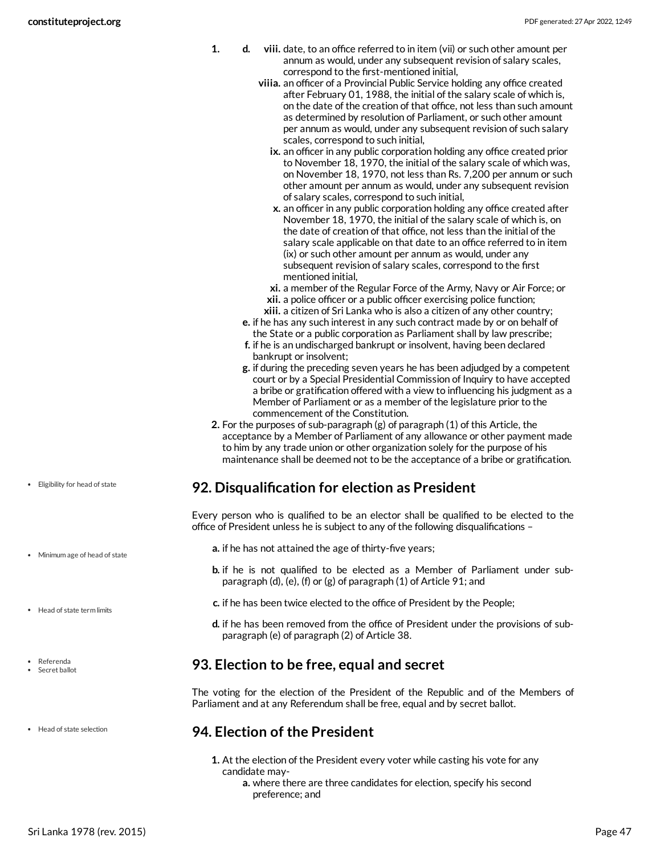- **1. d. viii.** date, to an office referred to in item (vii) or such other amount per annum as would, under any subsequent revision of salary scales, correspond to the first-mentioned initial,
	- **viiia.** an officer of a Provincial Public Service holding any office created after February 01, 1988, the initial of the salary scale of which is, on the date of the creation of that office, not less than such amount as determined by resolution of Parliament, or such other amount per annum as would, under any subsequent revision of such salary scales, correspond to such initial,
		- **ix.** an officer in any public corporation holding any office created prior to November 18, 1970, the initial of the salary scale of which was, on November 18, 1970, not less than Rs. 7,200 per annum or such other amount per annum as would, under any subsequent revision of salary scales, correspond to such initial,
		- **x.** an officer in any public corporation holding any office created after November 18, 1970, the initial of the salary scale of which is, on the date of creation of that office, not less than the initial of the salary scale applicable on that date to an office referred to in item (ix) or such other amount per annum as would, under any subsequent revision of salary scales, correspond to the first mentioned initial,
		- **xi.** a member of the Regular Force of the Army, Navy or Air Force; or **xii.** a police officer or a public officer exercising police function;
	- **xiii.** a citizen of Sri Lanka who is also a citizen of any other country;
	- **e.** if he has any such interest in any such contract made by or on behalf of the State or a public corporation as Parliament shall by law prescribe;
	- **f.** if he is an undischarged bankrupt or insolvent, having been declared bankrupt or insolvent;
	- **g.** if during the preceding seven years he has been adjudged by a competent court or by a Special Presidential Commission of Inquiry to have accepted a bribe or gratification offered with a view to influencing his judgment as a Member of Parliament or as a member of the legislature prior to the commencement of the Constitution.
- **2.** For the purposes of sub-paragraph (g) of paragraph (1) of this Article, the acceptance by a Member of Parliament of any allowance or other payment made to him by any trade union or other organization solely for the purpose of his maintenance shall be deemed not to be the acceptance of a bribe or gratification.

### **92. Disqualification for election as President**

Every person who is qualified to be an elector shall be qualified to be elected to the office of President unless he is subject to any of the following disqualifications –

- **a.** if he has not attained the age of thirty-five years;
- **b.** if he is not qualified to be elected as a Member of Parliament under subparagraph (d), (e), (f) or (g) of paragraph (1) of Article 91; and
- **c.** if he has been twice elected to the office of President by the People;
- **d.** if he has been removed from the office of President under the provisions of subparagraph (e) of paragraph (2) of Article 38.

### **93. Election to be free, equal and secret**

The voting for the election of the President of the Republic and of the Members of Parliament and at any Referendum shall be free, equal and by secret ballot.

### **94. Election of the President**

- **1.** At the election of the President every voter while casting his vote for any candidate may
	- **a.** where there are three candidates for election, specify his second preference; and
- Eligibility for head of state
- Minimum age of head of state
- Head of state term limits
- Referenda
- Secret ballot
- Head of state selection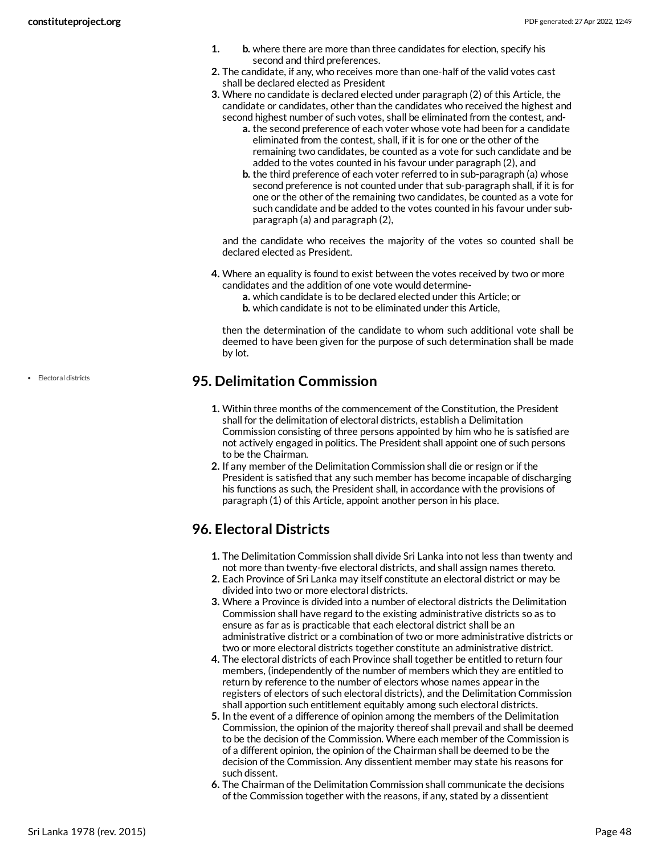- **1. b.** where there are more than three candidates for election, specify his second and third preferences.
- **2.** The candidate, if any, who receives more than one-half of the valid votes cast shall be declared elected as President
- **3.** Where no candidate is declared elected under paragraph (2) of this Article, the candidate or candidates, other than the candidates who received the highest and second highest number of such votes, shall be eliminated from the contest, and
	- **a.** the second preference of each voter whose vote had been for a candidate eliminated from the contest, shall, if it is for one or the other of the remaining two candidates, be counted as a vote for such candidate and be added to the votes counted in his favour under paragraph (2), and
	- **b.** the third preference of each voter referred to in sub-paragraph (a) whose second preference is not counted under that sub-paragraph shall, if it is for one or the other of the remaining two candidates, be counted as a vote for such candidate and be added to the votes counted in his favour under subparagraph (a) and paragraph (2),

and the candidate who receives the majority of the votes so counted shall be declared elected as President.

- **4.** Where an equality is found to exist between the votes received by two or more candidates and the addition of one vote would determine
	- **a.** which candidate is to be declared elected under this Article; or
	- **b.** which candidate is not to be eliminated under this Article,

then the determination of the candidate to whom such additional vote shall be deemed to have been given for the purpose of such determination shall be made by lot.

### **95. Delimitation Commission**

- **1.** Within three months of the commencement of the Constitution, the President shall for the delimitation of electoral districts, establish a Delimitation Commission consisting of three persons appointed by him who he is satisfied are not actively engaged in politics. The President shall appoint one of such persons to be the Chairman.
- **2.** If any member of the Delimitation Commission shall die or resign or if the President is satisfied that any such member has become incapable of discharging his functions as such, the President shall, in accordance with the provisions of paragraph (1) of this Article, appoint another person in his place.

# **96. Electoral Districts**

- **1.** The Delimitation Commission shall divide Sri Lanka into not less than twenty and not more than twenty-five electoral districts, and shall assign names thereto.
- **2.** Each Province of Sri Lanka may itself constitute an electoral district or may be divided into two or more electoral districts.
- **3.** Where a Province is divided into a number of electoral districts the Delimitation Commission shall have regard to the existing administrative districts so as to ensure as far as is practicable that each electoral district shall be an administrative district or a combination of two or more administrative districts or two or more electoral districts together constitute an administrative district.
- **4.** The electoral districts of each Province shall together be entitled to return four members, (independently of the number of members which they are entitled to return by reference to the number of electors whose names appear in the registers of electors of such electoral districts), and the Delimitation Commission shall apportion such entitlement equitably among such electoral districts.
- **5.** In the event of a difference of opinion among the members of the Delimitation Commission, the opinion of the majority thereof shall prevail and shall be deemed to be the decision of the Commission. Where each member of the Commission is of a different opinion, the opinion of the Chairman shall be deemed to be the decision of the Commission. Any dissentient member may state his reasons for such dissent.
- **6.** The Chairman of the Delimitation Commission shall communicate the decisions of the Commission together with the reasons, if any, stated by a dissentient

Electoral districts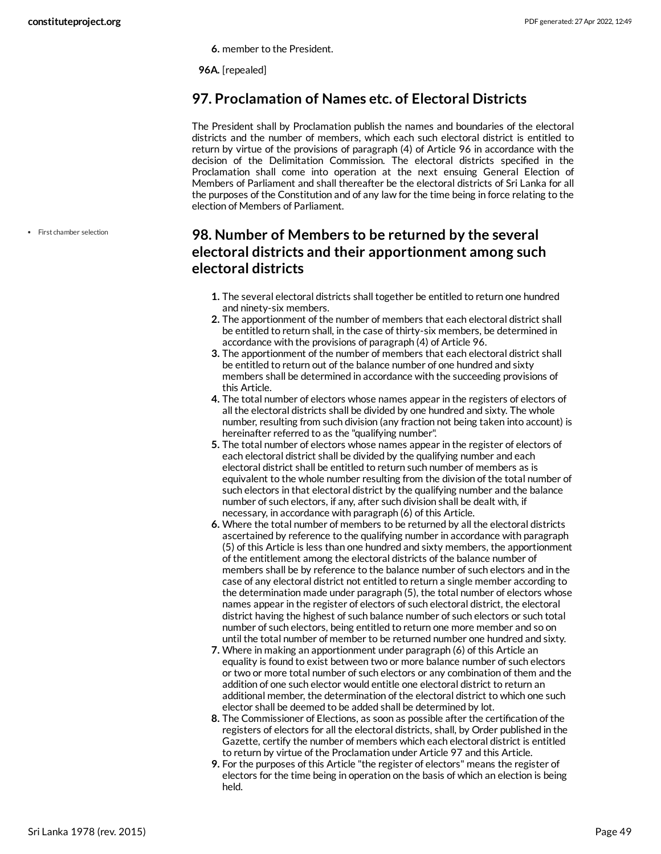**6.** member to the President.

**96A.** [repealed]

### **97. Proclamation of Names etc. of Electoral Districts**

The President shall by Proclamation publish the names and boundaries of the electoral districts and the number of members, which each such electoral district is entitled to return by virtue of the provisions of paragraph (4) of Article 96 in accordance with the decision of the Delimitation Commission. The electoral districts specified in the Proclamation shall come into operation at the next ensuing General Election of Members of Parliament and shall thereafter be the electoral districts of Sri Lanka for all the purposes of the Constitution and of any law for the time being in force relating to the election of Members of Parliament.

### **98. Number of Members to be returned by the several electoral districts and their apportionment among such electoral districts**

- **1.** The several electoral districts shall together be entitled to return one hundred and ninety-six members.
- **2.** The apportionment of the number of members that each electoral district shall be entitled to return shall, in the case of thirty-six members, be determined in accordance with the provisions of paragraph (4) of Article 96.
- **3.** The apportionment of the number of members that each electoral district shall be entitled to return out of the balance number of one hundred and sixty members shall be determined in accordance with the succeeding provisions of this Article.
- **4.** The total number of electors whose names appear in the registers of electors of all the electoral districts shall be divided by one hundred and sixty. The whole number, resulting from such division (any fraction not being taken into account) is hereinafter referred to as the "qualifying number".
- **5.** The total number of electors whose names appear in the register of electors of each electoral district shall be divided by the qualifying number and each electoral district shall be entitled to return such number of members as is equivalent to the whole number resulting from the division of the total number of such electors in that electoral district by the qualifying number and the balance number of such electors, if any, after such division shall be dealt with, if necessary, in accordance with paragraph (6) of this Article.
- **6.** Where the total number of members to be returned by all the electoral districts ascertained by reference to the qualifying number in accordance with paragraph (5) of this Article is less than one hundred and sixty members, the apportionment of the entitlement among the electoral districts of the balance number of members shall be by reference to the balance number of such electors and in the case of any electoral district not entitled to return a single member according to the determination made under paragraph (5), the total number of electors whose names appear in the register of electors of such electoral district, the electoral district having the highest of such balance number of such electors or such total number of such electors, being entitled to return one more member and so on until the total number of member to be returned number one hundred and sixty.
- **7.** Where in making an apportionment under paragraph (6) of this Article an equality is found to exist between two or more balance number of such electors or two or more total number of such electors or any combination of them and the addition of one such elector would entitle one electoral district to return an additional member, the determination of the electoral district to which one such elector shall be deemed to be added shall be determined by lot.
- **8.** The Commissioner of Elections, as soon as possible after the certification of the registers of electors for all the electoral districts, shall, by Order published in the Gazette, certify the number of members which each electoral district is entitled to return by virtue of the Proclamation under Article 97 and this Article.
- **9.** For the purposes of this Article "the register of electors" means the register of electors for the time being in operation on the basis of which an election is being held.

First chamber selection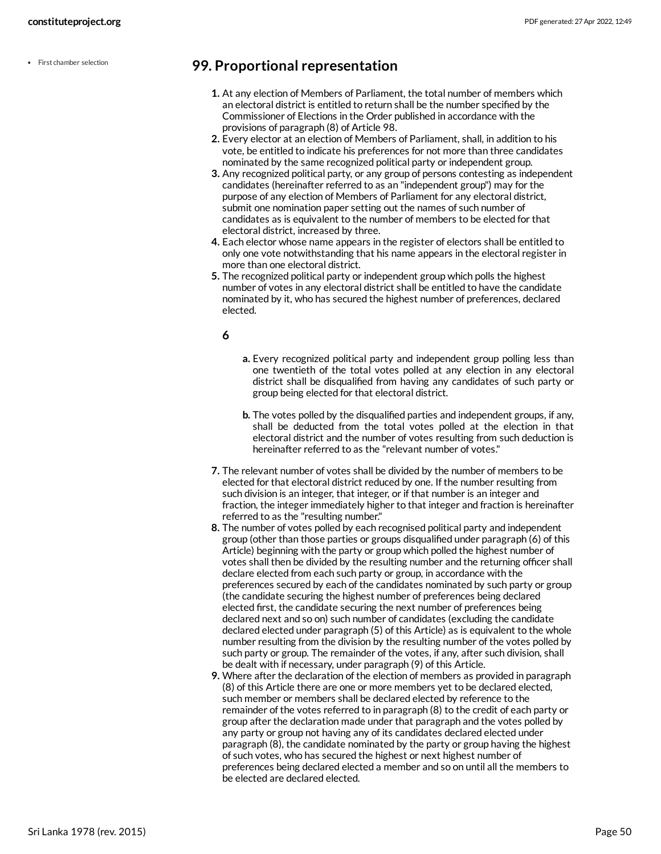First chamber selection

### **99. Proportional representation**

- **1.** At any election of Members of Parliament, the total number of members which an electoral district is entitled to return shall be the number specified by the Commissioner of Elections in the Order published in accordance with the provisions of paragraph (8) of Article 98.
- **2.** Every elector at an election of Members of Parliament, shall, in addition to his vote, be entitled to indicate his preferences for not more than three candidates nominated by the same recognized political party or independent group.
- **3.** Any recognized political party, or any group of persons contesting as independent candidates (hereinafter referred to as an "independent group") may for the purpose of any election of Members of Parliament for any electoral district, submit one nomination paper setting out the names of such number of candidates as is equivalent to the number of members to be elected for that electoral district, increased by three.
- **4.** Each elector whose name appears in the register of electors shall be entitled to only one vote notwithstanding that his name appears in the electoral register in more than one electoral district.
- **5.** The recognized political party or independent group which polls the highest number of votes in any electoral district shall be entitled to have the candidate nominated by it, who has secured the highest number of preferences, declared elected.

#### **6**

- **a.** Every recognized political party and independent group polling less than one twentieth of the total votes polled at any election in any electoral district shall be disqualified from having any candidates of such party or group being elected for that electoral district.
- **b.** The votes polled by the disqualified parties and independent groups, if any, shall be deducted from the total votes polled at the election in that electoral district and the number of votes resulting from such deduction is hereinafter referred to as the "relevant number of votes."
- **7.** The relevant number of votes shall be divided by the number of members to be elected for that electoral district reduced by one. If the number resulting from such division is an integer, that integer, or if that number is an integer and fraction, the integer immediately higher to that integer and fraction is hereinafter referred to as the "resulting number."
- **8.** The number of votes polled by each recognised political party and independent group (other than those parties or groups disqualified under paragraph (6) of this Article) beginning with the party or group which polled the highest number of votes shall then be divided by the resulting number and the returning officer shall declare elected from each such party or group, in accordance with the preferences secured by each of the candidates nominated by such party or group (the candidate securing the highest number of preferences being declared elected first, the candidate securing the next number of preferences being declared next and so on) such number of candidates (excluding the candidate declared elected under paragraph (5) of this Article) as is equivalent to the whole number resulting from the division by the resulting number of the votes polled by such party or group. The remainder of the votes, if any, after such division, shall be dealt with if necessary, under paragraph (9) of this Article.
- **9.** Where after the declaration of the election of members as provided in paragraph (8) of this Article there are one or more members yet to be declared elected, such member or members shall be declared elected by reference to the remainder of the votes referred to in paragraph (8) to the credit of each party or group after the declaration made under that paragraph and the votes polled by any party or group not having any of its candidates declared elected under paragraph (8), the candidate nominated by the party or group having the highest of such votes, who has secured the highest or next highest number of preferences being declared elected a member and so on until all the members to be elected are declared elected.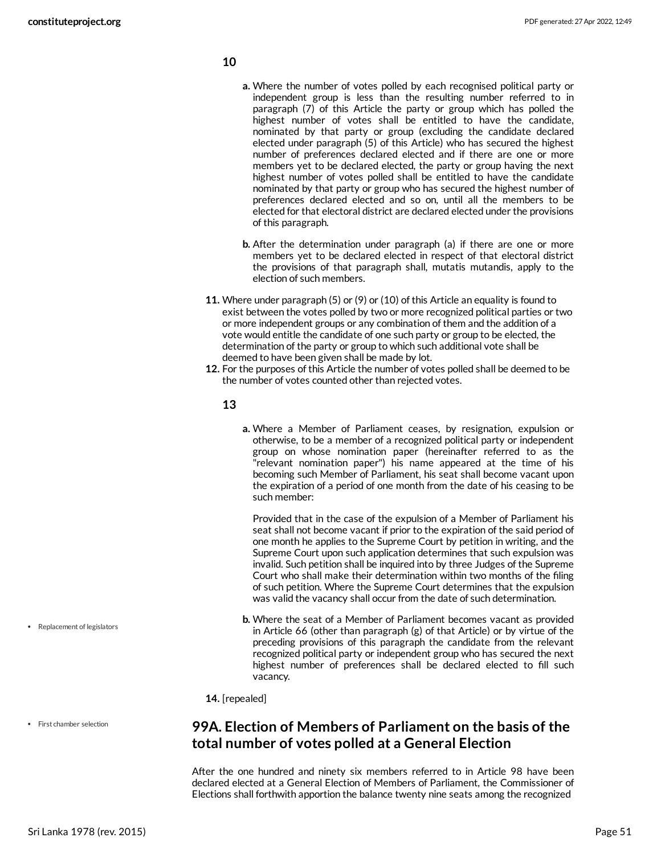**10**

- **a.** Where the number of votes polled by each recognised political party or independent group is less than the resulting number referred to in paragraph (7) of this Article the party or group which has polled the highest number of votes shall be entitled to have the candidate, nominated by that party or group (excluding the candidate declared elected under paragraph (5) of this Article) who has secured the highest number of preferences declared elected and if there are one or more members yet to be declared elected, the party or group having the next highest number of votes polled shall be entitled to have the candidate nominated by that party or group who has secured the highest number of preferences declared elected and so on, until all the members to be elected for that electoral district are declared elected under the provisions of this paragraph.
- **b.** After the determination under paragraph (a) if there are one or more members yet to be declared elected in respect of that electoral district the provisions of that paragraph shall, mutatis mutandis, apply to the election of such members.
- **11.** Where under paragraph (5) or (9) or (10) of this Article an equality is found to exist between the votes polled by two or more recognized political parties or two or more independent groups or any combination of them and the addition of a vote would entitle the candidate of one such party or group to be elected, the determination of the party or group to which such additional vote shall be deemed to have been given shall be made by lot.
- **12.** For the purposes of this Article the number of votes polled shall be deemed to be the number of votes counted other than rejected votes.

#### **13**

**a.** Where a Member of Parliament ceases, by resignation, expulsion or otherwise, to be a member of a recognized political party or independent group on whose nomination paper (hereinafter referred to as the "relevant nomination paper") his name appeared at the time of his becoming such Member of Parliament, his seat shall become vacant upon the expiration of a period of one month from the date of his ceasing to be such member:

Provided that in the case of the expulsion of a Member of Parliament his seat shall not become vacant if prior to the expiration of the said period of one month he applies to the Supreme Court by petition in writing, and the Supreme Court upon such application determines that such expulsion was invalid. Such petition shall be inquired into by three Judges of the Supreme Court who shall make their determination within two months of the filing of such petition. Where the Supreme Court determines that the expulsion was valid the vacancy shall occur from the date of such determination.

**b.** Where the seat of a Member of Parliament becomes vacant as provided in Article 66 (other than paragraph (g) of that Article) or by virtue of the preceding provisions of this paragraph the candidate from the relevant recognized political party or independent group who has secured the next highest number of preferences shall be declared elected to fill such vacancy.

#### **14.** [repealed]

First chamber selection

Replacement of legislators

### **99A. Election of Members of Parliament on the basis of the total number of votes polled at a General Election**

After the one hundred and ninety six members referred to in Article 98 have been declared elected at a General Election of Members of Parliament, the Commissioner of Elections shall forthwith apportion the balance twenty nine seats among the recognized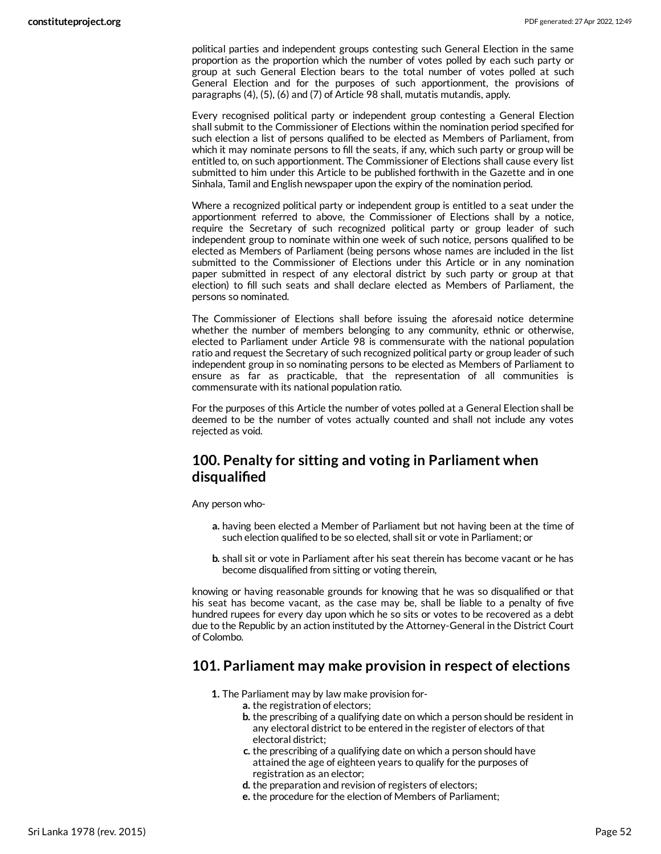political parties and independent groups contesting such General Election in the same proportion as the proportion which the number of votes polled by each such party or group at such General Election bears to the total number of votes polled at such General Election and for the purposes of such apportionment, the provisions of paragraphs (4), (5), (6) and (7) of Article 98 shall, mutatis mutandis, apply.

Every recognised political party or independent group contesting a General Election shall submit to the Commissioner of Elections within the nomination period specified for such election a list of persons qualified to be elected as Members of Parliament, from which it may nominate persons to fill the seats, if any, which such party or group will be entitled to, on such apportionment. The Commissioner of Elections shall cause every list submitted to him under this Article to be published forthwith in the Gazette and in one Sinhala, Tamil and English newspaper upon the expiry of the nomination period.

Where a recognized political party or independent group is entitled to a seat under the apportionment referred to above, the Commissioner of Elections shall by a notice, require the Secretary of such recognized political party or group leader of such independent group to nominate within one week of such notice, persons qualified to be elected as Members of Parliament (being persons whose names are included in the list submitted to the Commissioner of Elections under this Article or in any nomination paper submitted in respect of any electoral district by such party or group at that election) to fill such seats and shall declare elected as Members of Parliament, the persons so nominated.

The Commissioner of Elections shall before issuing the aforesaid notice determine whether the number of members belonging to any community, ethnic or otherwise, elected to Parliament under Article 98 is commensurate with the national population ratio and request the Secretary of such recognized political party or group leader of such independent group in so nominating persons to be elected as Members of Parliament to ensure as far as practicable, that the representation of all communities is commensurate with its national population ratio.

For the purposes of this Article the number of votes polled at a General Election shall be deemed to be the number of votes actually counted and shall not include any votes rejected as void.

### **100. Penalty for sitting and voting in Parliament when disqualified**

#### Any person who-

- **a.** having been elected a Member of Parliament but not having been at the time of such election qualified to be so elected, shall sit or vote in Parliament; or
- **b.** shall sit or vote in Parliament after his seat therein has become vacant or he has become disqualified from sitting or voting therein,

knowing or having reasonable grounds for knowing that he was so disqualified or that his seat has become vacant, as the case may be, shall be liable to a penalty of five hundred rupees for every day upon which he so sits or votes to be recovered as a debt due to the Republic by an action instituted by the Attorney-General in the District Court of Colombo.

### **101. Parliament may make provision in respect of elections**

- **1.** The Parliament may by law make provision for
	- **a.** the registration of electors;
		- **b.** the prescribing of a qualifying date on which a person should be resident in any electoral district to be entered in the register of electors of that electoral district;
		- **c.** the prescribing of a qualifying date on which a person should have attained the age of eighteen years to qualify for the purposes of registration as an elector;
		- **d.** the preparation and revision of registers of electors;
		- **e.** the procedure for the election of Members of Parliament;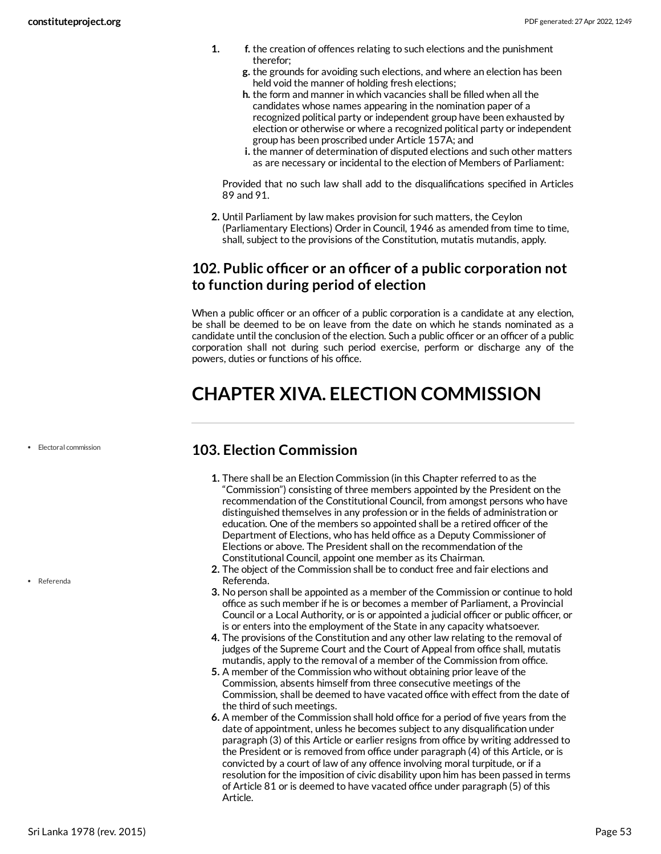- **1. f.** the creation of offences relating to such elections and the punishment therefor;
	- **g.** the grounds for avoiding such elections, and where an election has been held void the manner of holding fresh elections;
	- **h.** the form and manner in which vacancies shall be filled when all the candidates whose names appearing in the nomination paper of a recognized political party or independent group have been exhausted by election or otherwise or where a recognized political party or independent group has been proscribed under Article 157A; and
	- **i.** the manner of determination of disputed elections and such other matters as are necessary or incidental to the election of Members of Parliament:

Provided that no such law shall add to the disqualifications specified in Articles 89 and 91.

**2.** Until Parliament by law makes provision for such matters, the Ceylon (Parliamentary Elections) Order in Council, 1946 as amended from time to time, shall, subject to the provisions of the Constitution, mutatis mutandis, apply.

## **102. Public officer or an officer of a public corporation not to function during period of election**

When a public officer or an officer of a public corporation is a candidate at any election, be shall be deemed to be on leave from the date on which he stands nominated as a candidate until the conclusion of the election. Such a public officer or an officer of a public corporation shall not during such period exercise, perform or discharge any of the powers, duties or functions of his office.

# **CHAPTER XIVA. ELECTION COMMISSION**

• Electoral commission

Referenda

### **103. Election Commission**

- **1.** There shall be an Election Commission (in this Chapter referred to as the "Commission") consisting of three members appointed by the President on the recommendation of the Constitutional Council, from amongst persons who have distinguished themselves in any profession or in the fields of administration or education. One of the members so appointed shall be a retired officer of the Department of Elections, who has held office as a Deputy Commissioner of Elections or above. The President shall on the recommendation of the Constitutional Council, appoint one member as its Chairman.
- **2.** The object of the Commission shall be to conduct free and fair elections and Referenda.
- **3.** No person shall be appointed as a member of the Commission or continue to hold office as such member if he is or becomes a member of Parliament, a Provincial Council or a Local Authority, or is or appointed a judicial officer or public officer, or is or enters into the employment of the State in any capacity whatsoever.
- **4.** The provisions of the Constitution and any other law relating to the removal of judges of the Supreme Court and the Court of Appeal from office shall, mutatis mutandis, apply to the removal of a member of the Commission from office.
- **5.** A member of the Commission who without obtaining prior leave of the Commission, absents himself from three consecutive meetings of the Commission, shall be deemed to have vacated office with effect from the date of the third of such meetings.
- **6.** A member of the Commission shall hold office for a period of five years from the date of appointment, unless he becomes subject to any disqualification under paragraph (3) of this Article or earlier resigns from office by writing addressed to the President or is removed from office under paragraph (4) of this Article, or is convicted by a court of law of any offence involving moral turpitude, or if a resolution for the imposition of civic disability upon him has been passed in terms of Article 81 or is deemed to have vacated office under paragraph (5) of this Article.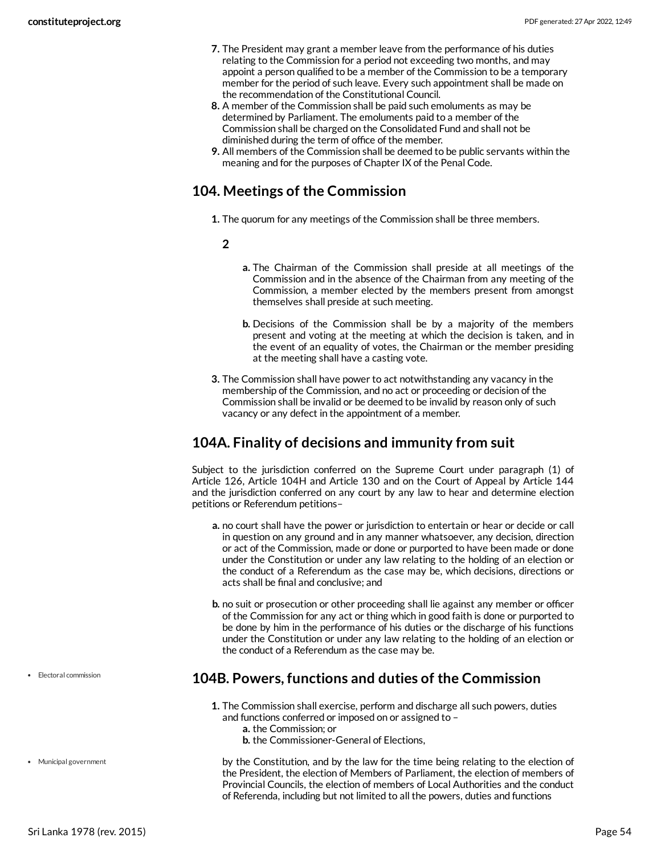- **7.** The President may grant a member leave from the performance of his duties relating to the Commission for a period not exceeding two months, and may appoint a person qualified to be a member of the Commission to be a temporary member for the period of such leave. Every such appointment shall be made on the recommendation of the Constitutional Council.
- **8.** A member of the Commission shall be paid such emoluments as may be determined by Parliament. The emoluments paid to a member of the Commission shall be charged on the Consolidated Fund and shall not be diminished during the term of office of the member.
- **9.** All members of the Commission shall be deemed to be public servants within the meaning and for the purposes of Chapter IX of the Penal Code.

### **104. Meetings of the Commission**

- **1.** The quorum for any meetings of the Commission shall be three members.
	- **2**
- **a.** The Chairman of the Commission shall preside at all meetings of the Commission and in the absence of the Chairman from any meeting of the Commission, a member elected by the members present from amongst themselves shall preside at such meeting.
- **b.** Decisions of the Commission shall be by a majority of the members present and voting at the meeting at which the decision is taken, and in the event of an equality of votes, the Chairman or the member presiding at the meeting shall have a casting vote.
- **3.** The Commission shall have power to act notwithstanding any vacancy in the membership of the Commission, and no act or proceeding or decision of the Commission shall be invalid or be deemed to be invalid by reason only of such vacancy or any defect in the appointment of a member.

## **104A. Finality of decisions and immunity from suit**

Subject to the jurisdiction conferred on the Supreme Court under paragraph (1) of Article 126, Article 104H and Article 130 and on the Court of Appeal by Article 144 and the jurisdiction conferred on any court by any law to hear and determine election petitions or Referendum petitions–

- **a.** no court shall have the power or jurisdiction to entertain or hear or decide or call in question on any ground and in any manner whatsoever, any decision, direction or act of the Commission, made or done or purported to have been made or done under the Constitution or under any law relating to the holding of an election or the conduct of a Referendum as the case may be, which decisions, directions or acts shall be final and conclusive; and
- **b.** no suit or prosecution or other proceeding shall lie against any member or officer of the Commission for any act or thing which in good faith is done or purported to be done by him in the performance of his duties or the discharge of his functions under the Constitution or under any law relating to the holding of an election or the conduct of a Referendum as the case may be.

Electoral commission

Municipal government

### **104B. Powers, functions and duties of the Commission**

- **1.** The Commission shall exercise, perform and discharge all such powers, duties and functions conferred or imposed on or assigned to –
	- **a.** the Commission; or
	- **b.** the Commissioner-General of Elections,

by the Constitution, and by the law for the time being relating to the election of the President, the election of Members of Parliament, the election of members of Provincial Councils, the election of members of Local Authorities and the conduct of Referenda, including but not limited to all the powers, duties and functions

Sri Lanka 1978 (rev. 2015) Page 54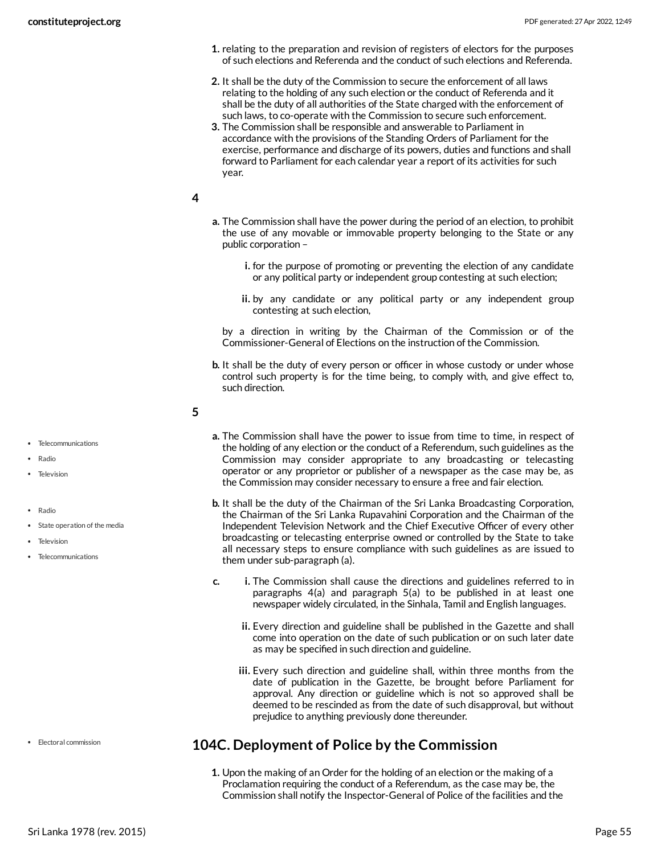- **1.** relating to the preparation and revision of registers of electors for the purposes of such elections and Referenda and the conduct of such elections and Referenda.
- **2.** It shall be the duty of the Commission to secure the enforcement of all laws relating to the holding of any such election or the conduct of Referenda and it shall be the duty of all authorities of the State charged with the enforcement of such laws, to co-operate with the Commission to secure such enforcement.
- **3.** The Commission shall be responsible and answerable to Parliament in accordance with the provisions of the Standing Orders of Parliament for the exercise, performance and discharge of its powers, duties and functions and shall forward to Parliament for each calendar year a report of its activities for such year.

#### **4**

- **a.** The Commission shall have the power during the period of an election, to prohibit the use of any movable or immovable property belonging to the State or any public corporation –
	- **i.** for the purpose of promoting or preventing the election of any candidate or any political party or independent group contesting at such election;
	- ii. by any candidate or any political party or any independent group contesting at such election,

by a direction in writing by the Chairman of the Commission or of the Commissioner-General of Elections on the instruction of the Commission.

- **b.** It shall be the duty of every person or officer in whose custody or under whose control such property is for the time being, to comply with, and give effect to, such direction.
- **5**

- **Telecommunications**
- Radio
- **•** Television
- Radio
- State operation of the media
- Television
- Telecommunications

Electoral commission

- **a.** The Commission shall have the power to issue from time to time, in respect of the holding of any election or the conduct of a Referendum, such guidelines as the Commission may consider appropriate to any broadcasting or telecasting operator or any proprietor or publisher of a newspaper as the case may be, as the Commission may consider necessary to ensure a free and fair election.
- **b.** It shall be the duty of the Chairman of the Sri Lanka Broadcasting Corporation, the Chairman of the Sri Lanka Rupavahini Corporation and the Chairman of the Independent Television Network and the Chief Executive Officer of every other broadcasting or telecasting enterprise owned or controlled by the State to take all necessary steps to ensure compliance with such guidelines as are issued to them under sub-paragraph (a).
- **c. i.** The Commission shall cause the directions and guidelines referred to in paragraphs 4(a) and paragraph 5(a) to be published in at least one newspaper widely circulated, in the Sinhala, Tamil and English languages.
	- **ii.** Every direction and guideline shall be published in the Gazette and shall come into operation on the date of such publication or on such later date as may be specified in such direction and guideline.
	- **iii.** Every such direction and guideline shall, within three months from the date of publication in the Gazette, be brought before Parliament for approval. Any direction or guideline which is not so approved shall be deemed to be rescinded as from the date of such disapproval, but without prejudice to anything previously done thereunder.

## **104C. Deployment of Police by the Commission**

**1.** Upon the making of an Order for the holding of an election or the making of a Proclamation requiring the conduct of a Referendum, as the case may be, the Commission shall notify the Inspector-General of Police of the facilities and the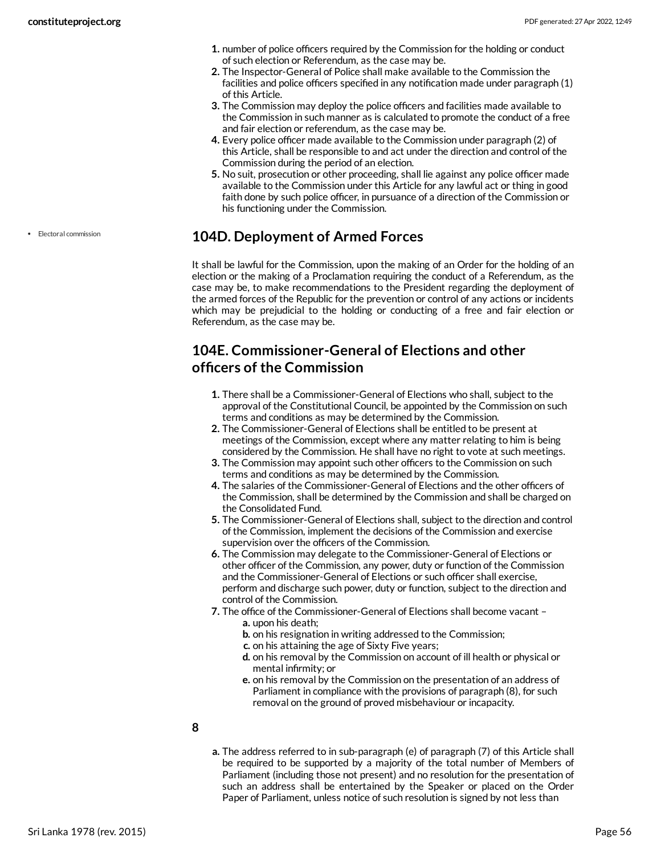- **1.** number of police officers required by the Commission for the holding or conduct of such election or Referendum, as the case may be.
- **2.** The Inspector-General of Police shall make available to the Commission the facilities and police officers specified in any notification made under paragraph (1) of this Article.
- **3.** The Commission may deploy the police officers and facilities made available to the Commission in such manner as is calculated to promote the conduct of a free and fair election or referendum, as the case may be.
- **4.** Every police officer made available to the Commission under paragraph (2) of this Article, shall be responsible to and act under the direction and control of the Commission during the period of an election.
- **5.** No suit, prosecution or other proceeding, shall lie against any police officer made available to the Commission under this Article for any lawful act or thing in good faith done by such police officer, in pursuance of a direction of the Commission or his functioning under the Commission.

### **104D. Deployment of Armed Forces**

It shall be lawful for the Commission, upon the making of an Order for the holding of an election or the making of a Proclamation requiring the conduct of a Referendum, as the case may be, to make recommendations to the President regarding the deployment of the armed forces of the Republic for the prevention or control of any actions or incidents which may be prejudicial to the holding or conducting of a free and fair election or Referendum, as the case may be.

## **104E. Commissioner-General of Elections and other officers of the Commission**

- **1.** There shall be a Commissioner-General of Elections who shall, subject to the approval of the Constitutional Council, be appointed by the Commission on such terms and conditions as may be determined by the Commission.
- **2.** The Commissioner-General of Elections shall be entitled to be present at meetings of the Commission, except where any matter relating to him is being considered by the Commission. He shall have no right to vote at such meetings.
- **3.** The Commission may appoint such other officers to the Commission on such terms and conditions as may be determined by the Commission.
- **4.** The salaries of the Commissioner-General of Elections and the other officers of the Commission, shall be determined by the Commission and shall be charged on the Consolidated Fund.
- **5.** The Commissioner-General of Elections shall, subject to the direction and control of the Commission, implement the decisions of the Commission and exercise supervision over the officers of the Commission.
- **6.** The Commission may delegate to the Commissioner-General of Elections or other officer of the Commission, any power, duty or function of the Commission and the Commissioner-General of Elections or such officer shall exercise, perform and discharge such power, duty or function, subject to the direction and control of the Commission.
- **7.** The office of the Commissioner-General of Elections shall become vacant
	- **a.** upon his death;
	- **b.** on his resignation in writing addressed to the Commission;
	- **c.** on his attaining the age of Sixty Five years;
	- **d.** on his removal by the Commission on account of ill health or physical or mental infirmity; or
	- **e.** on his removal by the Commission on the presentation of an address of Parliament in compliance with the provisions of paragraph (8), for such removal on the ground of proved misbehaviour or incapacity.

#### **8**

**a.** The address referred to in sub-paragraph (e) of paragraph (7) of this Article shall be required to be supported by a majority of the total number of Members of Parliament (including those not present) and no resolution for the presentation of such an address shall be entertained by the Speaker or placed on the Order Paper of Parliament, unless notice of such resolution is signed by not less than

• Electoral commission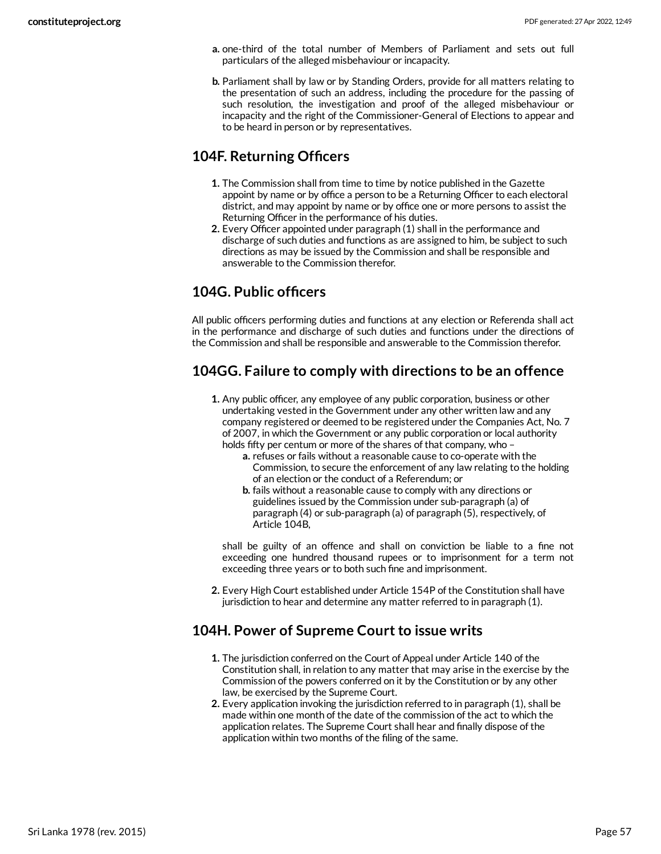- **a.** one-third of the total number of Members of Parliament and sets out full particulars of the alleged misbehaviour or incapacity.
- **b.** Parliament shall by law or by Standing Orders, provide for all matters relating to the presentation of such an address, including the procedure for the passing of such resolution, the investigation and proof of the alleged misbehaviour or incapacity and the right of the Commissioner-General of Elections to appear and to be heard in person or by representatives.

# **104F. Returning Officers**

- **1.** The Commission shall from time to time by notice published in the Gazette appoint by name or by office a person to be a Returning Officer to each electoral district, and may appoint by name or by office one or more persons to assist the Returning Officer in the performance of his duties.
- **2.** Every Officer appointed under paragraph (1) shall in the performance and discharge of such duties and functions as are assigned to him, be subject to such directions as may be issued by the Commission and shall be responsible and answerable to the Commission therefor.

# **104G. Public officers**

All public officers performing duties and functions at any election or Referenda shall act in the performance and discharge of such duties and functions under the directions of the Commission and shall be responsible and answerable to the Commission therefor.

# **104GG. Failure to comply with directions to be an offence**

- **1.** Any public officer, any employee of any public corporation, business or other undertaking vested in the Government under any other written law and any company registered or deemed to be registered under the Companies Act, No. 7 of 2007, in which the Government or any public corporation or local authority holds fifty per centum or more of the shares of that company, who –
	- **a.** refuses or fails without a reasonable cause to co-operate with the Commission, to secure the enforcement of any law relating to the holding of an election or the conduct of a Referendum; or
	- **b.** fails without a reasonable cause to comply with any directions or guidelines issued by the Commission under sub-paragraph (a) of paragraph (4) or sub-paragraph (a) of paragraph (5), respectively, of Article 104B,

shall be guilty of an offence and shall on conviction be liable to a fine not exceeding one hundred thousand rupees or to imprisonment for a term not exceeding three years or to both such fine and imprisonment.

**2.** Every High Court established under Article 154P of the Constitution shall have jurisdiction to hear and determine any matter referred to in paragraph (1).

# **104H. Power of Supreme Court to issue writs**

- **1.** The jurisdiction conferred on the Court of Appeal under Article 140 of the Constitution shall, in relation to any matter that may arise in the exercise by the Commission of the powers conferred on it by the Constitution or by any other law, be exercised by the Supreme Court.
- **2.** Every application invoking the jurisdiction referred to in paragraph (1), shall be made within one month of the date of the commission of the act to which the application relates. The Supreme Court shall hear and finally dispose of the application within two months of the filing of the same.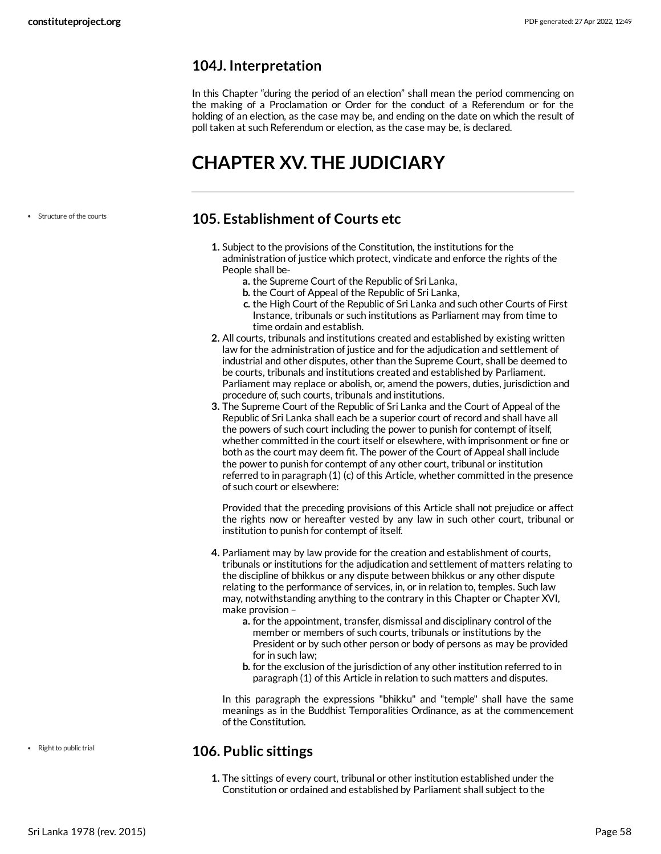### **104J. Interpretation**

In this Chapter "during the period of an election" shall mean the period commencing on the making of a Proclamation or Order for the conduct of a Referendum or for the holding of an election, as the case may be, and ending on the date on which the result of poll taken at such Referendum or election, as the case may be, is declared.

# **CHAPTER XV. THE JUDICIARY**

Structure of the courts

### **105. Establishment of Courts etc**

- **1.** Subject to the provisions of the Constitution, the institutions for the administration of justice which protect, vindicate and enforce the rights of the People shall be
	- **a.** the Supreme Court of the Republic of Sri Lanka,
	- **b.** the Court of Appeal of the Republic of Sri Lanka,
	- **c.** the High Court of the Republic of Sri Lanka and such other Courts of First Instance, tribunals or such institutions as Parliament may from time to time ordain and establish.
- **2.** All courts, tribunals and institutions created and established by existing written law for the administration of justice and for the adjudication and settlement of industrial and other disputes, other than the Supreme Court, shall be deemed to be courts, tribunals and institutions created and established by Parliament. Parliament may replace or abolish, or, amend the powers, duties, jurisdiction and procedure of, such courts, tribunals and institutions.
- **3.** The Supreme Court of the Republic of Sri Lanka and the Court of Appeal of the Republic of Sri Lanka shall each be a superior court of record and shall have all the powers of such court including the power to punish for contempt of itself, whether committed in the court itself or elsewhere, with imprisonment or fine or both as the court may deem fit. The power of the Court of Appeal shall include the power to punish for contempt of any other court, tribunal or institution referred to in paragraph (1) (c) of this Article, whether committed in the presence of such court or elsewhere:

Provided that the preceding provisions of this Article shall not prejudice or affect the rights now or hereafter vested by any law in such other court, tribunal or institution to punish for contempt of itself.

- **4.** Parliament may by law provide for the creation and establishment of courts, tribunals or institutions for the adjudication and settlement of matters relating to the discipline of bhikkus or any dispute between bhikkus or any other dispute relating to the performance of services, in, or in relation to, temples. Such law may, notwithstanding anything to the contrary in this Chapter or Chapter XVI, make provision –
	- **a.** for the appointment, transfer, dismissal and disciplinary control of the member or members of such courts, tribunals or institutions by the President or by such other person or body of persons as may be provided for in such law;
	- **b.** for the exclusion of the jurisdiction of any other institution referred to in paragraph (1) of this Article in relation to such matters and disputes.

In this paragraph the expressions "bhikku" and "temple" shall have the same meanings as in the Buddhist Temporalities Ordinance, as at the commencement of the Constitution.

### **106. Public sittings**

**1.** The sittings of every court, tribunal or other institution established under the Constitution or ordained and established by Parliament shall subject to the

• Right to public trial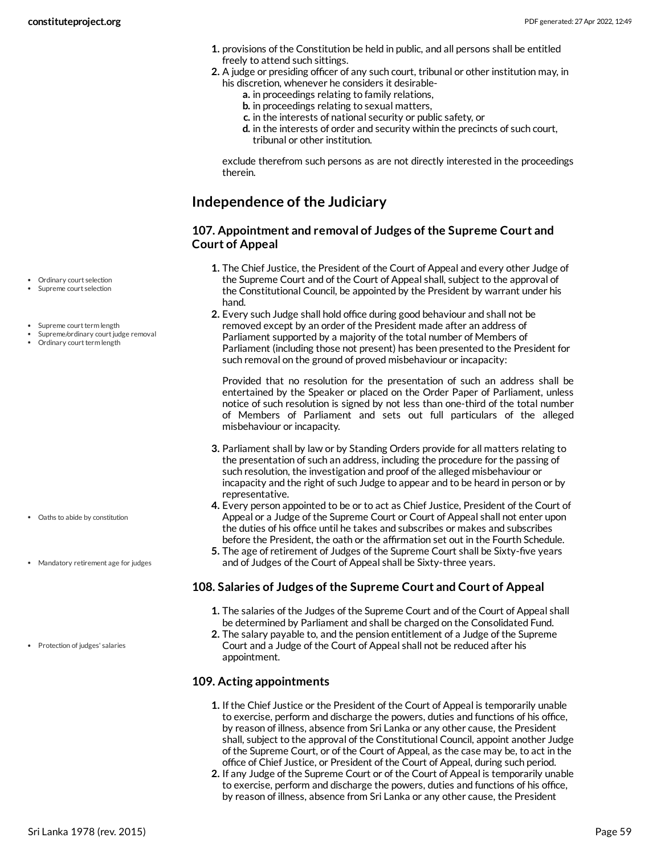- **1.** provisions of the Constitution be held in public, and all persons shall be entitled freely to attend such sittings.
- **2.** A judge or presiding officer of any such court, tribunal or other institution may, in his discretion, whenever he considers it desirable
	- **a.** in proceedings relating to family relations,
	- **b.** in proceedings relating to sexual matters,
	- **c.** in the interests of national security or public safety, or
	- **d.** in the interests of order and security within the precincts of such court,
	- tribunal or other institution.

exclude therefrom such persons as are not directly interested in the proceedings therein.

## **Independence of the Judiciary**

#### **107. Appointment and removal of Judges of the Supreme Court and Court of Appeal**

- **1.** The Chief Justice, the President of the Court of Appeal and every other Judge of the Supreme Court and of the Court of Appeal shall, subject to the approval of the Constitutional Council, be appointed by the President by warrant under his hand.
- **2.** Every such Judge shall hold office during good behaviour and shall not be removed except by an order of the President made after an address of Parliament supported by a majority of the total number of Members of Parliament (including those not present) has been presented to the President for such removal on the ground of proved misbehaviour or incapacity:

Provided that no resolution for the presentation of such an address shall be entertained by the Speaker or placed on the Order Paper of Parliament, unless notice of such resolution is signed by not less than one-third of the total number of Members of Parliament and sets out full particulars of the alleged misbehaviour or incapacity.

- **3.** Parliament shall by law or by Standing Orders provide for all matters relating to the presentation of such an address, including the procedure for the passing of such resolution, the investigation and proof of the alleged misbehaviour or incapacity and the right of such Judge to appear and to be heard in person or by representative.
- **4.** Every person appointed to be or to act as Chief Justice, President of the Court of Appeal or a Judge of the Supreme Court or Court of Appeal shall not enter upon the duties of his office until he takes and subscribes or makes and subscribes before the President, the oath or the affirmation set out in the Fourth Schedule.
- **5.** The age of retirement of Judges of the Supreme Court shall be Sixty-five years and of Judges of the Court of Appeal shall be Sixty-three years.

### **108. Salaries of Judges of the Supreme Court and Court of Appeal**

- **1.** The salaries of the Judges of the Supreme Court and of the Court of Appeal shall be determined by Parliament and shall be charged on the Consolidated Fund.
- **2.** The salary payable to, and the pension entitlement of a Judge of the Supreme Court and a Judge of the Court of Appeal shall not be reduced after his appointment.

### **109. Acting appointments**

- **1.** If the Chief Justice or the President of the Court of Appeal is temporarily unable to exercise, perform and discharge the powers, duties and functions of his office, by reason of illness, absence from Sri Lanka or any other cause, the President shall, subject to the approval of the Constitutional Council, appoint another Judge of the Supreme Court, or of the Court of Appeal, as the case may be, to act in the office of Chief Justice, or President of the Court of Appeal, during such period.
- **2.** If any Judge of the Supreme Court or of the Court of Appeal is temporarily unable to exercise, perform and discharge the powers, duties and functions of his office, by reason of illness, absence from Sri Lanka or any other cause, the President
- Ordinary court selection Supreme court selection
- 
- Supreme court term length
- Supreme/ordinary court judge removal • Ordinary court term length

- Oaths to abide by constitution
- Mandatory retirement age for judges
- Protection of judges' salaries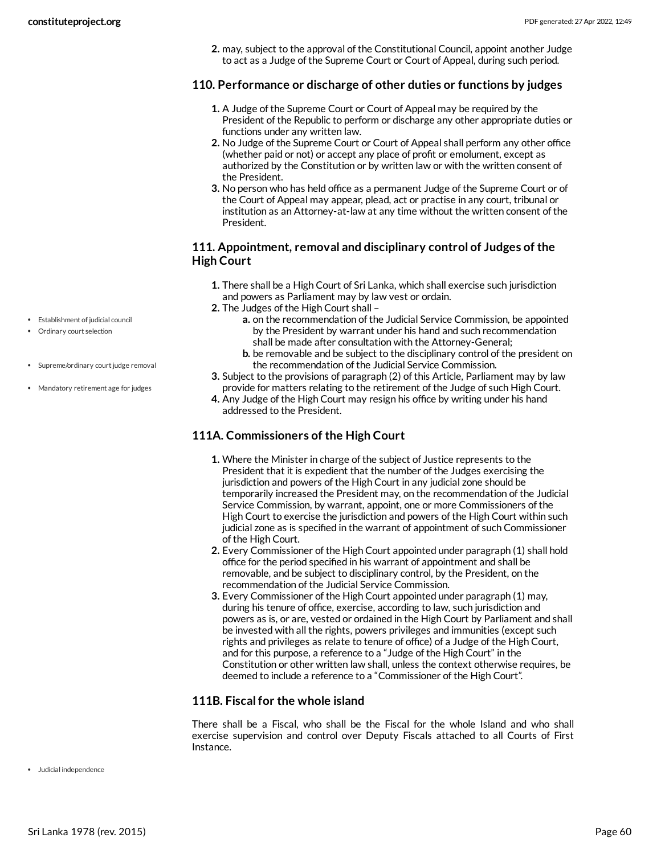**2.** may, subject to the approval of the Constitutional Council, appoint another Judge to act as a Judge of the Supreme Court or Court of Appeal, during such period.

#### **110. Performance or discharge of other duties or functions by judges**

- **1.** A Judge of the Supreme Court or Court of Appeal may be required by the President of the Republic to perform or discharge any other appropriate duties or functions under any written law.
- **2.** No Judge of the Supreme Court or Court of Appeal shall perform any other office (whether paid or not) or accept any place of profit or emolument, except as authorized by the Constitution or by written law or with the written consent of the President.
- **3.** No person who has held office as a permanent Judge of the Supreme Court or of the Court of Appeal may appear, plead, act or practise in any court, tribunal or institution as an Attorney-at-law at any time without the written consent of the President.

#### **111. Appointment, removal and disciplinary control of Judges of the High Court**

- **1.** There shall be a High Court of Sri Lanka, which shall exercise such jurisdiction and powers as Parliament may by law vest or ordain.
- **2.** The Judges of the High Court shall
	- **a.** on the recommendation of the Judicial Service Commission, be appointed by the President by warrant under his hand and such recommendation shall be made after consultation with the Attorney-General;
	- **b.** be removable and be subject to the disciplinary control of the president on the recommendation of the Judicial Service Commission.
- **3.** Subject to the provisions of paragraph (2) of this Article, Parliament may by law provide for matters relating to the retirement of the Judge of such High Court.
- **4.** Any Judge of the High Court may resign his office by writing under his hand addressed to the President.

### **111A. Commissioners of the High Court**

- **1.** Where the Minister in charge of the subject of Justice represents to the President that it is expedient that the number of the Judges exercising the jurisdiction and powers of the High Court in any judicial zone should be temporarily increased the President may, on the recommendation of the Judicial Service Commission, by warrant, appoint, one or more Commissioners of the High Court to exercise the jurisdiction and powers of the High Court within such judicial zone as is specified in the warrant of appointment of such Commissioner of the High Court.
- **2.** Every Commissioner of the High Court appointed under paragraph (1) shall hold office for the period specified in his warrant of appointment and shall be removable, and be subject to disciplinary control, by the President, on the recommendation of the Judicial Service Commission.
- **3.** Every Commissioner of the High Court appointed under paragraph (1) may, during his tenure of office, exercise, according to law, such jurisdiction and powers as is, or are, vested or ordained in the High Court by Parliament and shall be invested with all the rights, powers privileges and immunities (except such rights and privileges as relate to tenure of office) of a Judge of the High Court, and for this purpose, a reference to a "Judge of the High Court" in the Constitution or other written law shall, unless the context otherwise requires, be deemed to include a reference to a "Commissioner of the High Court".

### **111B. Fiscal for the whole island**

There shall be a Fiscal, who shall be the Fiscal for the whole Island and who shall exercise supervision and control over Deputy Fiscals attached to all Courts of First Instance.

Judicial independence

- Establishment of judicial council
- Ordinary court selection
- Supreme/ordinary court judge removal
- Mandatory retirement age for judges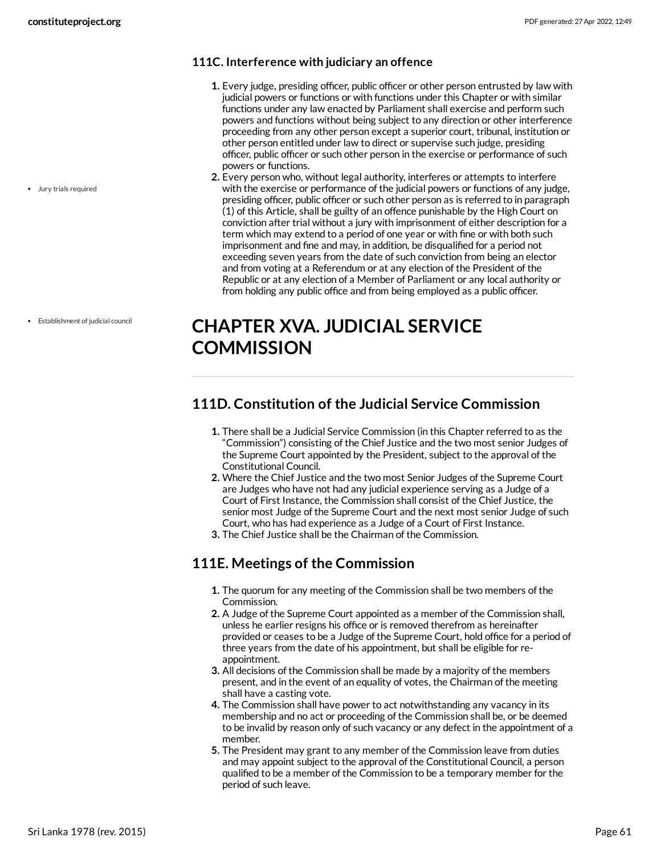Jury trials required

**111C. Interference with judiciary an offence**

- **1.** Every judge, presiding officer, public officer or other person entrusted by law with judicial powers or functions or with functions under this Chapter or with similar functions under any law enacted by Parliament shall exercise and perform such powers and functions without being subject to any direction or other interference proceeding from any other person except a superior court, tribunal, institution or other person entitled under law to direct or supervise such judge, presiding officer, public officer or such other person in the exercise or performance of such powers or functions.
- **2.** Every person who, without legal authority, interferes or attempts to interfere with the exercise or performance of the judicial powers or functions of any judge, presiding officer, public officer or such other person as is referred to in paragraph (1) of this Article, shall be guilty of an offence punishable by the High Court on conviction after trial without a jury with imprisonment of either description for a term which may extend to a period of one year or with fine or with both such imprisonment and fine and may, in addition, be disqualified for a period not exceeding seven years from the date of such conviction from being an elector and from voting at a Referendum or at any election of the President of the Republic or at any election of a Member of Parliament or any local authority or from holding any public office and from being employed as a public officer.

#### Establishment of judicial council

# **CHAPTER XVA. JUDICIAL SERVICE COMMISSION**

# **111D. Constitution of the Judicial Service Commission**

- **1.** There shall be a Judicial Service Commission (in this Chapter referred to as the "Commission") consisting of the Chief Justice and the two most senior Judges of the Supreme Court appointed by the President, subject to the approval of the Constitutional Council.
- **2.** Where the Chief Justice and the two most Senior Judges of the Supreme Court are Judges who have not had any judicial experience serving as a Judge of a Court of First Instance, the Commission shall consist of the Chief Justice, the senior most Judge of the Supreme Court and the next most senior Judge of such Court, who has had experience as a Judge of a Court of First Instance.
- **3.** The Chief Justice shall be the Chairman of the Commission.

# **111E. Meetings of the Commission**

- **1.** The quorum for any meeting of the Commission shall be two members of the Commission.
- **2.** A Judge of the Supreme Court appointed as a member of the Commission shall, unless he earlier resigns his office or is removed therefrom as hereinafter provided or ceases to be a Judge of the Supreme Court, hold office for a period of three years from the date of his appointment, but shall be eligible for reappointment.
- **3.** All decisions of the Commission shall be made by a majority of the members present, and in the event of an equality of votes, the Chairman of the meeting shall have a casting vote.
- **4.** The Commission shall have power to act notwithstanding any vacancy in its membership and no act or proceeding of the Commission shall be, or be deemed to be invalid by reason only of such vacancy or any defect in the appointment of a member.
- **5.** The President may grant to any member of the Commission leave from duties and may appoint subject to the approval of the Constitutional Council, a person qualified to be a member of the Commission to be a temporary member for the period of such leave.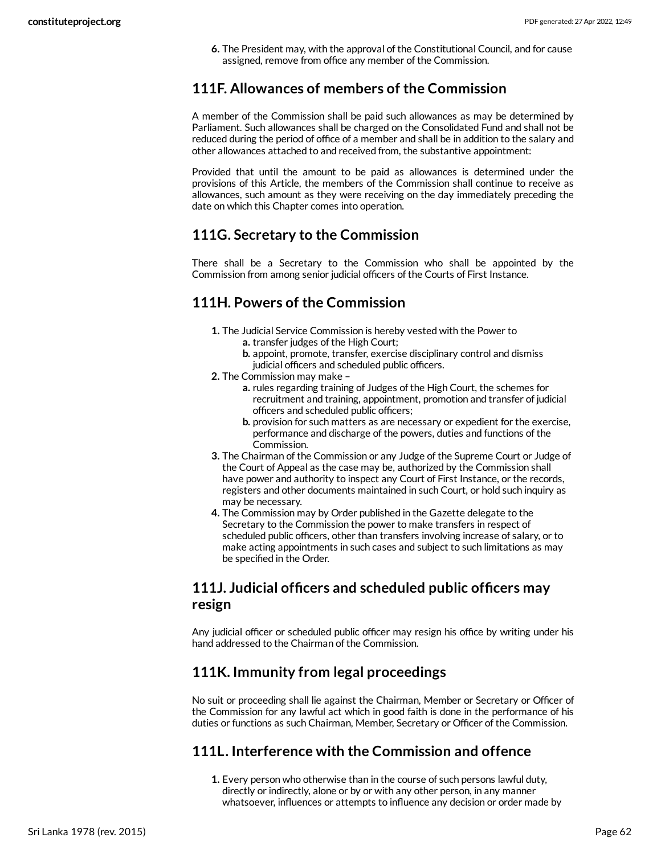**6.** The President may, with the approval of the Constitutional Council, and for cause assigned, remove from office any member of the Commission.

### **111F. Allowances of members of the Commission**

A member of the Commission shall be paid such allowances as may be determined by Parliament. Such allowances shall be charged on the Consolidated Fund and shall not be reduced during the period of office of a member and shall be in addition to the salary and other allowances attached to and received from, the substantive appointment:

Provided that until the amount to be paid as allowances is determined under the provisions of this Article, the members of the Commission shall continue to receive as allowances, such amount as they were receiving on the day immediately preceding the date on which this Chapter comes into operation.

## **111G. Secretary to the Commission**

There shall be a Secretary to the Commission who shall be appointed by the Commission from among senior judicial officers of the Courts of First Instance.

### **111H. Powers of the Commission**

- **1.** The Judicial Service Commission is hereby vested with the Power to
	- **a.** transfer judges of the High Court;
	- **b.** appoint, promote, transfer, exercise disciplinary control and dismiss judicial officers and scheduled public officers.
- **2.** The Commission may make
	- **a.** rules regarding training of Judges of the High Court, the schemes for recruitment and training, appointment, promotion and transfer of judicial officers and scheduled public officers;
	- **b.** provision for such matters as are necessary or expedient for the exercise, performance and discharge of the powers, duties and functions of the Commission.
- **3.** The Chairman of the Commission or any Judge of the Supreme Court or Judge of the Court of Appeal as the case may be, authorized by the Commission shall have power and authority to inspect any Court of First Instance, or the records, registers and other documents maintained in such Court, or hold such inquiry as may be necessary.
- **4.** The Commission may by Order published in the Gazette delegate to the Secretary to the Commission the power to make transfers in respect of scheduled public officers, other than transfers involving increase of salary, or to make acting appointments in such cases and subject to such limitations as may be specified in the Order.

# **111J. Judicial officers and scheduled public officers may resign**

Any judicial officer or scheduled public officer may resign his office by writing under his hand addressed to the Chairman of the Commission.

# **111K. Immunity from legal proceedings**

No suit or proceeding shall lie against the Chairman, Member or Secretary or Officer of the Commission for any lawful act which in good faith is done in the performance of his duties or functions as such Chairman, Member, Secretary or Officer of the Commission.

## **111L. Interference with the Commission and offence**

**1.** Every person who otherwise than in the course of such persons lawful duty, directly or indirectly, alone or by or with any other person, in any manner whatsoever, influences or attempts to influence any decision or order made by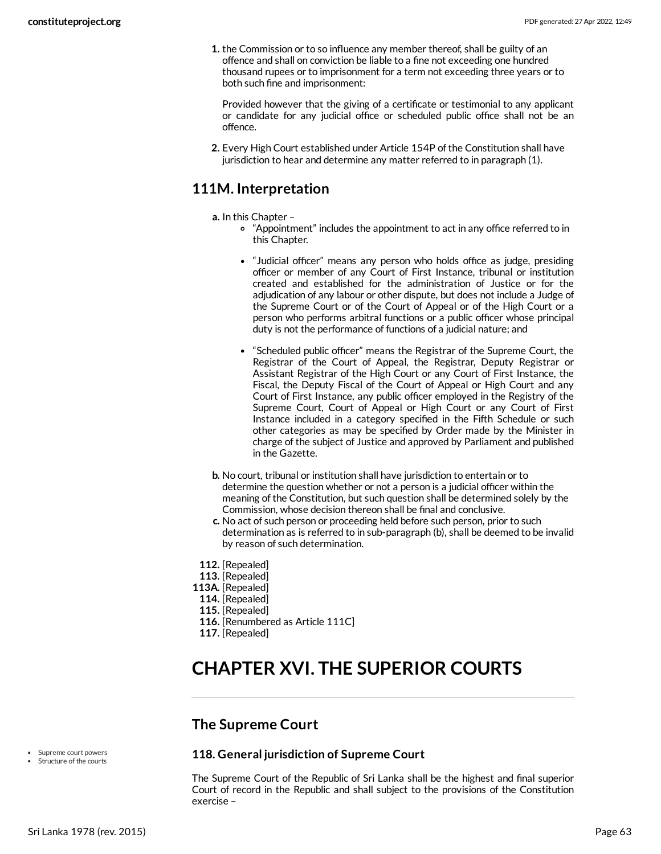**1.** the Commission or to so influence any member thereof, shall be guilty of an offence and shall on conviction be liable to a fine not exceeding one hundred thousand rupees or to imprisonment for a term not exceeding three years or to both such fine and imprisonment:

Provided however that the giving of a certificate or testimonial to any applicant or candidate for any judicial office or scheduled public office shall not be an offence.

**2.** Every High Court established under Article 154P of the Constitution shall have jurisdiction to hear and determine any matter referred to in paragraph (1).

## **111M. Interpretation**

**a.** In this Chapter –

- "Appointment" includes the appointment to act in any office referred to in this Chapter.
- "Judicial officer" means any person who holds office as judge, presiding officer or member of any Court of First Instance, tribunal or institution created and established for the administration of Justice or for the adjudication of any labour or other dispute, but does not include a Judge of the Supreme Court or of the Court of Appeal or of the High Court or a person who performs arbitral functions or a public officer whose principal duty is not the performance of functions of a judicial nature; and
- "Scheduled public officer" means the Registrar of the Supreme Court, the Registrar of the Court of Appeal, the Registrar, Deputy Registrar or Assistant Registrar of the High Court or any Court of First Instance, the Fiscal, the Deputy Fiscal of the Court of Appeal or High Court and any Court of First Instance, any public officer employed in the Registry of the Supreme Court, Court of Appeal or High Court or any Court of First Instance included in a category specified in the Fifth Schedule or such other categories as may be specified by Order made by the Minister in charge of the subject of Justice and approved by Parliament and published in the Gazette.
- **b.** No court, tribunal or institution shall have jurisdiction to entertain or to determine the question whether or not a person is a judicial officer within the meaning of the Constitution, but such question shall be determined solely by the Commission, whose decision thereon shall be final and conclusive.
- **c.** No act of such person or proceeding held before such person, prior to such determination as is referred to in sub-paragraph (b), shall be deemed to be invalid by reason of such determination.
- **112.** [Repealed]
- **113.** [Repealed]
- **113A.** [Repealed]
- **114.** [Repealed]
- **115.** [Repealed]
- **116.** [Renumbered as Article 111C]
- **117.** [Repealed]

# **CHAPTER XVI. THE SUPERIOR COURTS**

### **The Supreme Court**

Supreme court powers Structure of the courts

#### **118. General jurisdiction of Supreme Court**

The Supreme Court of the Republic of Sri Lanka shall be the highest and final superior Court of record in the Republic and shall subject to the provisions of the Constitution exercise –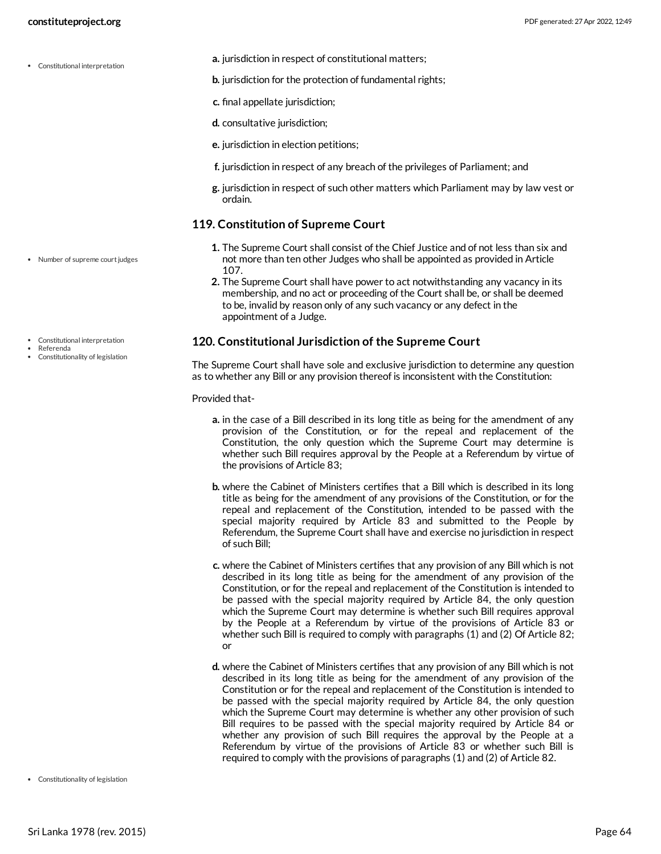Constitutional interpretation

• Number of supreme court judges

Constitutional interpretation

Constitutionality of legislation

Referenda

- **a.** jurisdiction in respect of constitutional matters;
- **b.** jurisdiction for the protection of fundamental rights;
- **c.** final appellate jurisdiction;
- **d.** consultative jurisdiction;
- **e.** jurisdiction in election petitions;
- **f.** jurisdiction in respect of any breach of the privileges of Parliament; and
- **g.** jurisdiction in respect of such other matters which Parliament may by law vest or ordain.

#### **119. Constitution of Supreme Court**

- **1.** The Supreme Court shall consist of the Chief Justice and of not less than six and not more than ten other Judges who shall be appointed as provided in Article 107.
- **2.** The Supreme Court shall have power to act notwithstanding any vacancy in its membership, and no act or proceeding of the Court shall be, or shall be deemed to be, invalid by reason only of any such vacancy or any defect in the appointment of a Judge.

#### **120. Constitutional Jurisdiction of the Supreme Court**

The Supreme Court shall have sole and exclusive jurisdiction to determine any question as to whether any Bill or any provision thereof is inconsistent with the Constitution:

#### Provided that-

- **a.** in the case of a Bill described in its long title as being for the amendment of any provision of the Constitution, or for the repeal and replacement of the Constitution, the only question which the Supreme Court may determine is whether such Bill requires approval by the People at a Referendum by virtue of the provisions of Article 83;
- **b.** where the Cabinet of Ministers certifies that a Bill which is described in its long title as being for the amendment of any provisions of the Constitution, or for the repeal and replacement of the Constitution, intended to be passed with the special majority required by Article 83 and submitted to the People by Referendum, the Supreme Court shall have and exercise no jurisdiction in respect of such Bill;
- **c.** where the Cabinet of Ministers certifies that any provision of any Bill which is not described in its long title as being for the amendment of any provision of the Constitution, or for the repeal and replacement of the Constitution is intended to be passed with the special majority required by Article 84, the only question which the Supreme Court may determine is whether such Bill requires approval by the People at a Referendum by virtue of the provisions of Article 83 or whether such Bill is required to comply with paragraphs (1) and (2) Of Article 82; or
- **d.** where the Cabinet of Ministers certifies that any provision of any Bill which is not described in its long title as being for the amendment of any provision of the Constitution or for the repeal and replacement of the Constitution is intended to be passed with the special majority required by Article 84, the only question which the Supreme Court may determine is whether any other provision of such Bill requires to be passed with the special majority required by Article 84 or whether any provision of such Bill requires the approval by the People at a Referendum by virtue of the provisions of Article 83 or whether such Bill is required to comply with the provisions of paragraphs (1) and (2) of Article 82.

Constitutionality of legislation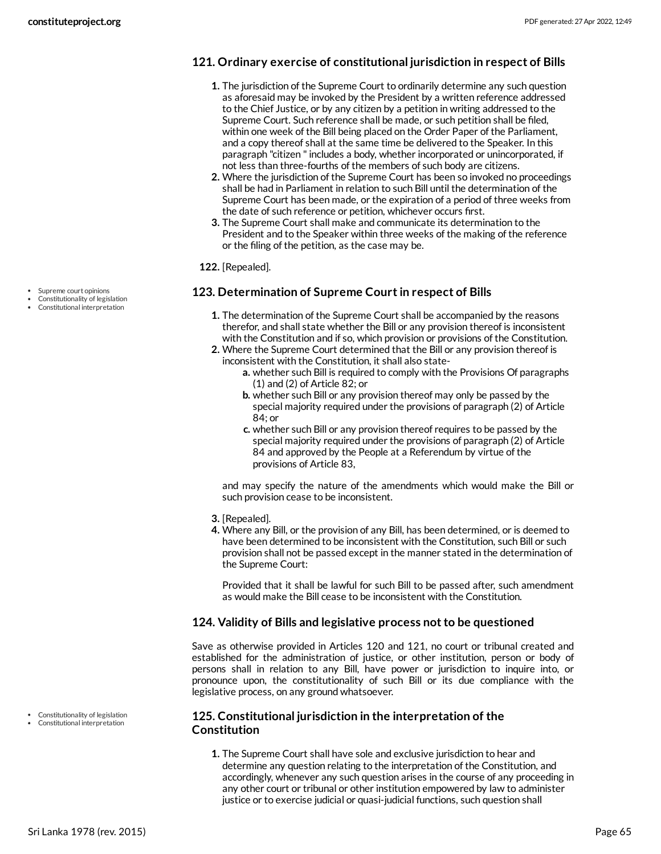#### **121. Ordinary exercise of constitutional jurisdiction in respect of Bills**

- **1.** The jurisdiction of the Supreme Court to ordinarily determine any such question as aforesaid may be invoked by the President by a written reference addressed to the Chief Justice, or by any citizen by a petition in writing addressed to the Supreme Court. Such reference shall be made, or such petition shall be filed, within one week of the Bill being placed on the Order Paper of the Parliament, and a copy thereof shall at the same time be delivered to the Speaker. In this paragraph "citizen " includes a body, whether incorporated or unincorporated, if not less than three-fourths of the members of such body are citizens.
- **2.** Where the jurisdiction of the Supreme Court has been so invoked no proceedings shall be had in Parliament in relation to such Bill until the determination of the Supreme Court has been made, or the expiration of a period of three weeks from the date of such reference or petition, whichever occurs first.
- **3.** The Supreme Court shall make and communicate its determination to the President and to the Speaker within three weeks of the making of the reference or the filing of the petition, as the case may be.

#### **122.** [Repealed].

#### **123. Determination of Supreme Courtin respect of Bills**

Constitutionality of legislation Constitutional interpretation

Supreme court opinions

- **1.** The determination of the Supreme Court shall be accompanied by the reasons therefor, and shall state whether the Bill or any provision thereof is inconsistent with the Constitution and if so, which provision or provisions of the Constitution.
- **2.** Where the Supreme Court determined that the Bill or any provision thereof is inconsistent with the Constitution, it shall also state
	- **a.** whether such Bill is required to comply with the Provisions Of paragraphs (1) and (2) of Article 82; or
	- **b.** whether such Bill or any provision thereof may only be passed by the special majority required under the provisions of paragraph (2) of Article 84; or
	- **c.** whether such Bill or any provision thereof requires to be passed by the special majority required under the provisions of paragraph (2) of Article 84 and approved by the People at a Referendum by virtue of the provisions of Article 83,

and may specify the nature of the amendments which would make the Bill or such provision cease to be inconsistent.

- **3.** [Repealed].
- **4.** Where any Bill, or the provision of any Bill, has been determined, or is deemed to have been determined to be inconsistent with the Constitution, such Bill or such provision shall not be passed except in the manner stated in the determination of the Supreme Court:

Provided that it shall be lawful for such Bill to be passed after, such amendment as would make the Bill cease to be inconsistent with the Constitution.

#### **124. Validity of Bills and legislative process notto be questioned**

Save as otherwise provided in Articles 120 and 121, no court or tribunal created and established for the administration of justice, or other institution, person or body of persons shall in relation to any Bill, have power or jurisdiction to inquire into, or pronounce upon, the constitutionality of such Bill or its due compliance with the legislative process, on any ground whatsoever.

#### **125. Constitutional jurisdiction in the interpretation of the Constitution**

**1.** The Supreme Court shall have sole and exclusive jurisdiction to hear and determine any question relating to the interpretation of the Constitution, and accordingly, whenever any such question arises in the course of any proceeding in any other court or tribunal or other institution empowered by law to administer justice or to exercise judicial or quasi-judicial functions, such question shall

Constitutionality of legislation

Constitutional interpretation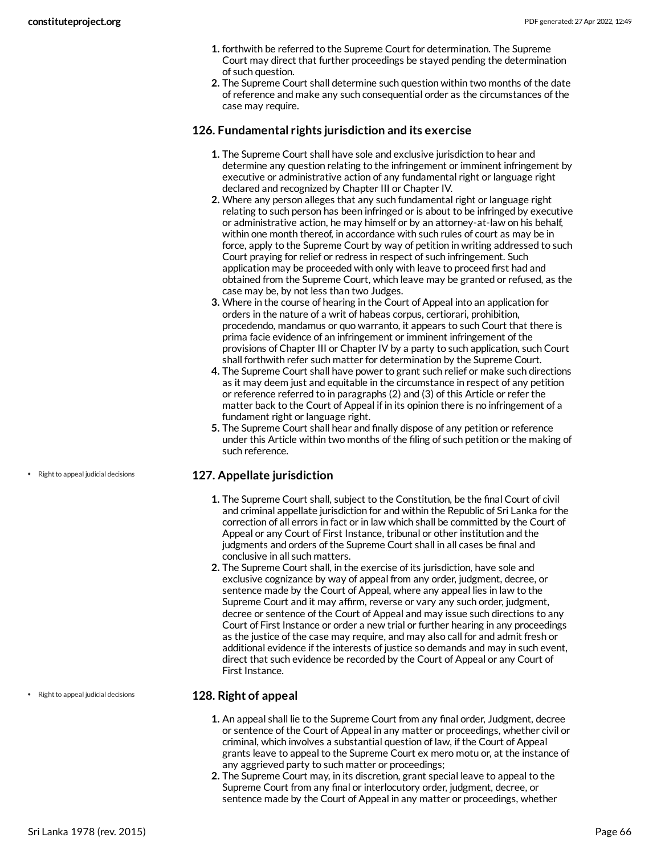- **1.** forthwith be referred to the Supreme Court for determination. The Supreme Court may direct that further proceedings be stayed pending the determination of such question.
- **2.** The Supreme Court shall determine such question within two months of the date of reference and make any such consequential order as the circumstances of the case may require.

### **126. Fundamental rights jurisdiction and its exercise**

- **1.** The Supreme Court shall have sole and exclusive jurisdiction to hear and determine any question relating to the infringement or imminent infringement by executive or administrative action of any fundamental right or language right declared and recognized by Chapter III or Chapter IV.
- **2.** Where any person alleges that any such fundamental right or language right relating to such person has been infringed or is about to be infringed by executive or administrative action, he may himself or by an attorney-at-law on his behalf, within one month thereof, in accordance with such rules of court as may be in force, apply to the Supreme Court by way of petition in writing addressed to such Court praying for relief or redress in respect of such infringement. Such application may be proceeded with only with leave to proceed first had and obtained from the Supreme Court, which leave may be granted or refused, as the case may be, by not less than two Judges.
- **3.** Where in the course of hearing in the Court of Appeal into an application for orders in the nature of a writ of habeas corpus, certiorari, prohibition, procedendo, mandamus or quo warranto, it appears to such Court that there is prima facie evidence of an infringement or imminent infringement of the provisions of Chapter III or Chapter IV by a party to such application, such Court shall forthwith refer such matter for determination by the Supreme Court.
- **4.** The Supreme Court shall have power to grant such relief or make such directions as it may deem just and equitable in the circumstance in respect of any petition or reference referred to in paragraphs (2) and (3) of this Article or refer the matter back to the Court of Appeal if in its opinion there is no infringement of a fundament right or language right.
- **5.** The Supreme Court shall hear and finally dispose of any petition or reference under this Article within two months of the filing of such petition or the making of such reference.

### **127. Appellate jurisdiction**

- **1.** The Supreme Court shall, subject to the Constitution, be the final Court of civil and criminal appellate jurisdiction for and within the Republic of Sri Lanka for the correction of all errors in fact or in law which shall be committed by the Court of Appeal or any Court of First Instance, tribunal or other institution and the judgments and orders of the Supreme Court shall in all cases be final and conclusive in all such matters.
- **2.** The Supreme Court shall, in the exercise of its jurisdiction, have sole and exclusive cognizance by way of appeal from any order, judgment, decree, or sentence made by the Court of Appeal, where any appeal lies in law to the Supreme Court and it may affirm, reverse or vary any such order, judgment, decree or sentence of the Court of Appeal and may issue such directions to any Court of First Instance or order a new trial or further hearing in any proceedings as the justice of the case may require, and may also call for and admit fresh or additional evidence if the interests of justice so demands and may in such event, direct that such evidence be recorded by the Court of Appeal or any Court of First Instance.

### **128. Right of appeal**

- **1.** An appeal shall lie to the Supreme Court from any final order, Judgment, decree or sentence of the Court of Appeal in any matter or proceedings, whether civil or criminal, which involves a substantial question of law, if the Court of Appeal grants leave to appeal to the Supreme Court ex mero motu or, at the instance of any aggrieved party to such matter or proceedings;
- **2.** The Supreme Court may, in its discretion, grant special leave to appeal to the Supreme Court from any final or interlocutory order, judgment, decree, or sentence made by the Court of Appeal in any matter or proceedings, whether

 $\cdot$  Right to appeal judicial decisions

• Right to appeal judicial decisions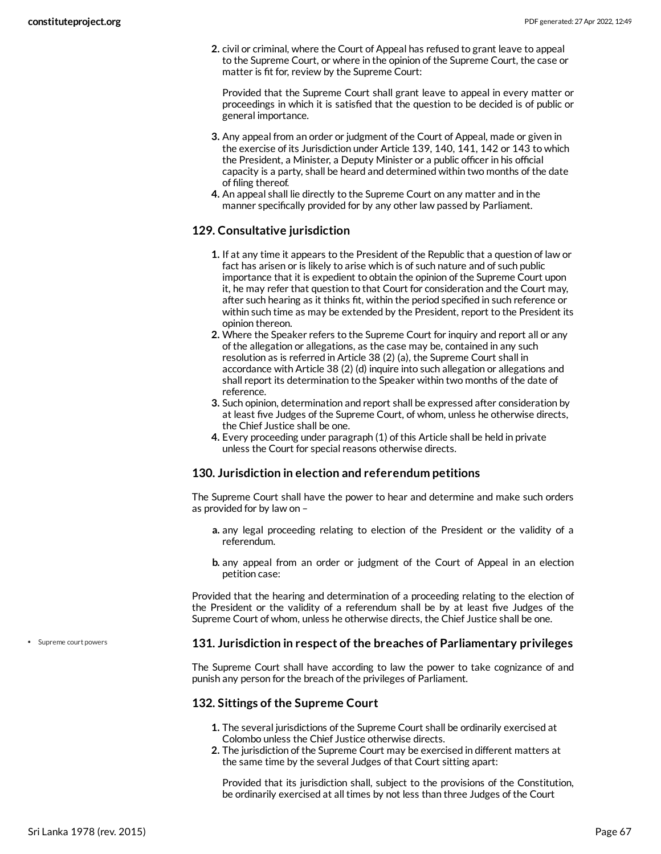**2.** civil or criminal, where the Court of Appeal has refused to grant leave to appeal to the Supreme Court, or where in the opinion of the Supreme Court, the case or matter is fit for, review by the Supreme Court:

Provided that the Supreme Court shall grant leave to appeal in every matter or proceedings in which it is satisfied that the question to be decided is of public or general importance.

- **3.** Any appeal from an order or judgment of the Court of Appeal, made or given in the exercise of its Jurisdiction under Article 139, 140, 141, 142 or 143 to which the President, a Minister, a Deputy Minister or a public officer in his official capacity is a party, shall be heard and determined within two months of the date of filing thereof.
- **4.** An appeal shall lie directly to the Supreme Court on any matter and in the manner specifically provided for by any other law passed by Parliament.

### **129. Consultative jurisdiction**

- **1.** If at any time it appears to the President of the Republic that a question of law or fact has arisen or is likely to arise which is of such nature and of such public importance that it is expedient to obtain the opinion of the Supreme Court upon it, he may refer that question to that Court for consideration and the Court may, after such hearing as it thinks fit, within the period specified in such reference or within such time as may be extended by the President, report to the President its opinion thereon.
- **2.** Where the Speaker refers to the Supreme Court for inquiry and report all or any of the allegation or allegations, as the case may be, contained in any such resolution as is referred in Article 38 (2) (a), the Supreme Court shall in accordance with Article 38 (2) (d) inquire into such allegation or allegations and shall report its determination to the Speaker within two months of the date of reference.
- **3.** Such opinion, determination and report shall be expressed after consideration by at least five Judges of the Supreme Court, of whom, unless he otherwise directs, the Chief Justice shall be one.
- **4.** Every proceeding under paragraph (1) of this Article shall be held in private unless the Court for special reasons otherwise directs.

#### **130. Jurisdiction in election and referendum petitions**

The Supreme Court shall have the power to hear and determine and make such orders as provided for by law on –

- **a.** any legal proceeding relating to election of the President or the validity of a referendum.
- **b.** any appeal from an order or judgment of the Court of Appeal in an election petition case:

Provided that the hearing and determination of a proceeding relating to the election of the President or the validity of a referendum shall be by at least five Judges of the Supreme Court of whom, unless he otherwise directs, the Chief Justice shall be one.

#### **131. Jurisdiction in respect of the breaches of Parliamentary privileges**

The Supreme Court shall have according to law the power to take cognizance of and punish any person for the breach of the privileges of Parliament.

### **132. Sittings of the Supreme Court**

- **1.** The several jurisdictions of the Supreme Court shall be ordinarily exercised at Colombo unless the Chief Justice otherwise directs.
- **2.** The jurisdiction of the Supreme Court may be exercised in different matters at the same time by the several Judges of that Court sitting apart:

Provided that its jurisdiction shall, subject to the provisions of the Constitution, be ordinarily exercised at all times by not less than three Judges of the Court

Supreme court powers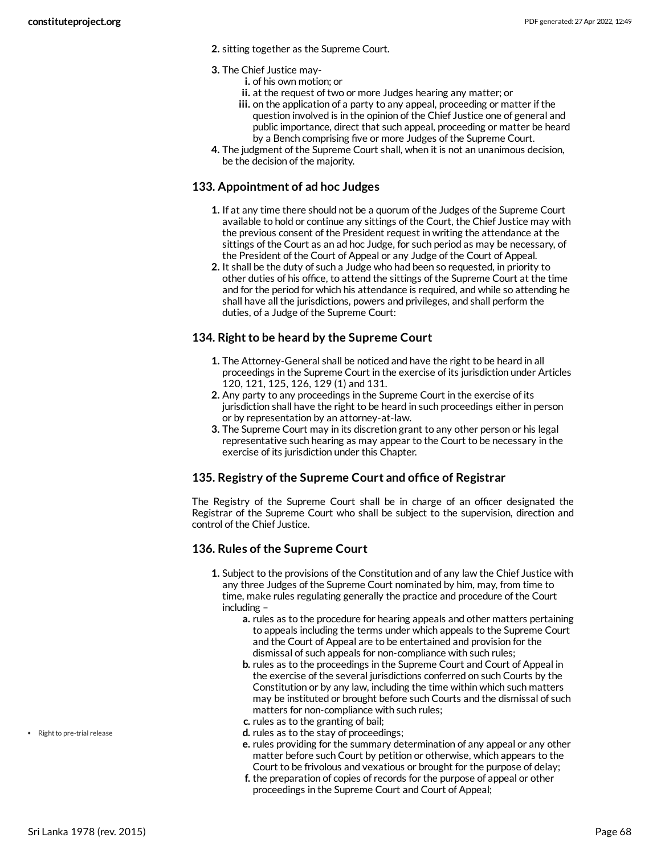- **2.** sitting together as the Supreme Court.
- **3.** The Chief Justice may
	- **i.** of his own motion; or
	- **ii.** at the request of two or more Judges hearing any matter; or
	- **iii.** on the application of a party to any appeal, proceeding or matter if the question involved is in the opinion of the Chief Justice one of general and public importance, direct that such appeal, proceeding or matter be heard by a Bench comprising five or more Judges of the Supreme Court.
- **4.** The judgment of the Supreme Court shall, when it is not an unanimous decision, be the decision of the majority.

#### **133. Appointment of ad hoc Judges**

- **1.** If at any time there should not be a quorum of the Judges of the Supreme Court available to hold or continue any sittings of the Court, the Chief Justice may with the previous consent of the President request in writing the attendance at the sittings of the Court as an ad hoc Judge, for such period as may be necessary, of the President of the Court of Appeal or any Judge of the Court of Appeal.
- **2.** It shall be the duty of such a Judge who had been so requested, in priority to other duties of his office, to attend the sittings of the Supreme Court at the time and for the period for which his attendance is required, and while so attending he shall have all the jurisdictions, powers and privileges, and shall perform the duties, of a Judge of the Supreme Court:

#### **134.** Right to be heard by the Supreme Court

- **1.** The Attorney-General shall be noticed and have the right to be heard in all proceedings in the Supreme Court in the exercise of its jurisdiction under Articles 120, 121, 125, 126, 129 (1) and 131.
- **2.** Any party to any proceedings in the Supreme Court in the exercise of its jurisdiction shall have the right to be heard in such proceedings either in person or by representation by an attorney-at-law.
- **3.** The Supreme Court may in its discretion grant to any other person or his legal representative such hearing as may appear to the Court to be necessary in the exercise of its jurisdiction under this Chapter.

### **135. Registry of the Supreme Court and office of Registrar**

The Registry of the Supreme Court shall be in charge of an officer designated the Registrar of the Supreme Court who shall be subject to the supervision, direction and control of the Chief Justice.

#### **136. Rules of the Supreme Court**

- **1.** Subject to the provisions of the Constitution and of any law the Chief Justice with any three Judges of the Supreme Court nominated by him, may, from time to time, make rules regulating generally the practice and procedure of the Court including –
	- **a.** rules as to the procedure for hearing appeals and other matters pertaining to appeals including the terms under which appeals to the Supreme Court and the Court of Appeal are to be entertained and provision for the dismissal of such appeals for non-compliance with such rules;
	- **b.** rules as to the proceedings in the Supreme Court and Court of Appeal in the exercise of the several jurisdictions conferred on such Courts by the Constitution or by any law, including the time within which such matters may be instituted or brought before such Courts and the dismissal of such matters for non-compliance with such rules;
	- **c.** rules as to the granting of bail;
	- **d.** rules as to the stay of proceedings;
	- **e.** rules providing for the summary determination of any appeal or any other matter before such Court by petition or otherwise, which appears to the Court to be frivolous and vexatious or brought for the purpose of delay;
	- **f.** the preparation of copies of records for the purpose of appeal or other proceedings in the Supreme Court and Court of Appeal;

• Right to pre-trial release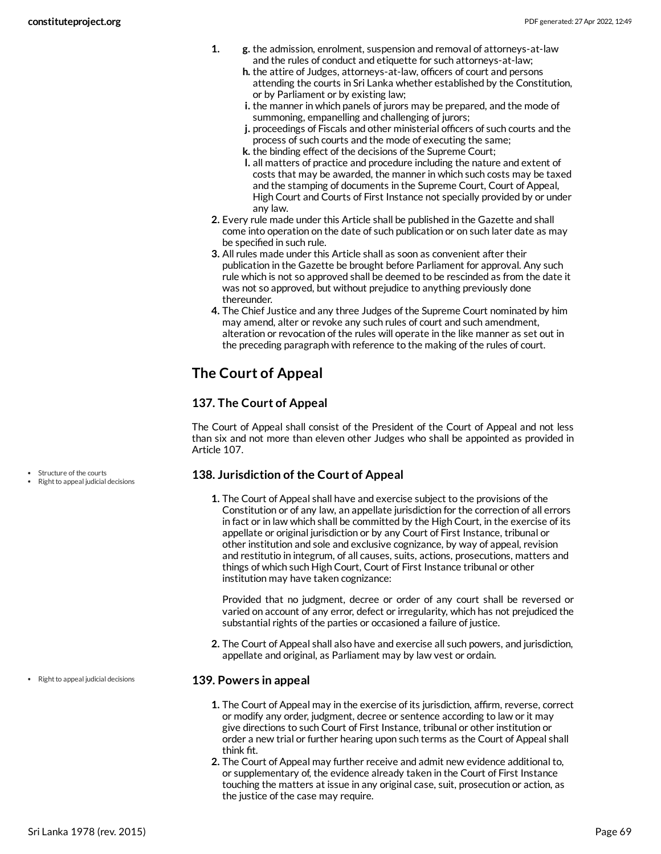- **1. g.** the admission, enrolment, suspension and removal of attorneys-at-law and the rules of conduct and etiquette for such attorneys-at-law;
	- **h.** the attire of Judges, attorneys-at-law, officers of court and persons attending the courts in Sri Lanka whether established by the Constitution, or by Parliament or by existing law;
	- **i.** the manner in which panels of jurors may be prepared, and the mode of summoning, empanelling and challenging of jurors;
	- **j.** proceedings of Fiscals and other ministerial officers of such courts and the process of such courts and the mode of executing the same;
	- **k.** the binding effect of the decisions of the Supreme Court;
	- **l.** all matters of practice and procedure including the nature and extent of costs that may be awarded, the manner in which such costs may be taxed and the stamping of documents in the Supreme Court, Court of Appeal, High Court and Courts of First Instance not specially provided by or under any law.
- **2.** Every rule made under this Article shall be published in the Gazette and shall come into operation on the date of such publication or on such later date as may be specified in such rule.
- **3.** All rules made under this Article shall as soon as convenient after their publication in the Gazette be brought before Parliament for approval. Any such rule which is not so approved shall be deemed to be rescinded as from the date it was not so approved, but without prejudice to anything previously done thereunder.
- **4.** The Chief Justice and any three Judges of the Supreme Court nominated by him may amend, alter or revoke any such rules of court and such amendment, alteration or revocation of the rules will operate in the like manner as set out in the preceding paragraph with reference to the making of the rules of court.

# **The Court of Appeal**

### **137. The Court of Appeal**

The Court of Appeal shall consist of the President of the Court of Appeal and not less than six and not more than eleven other Judges who shall be appointed as provided in Article 107.

### **138. Jurisdiction of the Court of Appeal**

**1.** The Court of Appeal shall have and exercise subject to the provisions of the Constitution or of any law, an appellate jurisdiction for the correction of all errors in fact or in law which shall be committed by the High Court, in the exercise of its appellate or original jurisdiction or by any Court of First Instance, tribunal or other institution and sole and exclusive cognizance, by way of appeal, revision and restitutio in integrum, of all causes, suits, actions, prosecutions, matters and things of which such High Court, Court of First Instance tribunal or other institution may have taken cognizance:

Provided that no judgment, decree or order of any court shall be reversed or varied on account of any error, defect or irregularity, which has not prejudiced the substantial rights of the parties or occasioned a failure of justice.

**2.** The Court of Appeal shall also have and exercise all such powers, and jurisdiction, appellate and original, as Parliament may by law vest or ordain.

#### **139. Powers in appeal**

- **1.** The Court of Appeal may in the exercise of its jurisdiction, affirm, reverse, correct or modify any order, judgment, decree or sentence according to law or it may give directions to such Court of First Instance, tribunal or other institution or order a new trial or further hearing upon such terms as the Court of Appeal shall think fit.
- **2.** The Court of Appeal may further receive and admit new evidence additional to, or supplementary of, the evidence already taken in the Court of First Instance touching the matters at issue in any original case, suit, prosecution or action, as the justice of the case may require.

Structure of the courts Right to appeal judicial decisions

 $\cdot$  Right to appeal judicial decisions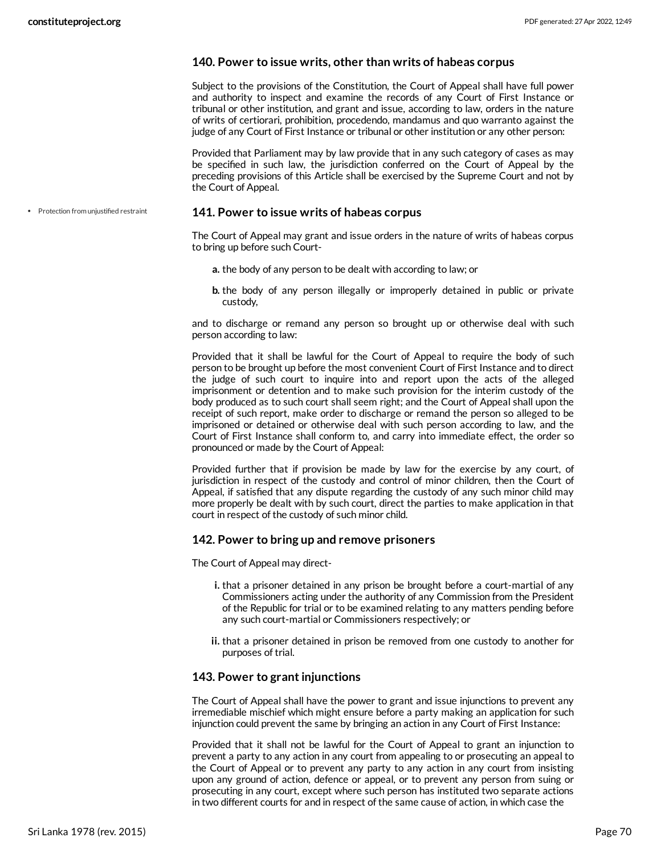#### **140. Power to issue writs, other than writs of habeas corpus**

Subject to the provisions of the Constitution, the Court of Appeal shall have full power and authority to inspect and examine the records of any Court of First Instance or tribunal or other institution, and grant and issue, according to law, orders in the nature of writs of certiorari, prohibition, procedendo, mandamus and quo warranto against the judge of any Court of First Instance or tribunal or other institution or any other person:

Provided that Parliament may by law provide that in any such category of cases as may be specified in such law, the jurisdiction conferred on the Court of Appeal by the preceding provisions of this Article shall be exercised by the Supreme Court and not by the Court of Appeal.

#### **141. Power to issue writs of habeas corpus** • Protection from unjustified restraint

The Court of Appeal may grant and issue orders in the nature of writs of habeas corpus to bring up before such Court-

- **a.** the body of any person to be dealt with according to law; or
- **b.** the body of any person illegally or improperly detained in public or private custody,

and to discharge or remand any person so brought up or otherwise deal with such person according to law:

Provided that it shall be lawful for the Court of Appeal to require the body of such person to be brought up before the most convenient Court of First Instance and to direct the judge of such court to inquire into and report upon the acts of the alleged imprisonment or detention and to make such provision for the interim custody of the body produced as to such court shall seem right; and the Court of Appeal shall upon the receipt of such report, make order to discharge or remand the person so alleged to be imprisoned or detained or otherwise deal with such person according to law, and the Court of First Instance shall conform to, and carry into immediate effect, the order so pronounced or made by the Court of Appeal:

Provided further that if provision be made by law for the exercise by any court, of jurisdiction in respect of the custody and control of minor children, then the Court of Appeal, if satisfied that any dispute regarding the custody of any such minor child may more properly be dealt with by such court, direct the parties to make application in that court in respect of the custody of such minor child.

#### **142. Power to bring up and remove prisoners**

The Court of Appeal may direct-

- **i.** that a prisoner detained in any prison be brought before a court-martial of any Commissioners acting under the authority of any Commission from the President of the Republic for trial or to be examined relating to any matters pending before any such court-martial or Commissioners respectively; or
- **ii.** that a prisoner detained in prison be removed from one custody to another for purposes of trial.

#### **143. Power to grantinjunctions**

The Court of Appeal shall have the power to grant and issue injunctions to prevent any irremediable mischief which might ensure before a party making an application for such injunction could prevent the same by bringing an action in any Court of First Instance:

Provided that it shall not be lawful for the Court of Appeal to grant an injunction to prevent a party to any action in any court from appealing to or prosecuting an appeal to the Court of Appeal or to prevent any party to any action in any court from insisting upon any ground of action, defence or appeal, or to prevent any person from suing or prosecuting in any court, except where such person has instituted two separate actions in two different courts for and in respect of the same cause of action, in which case the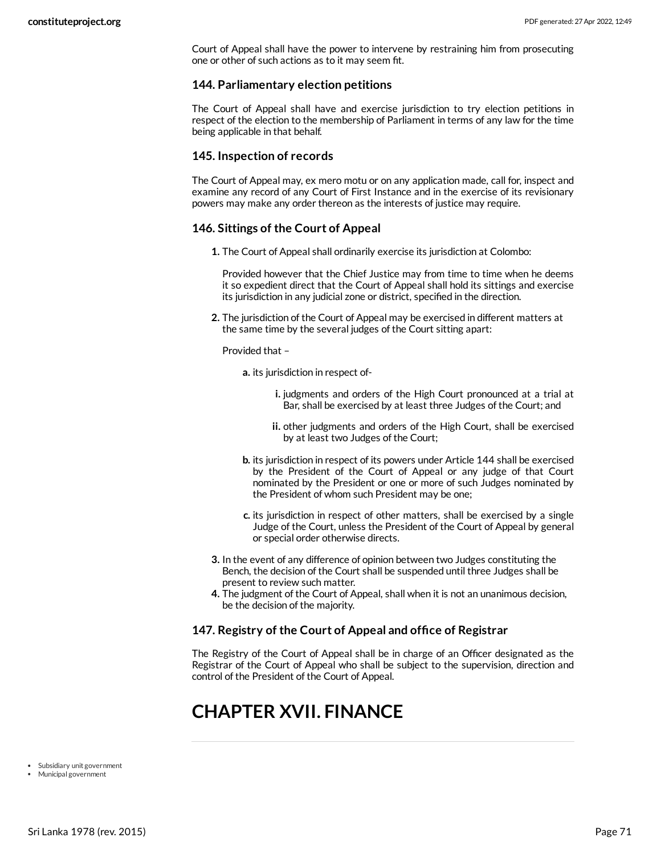Court of Appeal shall have the power to intervene by restraining him from prosecuting one or other of such actions as to it may seem fit.

#### **144. Parliamentary election petitions**

The Court of Appeal shall have and exercise jurisdiction to try election petitions in respect of the election to the membership of Parliament in terms of any law for the time being applicable in that behalf.

#### **145. Inspection of records**

The Court of Appeal may, ex mero motu or on any application made, call for, inspect and examine any record of any Court of First Instance and in the exercise of its revisionary powers may make any order thereon as the interests of justice may require.

#### **146. Sittings of the Court of Appeal**

**1.** The Court of Appeal shall ordinarily exercise its jurisdiction at Colombo:

Provided however that the Chief Justice may from time to time when he deems it so expedient direct that the Court of Appeal shall hold its sittings and exercise its jurisdiction in any judicial zone or district, specified in the direction.

**2.** The jurisdiction of the Court of Appeal may be exercised in different matters at the same time by the several judges of the Court sitting apart:

Provided that –

- **a.** its jurisdiction in respect of
	- **i.** judgments and orders of the High Court pronounced at a trial at Bar, shall be exercised by at least three Judges of the Court; and
	- **ii.** other judgments and orders of the High Court, shall be exercised by at least two Judges of the Court;
- **b.** its jurisdiction in respect of its powers under Article 144 shall be exercised by the President of the Court of Appeal or any judge of that Court nominated by the President or one or more of such Judges nominated by the President of whom such President may be one;
- **c.** its jurisdiction in respect of other matters, shall be exercised by a single Judge of the Court, unless the President of the Court of Appeal by general or special order otherwise directs.
- **3.** In the event of any difference of opinion between two Judges constituting the Bench, the decision of the Court shall be suspended until three Judges shall be present to review such matter.
- **4.** The judgment of the Court of Appeal, shall when it is not an unanimous decision, be the decision of the majority.

#### **147. Registry of the Court of Appeal and office of Registrar**

The Registry of the Court of Appeal shall be in charge of an Officer designated as the Registrar of the Court of Appeal who shall be subject to the supervision, direction and control of the President of the Court of Appeal.

# **CHAPTER XVII. FINANCE**

- Subsidiary unit government
- Municipal government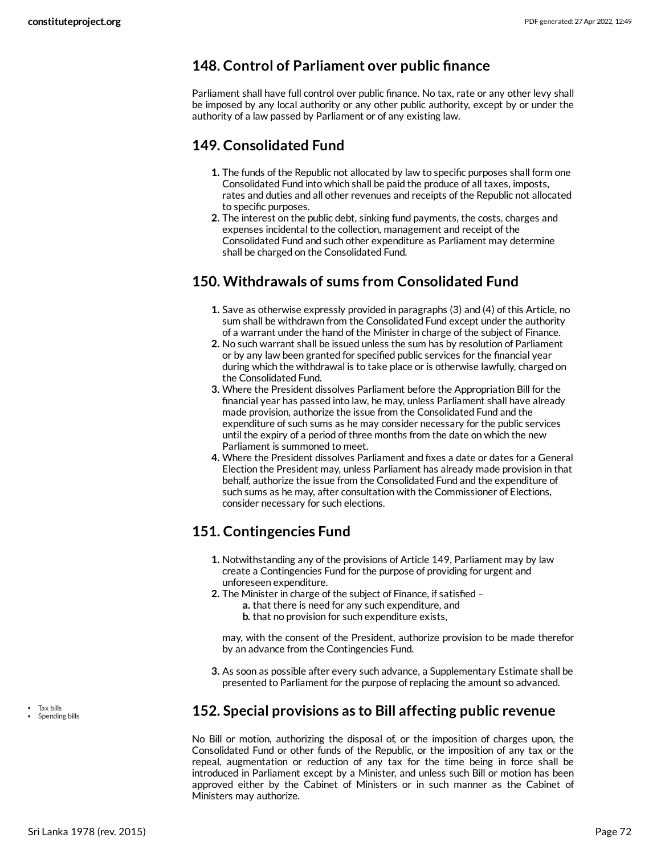# **148. Control of Parliament over public finance**

Parliament shall have full control over public finance. No tax, rate or any other levy shall be imposed by any local authority or any other public authority, except by or under the authority of a law passed by Parliament or of any existing law.

### **149. Consolidated Fund**

- **1.** The funds of the Republic not allocated by law to specific purposes shall form one Consolidated Fund into which shall be paid the produce of all taxes, imposts, rates and duties and all other revenues and receipts of the Republic not allocated to specific purposes.
- **2.** The interest on the public debt, sinking fund payments, the costs, charges and expenses incidental to the collection, management and receipt of the Consolidated Fund and such other expenditure as Parliament may determine shall be charged on the Consolidated Fund.

# **150. Withdrawals of sums from Consolidated Fund**

- **1.** Save as otherwise expressly provided in paragraphs (3) and (4) of this Article, no sum shall be withdrawn from the Consolidated Fund except under the authority of a warrant under the hand of the Minister in charge of the subject of Finance.
- **2.** No such warrant shall be issued unless the sum has by resolution of Parliament or by any law been granted for specified public services for the financial year during which the withdrawal is to take place or is otherwise lawfully, charged on the Consolidated Fund.
- **3.** Where the President dissolves Parliament before the Appropriation Bill for the financial year has passed into law, he may, unless Parliament shall have already made provision, authorize the issue from the Consolidated Fund and the expenditure of such sums as he may consider necessary for the public services until the expiry of a period of three months from the date on which the new Parliament is summoned to meet.
- **4.** Where the President dissolves Parliament and fixes a date or dates for a General Election the President may, unless Parliament has already made provision in that behalf, authorize the issue from the Consolidated Fund and the expenditure of such sums as he may, after consultation with the Commissioner of Elections, consider necessary for such elections.

# **151. Contingencies Fund**

- **1.** Notwithstanding any of the provisions of Article 149, Parliament may by law create a Contingencies Fund for the purpose of providing for urgent and unforeseen expenditure.
- **2.** The Minister in charge of the subject of Finance, if satisfied
	- **a.** that there is need for any such expenditure, and
	- **b.** that no provision for such expenditure exists,

may, with the consent of the President, authorize provision to be made therefor by an advance from the Contingencies Fund.

**3.** As soon as possible after every such advance, a Supplementary Estimate shall be presented to Parliament for the purpose of replacing the amount so advanced.

## **152. Special provisions as to Bill affecting public revenue**

No Bill or motion, authorizing the disposal of, or the imposition of charges upon, the Consolidated Fund or other funds of the Republic, or the imposition of any tax or the repeal, augmentation or reduction of any tax for the time being in force shall be introduced in Parliament except by a Minister, and unless such Bill or motion has been approved either by the Cabinet of Ministers or in such manner as the Cabinet of Ministers may authorize.

• Tax bills Spending bills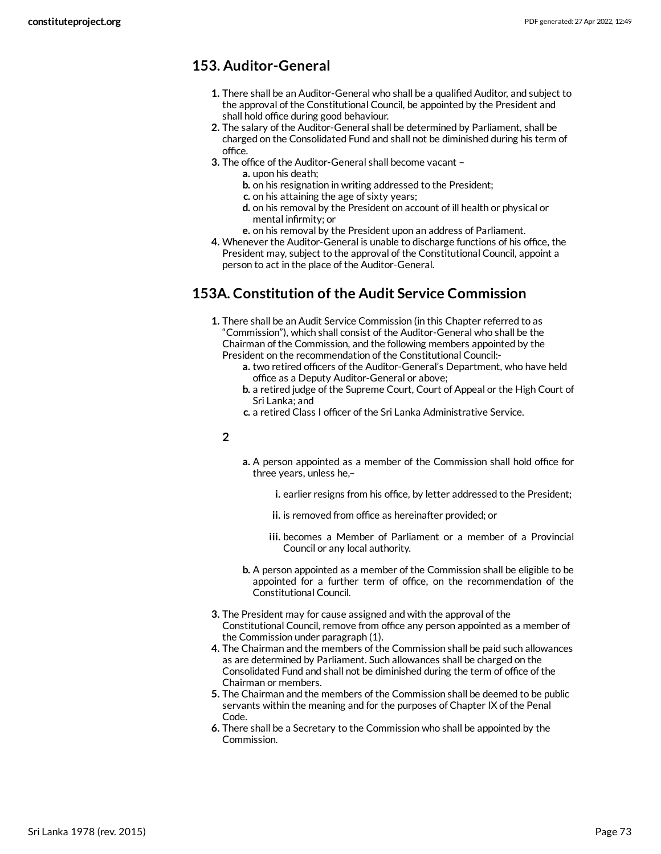## **153. Auditor-General**

- **1.** There shall be an Auditor-General who shall be a qualified Auditor, and subject to the approval of the Constitutional Council, be appointed by the President and shall hold office during good behaviour.
- **2.** The salary of the Auditor-General shall be determined by Parliament, shall be charged on the Consolidated Fund and shall not be diminished during his term of office.
- **3.** The office of the Auditor-General shall become vacant
	- **a.** upon his death;
	- **b.** on his resignation in writing addressed to the President;
	- **c.** on his attaining the age of sixty years;
	- **d.** on his removal by the President on account of ill health or physical or mental infirmity; or
	- **e.** on his removal by the President upon an address of Parliament.
- **4.** Whenever the Auditor-General is unable to discharge functions of his office, the President may, subject to the approval of the Constitutional Council, appoint a person to act in the place of the Auditor-General.

## **153A. Constitution of the Audit Service Commission**

- **1.** There shall be an Audit Service Commission (in this Chapter referred to as "Commission"), which shall consist of the Auditor-General who shall be the Chairman of the Commission, and the following members appointed by the President on the recommendation of the Constitutional Council:
	- **a.** two retired officers of the Auditor-General's Department, who have held office as a Deputy Auditor-General or above;
	- **b.** a retired judge of the Supreme Court, Court of Appeal or the High Court of Sri Lanka; and
	- **c.** a retired Class I officer of the Sri Lanka Administrative Service.

#### **2**

- **a.** A person appointed as a member of the Commission shall hold office for three years, unless he,–
	- **i.** earlier resigns from his office, by letter addressed to the President;
	- **ii.** is removed from office as hereinafter provided; or
	- **iii.** becomes a Member of Parliament or a member of a Provincial Council or any local authority.
- **b.** A person appointed as a member of the Commission shall be eligible to be appointed for a further term of office, on the recommendation of the Constitutional Council.
- **3.** The President may for cause assigned and with the approval of the Constitutional Council, remove from office any person appointed as a member of the Commission under paragraph (1).
- **4.** The Chairman and the members of the Commission shall be paid such allowances as are determined by Parliament. Such allowances shall be charged on the Consolidated Fund and shall not be diminished during the term of office of the Chairman or members.
- **5.** The Chairman and the members of the Commission shall be deemed to be public servants within the meaning and for the purposes of Chapter IX of the Penal Code.
- **6.** There shall be a Secretary to the Commission who shall be appointed by the Commission.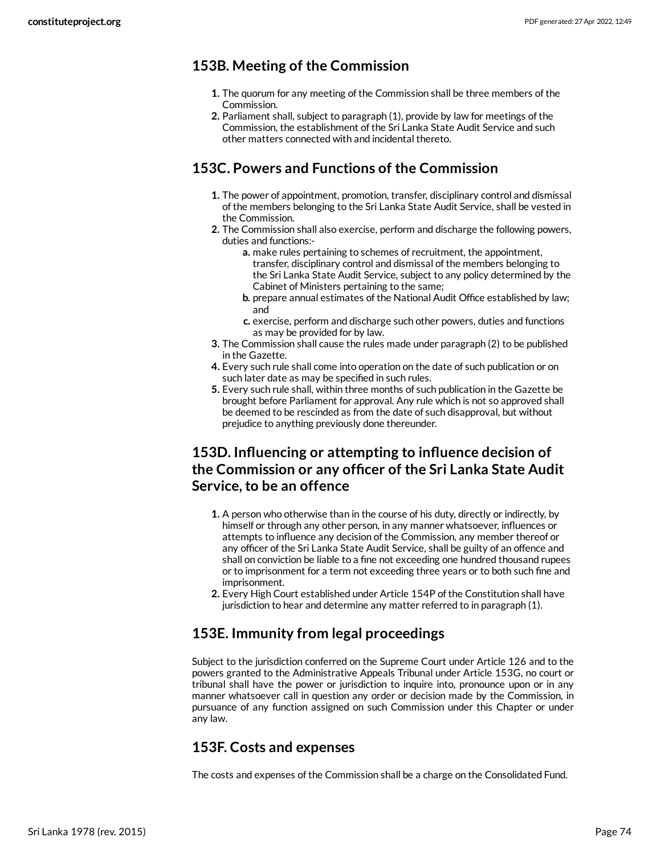## **153B. Meeting of the Commission**

- **1.** The quorum for any meeting of the Commission shall be three members of the Commission.
- **2.** Parliament shall, subject to paragraph (1), provide by law for meetings of the Commission, the establishment of the Sri Lanka State Audit Service and such other matters connected with and incidental thereto.

## **153C. Powers and Functions of the Commission**

- **1.** The power of appointment, promotion, transfer, disciplinary control and dismissal of the members belonging to the Sri Lanka State Audit Service, shall be vested in the Commission.
- **2.** The Commission shall also exercise, perform and discharge the following powers, duties and functions:
	- **a.** make rules pertaining to schemes of recruitment, the appointment, transfer, disciplinary control and dismissal of the members belonging to the Sri Lanka State Audit Service, subject to any policy determined by the Cabinet of Ministers pertaining to the same;
	- **b.** prepare annual estimates of the National Audit Office established by law; and
	- **c.** exercise, perform and discharge such other powers, duties and functions as may be provided for by law.
- **3.** The Commission shall cause the rules made under paragraph (2) to be published in the Gazette.
- **4.** Every such rule shall come into operation on the date of such publication or on such later date as may be specified in such rules.
- **5.** Every such rule shall, within three months of such publication in the Gazette be brought before Parliament for approval. Any rule which is not so approved shall be deemed to be rescinded as from the date of such disapproval, but without prejudice to anything previously done thereunder.

## **153D. Influencing or attempting to influence decision of the Commission or any officer of the Sri Lanka State Audit Service, to be an offence**

- **1.** A person who otherwise than in the course of his duty, directly or indirectly, by himself or through any other person, in any manner whatsoever, influences or attempts to influence any decision of the Commission, any member thereof or any officer of the Sri Lanka State Audit Service, shall be guilty of an offence and shall on conviction be liable to a fine not exceeding one hundred thousand rupees or to imprisonment for a term not exceeding three years or to both such fine and imprisonment.
- **2.** Every High Court established under Article 154P of the Constitution shall have jurisdiction to hear and determine any matter referred to in paragraph (1).

## **153E. Immunity from legal proceedings**

Subject to the jurisdiction conferred on the Supreme Court under Article 126 and to the powers granted to the Administrative Appeals Tribunal under Article 153G, no court or tribunal shall have the power or jurisdiction to inquire into, pronounce upon or in any manner whatsoever call in question any order or decision made by the Commission, in pursuance of any function assigned on such Commission under this Chapter or under any law.

## **153F. Costs and expenses**

The costs and expenses of the Commission shall be a charge on the Consolidated Fund.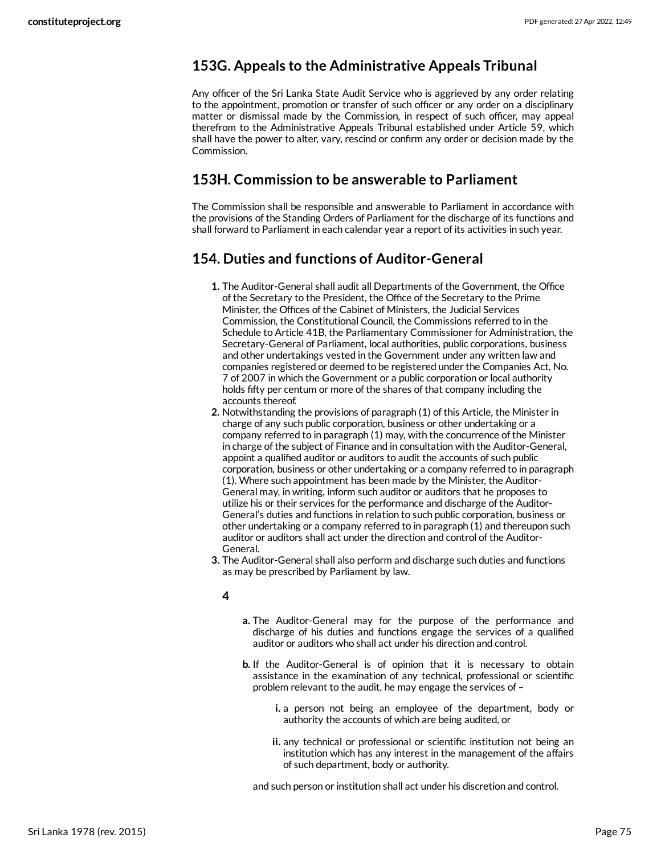#### **153G. Appeals to the Administrative Appeals Tribunal**

Any officer of the Sri Lanka State Audit Service who is aggrieved by any order relating to the appointment, promotion or transfer of such officer or any order on a disciplinary matter or dismissal made by the Commission, in respect of such officer, may appeal therefrom to the Administrative Appeals Tribunal established under Article 59, which shall have the power to alter, vary, rescind or confirm any order or decision made by the Commission.

#### **153H. Commission to be answerable to Parliament**

The Commission shall be responsible and answerable to Parliament in accordance with the provisions of the Standing Orders of Parliament for the discharge of its functions and shall forward to Parliament in each calendar year a report of its activities in such year.

### **154. Duties and functions of Auditor-General**

- **1.** The Auditor-General shall audit all Departments of the Government, the Office of the Secretary to the President, the Office of the Secretary to the Prime Minister, the Offices of the Cabinet of Ministers, the Judicial Services Commission, the Constitutional Council, the Commissions referred to in the Schedule to Article 41B, the Parliamentary Commissioner for Administration, the Secretary-General of Parliament, local authorities, public corporations, business and other undertakings vested in the Government under any written law and companies registered or deemed to be registered under the Companies Act, No. 7 of 2007 in which the Government or a public corporation or local authority holds fifty per centum or more of the shares of that company including the accounts thereof.
- **2.** Notwithstanding the provisions of paragraph (1) of this Article, the Minister in charge of any such public corporation, business or other undertaking or a company referred to in paragraph (1) may, with the concurrence of the Minister in charge of the subject of Finance and in consultation with the Auditor-General, appoint a qualified auditor or auditors to audit the accounts of such public corporation, business or other undertaking or a company referred to in paragraph (1). Where such appointment has been made by the Minister, the Auditor-General may, in writing, inform such auditor or auditors that he proposes to utilize his or their services for the performance and discharge of the Auditor-General's duties and functions in relation to such public corporation, business or other undertaking or a company referred to in paragraph (1) and thereupon such auditor or auditors shall act under the direction and control of the Auditor-General.
- **3.** The Auditor-General shall also perform and discharge such duties and functions as may be prescribed by Parliament by law.

#### **4**

- **a.** The Auditor-General may for the purpose of the performance and discharge of his duties and functions engage the services of a qualified auditor or auditors who shall act under his direction and control.
- **b.** If the Auditor-General is of opinion that it is necessary to obtain assistance in the examination of any technical, professional or scientific problem relevant to the audit, he may engage the services of –
	- **i.** a person not being an employee of the department, body or authority the accounts of which are being audited, or
	- **ii.** any technical or professional or scientific institution not being an institution which has any interest in the management of the affairs of such department, body or authority.

and such person or institution shall act under his discretion and control.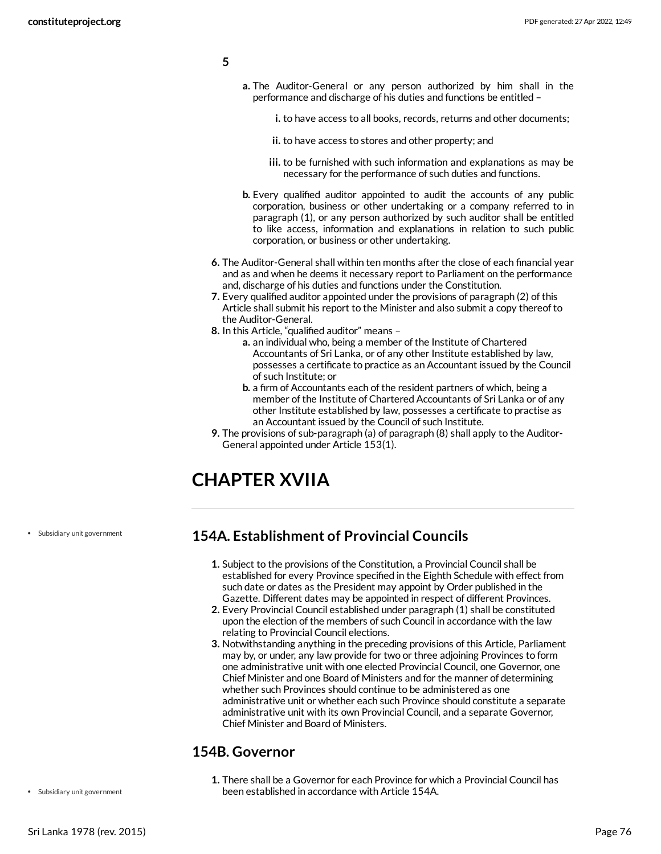- **a.** The Auditor-General or any person authorized by him shall in the performance and discharge of his duties and functions be entitled –
	- **i.** to have access to all books, records, returns and other documents;
	- **ii.** to have access to stores and other property; and
	- **iii.** to be furnished with such information and explanations as may be necessary for the performance of such duties and functions.
- **b.** Every qualified auditor appointed to audit the accounts of any public corporation, business or other undertaking or a company referred to in paragraph (1), or any person authorized by such auditor shall be entitled to like access, information and explanations in relation to such public corporation, or business or other undertaking.
- **6.** The Auditor-General shall within ten months after the close of each financial year and as and when he deems it necessary report to Parliament on the performance and, discharge of his duties and functions under the Constitution.
- **7.** Every qualified auditor appointed under the provisions of paragraph (2) of this Article shall submit his report to the Minister and also submit a copy thereof to the Auditor-General.
- **8.** In this Article, "qualified auditor" means
	- **a.** an individual who, being a member of the Institute of Chartered Accountants of Sri Lanka, or of any other Institute established by law, possesses a certificate to practice as an Accountant issued by the Council of such Institute; or
	- **b.** a firm of Accountants each of the resident partners of which, being a member of the Institute of Chartered Accountants of Sri Lanka or of any other Institute established by law, possesses a certificate to practise as an Accountant issued by the Council of such Institute.
- **9.** The provisions of sub-paragraph (a) of paragraph (8) shall apply to the Auditor-General appointed under Article 153(1).

## **CHAPTER XVIIA**

Subsidiary unit government

### **154A. Establishment of Provincial Councils**

- **1.** Subject to the provisions of the Constitution, a Provincial Council shall be established for every Province specified in the Eighth Schedule with effect from such date or dates as the President may appoint by Order published in the Gazette. Different dates may be appointed in respect of different Provinces.
- **2.** Every Provincial Council established under paragraph (1) shall be constituted upon the election of the members of such Council in accordance with the law relating to Provincial Council elections.
- **3.** Notwithstanding anything in the preceding provisions of this Article, Parliament may by, or under, any law provide for two or three adjoining Provinces to form one administrative unit with one elected Provincial Council, one Governor, one Chief Minister and one Board of Ministers and for the manner of determining whether such Provinces should continue to be administered as one administrative unit or whether each such Province should constitute a separate administrative unit with its own Provincial Council, and a separate Governor, Chief Minister and Board of Ministers.

#### **154B. Governor**

**1.** There shall be a Governor for each Province for which a Provincial Council has been established in accordance with Article 154A.

Subsidiary unit government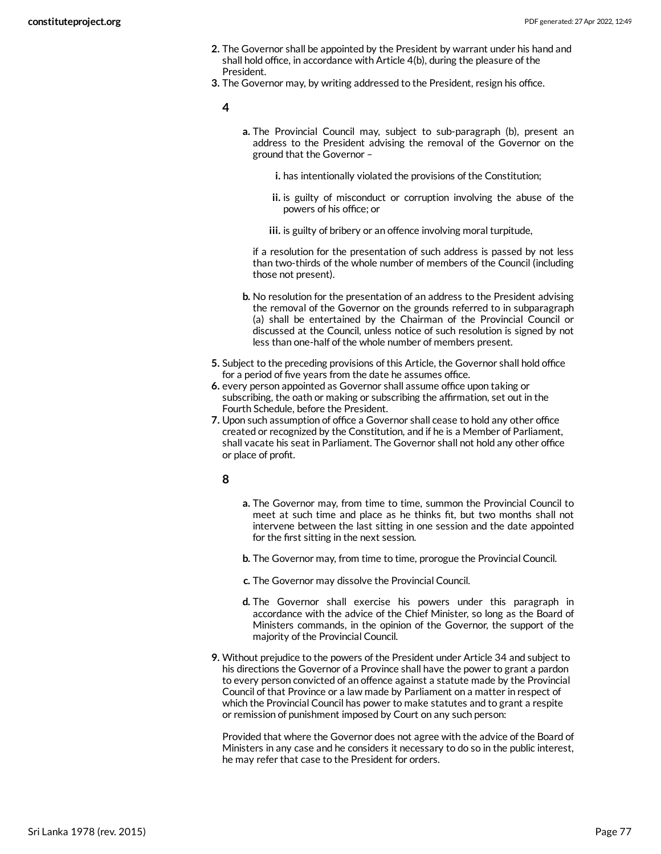- **2.** The Governor shall be appointed by the President by warrant under his hand and shall hold office, in accordance with Article 4(b), during the pleasure of the President.
- **3.** The Governor may, by writing addressed to the President, resign his office.

- **a.** The Provincial Council may, subject to sub-paragraph (b), present an address to the President advising the removal of the Governor on the ground that the Governor –
	- **i.** has intentionally violated the provisions of the Constitution;
	- **ii.** is guilty of misconduct or corruption involving the abuse of the powers of his office; or

**iii.** is guilty of bribery or an offence involving moral turpitude,

if a resolution for the presentation of such address is passed by not less than two-thirds of the whole number of members of the Council (including those not present).

- **b.** No resolution for the presentation of an address to the President advising the removal of the Governor on the grounds referred to in subparagraph (a) shall be entertained by the Chairman of the Provincial Council or discussed at the Council, unless notice of such resolution is signed by not less than one-half of the whole number of members present.
- **5.** Subject to the preceding provisions of this Article, the Governor shall hold office for a period of five years from the date he assumes office.
- **6.** every person appointed as Governor shall assume office upon taking or subscribing, the oath or making or subscribing the affirmation, set out in the Fourth Schedule, before the President.
- **7.** Upon such assumption of office a Governor shall cease to hold any other office created or recognized by the Constitution, and if he is a Member of Parliament, shall vacate his seat in Parliament. The Governor shall not hold any other office or place of profit.

**8**

- **a.** The Governor may, from time to time, summon the Provincial Council to meet at such time and place as he thinks fit, but two months shall not intervene between the last sitting in one session and the date appointed for the first sitting in the next session.
- **b.** The Governor may, from time to time, prorogue the Provincial Council.
- **c.** The Governor may dissolve the Provincial Council.
- **d.** The Governor shall exercise his powers under this paragraph in accordance with the advice of the Chief Minister, so long as the Board of Ministers commands, in the opinion of the Governor, the support of the majority of the Provincial Council.
- **9.** Without prejudice to the powers of the President under Article 34 and subject to his directions the Governor of a Province shall have the power to grant a pardon to every person convicted of an offence against a statute made by the Provincial Council of that Province or a law made by Parliament on a matter in respect of which the Provincial Council has power to make statutes and to grant a respite or remission of punishment imposed by Court on any such person:

Provided that where the Governor does not agree with the advice of the Board of Ministers in any case and he considers it necessary to do so in the public interest, he may refer that case to the President for orders.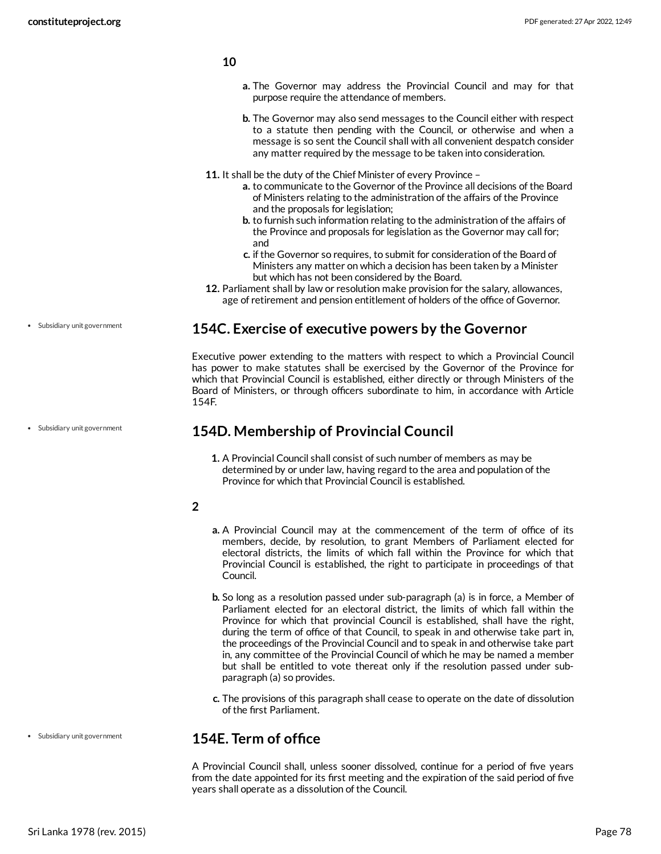- **a.** The Governor may address the Provincial Council and may for that purpose require the attendance of members.
- **b.** The Governor may also send messages to the Council either with respect to a statute then pending with the Council, or otherwise and when a message is so sent the Council shall with all convenient despatch consider any matter required by the message to be taken into consideration.
- **11.** It shall be the duty of the Chief Minister of every Province
	- **a.** to communicate to the Governor of the Province all decisions of the Board of Ministers relating to the administration of the affairs of the Province and the proposals for legislation;
	- **b.** to furnish such information relating to the administration of the affairs of the Province and proposals for legislation as the Governor may call for; and
	- **c.** if the Governor so requires, to submit for consideration of the Board of Ministers any matter on which a decision has been taken by a Minister but which has not been considered by the Board.
- **12.** Parliament shall by law or resolution make provision for the salary, allowances, age of retirement and pension entitlement of holders of the office of Governor.

#### **154C. Exercise of executive powers by the Governor**

Executive power extending to the matters with respect to which a Provincial Council has power to make statutes shall be exercised by the Governor of the Province for which that Provincial Council is established, either directly or through Ministers of the Board of Ministers, or through officers subordinate to him, in accordance with Article 154F.

#### **154D. Membership of Provincial Council**

**1.** A Provincial Council shall consist of such number of members as may be determined by or under law, having regard to the area and population of the Province for which that Provincial Council is established.

#### **2**

- **a.** A Provincial Council may at the commencement of the term of office of its members, decide, by resolution, to grant Members of Parliament elected for electoral districts, the limits of which fall within the Province for which that Provincial Council is established, the right to participate in proceedings of that Council.
- **b.** So long as a resolution passed under sub-paragraph (a) is in force, a Member of Parliament elected for an electoral district, the limits of which fall within the Province for which that provincial Council is established, shall have the right, during the term of office of that Council, to speak in and otherwise take part in, the proceedings of the Provincial Council and to speak in and otherwise take part in, any committee of the Provincial Council of which he may be named a member but shall be entitled to vote thereat only if the resolution passed under subparagraph (a) so provides.
- **c.** The provisions of this paragraph shall cease to operate on the date of dissolution of the first Parliament.

#### **154E. Term of office**

A Provincial Council shall, unless sooner dissolved, continue for a period of five years from the date appointed for its first meeting and the expiration of the said period of five years shall operate as a dissolution of the Council.

Subsidiary unit government

Subsidiary unit government

Subsidiary unit government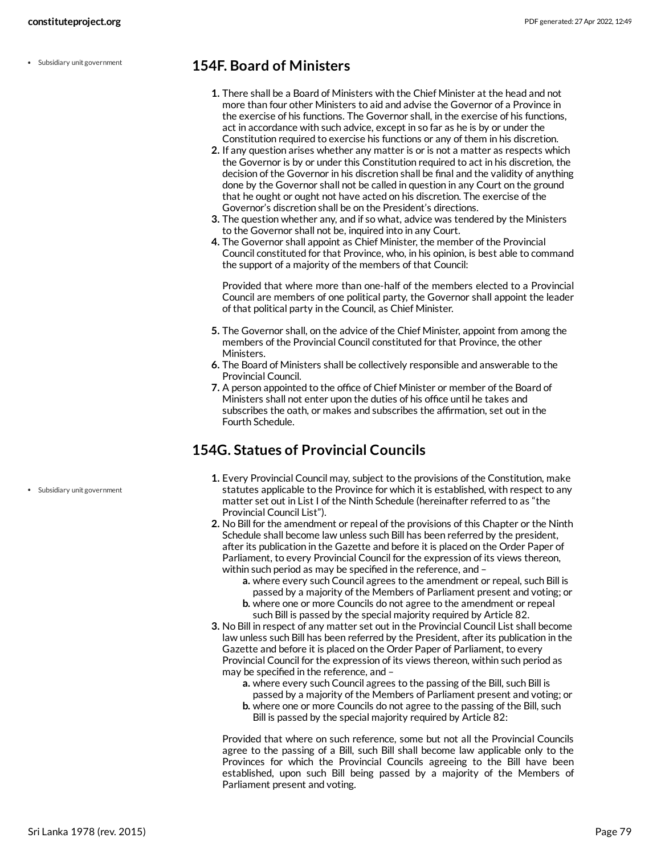Subsidiary unit government

## **154F. Board of Ministers**

- **1.** There shall be a Board of Ministers with the Chief Minister at the head and not more than four other Ministers to aid and advise the Governor of a Province in the exercise of his functions. The Governor shall, in the exercise of his functions, act in accordance with such advice, except in so far as he is by or under the Constitution required to exercise his functions or any of them in his discretion.
- **2.** If any question arises whether any matter is or is not a matter as respects which the Governor is by or under this Constitution required to act in his discretion, the decision of the Governor in his discretion shall be final and the validity of anything done by the Governor shall not be called in question in any Court on the ground that he ought or ought not have acted on his discretion. The exercise of the Governor's discretion shall be on the President's directions.
- **3.** The question whether any, and if so what, advice was tendered by the Ministers to the Governor shall not be, inquired into in any Court.
- **4.** The Governor shall appoint as Chief Minister, the member of the Provincial Council constituted for that Province, who, in his opinion, is best able to command the support of a majority of the members of that Council:

Provided that where more than one-half of the members elected to a Provincial Council are members of one political party, the Governor shall appoint the leader of that political party in the Council, as Chief Minister.

- **5.** The Governor shall, on the advice of the Chief Minister, appoint from among the members of the Provincial Council constituted for that Province, the other Ministers.
- **6.** The Board of Ministers shall be collectively responsible and answerable to the Provincial Council.
- **7.** A person appointed to the office of Chief Minister or member of the Board of Ministers shall not enter upon the duties of his office until he takes and subscribes the oath, or makes and subscribes the affirmation, set out in the Fourth Schedule.

## **154G. Statues of Provincial Councils**

Subsidiary unit government

- **1.** Every Provincial Council may, subject to the provisions of the Constitution, make statutes applicable to the Province for which it is established, with respect to any matter set out in List I of the Ninth Schedule (hereinafter referred to as "the Provincial Council List").
- **2.** No Bill for the amendment or repeal of the provisions of this Chapter or the Ninth Schedule shall become law unless such Bill has been referred by the president, after its publication in the Gazette and before it is placed on the Order Paper of Parliament, to every Provincial Council for the expression of its views thereon, within such period as may be specified in the reference, and –
	- **a.** where every such Council agrees to the amendment or repeal, such Bill is passed by a majority of the Members of Parliament present and voting; or
	- **b.** where one or more Councils do not agree to the amendment or repeal such Bill is passed by the special majority required by Article 82.
- **3.** No Bill in respect of any matter set out in the Provincial Council List shall become law unless such Bill has been referred by the President, after its publication in the Gazette and before it is placed on the Order Paper of Parliament, to every Provincial Council for the expression of its views thereon, within such period as may be specified in the reference, and –
	- **a.** where every such Council agrees to the passing of the Bill, such Bill is passed by a majority of the Members of Parliament present and voting; or **b.** where one or more Councils do not agree to the passing of the Bill, such
	- Bill is passed by the special majority required by Article 82:

Provided that where on such reference, some but not all the Provincial Councils agree to the passing of a Bill, such Bill shall become law applicable only to the Provinces for which the Provincial Councils agreeing to the Bill have been established, upon such Bill being passed by a majority of the Members of Parliament present and voting.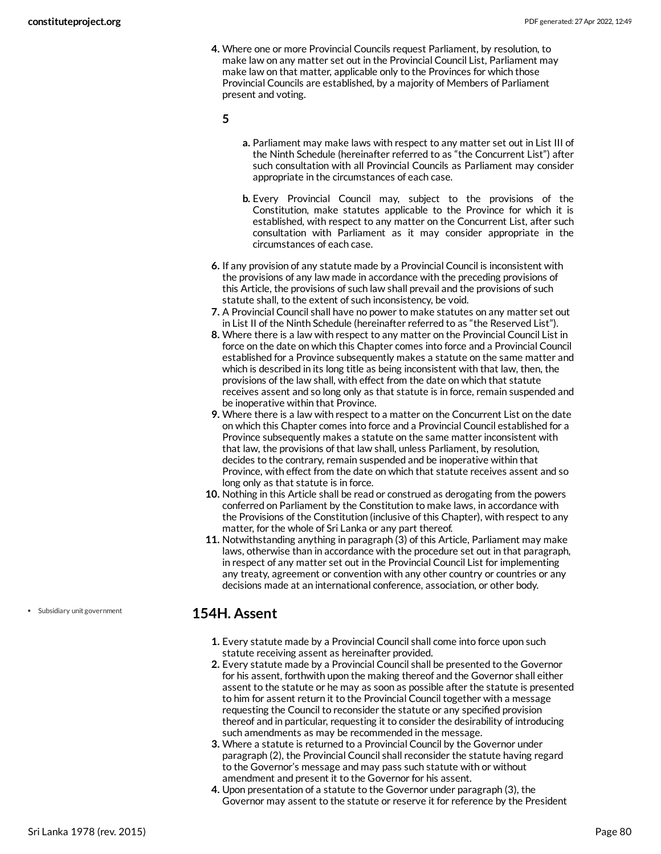- **4.** Where one or more Provincial Councils request Parliament, by resolution, to make law on any matter set out in the Provincial Council List, Parliament may make law on that matter, applicable only to the Provinces for which those Provincial Councils are established, by a majority of Members of Parliament present and voting.
	- **5**
- **a.** Parliament may make laws with respect to any matter set out in List III of the Ninth Schedule (hereinafter referred to as "the Concurrent List") after such consultation with all Provincial Councils as Parliament may consider appropriate in the circumstances of each case.
- **b.** Every Provincial Council may, subject to the provisions of the Constitution, make statutes applicable to the Province for which it is established, with respect to any matter on the Concurrent List, after such consultation with Parliament as it may consider appropriate in the circumstances of each case.
- **6.** If any provision of any statute made by a Provincial Council is inconsistent with the provisions of any law made in accordance with the preceding provisions of this Article, the provisions of such law shall prevail and the provisions of such statute shall, to the extent of such inconsistency, be void.
- **7.** A Provincial Council shall have no power to make statutes on any matter set out in List II of the Ninth Schedule (hereinafter referred to as "the Reserved List").
- **8.** Where there is a law with respect to any matter on the Provincial Council List in force on the date on which this Chapter comes into force and a Provincial Council established for a Province subsequently makes a statute on the same matter and which is described in its long title as being inconsistent with that law, then, the provisions of the law shall, with effect from the date on which that statute receives assent and so long only as that statute is in force, remain suspended and be inoperative within that Province.
- **9.** Where there is a law with respect to a matter on the Concurrent List on the date on which this Chapter comes into force and a Provincial Council established for a Province subsequently makes a statute on the same matter inconsistent with that law, the provisions of that law shall, unless Parliament, by resolution, decides to the contrary, remain suspended and be inoperative within that Province, with effect from the date on which that statute receives assent and so long only as that statute is in force.
- **10.** Nothing in this Article shall be read or construed as derogating from the powers conferred on Parliament by the Constitution to make laws, in accordance with the Provisions of the Constitution (inclusive of this Chapter), with respect to any matter, for the whole of Sri Lanka or any part thereof.
- **11.** Notwithstanding anything in paragraph (3) of this Article, Parliament may make laws, otherwise than in accordance with the procedure set out in that paragraph, in respect of any matter set out in the Provincial Council List for implementing any treaty, agreement or convention with any other country or countries or any decisions made at an international conference, association, or other body.

Subsidiary unit government

#### **154H. Assent**

- **1.** Every statute made by a Provincial Council shall come into force upon such statute receiving assent as hereinafter provided.
- **2.** Every statute made by a Provincial Council shall be presented to the Governor for his assent, forthwith upon the making thereof and the Governor shall either assent to the statute or he may as soon as possible after the statute is presented to him for assent return it to the Provincial Council together with a message requesting the Council to reconsider the statute or any specified provision thereof and in particular, requesting it to consider the desirability of introducing such amendments as may be recommended in the message.
- **3.** Where a statute is returned to a Provincial Council by the Governor under paragraph (2), the Provincial Council shall reconsider the statute having regard to the Governor's message and may pass such statute with or without amendment and present it to the Governor for his assent.
- **4.** Upon presentation of a statute to the Governor under paragraph (3), the Governor may assent to the statute or reserve it for reference by the President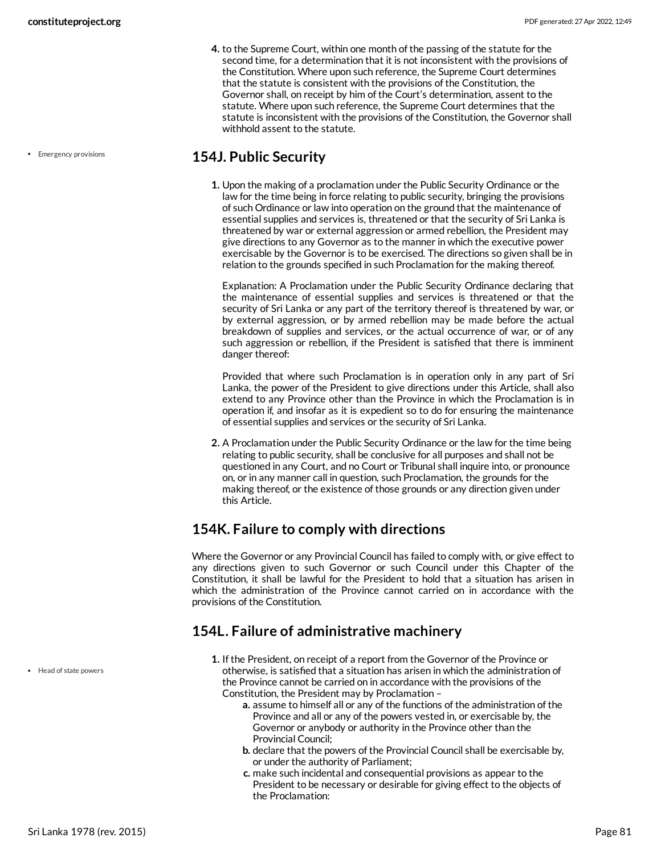**4.** to the Supreme Court, within one month of the passing of the statute for the second time, for a determination that it is not inconsistent with the provisions of the Constitution. Where upon such reference, the Supreme Court determines that the statute is consistent with the provisions of the Constitution, the Governor shall, on receipt by him of the Court's determination, assent to the statute. Where upon such reference, the Supreme Court determines that the statute is inconsistent with the provisions of the Constitution, the Governor shall withhold assent to the statute.

### **154J. Public Security**

**1.** Upon the making of a proclamation under the Public Security Ordinance or the law for the time being in force relating to public security, bringing the provisions of such Ordinance or law into operation on the ground that the maintenance of essential supplies and services is, threatened or that the security of Sri Lanka is threatened by war or external aggression or armed rebellion, the President may give directions to any Governor as to the manner in which the executive power exercisable by the Governor is to be exercised. The directions so given shall be in relation to the grounds specified in such Proclamation for the making thereof.

Explanation: A Proclamation under the Public Security Ordinance declaring that the maintenance of essential supplies and services is threatened or that the security of Sri Lanka or any part of the territory thereof is threatened by war, or by external aggression, or by armed rebellion may be made before the actual breakdown of supplies and services, or the actual occurrence of war, or of any such aggression or rebellion, if the President is satisfied that there is imminent danger thereof:

Provided that where such Proclamation is in operation only in any part of Sri Lanka, the power of the President to give directions under this Article, shall also extend to any Province other than the Province in which the Proclamation is in operation if, and insofar as it is expedient so to do for ensuring the maintenance of essential supplies and services or the security of Sri Lanka.

**2.** A Proclamation under the Public Security Ordinance or the law for the time being relating to public security, shall be conclusive for all purposes and shall not be questioned in any Court, and no Court or Tribunal shall inquire into, or pronounce on, or in any manner call in question, such Proclamation, the grounds for the making thereof, or the existence of those grounds or any direction given under this Article.

## **154K. Failure to comply with directions**

Where the Governor or any Provincial Council has failed to comply with, or give effect to any directions given to such Governor or such Council under this Chapter of the Constitution, it shall be lawful for the President to hold that a situation has arisen in which the administration of the Province cannot carried on in accordance with the provisions of the Constitution.

## **154L. Failure of administrative machinery**

- **1.** If the President, on receipt of a report from the Governor of the Province or otherwise, is satisfied that a situation has arisen in which the administration of the Province cannot be carried on in accordance with the provisions of the Constitution, the President may by Proclamation –
	- **a.** assume to himself all or any of the functions of the administration of the Province and all or any of the powers vested in, or exercisable by, the Governor or anybody or authority in the Province other than the Provincial Council;
	- **b.** declare that the powers of the Provincial Council shall be exercisable by, or under the authority of Parliament;
	- **c.** make such incidental and consequential provisions as appear to the President to be necessary or desirable for giving effect to the objects of the Proclamation:

• Emergency provisions

Head of state powers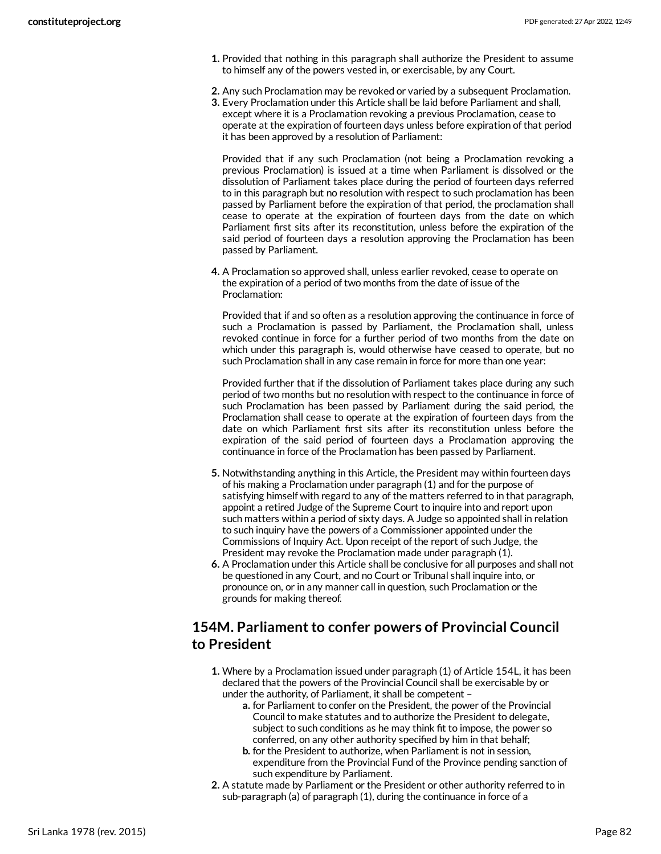- **1.** Provided that nothing in this paragraph shall authorize the President to assume to himself any of the powers vested in, or exercisable, by any Court.
- **2.** Any such Proclamation may be revoked or varied by a subsequent Proclamation.
- **3.** Every Proclamation under this Article shall be laid before Parliament and shall, except where it is a Proclamation revoking a previous Proclamation, cease to operate at the expiration of fourteen days unless before expiration of that period it has been approved by a resolution of Parliament:

Provided that if any such Proclamation (not being a Proclamation revoking a previous Proclamation) is issued at a time when Parliament is dissolved or the dissolution of Parliament takes place during the period of fourteen days referred to in this paragraph but no resolution with respect to such proclamation has been passed by Parliament before the expiration of that period, the proclamation shall cease to operate at the expiration of fourteen days from the date on which Parliament first sits after its reconstitution, unless before the expiration of the said period of fourteen days a resolution approving the Proclamation has been passed by Parliament.

**4.** A Proclamation so approved shall, unless earlier revoked, cease to operate on the expiration of a period of two months from the date of issue of the Proclamation:

Provided that if and so often as a resolution approving the continuance in force of such a Proclamation is passed by Parliament, the Proclamation shall, unless revoked continue in force for a further period of two months from the date on which under this paragraph is, would otherwise have ceased to operate, but no such Proclamation shall in any case remain in force for more than one year:

Provided further that if the dissolution of Parliament takes place during any such period of two months but no resolution with respect to the continuance in force of such Proclamation has been passed by Parliament during the said period, the Proclamation shall cease to operate at the expiration of fourteen days from the date on which Parliament first sits after its reconstitution unless before the expiration of the said period of fourteen days a Proclamation approving the continuance in force of the Proclamation has been passed by Parliament.

- **5.** Notwithstanding anything in this Article, the President may within fourteen days of his making a Proclamation under paragraph (1) and for the purpose of satisfying himself with regard to any of the matters referred to in that paragraph, appoint a retired Judge of the Supreme Court to inquire into and report upon such matters within a period of sixty days. A Judge so appointed shall in relation to such inquiry have the powers of a Commissioner appointed under the Commissions of Inquiry Act. Upon receipt of the report of such Judge, the President may revoke the Proclamation made under paragraph (1).
- **6.** A Proclamation under this Article shall be conclusive for all purposes and shall not be questioned in any Court, and no Court or Tribunal shall inquire into, or pronounce on, or in any manner call in question, such Proclamation or the grounds for making thereof.

## **154M. Parliament to confer powers of Provincial Council to President**

- **1.** Where by a Proclamation issued under paragraph (1) of Article 154L, it has been declared that the powers of the Provincial Council shall be exercisable by or under the authority, of Parliament, it shall be competent –
	- **a.** for Parliament to confer on the President, the power of the Provincial Council to make statutes and to authorize the President to delegate, subject to such conditions as he may think fit to impose, the power so conferred, on any other authority specified by him in that behalf;
	- **b.** for the President to authorize, when Parliament is not in session, expenditure from the Provincial Fund of the Province pending sanction of such expenditure by Parliament.
- **2.** A statute made by Parliament or the President or other authority referred to in sub-paragraph (a) of paragraph (1), during the continuance in force of a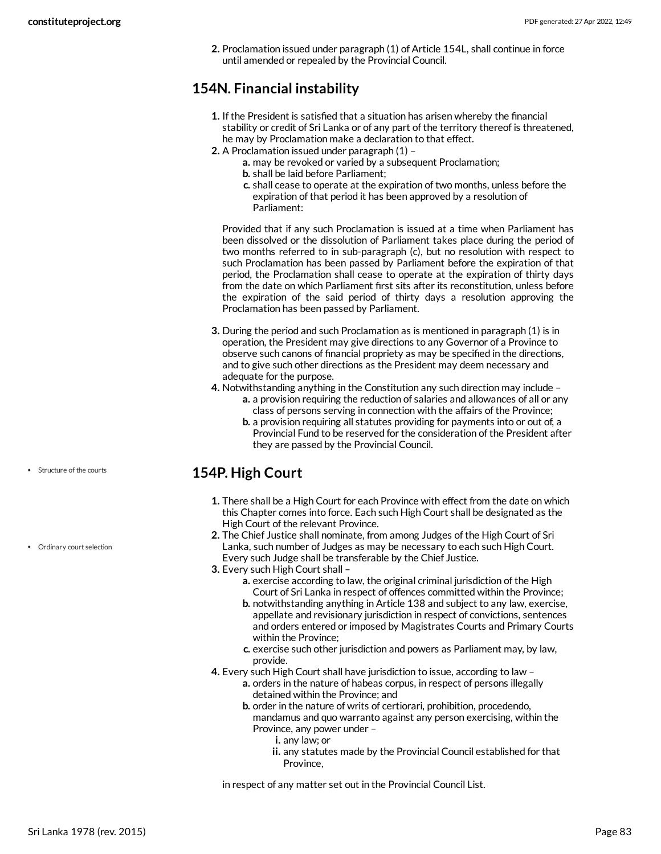**2.** Proclamation issued under paragraph (1) of Article 154L, shall continue in force until amended or repealed by the Provincial Council.

## **154N. Financial instability**

- **1.** If the President is satisfied that a situation has arisen whereby the financial stability or credit of Sri Lanka or of any part of the territory thereof is threatened, he may by Proclamation make a declaration to that effect.
- **2.** A Proclamation issued under paragraph (1)
	- **a.** may be revoked or varied by a subsequent Proclamation;
	- **b.** shall be laid before Parliament;
	- **c.** shall cease to operate at the expiration of two months, unless before the expiration of that period it has been approved by a resolution of Parliament:

Provided that if any such Proclamation is issued at a time when Parliament has been dissolved or the dissolution of Parliament takes place during the period of two months referred to in sub-paragraph (c), but no resolution with respect to such Proclamation has been passed by Parliament before the expiration of that period, the Proclamation shall cease to operate at the expiration of thirty days from the date on which Parliament first sits after its reconstitution, unless before the expiration of the said period of thirty days a resolution approving the Proclamation has been passed by Parliament.

- **3.** During the period and such Proclamation as is mentioned in paragraph (1) is in operation, the President may give directions to any Governor of a Province to observe such canons of financial propriety as may be specified in the directions, and to give such other directions as the President may deem necessary and adequate for the purpose.
- **4.** Notwithstanding anything in the Constitution any such direction may include **a.** a provision requiring the reduction of salaries and allowances of all or any class of persons serving in connection with the affairs of the Province;
	- **b.** a provision requiring all statutes providing for payments into or out of, a Provincial Fund to be reserved for the consideration of the President after they are passed by the Provincial Council.

## **154P. High Court**

- **1.** There shall be a High Court for each Province with effect from the date on which this Chapter comes into force. Each such High Court shall be designated as the High Court of the relevant Province.
- **2.** The Chief Justice shall nominate, from among Judges of the High Court of Sri Lanka, such number of Judges as may be necessary to each such High Court. Every such Judge shall be transferable by the Chief Justice.
- **3.** Every such High Court shall
	- **a.** exercise according to law, the original criminal jurisdiction of the High Court of Sri Lanka in respect of offences committed within the Province;
	- **b.** notwithstanding anything in Article 138 and subject to any law, exercise, appellate and revisionary jurisdiction in respect of convictions, sentences and orders entered or imposed by Magistrates Courts and Primary Courts within the Province;
	- **c.** exercise such other jurisdiction and powers as Parliament may, by law, provide.
- **4.** Every such High Court shall have jurisdiction to issue, according to law
	- **a.** orders in the nature of habeas corpus, in respect of persons illegally detained within the Province; and
	- **b.** order in the nature of writs of certiorari, prohibition, procedendo, mandamus and quo warranto against any person exercising, within the Province, any power under –
		- **i.** any law; or
		- **ii.** any statutes made by the Provincial Council established for that Province,

in respect of any matter set out in the Provincial Council List.

Structure of the courts

Ordinary court selection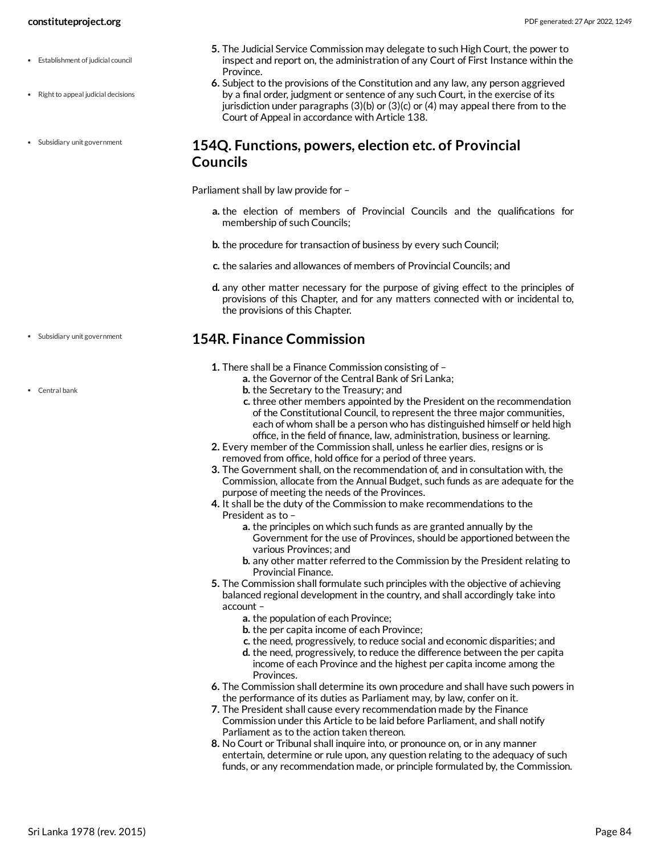- Establishment of judicial council
- $\cdot$  Right to appeal judicial decisions
- Subsidiary unit government
- **5.** The Judicial Service Commission may delegate to such High Court, the power to inspect and report on, the administration of any Court of First Instance within the Province.
- **6.** Subject to the provisions of the Constitution and any law, any person aggrieved by a final order, judgment or sentence of any such Court, in the exercise of its jurisdiction under paragraphs (3)(b) or (3)(c) or (4) may appeal there from to the Court of Appeal in accordance with Article 138.

#### **154Q. Functions, powers, election etc. of Provincial Councils**

Parliament shall by law provide for –

- **a.** the election of members of Provincial Councils and the qualifications for membership of such Councils;
- **b.** the procedure for transaction of business by every such Council;
- **c.** the salaries and allowances of members of Provincial Councils; and
- **d.** any other matter necessary for the purpose of giving effect to the principles of provisions of this Chapter, and for any matters connected with or incidental to, the provisions of this Chapter.

#### **154R. Finance Commission**

- **1.** There shall be a Finance Commission consisting of
	- **a.** the Governor of the Central Bank of Sri Lanka;
	- **b.** the Secretary to the Treasury; and
	- **c.** three other members appointed by the President on the recommendation of the Constitutional Council, to represent the three major communities, each of whom shall be a person who has distinguished himself or held high office, in the field of finance, law, administration, business or learning.
- **2.** Every member of the Commission shall, unless he earlier dies, resigns or is removed from office, hold office for a period of three years.
- **3.** The Government shall, on the recommendation of, and in consultation with, the Commission, allocate from the Annual Budget, such funds as are adequate for the purpose of meeting the needs of the Provinces.
- **4.** It shall be the duty of the Commission to make recommendations to the President as to –
	- **a.** the principles on which such funds as are granted annually by the Government for the use of Provinces, should be apportioned between the various Provinces; and
	- **b.** any other matter referred to the Commission by the President relating to Provincial Finance.
- **5.** The Commission shall formulate such principles with the objective of achieving balanced regional development in the country, and shall accordingly take into account –
	- **a.** the population of each Province;
	- **b.** the per capita income of each Province;
	- **c.** the need, progressively, to reduce social and economic disparities; and
	- **d.** the need, progressively, to reduce the difference between the per capita income of each Province and the highest per capita income among the Provinces.
- **6.** The Commission shall determine its own procedure and shall have such powers in the performance of its duties as Parliament may, by law, confer on it.
- **7.** The President shall cause every recommendation made by the Finance Commission under this Article to be laid before Parliament, and shall notify Parliament as to the action taken thereon.
- **8.** No Court or Tribunal shall inquire into, or pronounce on, or in any manner entertain, determine or rule upon, any question relating to the adequacy of such funds, or any recommendation made, or principle formulated by, the Commission.

Subsidiary unit government

Central bank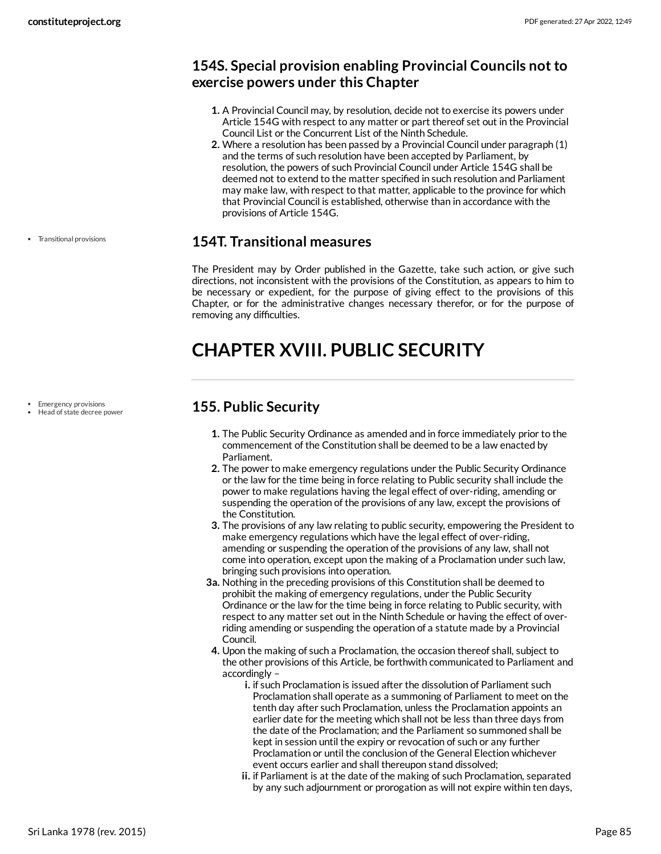### **154S. Special provision enabling Provincial Councils not to exercise powers under this Chapter**

- **1.** A Provincial Council may, by resolution, decide not to exercise its powers under Article 154G with respect to any matter or part thereof set out in the Provincial Council List or the Concurrent List of the Ninth Schedule.
- **2.** Where a resolution has been passed by a Provincial Council under paragraph (1) and the terms of such resolution have been accepted by Parliament, by resolution, the powers of such Provincial Council under Article 154G shall be deemed not to extend to the matter specified in such resolution and Parliament may make law, with respect to that matter, applicable to the province for which that Provincial Council is established, otherwise than in accordance with the provisions of Article 154G.

#### **154T. Transitional measures**

The President may by Order published in the Gazette, take such action, or give such directions, not inconsistent with the provisions of the Constitution, as appears to him to be necessary or expedient, for the purpose of giving effect to the provisions of this Chapter, or for the administrative changes necessary therefor, or for the purpose of removing any difficulties.

# **CHAPTER XVIII. PUBLIC SECURITY**

## **155. Public Security**

- **1.** The Public Security Ordinance as amended and in force immediately prior to the commencement of the Constitution shall be deemed to be a law enacted by Parliament.
- **2.** The power to make emergency regulations under the Public Security Ordinance or the law for the time being in force relating to Public security shall include the power to make regulations having the legal effect of over-riding, amending or suspending the operation of the provisions of any law, except the provisions of the Constitution.
- **3.** The provisions of any law relating to public security, empowering the President to make emergency regulations which have the legal effect of over-riding, amending or suspending the operation of the provisions of any law, shall not come into operation, except upon the making of a Proclamation under such law, bringing such provisions into operation.
- **3a.** Nothing in the preceding provisions of this Constitution shall be deemed to prohibit the making of emergency regulations, under the Public Security Ordinance or the law for the time being in force relating to Public security, with respect to any matter set out in the Ninth Schedule or having the effect of overriding amending or suspending the operation of a statute made by a Provincial Council.
- **4.** Upon the making of such a Proclamation, the occasion thereof shall, subject to the other provisions of this Article, be forthwith communicated to Parliament and accordingly –
	- **i.** if such Proclamation is issued after the dissolution of Parliament such Proclamation shall operate as a summoning of Parliament to meet on the tenth day after such Proclamation, unless the Proclamation appoints an earlier date for the meeting which shall not be less than three days from the date of the Proclamation; and the Parliament so summoned shall be kept in session until the expiry or revocation of such or any further Proclamation or until the conclusion of the General Election whichever event occurs earlier and shall thereupon stand dissolved;
	- **ii.** if Parliament is at the date of the making of such Proclamation, separated by any such adjournment or prorogation as will not expire within ten days,

Transitional provisions

Emergency provisions Head of state decree power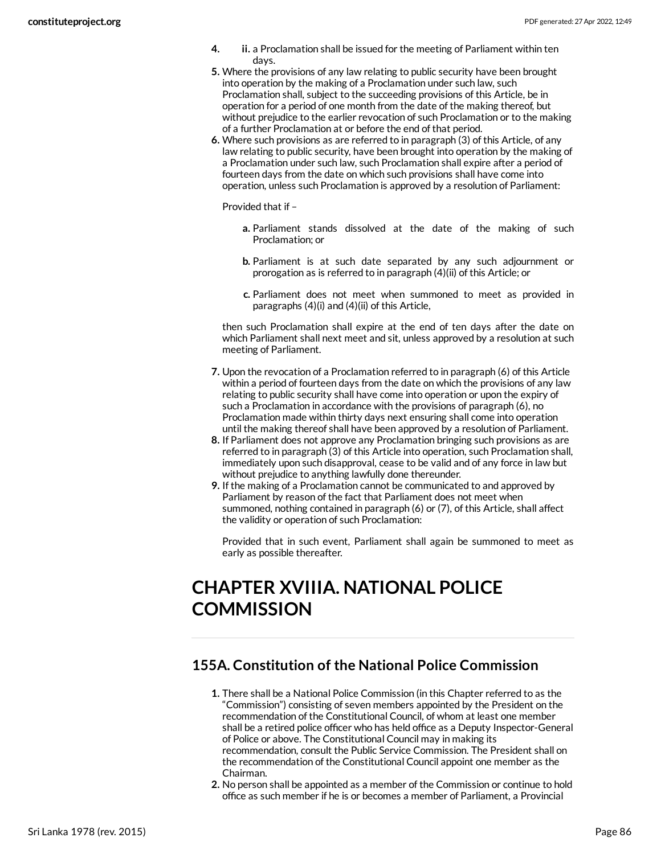- **4. ii.** a Proclamation shall be issued for the meeting of Parliament within ten days.
- **5.** Where the provisions of any law relating to public security have been brought into operation by the making of a Proclamation under such law, such Proclamation shall, subject to the succeeding provisions of this Article, be in operation for a period of one month from the date of the making thereof, but without prejudice to the earlier revocation of such Proclamation or to the making of a further Proclamation at or before the end of that period.
- **6.** Where such provisions as are referred to in paragraph (3) of this Article, of any law relating to public security, have been brought into operation by the making of a Proclamation under such law, such Proclamation shall expire after a period of fourteen days from the date on which such provisions shall have come into operation, unless such Proclamation is approved by a resolution of Parliament:

Provided that if –

- **a.** Parliament stands dissolved at the date of the making of such Proclamation; or
- **b.** Parliament is at such date separated by any such adjournment or prorogation as is referred to in paragraph (4)(ii) of this Article; or
- **c.** Parliament does not meet when summoned to meet as provided in paragraphs (4)(i) and (4)(ii) of this Article,

then such Proclamation shall expire at the end of ten days after the date on which Parliament shall next meet and sit, unless approved by a resolution at such meeting of Parliament.

- **7.** Upon the revocation of a Proclamation referred to in paragraph (6) of this Article within a period of fourteen days from the date on which the provisions of any law relating to public security shall have come into operation or upon the expiry of such a Proclamation in accordance with the provisions of paragraph (6), no Proclamation made within thirty days next ensuring shall come into operation until the making thereof shall have been approved by a resolution of Parliament.
- **8.** If Parliament does not approve any Proclamation bringing such provisions as are referred to in paragraph (3) of this Article into operation, such Proclamation shall, immediately upon such disapproval, cease to be valid and of any force in law but without prejudice to anything lawfully done thereunder.
- **9.** If the making of a Proclamation cannot be communicated to and approved by Parliament by reason of the fact that Parliament does not meet when summoned, nothing contained in paragraph (6) or (7), of this Article, shall affect the validity or operation of such Proclamation:

Provided that in such event, Parliament shall again be summoned to meet as early as possible thereafter.

# **CHAPTER XVIIIA. NATIONAL POLICE COMMISSION**

## **155A. Constitution of the National Police Commission**

- **1.** There shall be a National Police Commission (in this Chapter referred to as the "Commission") consisting of seven members appointed by the President on the recommendation of the Constitutional Council, of whom at least one member shall be a retired police officer who has held office as a Deputy Inspector-General of Police or above. The Constitutional Council may in making its recommendation, consult the Public Service Commission. The President shall on the recommendation of the Constitutional Council appoint one member as the Chairman.
- **2.** No person shall be appointed as a member of the Commission or continue to hold office as such member if he is or becomes a member of Parliament, a Provincial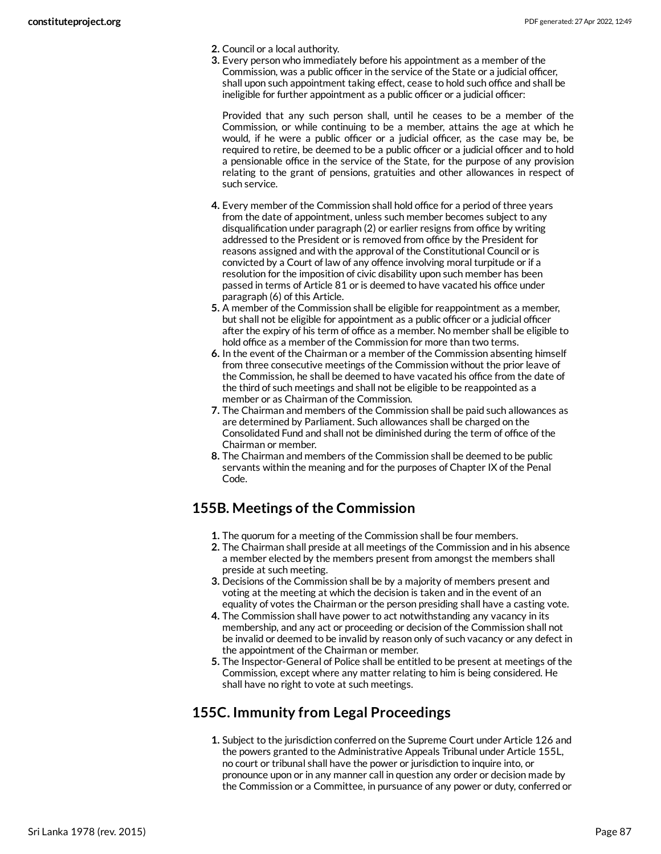- **2.** Council or a local authority.
- **3.** Every person who immediately before his appointment as a member of the Commission, was a public officer in the service of the State or a judicial officer, shall upon such appointment taking effect, cease to hold such office and shall be ineligible for further appointment as a public officer or a judicial officer:

Provided that any such person shall, until he ceases to be a member of the Commission, or while continuing to be a member, attains the age at which he would, if he were a public officer or a judicial officer, as the case may be, be required to retire, be deemed to be a public officer or a judicial officer and to hold a pensionable office in the service of the State, for the purpose of any provision relating to the grant of pensions, gratuities and other allowances in respect of such service.

- **4.** Every member of the Commission shall hold office for a period of three years from the date of appointment, unless such member becomes subject to any disqualification under paragraph (2) or earlier resigns from office by writing addressed to the President or is removed from office by the President for reasons assigned and with the approval of the Constitutional Council or is convicted by a Court of law of any offence involving moral turpitude or if a resolution for the imposition of civic disability upon such member has been passed in terms of Article 81 or is deemed to have vacated his office under paragraph (6) of this Article.
- **5.** A member of the Commission shall be eligible for reappointment as a member, but shall not be eligible for appointment as a public officer or a judicial officer after the expiry of his term of office as a member. No member shall be eligible to hold office as a member of the Commission for more than two terms.
- **6.** In the event of the Chairman or a member of the Commission absenting himself from three consecutive meetings of the Commission without the prior leave of the Commission, he shall be deemed to have vacated his office from the date of the third of such meetings and shall not be eligible to be reappointed as a member or as Chairman of the Commission.
- **7.** The Chairman and members of the Commission shall be paid such allowances as are determined by Parliament. Such allowances shall be charged on the Consolidated Fund and shall not be diminished during the term of office of the Chairman or member.
- **8.** The Chairman and members of the Commission shall be deemed to be public servants within the meaning and for the purposes of Chapter IX of the Penal Code.

## **155B. Meetings of the Commission**

- **1.** The quorum for a meeting of the Commission shall be four members.
- **2.** The Chairman shall preside at all meetings of the Commission and in his absence a member elected by the members present from amongst the members shall preside at such meeting.
- **3.** Decisions of the Commission shall be by a majority of members present and voting at the meeting at which the decision is taken and in the event of an equality of votes the Chairman or the person presiding shall have a casting vote.
- **4.** The Commission shall have power to act notwithstanding any vacancy in its membership, and any act or proceeding or decision of the Commission shall not be invalid or deemed to be invalid by reason only of such vacancy or any defect in the appointment of the Chairman or member.
- **5.** The Inspector-General of Police shall be entitled to be present at meetings of the Commission, except where any matter relating to him is being considered. He shall have no right to vote at such meetings.

## **155C. Immunity from Legal Proceedings**

**1.** Subject to the jurisdiction conferred on the Supreme Court under Article 126 and the powers granted to the Administrative Appeals Tribunal under Article 155L, no court or tribunal shall have the power or jurisdiction to inquire into, or pronounce upon or in any manner call in question any order or decision made by the Commission or a Committee, in pursuance of any power or duty, conferred or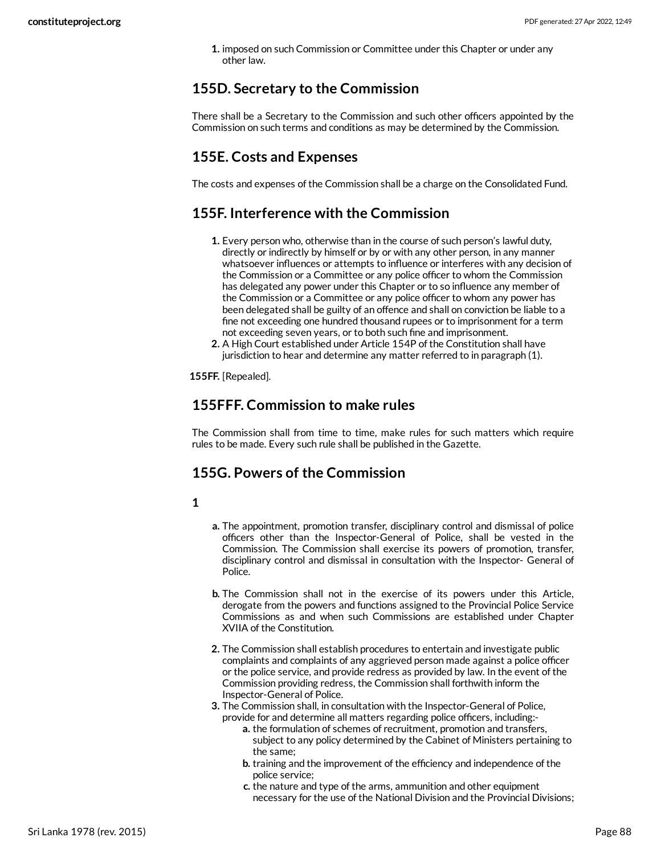**1.** imposed on such Commission or Committee under this Chapter or under any other law.

## **155D. Secretary to the Commission**

There shall be a Secretary to the Commission and such other officers appointed by the Commission on such terms and conditions as may be determined by the Commission.

### **155E. Costs and Expenses**

The costs and expenses of the Commission shall be a charge on the Consolidated Fund.

## **155F. Interference with the Commission**

- **1.** Every person who, otherwise than in the course of such person's lawful duty, directly or indirectly by himself or by or with any other person, in any manner whatsoever influences or attempts to influence or interferes with any decision of the Commission or a Committee or any police officer to whom the Commission has delegated any power under this Chapter or to so influence any member of the Commission or a Committee or any police officer to whom any power has been delegated shall be guilty of an offence and shall on conviction be liable to a fine not exceeding one hundred thousand rupees or to imprisonment for a term not exceeding seven years, or to both such fine and imprisonment.
- **2.** A High Court established under Article 154P of the Constitution shall have jurisdiction to hear and determine any matter referred to in paragraph (1).

**155FF.** [Repealed].

#### **155FFF. Commission to make rules**

The Commission shall from time to time, make rules for such matters which require rules to be made. Every such rule shall be published in the Gazette.

#### **155G. Powers of the Commission**

#### **1**

- **a.** The appointment, promotion transfer, disciplinary control and dismissal of police officers other than the Inspector-General of Police, shall be vested in the Commission. The Commission shall exercise its powers of promotion, transfer, disciplinary control and dismissal in consultation with the Inspector- General of Police.
- **b.** The Commission shall not in the exercise of its powers under this Article, derogate from the powers and functions assigned to the Provincial Police Service Commissions as and when such Commissions are established under Chapter XVIIA of the Constitution.
- **2.** The Commission shall establish procedures to entertain and investigate public complaints and complaints of any aggrieved person made against a police officer or the police service, and provide redress as provided by law. In the event of the Commission providing redress, the Commission shall forthwith inform the Inspector-General of Police.
- **3.** The Commission shall, in consultation with the Inspector-General of Police, provide for and determine all matters regarding police officers, including:
	- **a.** the formulation of schemes of recruitment, promotion and transfers, subject to any policy determined by the Cabinet of Ministers pertaining to the same;
	- **b.** training and the improvement of the efficiency and independence of the police service;
	- **c.** the nature and type of the arms, ammunition and other equipment necessary for the use of the National Division and the Provincial Divisions;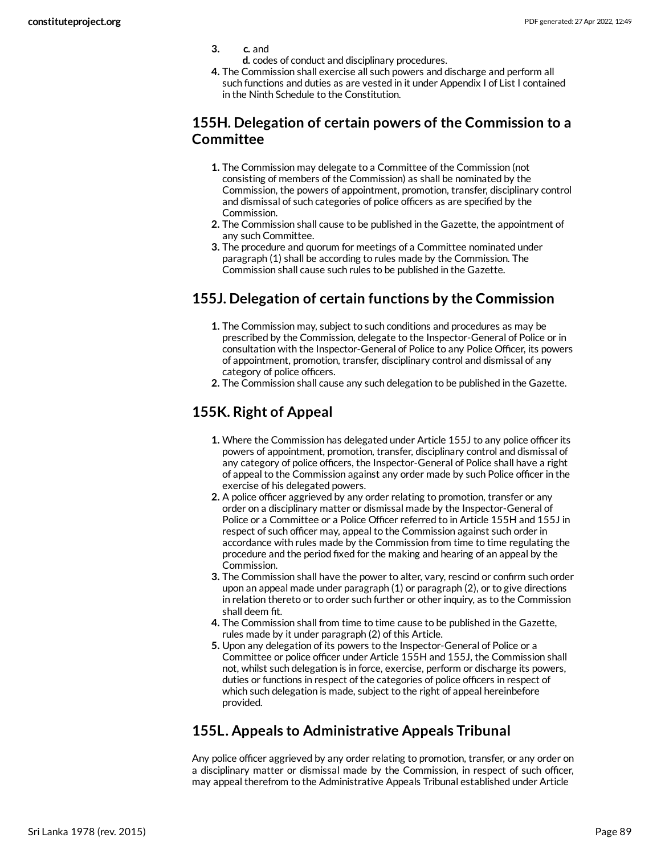- **3. c.** and
	- **d.** codes of conduct and disciplinary procedures.
- **4.** The Commission shall exercise all such powers and discharge and perform all such functions and duties as are vested in it under Appendix I of List I contained in the Ninth Schedule to the Constitution.

### **155H. Delegation of certain powers of the Commission to a Committee**

- **1.** The Commission may delegate to a Committee of the Commission (not consisting of members of the Commission) as shall be nominated by the Commission, the powers of appointment, promotion, transfer, disciplinary control and dismissal of such categories of police officers as are specified by the Commission.
- **2.** The Commission shall cause to be published in the Gazette, the appointment of any such Committee.
- **3.** The procedure and quorum for meetings of a Committee nominated under paragraph (1) shall be according to rules made by the Commission. The Commission shall cause such rules to be published in the Gazette.

#### **155J. Delegation of certain functions by the Commission**

- **1.** The Commission may, subject to such conditions and procedures as may be prescribed by the Commission, delegate to the Inspector-General of Police or in consultation with the Inspector-General of Police to any Police Officer, its powers of appointment, promotion, transfer, disciplinary control and dismissal of any category of police officers.
- **2.** The Commission shall cause any such delegation to be published in the Gazette.

### **155K. Right of Appeal**

- **1.** Where the Commission has delegated under Article 155J to any police officer its powers of appointment, promotion, transfer, disciplinary control and dismissal of any category of police officers, the Inspector-General of Police shall have a right of appeal to the Commission against any order made by such Police officer in the exercise of his delegated powers.
- **2.** A police officer aggrieved by any order relating to promotion, transfer or any order on a disciplinary matter or dismissal made by the Inspector-General of Police or a Committee or a Police Officer referred to in Article 155H and 155J in respect of such officer may, appeal to the Commission against such order in accordance with rules made by the Commission from time to time regulating the procedure and the period fixed for the making and hearing of an appeal by the Commission.
- **3.** The Commission shall have the power to alter, vary, rescind or confirm such order upon an appeal made under paragraph (1) or paragraph (2), or to give directions in relation thereto or to order such further or other inquiry, as to the Commission shall deem fit.
- **4.** The Commission shall from time to time cause to be published in the Gazette, rules made by it under paragraph (2) of this Article.
- **5.** Upon any delegation of its powers to the Inspector-General of Police or a Committee or police officer under Article 155H and 155J, the Commission shall not, whilst such delegation is in force, exercise, perform or discharge its powers, duties or functions in respect of the categories of police officers in respect of which such delegation is made, subject to the right of appeal hereinbefore provided.

## **155L. Appeals to Administrative Appeals Tribunal**

Any police officer aggrieved by any order relating to promotion, transfer, or any order on a disciplinary matter or dismissal made by the Commission, in respect of such officer, may appeal therefrom to the Administrative Appeals Tribunal established under Article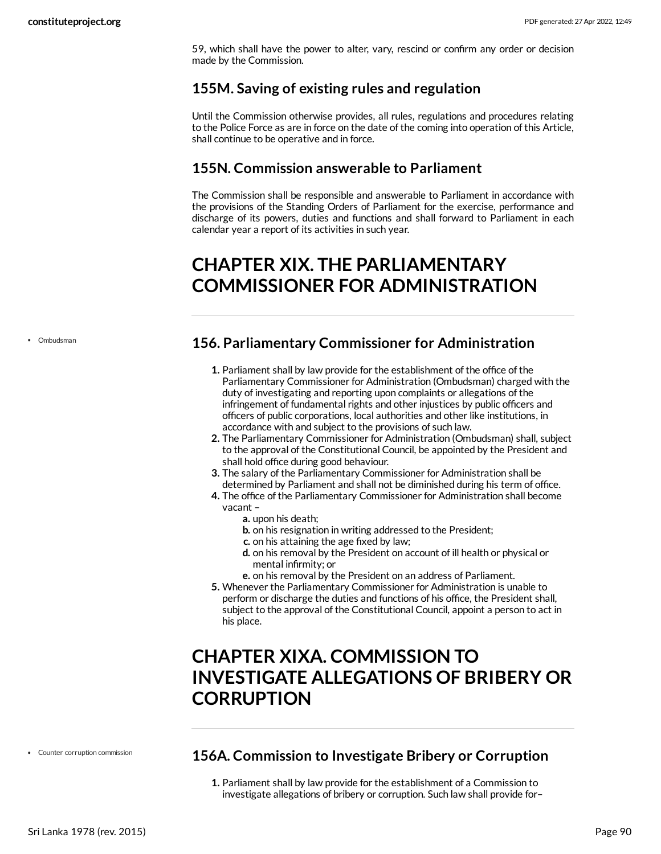59, which shall have the power to alter, vary, rescind or confirm any order or decision made by the Commission.

### **155M. Saving of existing rules and regulation**

Until the Commission otherwise provides, all rules, regulations and procedures relating to the Police Force as are in force on the date of the coming into operation of this Article, shall continue to be operative and in force.

### **155N. Commission answerable to Parliament**

The Commission shall be responsible and answerable to Parliament in accordance with the provisions of the Standing Orders of Parliament for the exercise, performance and discharge of its powers, duties and functions and shall forward to Parliament in each calendar year a report of its activities in such year.

## **CHAPTER XIX. THE PARLIAMENTARY COMMISSIONER FOR ADMINISTRATION**

## **156. Parliamentary Commissioner for Administration**

- **1.** Parliament shall by law provide for the establishment of the office of the Parliamentary Commissioner for Administration (Ombudsman) charged with the duty of investigating and reporting upon complaints or allegations of the infringement of fundamental rights and other injustices by public officers and officers of public corporations, local authorities and other like institutions, in accordance with and subject to the provisions of such law.
- **2.** The Parliamentary Commissioner for Administration (Ombudsman) shall, subject to the approval of the Constitutional Council, be appointed by the President and shall hold office during good behaviour.
- **3.** The salary of the Parliamentary Commissioner for Administration shall be determined by Parliament and shall not be diminished during his term of office.
- **4.** The office of the Parliamentary Commissioner for Administration shall become vacant –
	- **a.** upon his death;
	- **b.** on his resignation in writing addressed to the President;
	- **c.** on his attaining the age fixed by law;
	- **d.** on his removal by the President on account of ill health or physical or mental infirmity; or
	- **e.** on his removal by the President on an address of Parliament.
- **5.** Whenever the Parliamentary Commissioner for Administration is unable to perform or discharge the duties and functions of his office, the President shall, subject to the approval of the Constitutional Council, appoint a person to act in his place.

## **CHAPTER XIXA. COMMISSION TO INVESTIGATE ALLEGATIONS OF BRIBERY OR CORRUPTION**

Counter corruption commission

#### **156A. Commission to Investigate Bribery or Corruption**

**1.** Parliament shall by law provide for the establishment of a Commission to investigate allegations of bribery or corruption. Such law shall provide for–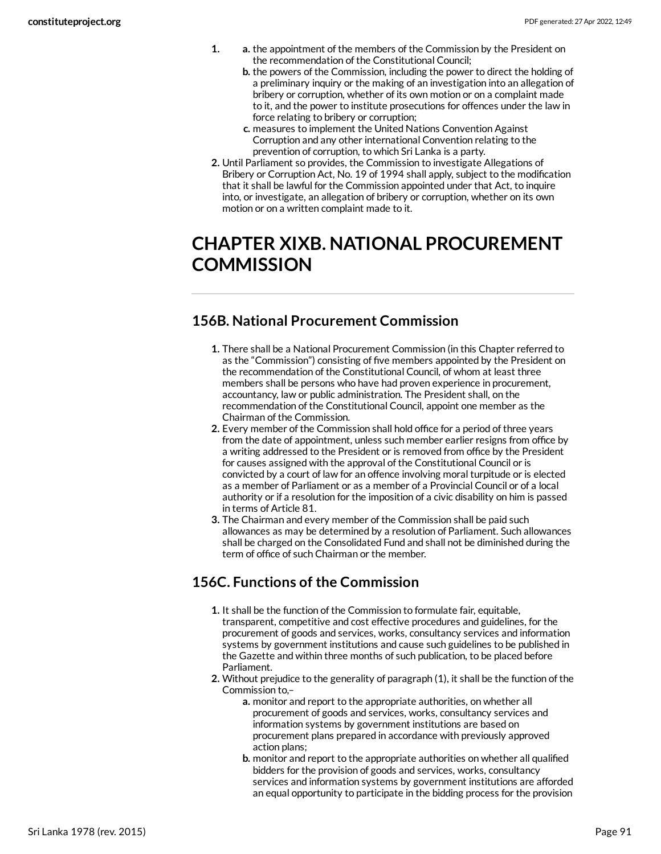- **1. a.** the appointment of the members of the Commission by the President on the recommendation of the Constitutional Council;
	- **b.** the powers of the Commission, including the power to direct the holding of a preliminary inquiry or the making of an investigation into an allegation of bribery or corruption, whether of its own motion or on a complaint made to it, and the power to institute prosecutions for offences under the law in force relating to bribery or corruption;
	- **c.** measures to implement the United Nations Convention Against Corruption and any other international Convention relating to the prevention of corruption, to which Sri Lanka is a party.
- **2.** Until Parliament so provides, the Commission to investigate Allegations of Bribery or Corruption Act, No. 19 of 1994 shall apply, subject to the modification that it shall be lawful for the Commission appointed under that Act, to inquire into, or investigate, an allegation of bribery or corruption, whether on its own motion or on a written complaint made to it.

# **CHAPTER XIXB. NATIONAL PROCUREMENT COMMISSION**

## **156B. National Procurement Commission**

- **1.** There shall be a National Procurement Commission (in this Chapter referred to as the "Commission") consisting of five members appointed by the President on the recommendation of the Constitutional Council, of whom at least three members shall be persons who have had proven experience in procurement, accountancy, law or public administration. The President shall, on the recommendation of the Constitutional Council, appoint one member as the Chairman of the Commission.
- **2.** Every member of the Commission shall hold office for a period of three years from the date of appointment, unless such member earlier resigns from office by a writing addressed to the President or is removed from office by the President for causes assigned with the approval of the Constitutional Council or is convicted by a court of law for an offence involving moral turpitude or is elected as a member of Parliament or as a member of a Provincial Council or of a local authority or if a resolution for the imposition of a civic disability on him is passed in terms of Article 81.
- **3.** The Chairman and every member of the Commission shall be paid such allowances as may be determined by a resolution of Parliament. Such allowances shall be charged on the Consolidated Fund and shall not be diminished during the term of office of such Chairman or the member.

## **156C. Functions of the Commission**

- **1.** It shall be the function of the Commission to formulate fair, equitable, transparent, competitive and cost effective procedures and guidelines, for the procurement of goods and services, works, consultancy services and information systems by government institutions and cause such guidelines to be published in the Gazette and within three months of such publication, to be placed before Parliament.
- **2.** Without prejudice to the generality of paragraph (1), it shall be the function of the Commission to,–
	- **a.** monitor and report to the appropriate authorities, on whether all procurement of goods and services, works, consultancy services and information systems by government institutions are based on procurement plans prepared in accordance with previously approved action plans;
	- **b.** monitor and report to the appropriate authorities on whether all qualified bidders for the provision of goods and services, works, consultancy services and information systems by government institutions are afforded an equal opportunity to participate in the bidding process for the provision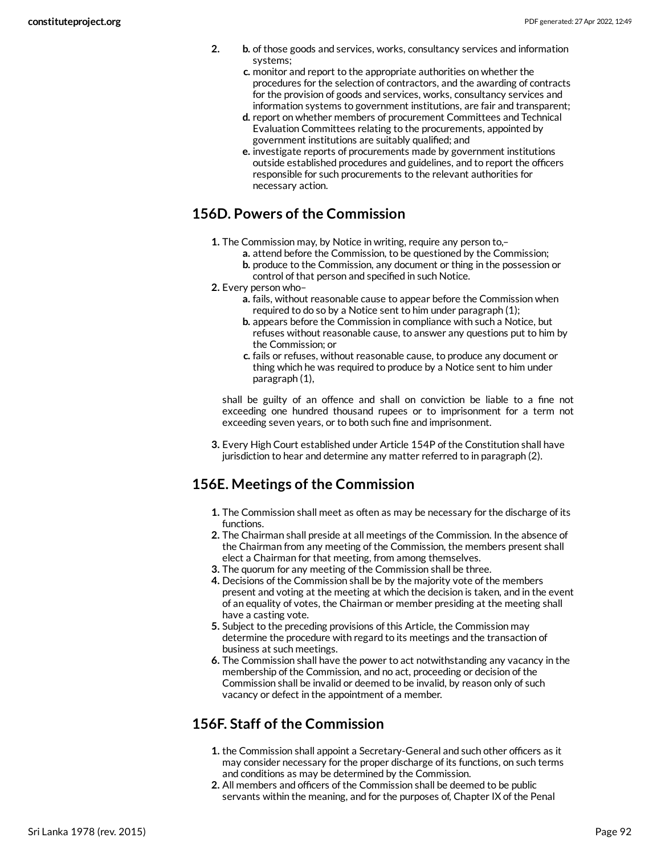- **2. b.** of those goods and services, works, consultancy services and information systems;
	- **c.** monitor and report to the appropriate authorities on whether the procedures for the selection of contractors, and the awarding of contracts for the provision of goods and services, works, consultancy services and information systems to government institutions, are fair and transparent;
	- **d.** report on whether members of procurement Committees and Technical Evaluation Committees relating to the procurements, appointed by government institutions are suitably qualified; and
	- **e.** investigate reports of procurements made by government institutions outside established procedures and guidelines, and to report the officers responsible for such procurements to the relevant authorities for necessary action.

#### **156D. Powers of the Commission**

- **1.** The Commission may, by Notice in writing, require any person to,–
	- **a.** attend before the Commission, to be questioned by the Commission; **b.** produce to the Commission, any document or thing in the possession or control of that person and specified in such Notice.
- **2.** Every person who–
	- **a.** fails, without reasonable cause to appear before the Commission when required to do so by a Notice sent to him under paragraph (1);
	- **b.** appears before the Commission in compliance with such a Notice, but refuses without reasonable cause, to answer any questions put to him by the Commission; or
	- **c.** fails or refuses, without reasonable cause, to produce any document or thing which he was required to produce by a Notice sent to him under paragraph (1),

shall be guilty of an offence and shall on conviction be liable to a fine not exceeding one hundred thousand rupees or to imprisonment for a term not exceeding seven years, or to both such fine and imprisonment.

**3.** Every High Court established under Article 154P of the Constitution shall have jurisdiction to hear and determine any matter referred to in paragraph (2).

## **156E. Meetings of the Commission**

- **1.** The Commission shall meet as often as may be necessary for the discharge of its functions.
- **2.** The Chairman shall preside at all meetings of the Commission. In the absence of the Chairman from any meeting of the Commission, the members present shall elect a Chairman for that meeting, from among themselves.
- **3.** The quorum for any meeting of the Commission shall be three.
- **4.** Decisions of the Commission shall be by the majority vote of the members present and voting at the meeting at which the decision is taken, and in the event of an equality of votes, the Chairman or member presiding at the meeting shall have a casting vote.
- **5.** Subject to the preceding provisions of this Article, the Commission may determine the procedure with regard to its meetings and the transaction of business at such meetings.
- **6.** The Commission shall have the power to act notwithstanding any vacancy in the membership of the Commission, and no act, proceeding or decision of the Commission shall be invalid or deemed to be invalid, by reason only of such vacancy or defect in the appointment of a member.

## **156F. Staff of the Commission**

- **1.** the Commission shall appoint a Secretary-General and such other officers as it may consider necessary for the proper discharge of its functions, on such terms and conditions as may be determined by the Commission.
- **2.** All members and officers of the Commission shall be deemed to be public servants within the meaning, and for the purposes of, Chapter IX of the Penal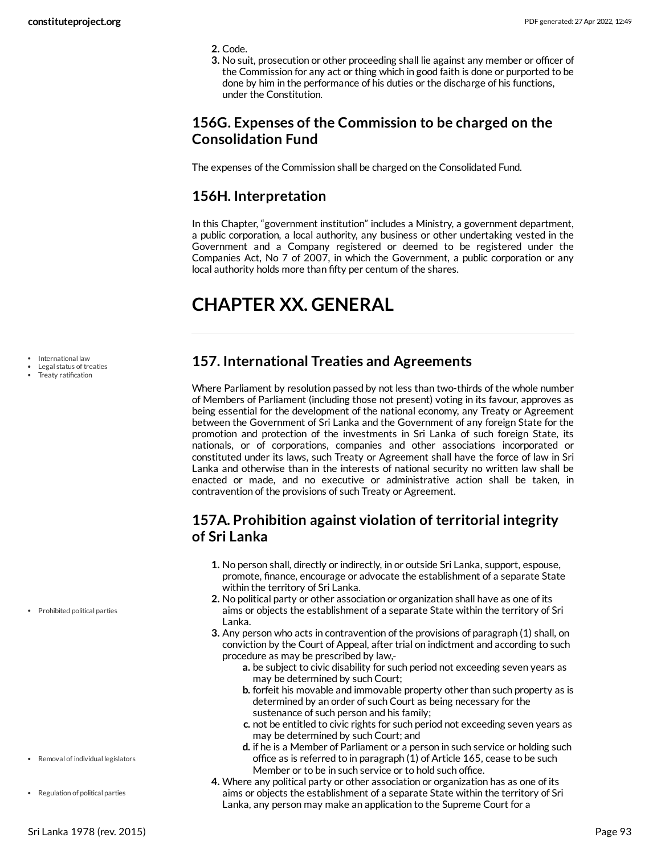- **2.** Code.
- **3.** No suit, prosecution or other proceeding shall lie against any member or officer of the Commission for any act or thing which in good faith is done or purported to be done by him in the performance of his duties or the discharge of his functions, under the Constitution.

## **156G. Expenses of the Commission to be charged on the Consolidation Fund**

The expenses of the Commission shall be charged on the Consolidated Fund.

#### **156H. Interpretation**

In this Chapter, "government institution" includes a Ministry, a government department, a public corporation, a local authority, any business or other undertaking vested in the Government and a Company registered or deemed to be registered under the Companies Act, No 7 of 2007, in which the Government, a public corporation or any local authority holds more than fifty per centum of the shares.

# **CHAPTER XX. GENERAL**

- International law
- Legal status of treaties
- Treaty ratification

### **157. International Treaties and Agreements**

Where Parliament by resolution passed by not less than two-thirds of the whole number of Members of Parliament (including those not present) voting in its favour, approves as being essential for the development of the national economy, any Treaty or Agreement between the Government of Sri Lanka and the Government of any foreign State for the promotion and protection of the investments in Sri Lanka of such foreign State, its nationals, or of corporations, companies and other associations incorporated or constituted under its laws, such Treaty or Agreement shall have the force of law in Sri Lanka and otherwise than in the interests of national security no written law shall be enacted or made, and no executive or administrative action shall be taken, in contravention of the provisions of such Treaty or Agreement.

## **157A. Prohibition against violation of territorial integrity of Sri Lanka**

- **1.** No person shall, directly or indirectly, in or outside Sri Lanka, support, espouse, promote, finance, encourage or advocate the establishment of a separate State within the territory of Sri Lanka.
- **2.** No political party or other association or organization shall have as one of its aims or objects the establishment of a separate State within the territory of Sri Lanka.
- **3.** Any person who acts in contravention of the provisions of paragraph (1) shall, on conviction by the Court of Appeal, after trial on indictment and according to such procedure as may be prescribed by law,
	- **a.** be subject to civic disability for such period not exceeding seven years as may be determined by such Court;
	- **b.** forfeit his movable and immovable property other than such property as is determined by an order of such Court as being necessary for the sustenance of such person and his family;
	- **c.** not be entitled to civic rights for such period not exceeding seven years as may be determined by such Court; and
	- **d.** if he is a Member of Parliament or a person in such service or holding such office as is referred to in paragraph (1) of Article 165, cease to be such Member or to be in such service or to hold such office.
- **4.** Where any political party or other association or organization has as one of its aims or objects the establishment of a separate State within the territory of Sri Lanka, any person may make an application to the Supreme Court for a
- Removal of individual legislators

Prohibited political parties

Regulation of political parties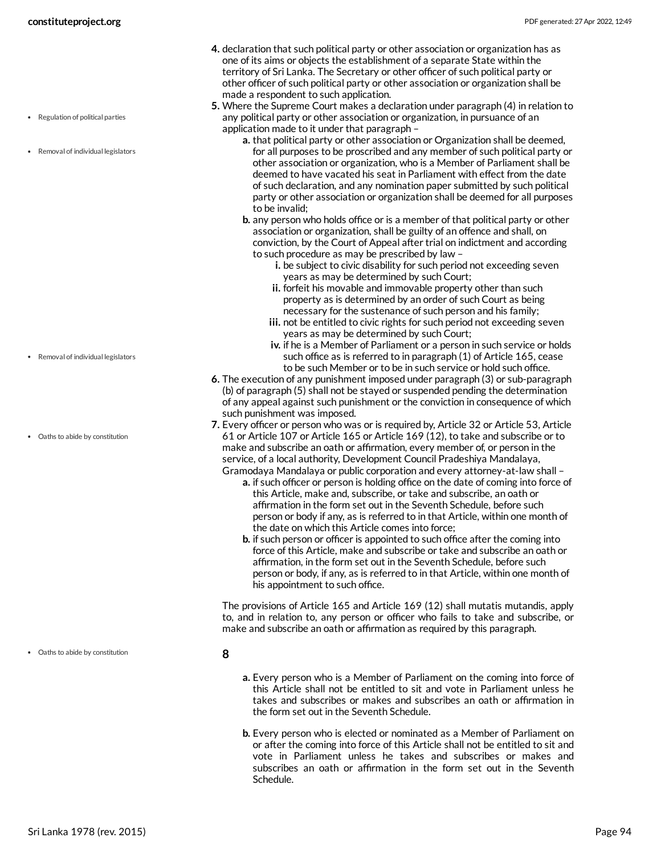- **4.** declaration that such political party or other association or organization has as one of its aims or objects the establishment of a separate State within the territory of Sri Lanka. The Secretary or other officer of such political party or other officer of such political party or other association or organization shall be made a respondent to such application.
- **5.** Where the Supreme Court makes a declaration under paragraph (4) in relation to any political party or other association or organization, in pursuance of an application made to it under that paragraph –
	- **a.** that political party or other association or Organization shall be deemed, for all purposes to be proscribed and any member of such political party or other association or organization, who is a Member of Parliament shall be deemed to have vacated his seat in Parliament with effect from the date of such declaration, and any nomination paper submitted by such political party or other association or organization shall be deemed for all purposes to be invalid;
	- **b.** any person who holds office or is a member of that political party or other association or organization, shall be guilty of an offence and shall, on conviction, by the Court of Appeal after trial on indictment and according to such procedure as may be prescribed by law –
		- **i.** be subject to civic disability for such period not exceeding seven years as may be determined by such Court;
		- **ii.** forfeit his movable and immovable property other than such property as is determined by an order of such Court as being necessary for the sustenance of such person and his family;
		- **iii.** not be entitled to civic rights for such period not exceeding seven years as may be determined by such Court;
		- **iv.** if he is a Member of Parliament or a person in such service or holds such office as is referred to in paragraph (1) of Article 165, cease to be such Member or to be in such service or hold such office.
- **6.** The execution of any punishment imposed under paragraph (3) or sub-paragraph (b) of paragraph (5) shall not be stayed or suspended pending the determination of any appeal against such punishment or the conviction in consequence of which such punishment was imposed.
- **7.** Every officer or person who was or is required by, Article 32 or Article 53, Article 61 or Article 107 or Article 165 or Article 169 (12), to take and subscribe or to make and subscribe an oath or affirmation, every member of, or person in the service, of a local authority, Development Council Pradeshiya Mandalaya, Gramodaya Mandalaya or public corporation and every attorney-at-law shall –
	- **a.** if such officer or person is holding office on the date of coming into force of this Article, make and, subscribe, or take and subscribe, an oath or affirmation in the form set out in the Seventh Schedule, before such person or body if any, as is referred to in that Article, within one month of the date on which this Article comes into force;
	- **b.** if such person or officer is appointed to such office after the coming into force of this Article, make and subscribe or take and subscribe an oath or affirmation, in the form set out in the Seventh Schedule, before such person or body, if any, as is referred to in that Article, within one month of his appointment to such office.

The provisions of Article 165 and Article 169 (12) shall mutatis mutandis, apply to, and in relation to, any person or officer who fails to take and subscribe, or make and subscribe an oath or affirmation as required by this paragraph.

- **8**
- **a.** Every person who is a Member of Parliament on the coming into force of this Article shall not be entitled to sit and vote in Parliament unless he takes and subscribes or makes and subscribes an oath or affirmation in the form set out in the Seventh Schedule.
- **b.** Every person who is elected or nominated as a Member of Parliament on or after the coming into force of this Article shall not be entitled to sit and vote in Parliament unless he takes and subscribes or makes and subscribes an oath or affirmation in the form set out in the Seventh Schedule.
- Regulation of political parties
- Removal of individual legislators

• Removal of individual legislators

Oaths to abide by constitution

Oaths to abide by constitution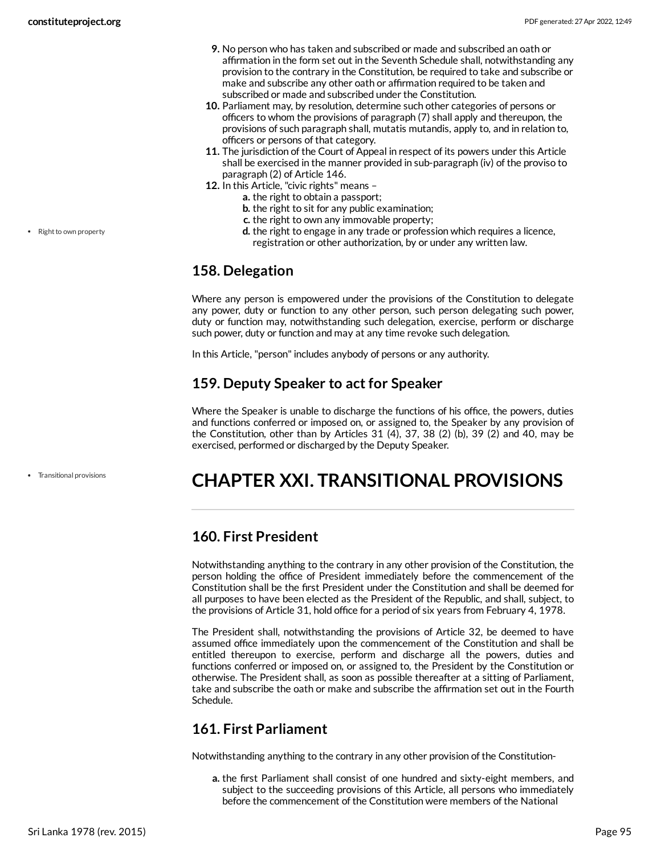• Right to own property

- **9.** No person who has taken and subscribed or made and subscribed an oath or affirmation in the form set out in the Seventh Schedule shall, notwithstanding any provision to the contrary in the Constitution, be required to take and subscribe or make and subscribe any other oath or affirmation required to be taken and subscribed or made and subscribed under the Constitution.
- **10.** Parliament may, by resolution, determine such other categories of persons or officers to whom the provisions of paragraph (7) shall apply and thereupon, the provisions of such paragraph shall, mutatis mutandis, apply to, and in relation to, officers or persons of that category.
- **11.** The jurisdiction of the Court of Appeal in respect of its powers under this Article shall be exercised in the manner provided in sub-paragraph (iv) of the proviso to paragraph (2) of Article 146.
- **12.** In this Article, "civic rights" means
	- **a.** the right to obtain a passport;
		- **b.** the right to sit for any public examination;
		- **c.** the right to own any immovable property;
		- **d.** the right to engage in any trade or profession which requires a licence, registration or other authorization, by or under any written law.

## **158. Delegation**

Where any person is empowered under the provisions of the Constitution to delegate any power, duty or function to any other person, such person delegating such power, duty or function may, notwithstanding such delegation, exercise, perform or discharge such power, duty or function and may at any time revoke such delegation.

In this Article, "person" includes anybody of persons or any authority.

#### **159. Deputy Speaker to act for Speaker**

Where the Speaker is unable to discharge the functions of his office, the powers, duties and functions conferred or imposed on, or assigned to, the Speaker by any provision of the Constitution, other than by Articles 31 (4), 37, 38 (2) (b), 39 (2) and 40, may be exercised, performed or discharged by the Deputy Speaker.

Transitional provisions

# **CHAPTER XXI. TRANSITIONAL PROVISIONS**

#### **160. First President**

Notwithstanding anything to the contrary in any other provision of the Constitution, the person holding the office of President immediately before the commencement of the Constitution shall be the first President under the Constitution and shall be deemed for all purposes to have been elected as the President of the Republic, and shall, subject, to the provisions of Article 31, hold office for a period of six years from February 4, 1978.

The President shall, notwithstanding the provisions of Article 32, be deemed to have assumed office immediately upon the commencement of the Constitution and shall be entitled thereupon to exercise, perform and discharge all the powers, duties and functions conferred or imposed on, or assigned to, the President by the Constitution or otherwise. The President shall, as soon as possible thereafter at a sitting of Parliament, take and subscribe the oath or make and subscribe the affirmation set out in the Fourth Schedule.

## **161. First Parliament**

Notwithstanding anything to the contrary in any other provision of the Constitution-

**a.** the first Parliament shall consist of one hundred and sixty-eight members, and subject to the succeeding provisions of this Article, all persons who immediately before the commencement of the Constitution were members of the National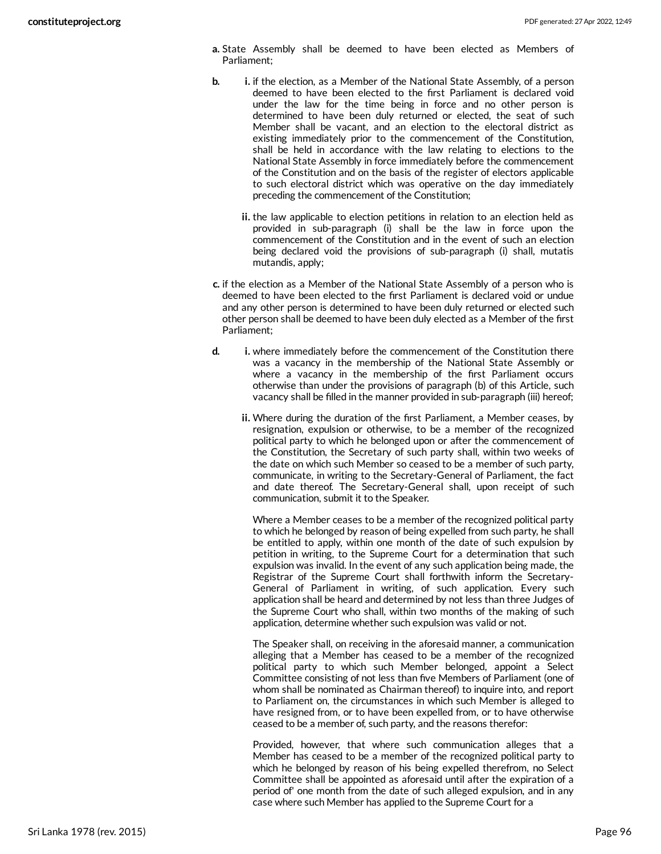- **a.** State Assembly shall be deemed to have been elected as Members of Parliament;
- **b. i.** if the election, as a Member of the National State Assembly, of a person deemed to have been elected to the first Parliament is declared void under the law for the time being in force and no other person is determined to have been duly returned or elected, the seat of such Member shall be vacant, and an election to the electoral district as existing immediately prior to the commencement of the Constitution, shall be held in accordance with the law relating to elections to the National State Assembly in force immediately before the commencement of the Constitution and on the basis of the register of electors applicable to such electoral district which was operative on the day immediately preceding the commencement of the Constitution;
	- **ii.** the law applicable to election petitions in relation to an election held as provided in sub-paragraph (i) shall be the law in force upon the commencement of the Constitution and in the event of such an election being declared void the provisions of sub-paragraph (i) shall, mutatis mutandis, apply;
- **c.** if the election as a Member of the National State Assembly of a person who is deemed to have been elected to the first Parliament is declared void or undue and any other person is determined to have been duly returned or elected such other person shall be deemed to have been duly elected as a Member of the first Parliament;
- **d. i.** where immediately before the commencement of the Constitution there was a vacancy in the membership of the National State Assembly or where a vacancy in the membership of the first Parliament occurs otherwise than under the provisions of paragraph (b) of this Article, such vacancy shall be filled in the manner provided in sub-paragraph (iii) hereof;
	- **ii.** Where during the duration of the first Parliament, a Member ceases, by resignation, expulsion or otherwise, to be a member of the recognized political party to which he belonged upon or after the commencement of the Constitution, the Secretary of such party shall, within two weeks of the date on which such Member so ceased to be a member of such party, communicate, in writing to the Secretary-General of Parliament, the fact and date thereof. The Secretary-General shall, upon receipt of such communication, submit it to the Speaker.

Where a Member ceases to be a member of the recognized political party to which he belonged by reason of being expelled from such party, he shall be entitled to apply, within one month of the date of such expulsion by petition in writing, to the Supreme Court for a determination that such expulsion was invalid. In the event of any such application being made, the Registrar of the Supreme Court shall forthwith inform the Secretary-General of Parliament in writing, of such application. Every such application shall be heard and determined by not less than three Judges of the Supreme Court who shall, within two months of the making of such application, determine whether such expulsion was valid or not.

The Speaker shall, on receiving in the aforesaid manner, a communication alleging that a Member has ceased to be a member of the recognized political party to which such Member belonged, appoint a Select Committee consisting of not less than five Members of Parliament (one of whom shall be nominated as Chairman thereof) to inquire into, and report to Parliament on, the circumstances in which such Member is alleged to have resigned from, or to have been expelled from, or to have otherwise ceased to be a member of, such party, and the reasons therefor:

Provided, however, that where such communication alleges that a Member has ceased to be a member of the recognized political party to which he belonged by reason of his being expelled therefrom, no Select Committee shall be appointed as aforesaid until after the expiration of a period of' one month from the date of such alleged expulsion, and in any case where such Member has applied to the Supreme Court for a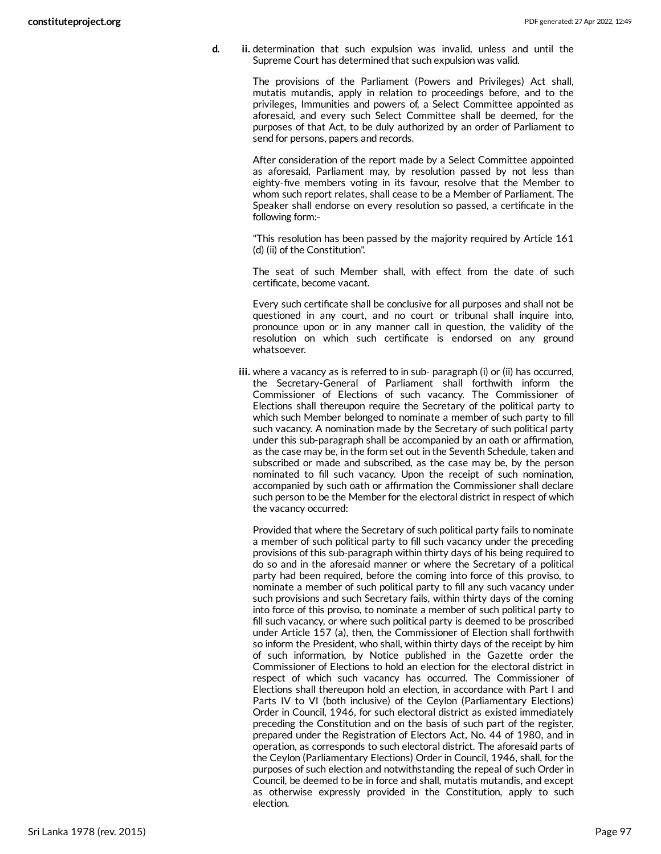**d. ii.** determination that such expulsion was invalid, unless and until the Supreme Court has determined that such expulsion was valid.

> The provisions of the Parliament (Powers and Privileges) Act shall, mutatis mutandis, apply in relation to proceedings before, and to the privileges, Immunities and powers of, a Select Committee appointed as aforesaid, and every such Select Committee shall be deemed, for the purposes of that Act, to be duly authorized by an order of Parliament to send for persons, papers and records.

> After consideration of the report made by a Select Committee appointed as aforesaid, Parliament may, by resolution passed by not less than eighty-five members voting in its favour, resolve that the Member to whom such report relates, shall cease to be a Member of Parliament. The Speaker shall endorse on every resolution so passed, a certificate in the following form:-

> "This resolution has been passed by the majority required by Article 161 (d) (ii) of the Constitution".

> The seat of such Member shall, with effect from the date of such certificate, become vacant.

> Every such certificate shall be conclusive for all purposes and shall not be questioned in any court, and no court or tribunal shall inquire into, pronounce upon or in any manner call in question, the validity of the resolution on which such certificate is endorsed on any ground whatsoever.

**iii.** where a vacancy as is referred to in sub- paragraph (i) or (ii) has occurred, the Secretary-General of Parliament shall forthwith inform the Commissioner of Elections of such vacancy. The Commissioner of Elections shall thereupon require the Secretary of the political party to which such Member belonged to nominate a member of such party to fill such vacancy. A nomination made by the Secretary of such political party under this sub-paragraph shall be accompanied by an oath or affirmation, as the case may be, in the form set out in the Seventh Schedule, taken and subscribed or made and subscribed, as the case may be, by the person nominated to fill such vacancy. Upon the receipt of such nomination, accompanied by such oath or affirmation the Commissioner shall declare such person to be the Member for the electoral district in respect of which the vacancy occurred:

Provided that where the Secretary of such political party fails to nominate a member of such political party to fill such vacancy under the preceding provisions of this sub-paragraph within thirty days of his being required to do so and in the aforesaid manner or where the Secretary of a political party had been required, before the coming into force of this proviso, to nominate a member of such political party to fill any such vacancy under such provisions and such Secretary fails, within thirty days of the coming into force of this proviso, to nominate a member of such political party to fill such vacancy, or where such political party is deemed to be proscribed under Article 157 (a), then, the Commissioner of Election shall forthwith so inform the President, who shall, within thirty days of the receipt by him of such information, by Notice published in the Gazette order the Commissioner of Elections to hold an election for the electoral district in respect of which such vacancy has occurred. The Commissioner of Elections shall thereupon hold an election, in accordance with Part I and Parts IV to VI (both inclusive) of the Ceylon (Parliamentary Elections) Order in Council, 1946, for such electoral district as existed immediately preceding the Constitution and on the basis of such part of the register, prepared under the Registration of Electors Act, No. 44 of 1980, and in operation, as corresponds to such electoral district. The aforesaid parts of the Ceylon (Parliamentary Elections) Order in Council, 1946, shall, for the purposes of such election and notwithstanding the repeal of such Order in Council, be deemed to be in force and shall, mutatis mutandis, and except as otherwise expressly provided in the Constitution, apply to such election.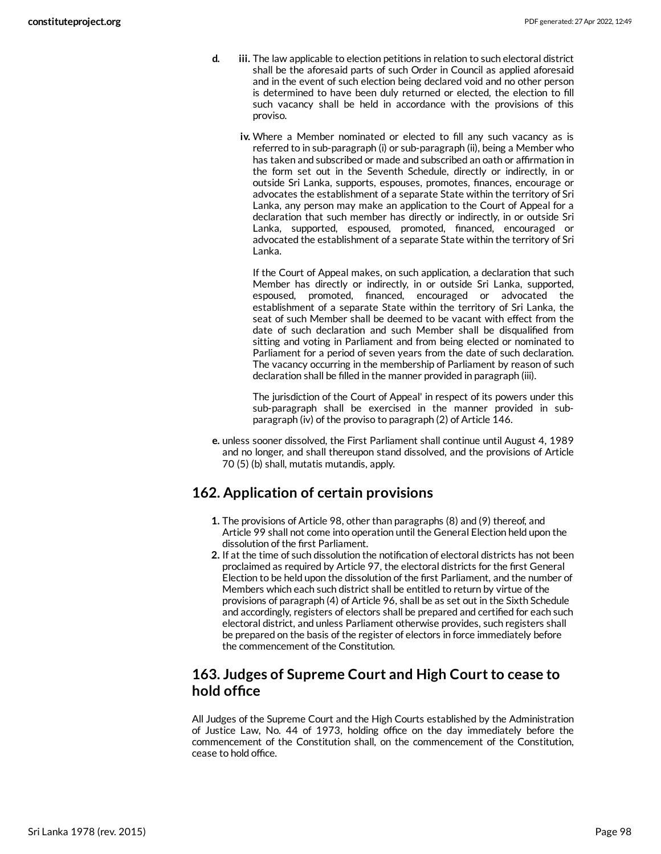- **d. iii.** The law applicable to election petitions in relation to such electoral district shall be the aforesaid parts of such Order in Council as applied aforesaid and in the event of such election being declared void and no other person is determined to have been duly returned or elected, the election to fill such vacancy shall be held in accordance with the provisions of this proviso.
	- **iv.** Where a Member nominated or elected to fill any such vacancy as is referred to in sub-paragraph (i) or sub-paragraph (ii), being a Member who has taken and subscribed or made and subscribed an oath or affirmation in the form set out in the Seventh Schedule, directly or indirectly, in or outside Sri Lanka, supports, espouses, promotes, finances, encourage or advocates the establishment of a separate State within the territory of Sri Lanka, any person may make an application to the Court of Appeal for a declaration that such member has directly or indirectly, in or outside Sri Lanka, supported, espoused, promoted, financed, encouraged or advocated the establishment of a separate State within the territory of Sri Lanka.

If the Court of Appeal makes, on such application, a declaration that such Member has directly or indirectly, in or outside Sri Lanka, supported, espoused, promoted, financed, encouraged or advocated the establishment of a separate State within the territory of Sri Lanka, the seat of such Member shall be deemed to be vacant with effect from the date of such declaration and such Member shall be disqualified from sitting and voting in Parliament and from being elected or nominated to Parliament for a period of seven years from the date of such declaration. The vacancy occurring in the membership of Parliament by reason of such declaration shall be filled in the manner provided in paragraph (iii).

The jurisdiction of the Court of Appeal' in respect of its powers under this sub-paragraph shall be exercised in the manner provided in subparagraph (iv) of the proviso to paragraph (2) of Article 146.

**e.** unless sooner dissolved, the First Parliament shall continue until August 4, 1989 and no longer, and shall thereupon stand dissolved, and the provisions of Article 70 (5) (b) shall, mutatis mutandis, apply.

## **162. Application of certain provisions**

- **1.** The provisions of Article 98, other than paragraphs (8) and (9) thereof, and Article 99 shall not come into operation until the General Election held upon the dissolution of the first Parliament.
- **2.** If at the time of such dissolution the notification of electoral districts has not been proclaimed as required by Article 97, the electoral districts for the first General Election to be held upon the dissolution of the first Parliament, and the number of Members which each such district shall be entitled to return by virtue of the provisions of paragraph (4) of Article 96, shall be as set out in the Sixth Schedule and accordingly, registers of electors shall be prepared and certified for each such electoral district, and unless Parliament otherwise provides, such registers shall be prepared on the basis of the register of electors in force immediately before the commencement of the Constitution.

## **163. Judges of Supreme Court and High Court to cease to hold office**

All Judges of the Supreme Court and the High Courts established by the Administration of Justice Law, No. 44 of 1973, holding office on the day immediately before the commencement of the Constitution shall, on the commencement of the Constitution, cease to hold office.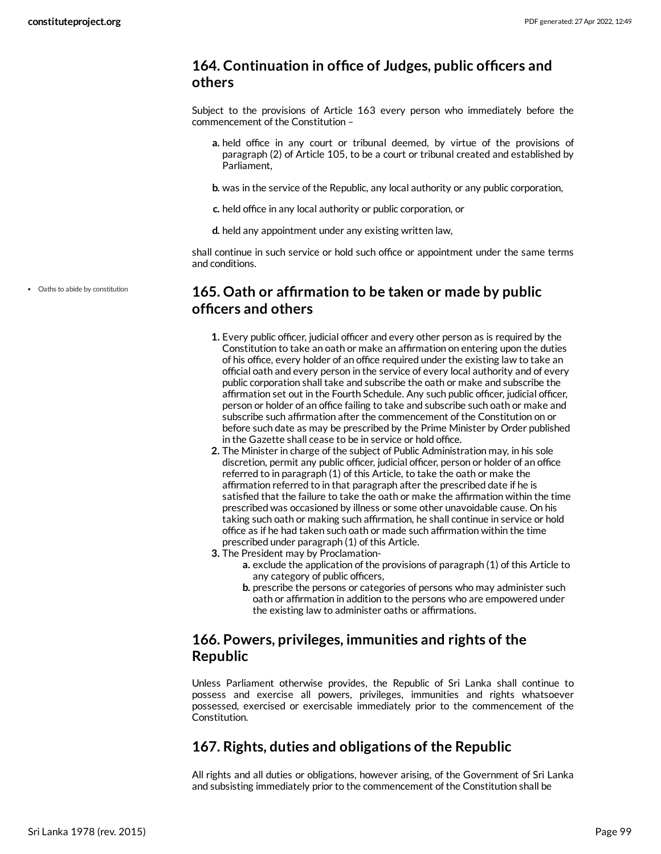#### **164. Continuation in office of Judges, public officers and others**

Subject to the provisions of Article 163 every person who immediately before the commencement of the Constitution –

- **a.** held office in any court or tribunal deemed, by virtue of the provisions of paragraph (2) of Article 105, to be a court or tribunal created and established by Parliament,
- **b.** was in the service of the Republic, any local authority or any public corporation,
- **c.** held office in any local authority or public corporation, or
- **d.** held any appointment under any existing written law,

shall continue in such service or hold such office or appointment under the same terms and conditions.

```
Oaths to abide by constitution
```
#### **165. Oath or affirmation to be taken or made by public officers and others**

- **1.** Every public officer, judicial officer and every other person as is required by the Constitution to take an oath or make an affirmation on entering upon the duties of his office, every holder of an office required under the existing law to take an official oath and every person in the service of every local authority and of every public corporation shall take and subscribe the oath or make and subscribe the affirmation set out in the Fourth Schedule. Any such public officer, judicial officer, person or holder of an office failing to take and subscribe such oath or make and subscribe such affirmation after the commencement of the Constitution on or before such date as may be prescribed by the Prime Minister by Order published in the Gazette shall cease to be in service or hold office.
- **2.** The Minister in charge of the subject of Public Administration may, in his sole discretion, permit any public officer, judicial officer, person or holder of an office referred to in paragraph (1) of this Article, to take the oath or make the affirmation referred to in that paragraph after the prescribed date if he is satisfied that the failure to take the oath or make the affirmation within the time prescribed was occasioned by illness or some other unavoidable cause. On his taking such oath or making such affirmation, he shall continue in service or hold office as if he had taken such oath or made such affirmation within the time prescribed under paragraph (1) of this Article.
- **3.** The President may by Proclamation
	- **a.** exclude the application of the provisions of paragraph (1) of this Article to any category of public officers,
	- **b.** prescribe the persons or categories of persons who may administer such oath or affirmation in addition to the persons who are empowered under the existing law to administer oaths or affirmations.

## **166. Powers, privileges, immunities and rights of the Republic**

Unless Parliament otherwise provides, the Republic of Sri Lanka shall continue to possess and exercise all powers, privileges, immunities and rights whatsoever possessed, exercised or exercisable immediately prior to the commencement of the Constitution.

## **167. Rights, duties and obligations of the Republic**

All rights and all duties or obligations, however arising, of the Government of Sri Lanka and subsisting immediately prior to the commencement of the Constitution shall be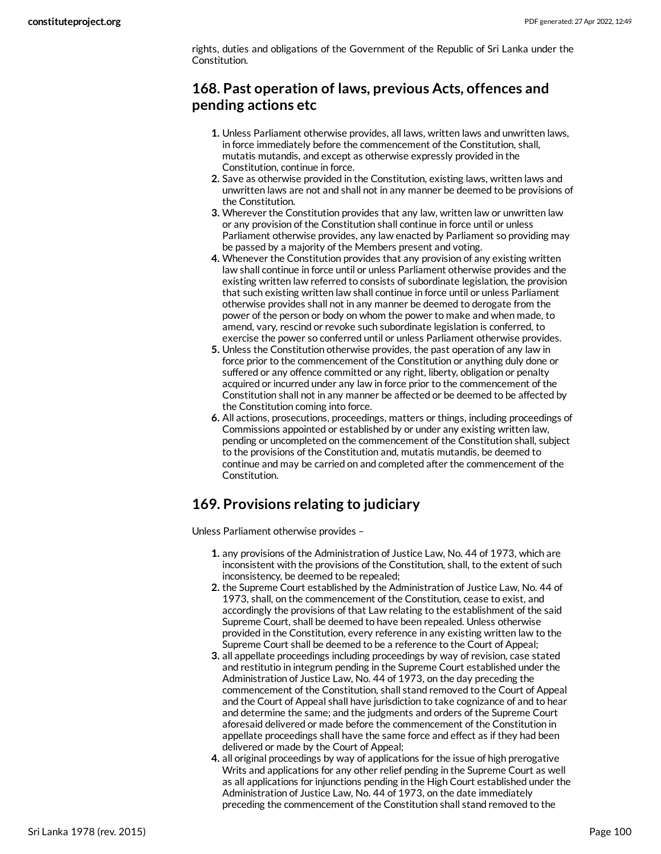rights, duties and obligations of the Government of the Republic of Sri Lanka under the Constitution.

## **168. Past operation of laws, previous Acts, offences and pending actions etc**

- **1.** Unless Parliament otherwise provides, all laws, written laws and unwritten laws, in force immediately before the commencement of the Constitution, shall, mutatis mutandis, and except as otherwise expressly provided in the Constitution, continue in force.
- **2.** Save as otherwise provided in the Constitution, existing laws, written laws and unwritten laws are not and shall not in any manner be deemed to be provisions of the Constitution.
- **3.** Wherever the Constitution provides that any law, written law or unwritten law or any provision of the Constitution shall continue in force until or unless Parliament otherwise provides, any law enacted by Parliament so providing may be passed by a majority of the Members present and voting.
- **4.** Whenever the Constitution provides that any provision of any existing written law shall continue in force until or unless Parliament otherwise provides and the existing written law referred to consists of subordinate legislation, the provision that such existing written law shall continue in force until or unless Parliament otherwise provides shall not in any manner be deemed to derogate from the power of the person or body on whom the power to make and when made, to amend, vary, rescind or revoke such subordinate legislation is conferred, to exercise the power so conferred until or unless Parliament otherwise provides.
- **5.** Unless the Constitution otherwise provides, the past operation of any law in force prior to the commencement of the Constitution or anything duly done or suffered or any offence committed or any right, liberty, obligation or penalty acquired or incurred under any law in force prior to the commencement of the Constitution shall not in any manner be affected or be deemed to be affected by the Constitution coming into force.
- **6.** All actions, prosecutions, proceedings, matters or things, including proceedings of Commissions appointed or established by or under any existing written law, pending or uncompleted on the commencement of the Constitution shall, subject to the provisions of the Constitution and, mutatis mutandis, be deemed to continue and may be carried on and completed after the commencement of the Constitution.

## **169. Provisions relating to judiciary**

Unless Parliament otherwise provides –

- **1.** any provisions of the Administration of Justice Law, No. 44 of 1973, which are inconsistent with the provisions of the Constitution, shall, to the extent of such inconsistency, be deemed to be repealed;
- **2.** the Supreme Court established by the Administration of Justice Law, No. 44 of 1973, shall, on the commencement of the Constitution, cease to exist, and accordingly the provisions of that Law relating to the establishment of the said Supreme Court, shall be deemed to have been repealed. Unless otherwise provided in the Constitution, every reference in any existing written law to the Supreme Court shall be deemed to be a reference to the Court of Appeal;
- **3.** all appellate proceedings including proceedings by way of revision, case stated and restitutio in integrum pending in the Supreme Court established under the Administration of Justice Law, No. 44 of 1973, on the day preceding the commencement of the Constitution, shall stand removed to the Court of Appeal and the Court of Appeal shall have jurisdiction to take cognizance of and to hear and determine the same; and the judgments and orders of the Supreme Court aforesaid delivered or made before the commencement of the Constitution in appellate proceedings shall have the same force and effect as if they had been delivered or made by the Court of Appeal;
- **4.** all original proceedings by way of applications for the issue of high prerogative Writs and applications for any other relief pending in the Supreme Court as well as all applications for injunctions pending in the High Court established under the Administration of Justice Law, No. 44 of 1973, on the date immediately preceding the commencement of the Constitution shall stand removed to the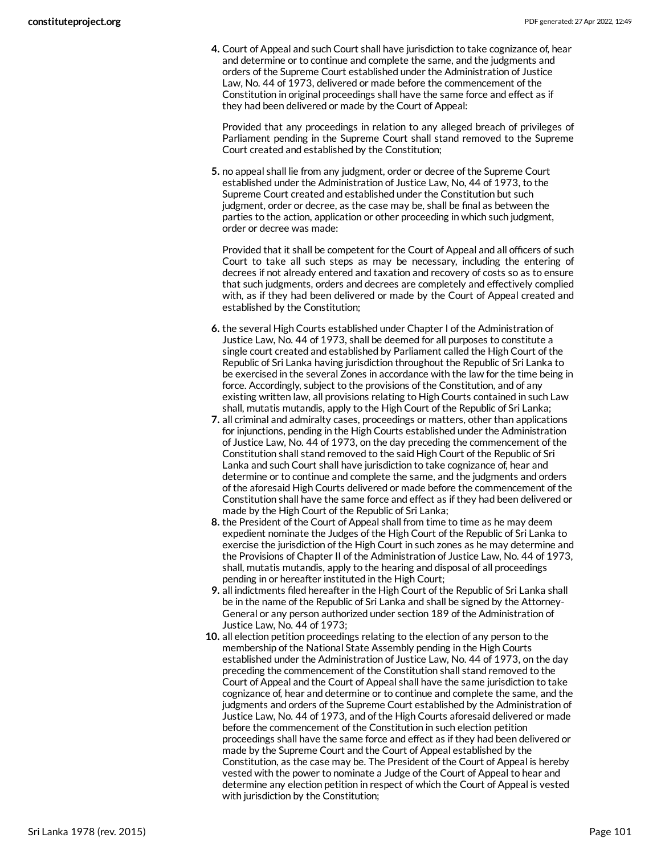**4.** Court of Appeal and such Court shall have jurisdiction to take cognizance of, hear and determine or to continue and complete the same, and the judgments and orders of the Supreme Court established under the Administration of Justice Law, No. 44 of 1973, delivered or made before the commencement of the Constitution in original proceedings shall have the same force and effect as if they had been delivered or made by the Court of Appeal:

Provided that any proceedings in relation to any alleged breach of privileges of Parliament pending in the Supreme Court shall stand removed to the Supreme Court created and established by the Constitution;

**5.** no appeal shall lie from any judgment, order or decree of the Supreme Court established under the Administration of Justice Law, No, 44 of 1973, to the Supreme Court created and established under the Constitution but such judgment, order or decree, as the case may be, shall be final as between the parties to the action, application or other proceeding in which such judgment, order or decree was made:

Provided that it shall be competent for the Court of Appeal and all officers of such Court to take all such steps as may be necessary, including the entering of decrees if not already entered and taxation and recovery of costs so as to ensure that such judgments, orders and decrees are completely and effectively complied with, as if they had been delivered or made by the Court of Appeal created and established by the Constitution;

- **6.** the several High Courts established under Chapter I of the Administration of Justice Law, No. 44 of 1973, shall be deemed for all purposes to constitute a single court created and established by Parliament called the High Court of the Republic of Sri Lanka having jurisdiction throughout the Republic of Sri Lanka to be exercised in the several Zones in accordance with the law for the time being in force. Accordingly, subject to the provisions of the Constitution, and of any existing written law, all provisions relating to High Courts contained in such Law shall, mutatis mutandis, apply to the High Court of the Republic of Sri Lanka;
- **7.** all criminal and admiralty cases, proceedings or matters, other than applications for injunctions, pending in the High Courts established under the Administration of Justice Law, No. 44 of 1973, on the day preceding the commencement of the Constitution shall stand removed to the said High Court of the Republic of Sri Lanka and such Court shall have jurisdiction to take cognizance of, hear and determine or to continue and complete the same, and the judgments and orders of the aforesaid High Courts delivered or made before the commencement of the Constitution shall have the same force and effect as if they had been delivered or made by the High Court of the Republic of Sri Lanka;
- **8.** the President of the Court of Appeal shall from time to time as he may deem expedient nominate the Judges of the High Court of the Republic of Sri Lanka to exercise the jurisdiction of the High Court in such zones as he may determine and the Provisions of Chapter II of the Administration of Justice Law, No. 44 of 1973, shall, mutatis mutandis, apply to the hearing and disposal of all proceedings pending in or hereafter instituted in the High Court;
- **9.** all indictments filed hereafter in the High Court of the Republic of Sri Lanka shall be in the name of the Republic of Sri Lanka and shall be signed by the Attorney-General or any person authorized under section 189 of the Administration of Justice Law, No. 44 of 1973;
- **10.** all election petition proceedings relating to the election of any person to the membership of the National State Assembly pending in the High Courts established under the Administration of Justice Law, No. 44 of 1973, on the day preceding the commencement of the Constitution shall stand removed to the Court of Appeal and the Court of Appeal shall have the same jurisdiction to take cognizance of, hear and determine or to continue and complete the same, and the judgments and orders of the Supreme Court established by the Administration of Justice Law, No. 44 of 1973, and of the High Courts aforesaid delivered or made before the commencement of the Constitution in such election petition proceedings shall have the same force and effect as if they had been delivered or made by the Supreme Court and the Court of Appeal established by the Constitution, as the case may be. The President of the Court of Appeal is hereby vested with the power to nominate a Judge of the Court of Appeal to hear and determine any election petition in respect of which the Court of Appeal is vested with jurisdiction by the Constitution;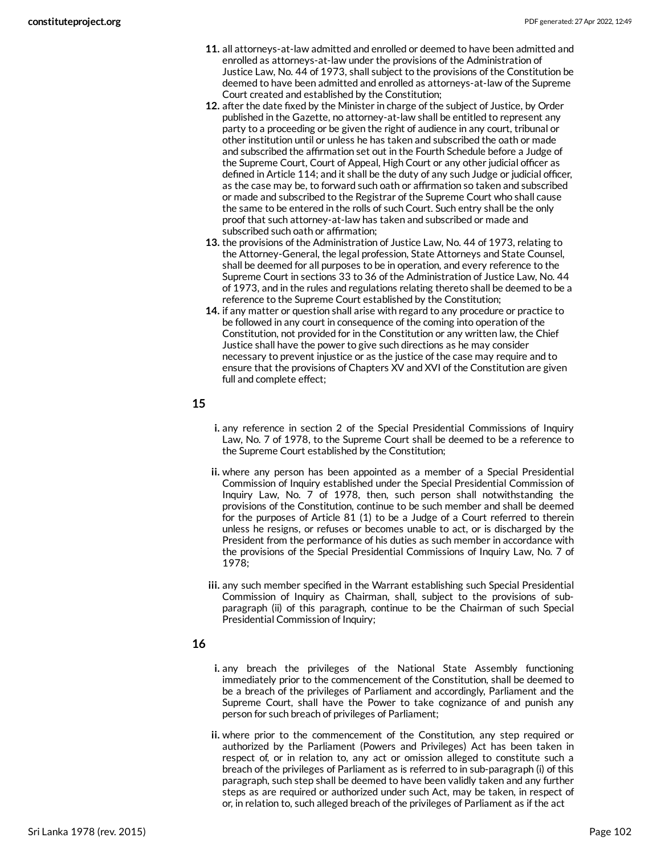- **11.** all attorneys-at-law admitted and enrolled or deemed to have been admitted and enrolled as attorneys-at-law under the provisions of the Administration of Justice Law, No. 44 of 1973, shall subject to the provisions of the Constitution be deemed to have been admitted and enrolled as attorneys-at-law of the Supreme Court created and established by the Constitution;
- **12.** after the date fixed by the Minister in charge of the subject of Justice, by Order published in the Gazette, no attorney-at-law shall be entitled to represent any party to a proceeding or be given the right of audience in any court, tribunal or other institution until or unless he has taken and subscribed the oath or made and subscribed the affirmation set out in the Fourth Schedule before a Judge of the Supreme Court, Court of Appeal, High Court or any other judicial officer as defined in Article 114; and it shall be the duty of any such Judge or judicial officer, as the case may be, to forward such oath or affirmation so taken and subscribed or made and subscribed to the Registrar of the Supreme Court who shall cause the same to be entered in the rolls of such Court. Such entry shall be the only proof that such attorney-at-law has taken and subscribed or made and subscribed such oath or affirmation;
- **13.** the provisions of the Administration of Justice Law, No. 44 of 1973, relating to the Attorney-General, the legal profession, State Attorneys and State Counsel, shall be deemed for all purposes to be in operation, and every reference to the Supreme Court in sections 33 to 36 of the Administration of Justice Law, No. 44 of 1973, and in the rules and regulations relating thereto shall be deemed to be a reference to the Supreme Court established by the Constitution;
- **14.** if any matter or question shall arise with regard to any procedure or practice to be followed in any court in consequence of the coming into operation of the Constitution, not provided for in the Constitution or any written law, the Chief Justice shall have the power to give such directions as he may consider necessary to prevent injustice or as the justice of the case may require and to ensure that the provisions of Chapters XV and XVI of the Constitution are given full and complete effect;

- **i.** any reference in section 2 of the Special Presidential Commissions of Inquiry Law, No. 7 of 1978, to the Supreme Court shall be deemed to be a reference to the Supreme Court established by the Constitution;
- **ii.** where any person has been appointed as a member of a Special Presidential Commission of Inquiry established under the Special Presidential Commission of Inquiry Law, No. 7 of 1978, then, such person shall notwithstanding the provisions of the Constitution, continue to be such member and shall be deemed for the purposes of Article 81 (1) to be a Judge of a Court referred to therein unless he resigns, or refuses or becomes unable to act, or is discharged by the President from the performance of his duties as such member in accordance with the provisions of the Special Presidential Commissions of Inquiry Law, No. 7 of 1978;
- **iii.** any such member specified in the Warrant establishing such Special Presidential Commission of Inquiry as Chairman, shall, subject to the provisions of subparagraph (ii) of this paragraph, continue to be the Chairman of such Special Presidential Commission of Inquiry;

#### **16**

- **i.** any breach the privileges of the National State Assembly functioning immediately prior to the commencement of the Constitution, shall be deemed to be a breach of the privileges of Parliament and accordingly, Parliament and the Supreme Court, shall have the Power to take cognizance of and punish any person for such breach of privileges of Parliament;
- **ii.** where prior to the commencement of the Constitution, any step required or authorized by the Parliament (Powers and Privileges) Act has been taken in respect of, or in relation to, any act or omission alleged to constitute such a breach of the privileges of Parliament as is referred to in sub-paragraph (i) of this paragraph, such step shall be deemed to have been validly taken and any further steps as are required or authorized under such Act, may be taken, in respect of or, in relation to, such alleged breach of the privileges of Parliament as if the act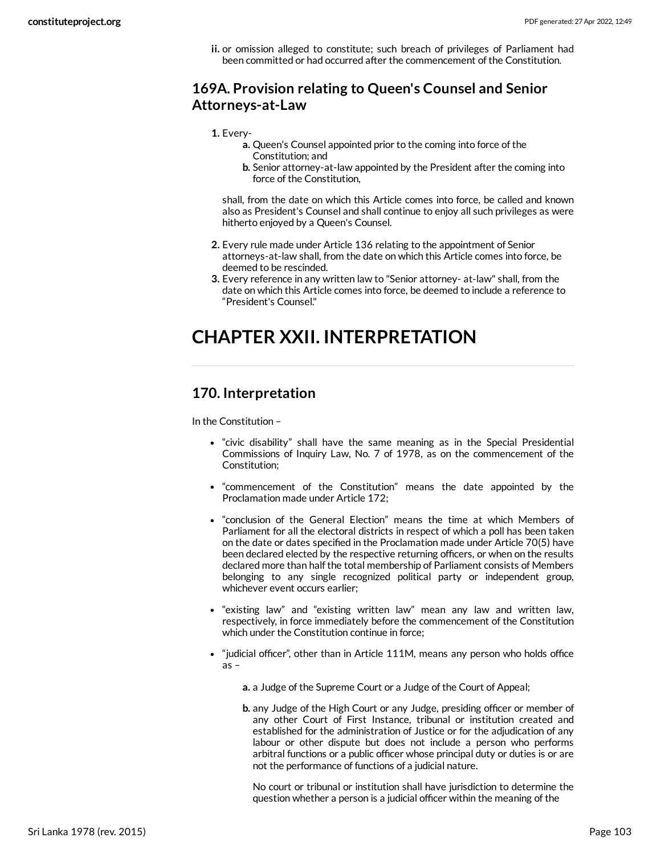**ii.** or omission alleged to constitute; such breach of privileges of Parliament had been committed or had occurred after the commencement of the Constitution.

### **169A. Provision relating to Queen's Counsel and Senior Attorneys-at-Law**

- **1.** Every
	- **a.** Queen's Counsel appointed prior to the coming into force of the Constitution; and
	- **b.** Senior attorney-at-law appointed by the President after the coming into force of the Constitution,

shall, from the date on which this Article comes into force, be called and known also as President's Counsel and shall continue to enjoy all such privileges as were hitherto enjoyed by a Queen's Counsel.

- **2.** Every rule made under Article 136 relating to the appointment of Senior attorneys-at-law shall, from the date on which this Article comes into force, be deemed to be rescinded.
- **3.** Every reference in any written law to "Senior attorney- at-law" shall, from the date on which this Article comes into force, be deemed to include a reference to "President's Counsel."

# **CHAPTER XXII. INTERPRETATION**

## **170. Interpretation**

In the Constitution –

- "civic disability" shall have the same meaning as in the Special Presidential Commissions of Inquiry Law, No. 7 of 1978, as on the commencement of the Constitution;
- "commencement of the Constitution" means the date appointed by the Proclamation made under Article 172;
- "conclusion of the General Election" means the time at which Members of Parliament for all the electoral districts in respect of which a poll has been taken on the date or dates specified in the Proclamation made under Article 70(5) have been declared elected by the respective returning officers, or when on the results declared more than half the total membership of Parliament consists of Members belonging to any single recognized political party or independent group, whichever event occurs earlier;
- "existing law" and "existing written law" mean any law and written law, respectively, in force immediately before the commencement of the Constitution which under the Constitution continue in force;
- "judicial officer", other than in Article 111M, means any person who holds office as –

**a.** a Judge of the Supreme Court or a Judge of the Court of Appeal;

**b.** any Judge of the High Court or any Judge, presiding officer or member of any other Court of First Instance, tribunal or institution created and established for the administration of Justice or for the adjudication of any labour or other dispute but does not include a person who performs arbitral functions or a public officer whose principal duty or duties is or are not the performance of functions of a judicial nature.

No court or tribunal or institution shall have jurisdiction to determine the question whether a person is a judicial officer within the meaning of the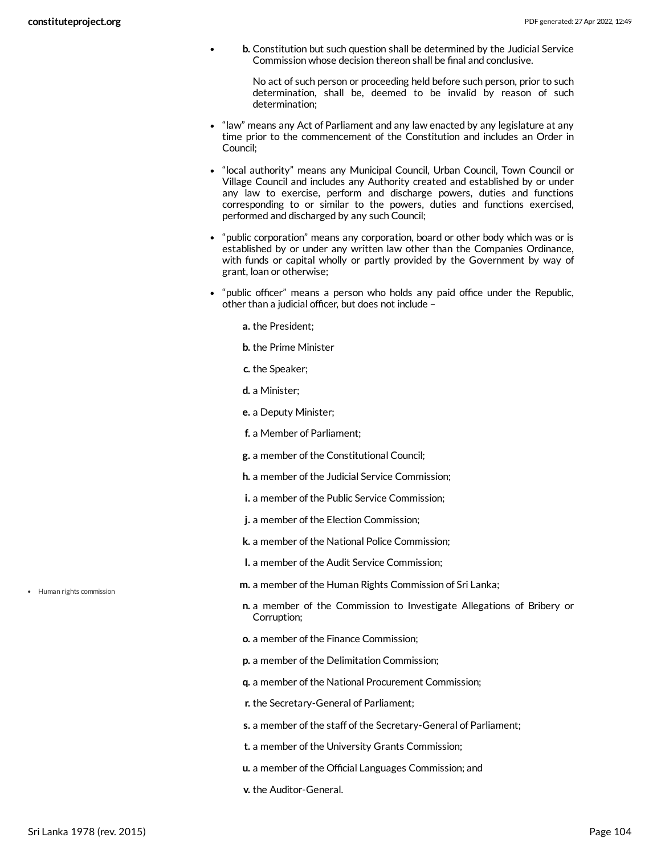**b.** Constitution but such question shall be determined by the Judicial Service Commission whose decision thereon shall be final and conclusive.

No act of such person or proceeding held before such person, prior to such determination, shall be, deemed to be invalid by reason of such determination;

- "law" means any Act of Parliament and any law enacted by any legislature at any time prior to the commencement of the Constitution and includes an Order in Council;
- "local authority" means any Municipal Council, Urban Council, Town Council or Village Council and includes any Authority created and established by or under any law to exercise, perform and discharge powers, duties and functions corresponding to or similar to the powers, duties and functions exercised, performed and discharged by any such Council;
- "public corporation" means any corporation, board or other body which was or is established by or under any written law other than the Companies Ordinance, with funds or capital wholly or partly provided by the Government by way of grant, loan or otherwise;
- "public officer" means a person who holds any paid office under the Republic, other than a judicial officer, but does not include –
	- **a.** the President;
	- **b.** the Prime Minister
	- **c.** the Speaker;
	- **d.** a Minister;
	- **e.** a Deputy Minister;
	- **f.** a Member of Parliament;
	- **g.** a member of the Constitutional Council;
	- **h.** a member of the Judicial Service Commission;
	- **i.** a member of the Public Service Commission;
	- **j.** a member of the Election Commission;
	- **k.** a member of the National Police Commission;
	- **l.** a member of the Audit Service Commission;
	- **m.** a member of the Human Rights Commission of Sri Lanka;
	- **n.** a member of the Commission to Investigate Allegations of Bribery or Corruption;
	- **o.** a member of the Finance Commission;
	- **p.** a member of the Delimitation Commission;
	- **q.** a member of the National Procurement Commission;
	- **r.** the Secretary-General of Parliament;
	- **s.** a member of the staff of the Secretary-General of Parliament;
	- **t.** a member of the University Grants Commission;
	- **u.** a member of the Official Languages Commission; and
	- **v.** the Auditor-General.

Human rights commission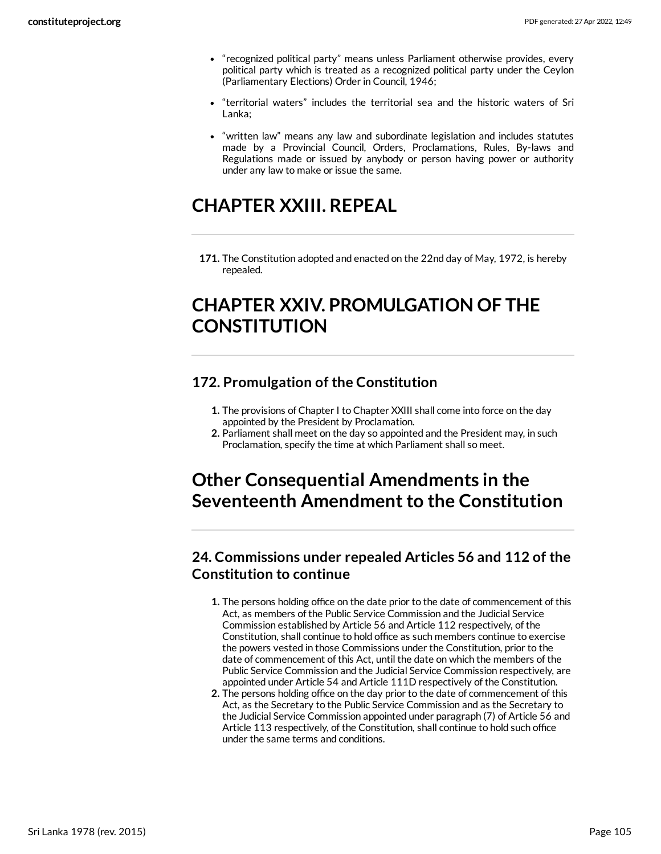- "recognized political party" means unless Parliament otherwise provides, every political party which is treated as a recognized political party under the Ceylon (Parliamentary Elections) Order in Council, 1946;
- "territorial waters" includes the territorial sea and the historic waters of Sri Lanka;
- "written law" means any law and subordinate legislation and includes statutes made by a Provincial Council, Orders, Proclamations, Rules, By-laws and Regulations made or issued by anybody or person having power or authority under any law to make or issue the same.

## **CHAPTER XXIII. REPEAL**

**171.** The Constitution adopted and enacted on the 22nd day of May, 1972, is hereby repealed.

# **CHAPTER XXIV. PROMULGATION OF THE CONSTITUTION**

## **172. Promulgation of the Constitution**

- **1.** The provisions of Chapter I to Chapter XXIII shall come into force on the day appointed by the President by Proclamation.
- **2.** Parliament shall meet on the day so appointed and the President may, in such Proclamation, specify the time at which Parliament shall so meet.

# **Other Consequential Amendments in the Seventeenth Amendment to the Constitution**

## **24. Commissions under repealed Articles 56 and 112 of the Constitution to continue**

- **1.** The persons holding office on the date prior to the date of commencement of this Act, as members of the Public Service Commission and the Judicial Service Commission established by Article 56 and Article 112 respectively, of the Constitution, shall continue to hold office as such members continue to exercise the powers vested in those Commissions under the Constitution, prior to the date of commencement of this Act, until the date on which the members of the Public Service Commission and the Judicial Service Commission respectively, are appointed under Article 54 and Article 111D respectively of the Constitution.
- **2.** The persons holding office on the day prior to the date of commencement of this Act, as the Secretary to the Public Service Commission and as the Secretary to the Judicial Service Commission appointed under paragraph (7) of Article 56 and Article 113 respectively, of the Constitution, shall continue to hold such office under the same terms and conditions.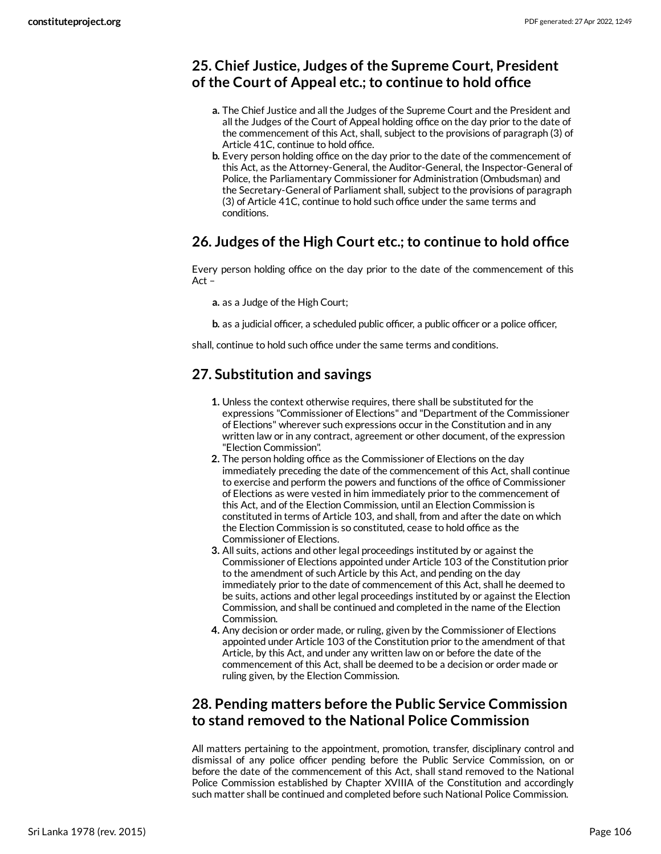## **25. Chief Justice, Judges of the Supreme Court, President of the Court of Appeal etc.; to continue to hold office**

- **a.** The Chief Justice and all the Judges of the Supreme Court and the President and all the Judges of the Court of Appeal holding office on the day prior to the date of the commencement of this Act, shall, subject to the provisions of paragraph (3) of Article 41C, continue to hold office.
- **b.** Every person holding office on the day prior to the date of the commencement of this Act, as the Attorney-General, the Auditor-General, the Inspector-General of Police, the Parliamentary Commissioner for Administration (Ombudsman) and the Secretary-General of Parliament shall, subject to the provisions of paragraph (3) of Article 41C, continue to hold such office under the same terms and conditions.

## **26. Judges of the High Court etc.; to continue to hold office**

Every person holding office on the day prior to the date of the commencement of this Act –

**a.** as a Judge of the High Court;

**b.** as a judicial officer, a scheduled public officer, a public officer or a police officer,

shall, continue to hold such office under the same terms and conditions.

## **27. Substitution and savings**

- **1.** Unless the context otherwise requires, there shall be substituted for the expressions "Commissioner of Elections" and "Department of the Commissioner of Elections" wherever such expressions occur in the Constitution and in any written law or in any contract, agreement or other document, of the expression "Election Commission".
- **2.** The person holding office as the Commissioner of Elections on the day immediately preceding the date of the commencement of this Act, shall continue to exercise and perform the powers and functions of the office of Commissioner of Elections as were vested in him immediately prior to the commencement of this Act, and of the Election Commission, until an Election Commission is constituted in terms of Article 103, and shall, from and after the date on which the Election Commission is so constituted, cease to hold office as the Commissioner of Elections.
- **3.** All suits, actions and other legal proceedings instituted by or against the Commissioner of Elections appointed under Article 103 of the Constitution prior to the amendment of such Article by this Act, and pending on the day immediately prior to the date of commencement of this Act, shall he deemed to be suits, actions and other legal proceedings instituted by or against the Election Commission, and shall be continued and completed in the name of the Election Commission.
- **4.** Any decision or order made, or ruling, given by the Commissioner of Elections appointed under Article 103 of the Constitution prior to the amendment of that Article, by this Act, and under any written law on or before the date of the commencement of this Act, shall be deemed to be a decision or order made or ruling given, by the Election Commission.

### **28. Pending matters before the Public Service Commission to stand removed to the National Police Commission**

All matters pertaining to the appointment, promotion, transfer, disciplinary control and dismissal of any police officer pending before the Public Service Commission, on or before the date of the commencement of this Act, shall stand removed to the National Police Commission established by Chapter XVIIIA of the Constitution and accordingly such matter shall be continued and completed before such National Police Commission.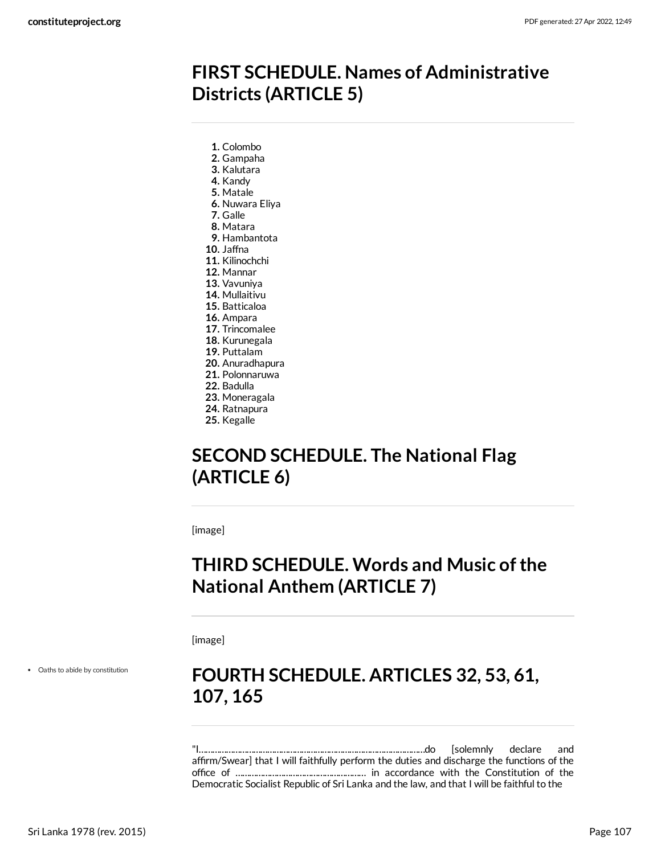## **FIRST SCHEDULE. Names of Administrative Districts (ARTICLE 5)**

- **1.** Colombo
- **2.** Gampaha
- **3.** Kalutara
- **4.** Kandy **5.** Matale
- **6.** Nuwara Eliya
- **7.** Galle
- **8.** Matara
- **9.** Hambantota
- **10.** Jaffna
- **11.** Kilinochchi
- **12.** Mannar
- **13.** Vavuniya
- **14.** Mullaitivu **15.** Batticaloa
- **16.** Ampara
- **17.** Trincomalee
- **18.** Kurunegala
- **19.** Puttalam
- **20.** Anuradhapura
- **21.** Polonnaruwa
- **22.** Badulla
- **23.** Moneragala
- **24.** Ratnapura
- **25.** Kegalle

## **SECOND SCHEDULE. The National Flag (ARTICLE 6)**

[image]

## **THIRD SCHEDULE. Words and Music ofthe National Anthem (ARTICLE 7)**

[image]

Oaths to abide by constitution

## **FOURTH SCHEDULE. ARTICLES 32, 53, 61, 107, 165**

"I………………………………………………………………………………………do [solemnly declare and affirm/Swear] that I will faithfully perform the duties and discharge the functions of the office of ………………………………………………… in accordance with the Constitution of the Democratic Socialist Republic of Sri Lanka and the law, and that I will be faithful to the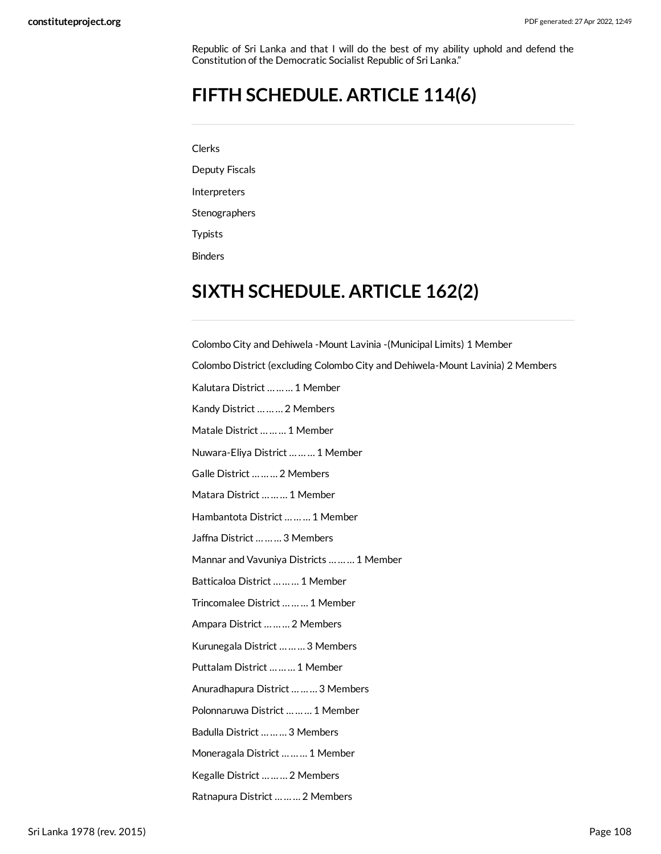Republic of Sri Lanka and that I will do the best of my ability uphold and defend the Constitution of the Democratic Socialist Republic of Sri Lanka."

## **FIFTH SCHEDULE. ARTICLE 114(6)**

Clerks

Deputy Fiscals

Interpreters

Stenographers

Typists

Binders

# **SIXTH SCHEDULE. ARTICLE 162(2)**

Colombo City and Dehiwela -Mount Lavinia -(Municipal Limits) 1 Member Colombo District (excluding Colombo City and Dehiwela-Mount Lavinia) 2 Members Kalutara District … … … 1 Member Kandy District … … … 2 Members Matale District … … … 1 Member Nuwara-Eliya District … … … 1 Member Galle District … … … 2 Members Matara District … … … 1 Member Hambantota District … … … 1 Member Jaffna District … … … 3 Members Mannar and Vavuniya Districts … … … 1 Member Batticaloa District … … … 1 Member Trincomalee District … … … 1 Member Ampara District … … … 2 Members Kurunegala District … … … 3 Members Puttalam District … … … 1 Member Anuradhapura District … … … 3 Members Polonnaruwa District … … … 1 Member Badulla District … … … 3 Members Moneragala District … … … 1 Member Kegalle District … … … 2 Members Ratnapura District … … … 2 Members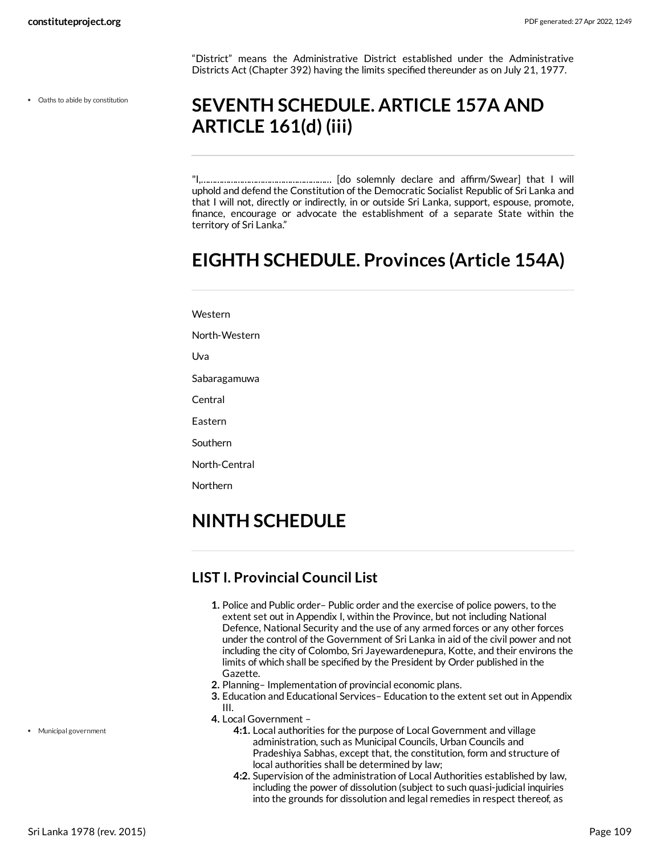"District" means the Administrative District established under the Administrative Districts Act (Chapter 392) having the limits specified thereunder as on July 21, 1977.

Oaths to abide by constitution

# <span id="page-108-1"></span>**SEVENTH SCHEDULE. ARTICLE 157A AND ARTICLE 161(d) (iii)**

"I,………………………………………………… [do solemnly declare and affirm/Swear] that I will uphold and defend the Constitution of the Democratic Socialist Republic of Sri Lanka and that I will not, directly or indirectly, in or outside Sri Lanka, support, espouse, promote, finance, encourage or advocate the establishment of a separate State within the territory of Sri Lanka."

# **EIGHTH SCHEDULE. Provinces (Article 154A)**

Western

North-Western

Uva

Sabaragamuwa

Central

Eastern

Southern

North-Central

Northern

# **NINTH SCHEDULE**

### <span id="page-108-0"></span>**LIST I. Provincial Council List**

- **1.** Police and Public order– Public order and the exercise of police powers, to the extent set out in Appendix I, within the Province, but not including National Defence, National Security and the use of any armed forces or any other forces under the control of the Government of Sri Lanka in aid of the civil power and not including the city of Colombo, Sri Jayewardenepura, Kotte, and their environs the limits of which shall be specified by the President by Order published in the Gazette.
- **2.** Planning– Implementation of provincial economic plans.
- **3.** Education and Educational Services– Education to the extent set out in Appendix III.
- **4.** Local Government
	- **4:1.** Local authorities for the purpose of Local Government and village administration, such as Municipal Councils, Urban Councils and Pradeshiya Sabhas, except that, the constitution, form and structure of local authorities shall be determined by law;
	- **4:2.** Supervision of the administration of Local Authorities established by law, including the power of dissolution (subject to such quasi-judicial inquiries into the grounds for dissolution and legal remedies in respect thereof, as

Municipal government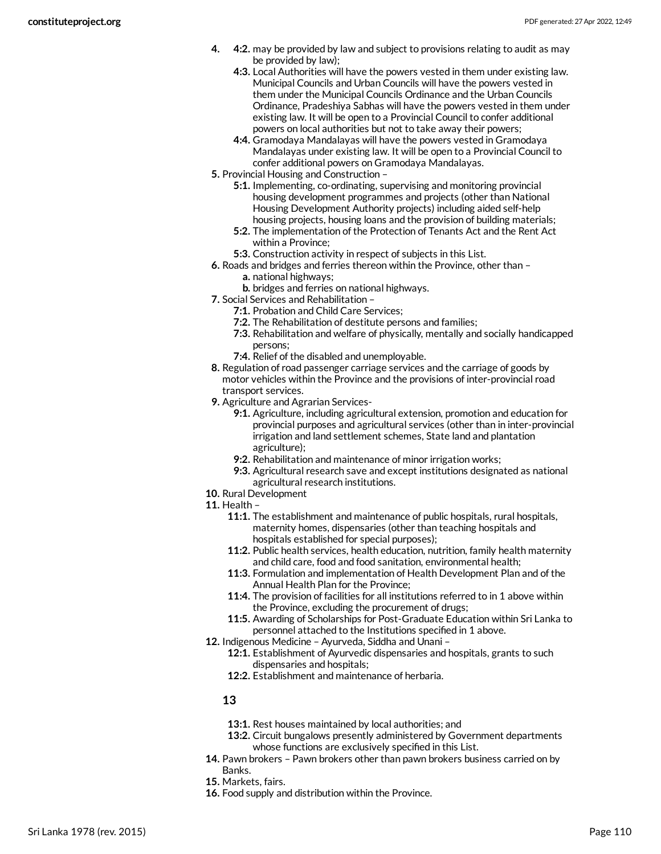- **4. 4:2.** may be provided by law and subject to provisions relating to audit as may be provided by law);
	- **4:3.** Local Authorities will have the powers vested in them under existing law. Municipal Councils and Urban Councils will have the powers vested in them under the Municipal Councils Ordinance and the Urban Councils Ordinance, Pradeshiya Sabhas will have the powers vested in them under existing law. It will be open to a Provincial Council to confer additional powers on local authorities but not to take away their powers;
	- **4:4.** Gramodaya Mandalayas will have the powers vested in Gramodaya Mandalayas under existing law. It will be open to a Provincial Council to confer additional powers on Gramodaya Mandalayas.
- **5.** Provincial Housing and Construction
	- **5:1.** Implementing, co-ordinating, supervising and monitoring provincial housing development programmes and projects (other than National Housing Development Authority projects) including aided self-help housing projects, housing loans and the provision of building materials;
	- **5:2.** The implementation of the Protection of Tenants Act and the Rent Act within a Province;
	- **5:3.** Construction activity in respect of subjects in this List.
- **6.** Roads and bridges and ferries thereon within the Province, other than **a.** national highways;
	- **b.** bridges and ferries on national highways.
- **7.** Social Services and Rehabilitation
	- **7:1.** Probation and Child Care Services;
	- **7:2.** The Rehabilitation of destitute persons and families;
	- **7:3.** Rehabilitation and welfare of physically, mentally and socially handicapped persons;
	- **7:4.** Relief of the disabled and unemployable.
- **8.** Regulation of road passenger carriage services and the carriage of goods by motor vehicles within the Province and the provisions of inter-provincial road transport services.
- **9.** Agriculture and Agrarian Services-
	- **9:1.** Agriculture, including agricultural extension, promotion and education for provincial purposes and agricultural services (other than in inter-provincial irrigation and land settlement schemes, State land and plantation agriculture);
	- **9:2.** Rehabilitation and maintenance of minor irrigation works;
	- **9:3.** Agricultural research save and except institutions designated as national agricultural research institutions.
- **10.** Rural Development
- **11.** Health
	- **11:1.** The establishment and maintenance of public hospitals, rural hospitals, maternity homes, dispensaries (other than teaching hospitals and hospitals established for special purposes);
	- **11:2.** Public health services, health education, nutrition, family health maternity and child care, food and food sanitation, environmental health;
	- **11:3.** Formulation and implementation of Health Development Plan and of the Annual Health Plan for the Province;
	- **11:4.** The provision of facilities for all institutions referred to in 1 above within the Province, excluding the procurement of drugs;
	- **11:5.** Awarding of Scholarships for Post-Graduate Education within Sri Lanka to personnel attached to the Institutions specified in 1 above.
- **12.** Indigenous Medicine Ayurveda, Siddha and Unani
	- **12:1.** Establishment of Ayurvedic dispensaries and hospitals, grants to such dispensaries and hospitals;
		- **12:2.** Establishment and maintenance of herbaria.

#### **13**

- **13:1.** Rest houses maintained by local authorities; and
- **13:2.** Circuit bungalows presently administered by Government departments whose functions are exclusively specified in this List.
- **14.** Pawn brokers Pawn brokers other than pawn brokers business carried on by Banks.
- **15.** Markets, fairs.
- **16.** Food supply and distribution within the Province.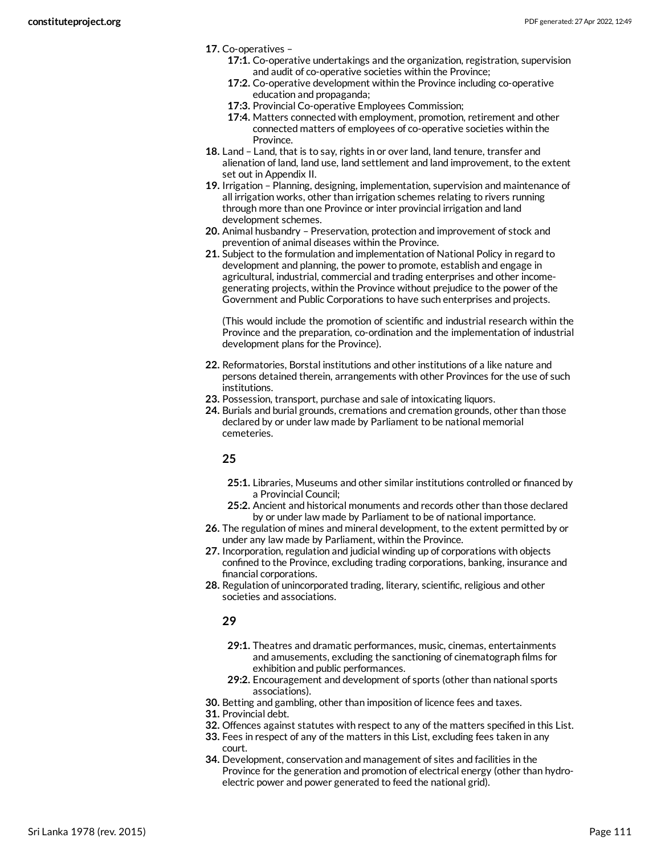- **17.** Co-operatives
	- **17:1.** Co-operative undertakings and the organization, registration, supervision and audit of co-operative societies within the Province;
	- **17:2.** Co-operative development within the Province including co-operative education and propaganda;
	- **17:3.** Provincial Co-operative Employees Commission;
	- **17:4.** Matters connected with employment, promotion, retirement and other connected matters of employees of co-operative societies within the Province.
- **18.** Land Land, that is to say, rights in or over land, land tenure, transfer and alienation of land, land use, land settlement and land improvement, to the extent set out in Appendix II.
- **19.** Irrigation Planning, designing, implementation, supervision and maintenance of all irrigation works, other than irrigation schemes relating to rivers running through more than one Province or inter provincial irrigation and land development schemes.
- **20.** Animal husbandry Preservation, protection and improvement of stock and prevention of animal diseases within the Province.
- **21.** Subject to the formulation and implementation of National Policy in regard to development and planning, the power to promote, establish and engage in agricultural, industrial, commercial and trading enterprises and other incomegenerating projects, within the Province without prejudice to the power of the Government and Public Corporations to have such enterprises and projects.

(This would include the promotion of scientific and industrial research within the Province and the preparation, co-ordination and the implementation of industrial development plans for the Province).

- **22.** Reformatories, Borstal institutions and other institutions of a like nature and persons detained therein, arrangements with other Provinces for the use of such institutions.
- **23.** Possession, transport, purchase and sale of intoxicating liquors.
- **24.** Burials and burial grounds, cremations and cremation grounds, other than those declared by or under law made by Parliament to be national memorial cemeteries.

**25**

- **25:1.** Libraries, Museums and other similar institutions controlled or financed by a Provincial Council;
- **25:2.** Ancient and historical monuments and records other than those declared by or under law made by Parliament to be of national importance.
- **26.** The regulation of mines and mineral development, to the extent permitted by or under any law made by Parliament, within the Province.
- **27.** Incorporation, regulation and judicial winding up of corporations with objects confined to the Province, excluding trading corporations, banking, insurance and financial corporations.
- **28.** Regulation of unincorporated trading, literary, scientific, religious and other societies and associations.

#### **29**

- **29:1.** Theatres and dramatic performances, music, cinemas, entertainments and amusements, excluding the sanctioning of cinematograph films for exhibition and public performances.
- **29:2.** Encouragement and development of sports (other than national sports associations).
- **30.** Betting and gambling, other than imposition of licence fees and taxes.
- **31.** Provincial debt.
- **32.** Offences against statutes with respect to any of the matters specified in this List.
- **33.** Fees in respect of any of the matters in this List, excluding fees taken in any court.
- **34.** Development, conservation and management of sites and facilities in the Province for the generation and promotion of electrical energy (other than hydroelectric power and power generated to feed the national grid).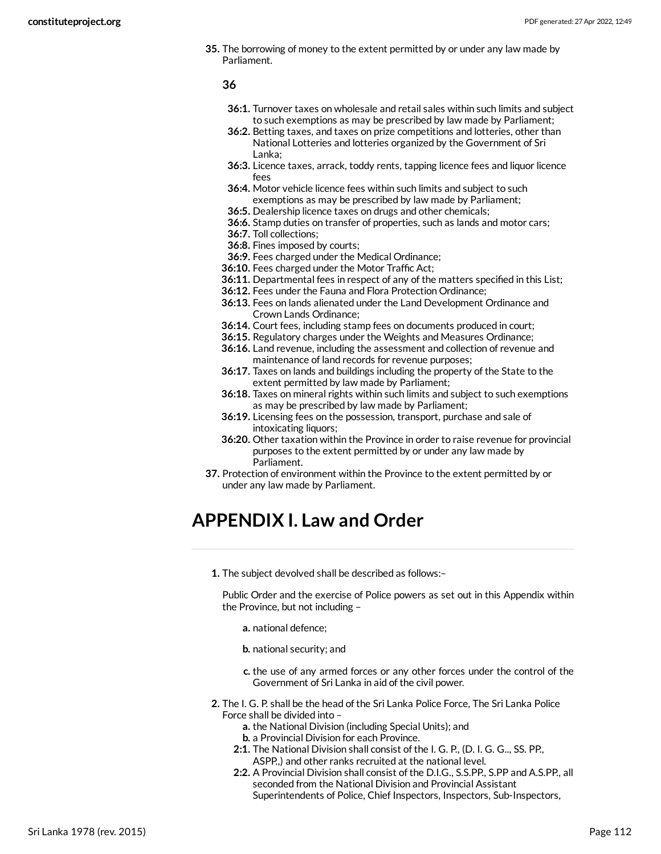**35.** The borrowing of money to the extent permitted by or under any law made by Parliament.

#### **36**

- **36:1.** Turnover taxes on wholesale and retail sales within such limits and subject to such exemptions as may be prescribed by law made by Parliament;
- **36:2.** Betting taxes, and taxes on prize competitions and lotteries, other than National Lotteries and lotteries organized by the Government of Sri Lanka;
- **36:3.** Licence taxes, arrack, toddy rents, tapping licence fees and liquor licence fees
- **36:4.** Motor vehicle licence fees within such limits and subject to such exemptions as may be prescribed by law made by Parliament;
- **36:5.** Dealership licence taxes on drugs and other chemicals;
- **36:6.** Stamp duties on transfer of properties, such as lands and motor cars;
- **36:7.** Toll collections;
- **36:8.** Fines imposed by courts;
- **36:9.** Fees charged under the Medical Ordinance;
- **36:10.** Fees charged under the Motor Traffic Act;
- **36:11.** Departmental fees in respect of any of the matters specified in this List;
- **36:12.** Fees under the Fauna and Flora Protection Ordinance;
- **36:13.** Fees on lands alienated under the Land Development Ordinance and Crown Lands Ordinance;
- **36:14.** Court fees, including stamp fees on documents produced in court;
- **36:15.** Regulatory charges under the Weights and Measures Ordinance;
- **36:16.** Land revenue, including the assessment and collection of revenue and maintenance of land records for revenue purposes;
- **36:17.** Taxes on lands and buildings including the property of the State to the extent permitted by law made by Parliament;
- **36:18.** Taxes on mineral rights within such limits and subject to such exemptions as may be prescribed by law made by Parliament;
- **36:19.** Licensing fees on the possession, transport, purchase and sale of intoxicating liquors;
- **36:20.** Other taxation within the Province in order to raise revenue for provincial purposes to the extent permitted by or under any law made by Parliament.
- **37.** Protection of environment within the Province to the extent permitted by or under any law made by Parliament.

# **APPENDIX I. Law and Order**

**1.** The subject devolved shall be described as follows:–

Public Order and the exercise of Police powers as set out in this Appendix within the Province, but not including –

- **a.** national defence;
- **b.** national security; and
- **c.** the use of any armed forces or any other forces under the control of the Government of Sri Lanka in aid of the civil power.
- **2.** The I. G. P. shall be the head of the Sri Lanka Police Force, The Sri Lanka Police Force shall be divided into –
	- **a.** the National Division (including Special Units); and
	- **b.** a Provincial Division for each Province.
	- **2:1.** The National Division shall consist of the I. G. P., (D. I. G. G.., SS. PP., ASPP.,) and other ranks recruited at the national level.
	- **2:2.** A Provincial Division shall consist of the D.I.G., S.S.PP., S.PP and A.S.PP., all seconded from the National Division and Provincial Assistant Superintendents of Police, Chief Inspectors, Inspectors, Sub-Inspectors,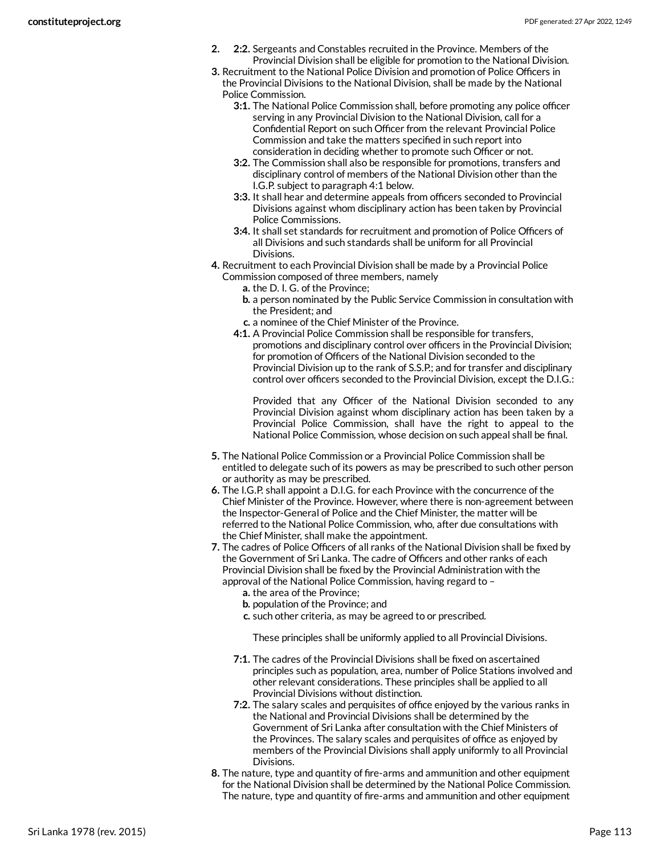- **2. 2:2.** Sergeants and Constables recruited in the Province. Members of the Provincial Division shall be eligible for promotion to the National Division.
- **3.** Recruitment to the National Police Division and promotion of Police Officers in the Provincial Divisions to the National Division, shall be made by the National Police Commission.
	- **3:1.** The National Police Commission shall, before promoting any police officer serving in any Provincial Division to the National Division, call for a Confidential Report on such Officer from the relevant Provincial Police Commission and take the matters specified in such report into consideration in deciding whether to promote such Officer or not.
	- **3:2.** The Commission shall also be responsible for promotions, transfers and disciplinary control of members of the National Division other than the I.G.P. subject to paragraph 4:1 below.
	- **3:3.** It shall hear and determine appeals from officers seconded to Provincial Divisions against whom disciplinary action has been taken by Provincial Police Commissions.
	- **3:4.** It shall set standards for recruitment and promotion of Police Officers of all Divisions and such standards shall be uniform for all Provincial Divisions.
- **4.** Recruitment to each Provincial Division shall be made by a Provincial Police Commission composed of three members, namely
	- **a.** the D. I. G. of the Province;
	- **b.** a person nominated by the Public Service Commission in consultation with the President; and
	- **c.** a nominee of the Chief Minister of the Province.
	- **4:1.** A Provincial Police Commission shall be responsible for transfers, promotions and disciplinary control over officers in the Provincial Division; for promotion of Officers of the National Division seconded to the Provincial Division up to the rank of S.S.P.; and for transfer and disciplinary control over officers seconded to the Provincial Division, except the D.I.G.:

Provided that any Officer of the National Division seconded to any Provincial Division against whom disciplinary action has been taken by a Provincial Police Commission, shall have the right to appeal to the National Police Commission, whose decision on such appeal shall be final.

- **5.** The National Police Commission or a Provincial Police Commission shall be entitled to delegate such of its powers as may be prescribed to such other person or authority as may be prescribed.
- **6.** The I.G.P. shall appoint a D.I.G. for each Province with the concurrence of the Chief Minister of the Province. However, where there is non-agreement between the Inspector-General of Police and the Chief Minister, the matter will be referred to the National Police Commission, who, after due consultations with the Chief Minister, shall make the appointment.
- **7.** The cadres of Police Officers of all ranks of the National Division shall be fixed by the Government of Sri Lanka. The cadre of Officers and other ranks of each Provincial Division shall be fixed by the Provincial Administration with the approval of the National Police Commission, having regard to –
	- **a.** the area of the Province;
	- **b.** population of the Province; and
	- **c.** such other criteria, as may be agreed to or prescribed.

These principles shall be uniformly applied to all Provincial Divisions.

- **7:1.** The cadres of the Provincial Divisions shall be fixed on ascertained principles such as population, area, number of Police Stations involved and other relevant considerations. These principles shall be applied to all Provincial Divisions without distinction.
- **7:2.** The salary scales and perquisites of office enjoyed by the various ranks in the National and Provincial Divisions shall be determined by the Government of Sri Lanka after consultation with the Chief Ministers of the Provinces. The salary scales and perquisites of office as enjoyed by members of the Provincial Divisions shall apply uniformly to all Provincial Divisions.
- **8.** The nature, type and quantity of fire-arms and ammunition and other equipment for the National Division shall be determined by the National Police Commission. The nature, type and quantity of fire-arms and ammunition and other equipment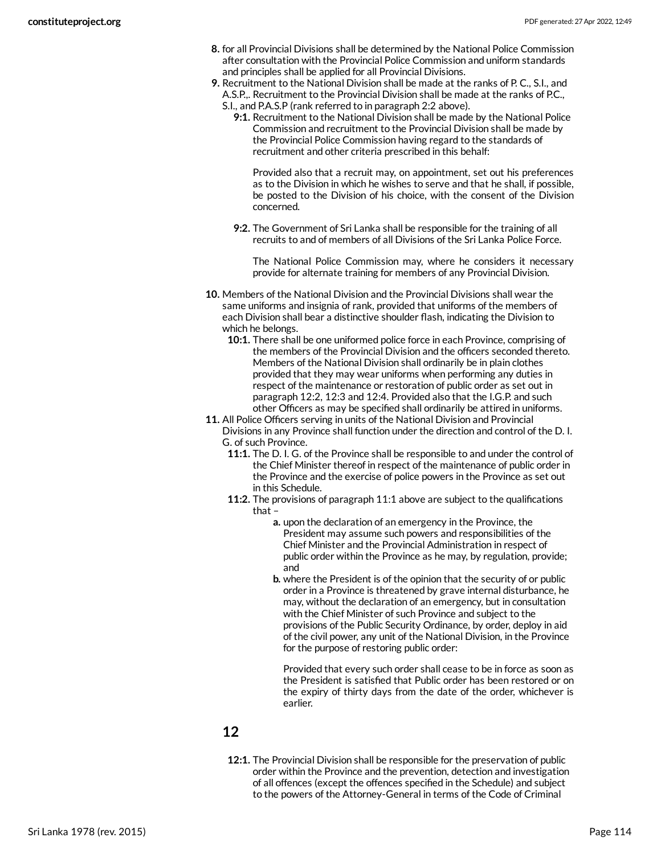- **8.** for all Provincial Divisions shall be determined by the National Police Commission after consultation with the Provincial Police Commission and uniform standards and principles shall be applied for all Provincial Divisions.
- **9.** Recruitment to the National Division shall be made at the ranks of P. C., S.I., and A.S.P.,. Recruitment to the Provincial Division shall be made at the ranks of P.C., S.I., and P.A.S.P (rank referred to in paragraph 2:2 above).
	- **9:1.** Recruitment to the National Division shall be made by the National Police Commission and recruitment to the Provincial Division shall be made by the Provincial Police Commission having regard to the standards of recruitment and other criteria prescribed in this behalf:

Provided also that a recruit may, on appointment, set out his preferences as to the Division in which he wishes to serve and that he shall, if possible, be posted to the Division of his choice, with the consent of the Division concerned.

**9:2.** The Government of Sri Lanka shall be responsible for the training of all recruits to and of members of all Divisions of the Sri Lanka Police Force.

The National Police Commission may, where he considers it necessary provide for alternate training for members of any Provincial Division.

- **10.** Members of the National Division and the Provincial Divisions shall wear the same uniforms and insignia of rank, provided that uniforms of the members of each Division shall bear a distinctive shoulder flash, indicating the Division to which he belongs.
	- **10:1.** There shall be one uniformed police force in each Province, comprising of the members of the Provincial Division and the officers seconded thereto. Members of the National Division shall ordinarily be in plain clothes provided that they may wear uniforms when performing any duties in respect of the maintenance or restoration of public order as set out in paragraph 12:2, 12:3 and 12:4. Provided also that the I.G.P. and such other Officers as may be specified shall ordinarily be attired in uniforms.
- **11.** All Police Officers serving in units of the National Division and Provincial Divisions in any Province shall function under the direction and control of the D. I. G. of such Province.
	- **11:1.** The D. I. G. of the Province shall be responsible to and under the control of the Chief Minister thereof in respect of the maintenance of public order in the Province and the exercise of police powers in the Province as set out in this Schedule.
	- **11:2.** The provisions of paragraph 11:1 above are subject to the qualifications that –
		- **a.** upon the declaration of an emergency in the Province, the President may assume such powers and responsibilities of the Chief Minister and the Provincial Administration in respect of public order within the Province as he may, by regulation, provide; and
		- **b.** where the President is of the opinion that the security of or public order in a Province is threatened by grave internal disturbance, he may, without the declaration of an emergency, but in consultation with the Chief Minister of such Province and subject to the provisions of the Public Security Ordinance, by order, deploy in aid of the civil power, any unit of the National Division, in the Province for the purpose of restoring public order:

Provided that every such order shall cease to be in force as soon as the President is satisfied that Public order has been restored or on the expiry of thirty days from the date of the order, whichever is earlier.

#### **12**

**12:1.** The Provincial Division shall be responsible for the preservation of public order within the Province and the prevention, detection and investigation of all offences (except the offences specified in the Schedule) and subject to the powers of the Attorney-General in terms of the Code of Criminal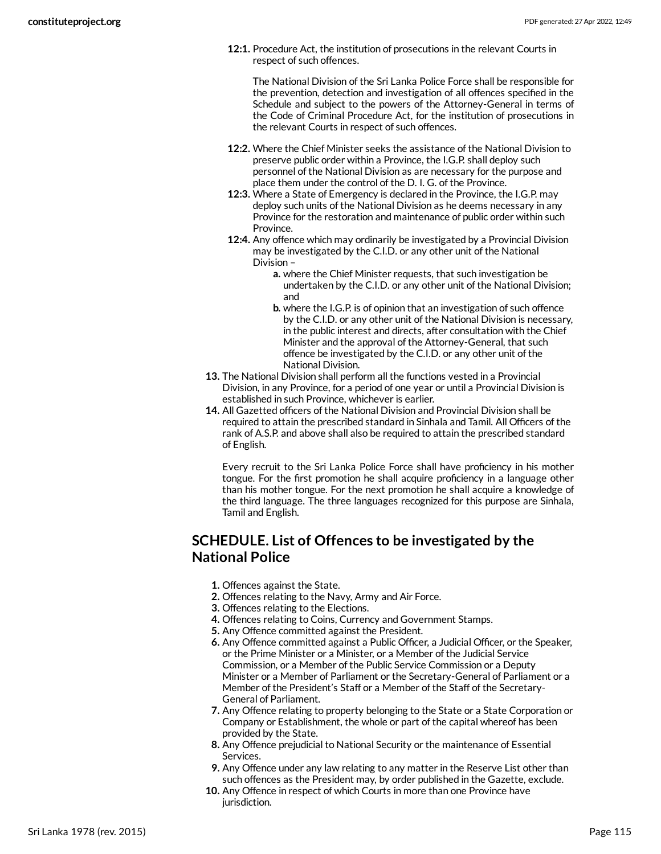**12:1.** Procedure Act, the institution of prosecutions in the relevant Courts in respect of such offences.

The National Division of the Sri Lanka Police Force shall be responsible for the prevention, detection and investigation of all offences specified in the Schedule and subject to the powers of the Attorney-General in terms of the Code of Criminal Procedure Act, for the institution of prosecutions in the relevant Courts in respect of such offences.

- **12:2.** Where the Chief Minister seeks the assistance of the National Division to preserve public order within a Province, the I.G.P. shall deploy such personnel of the National Division as are necessary for the purpose and place them under the control of the D. I. G. of the Province.
- **12:3.** Where a State of Emergency is declared in the Province, the I.G.P. may deploy such units of the National Division as he deems necessary in any Province for the restoration and maintenance of public order within such Province.
- **12:4.** Any offence which may ordinarily be investigated by a Provincial Division may be investigated by the C.I.D. or any other unit of the National Division –
	- **a.** where the Chief Minister requests, that such investigation be undertaken by the C.I.D. or any other unit of the National Division; and
	- **b.** where the I.G.P. is of opinion that an investigation of such offence by the C.I.D. or any other unit of the National Division is necessary, in the public interest and directs, after consultation with the Chief Minister and the approval of the Attorney-General, that such offence be investigated by the C.I.D. or any other unit of the National Division.
- **13.** The National Division shall perform all the functions vested in a Provincial Division, in any Province, for a period of one year or until a Provincial Division is established in such Province, whichever is earlier.
- **14.** All Gazetted officers of the National Division and Provincial Division shall be required to attain the prescribed standard in Sinhala and Tamil. All Officers of the rank of A.S.P. and above shall also be required to attain the prescribed standard of English.

Every recruit to the Sri Lanka Police Force shall have proficiency in his mother tongue. For the first promotion he shall acquire proficiency in a language other than his mother tongue. For the next promotion he shall acquire a knowledge of the third language. The three languages recognized for this purpose are Sinhala, Tamil and English.

### **SCHEDULE. List of Offences to be investigated by the National Police**

- **1.** Offences against the State.
- **2.** Offences relating to the Navy, Army and Air Force.
- **3.** Offences relating to the Elections.
- **4.** Offences relating to Coins, Currency and Government Stamps.
- **5.** Any Offence committed against the President.
- **6.** Any Offence committed against a Public Officer, a Judicial Officer, or the Speaker, or the Prime Minister or a Minister, or a Member of the Judicial Service Commission, or a Member of the Public Service Commission or a Deputy Minister or a Member of Parliament or the Secretary-General of Parliament or a Member of the President's Staff or a Member of the Staff of the Secretary-General of Parliament.
- **7.** Any Offence relating to property belonging to the State or a State Corporation or Company or Establishment, the whole or part of the capital whereof has been provided by the State.
- **8.** Any Offence prejudicial to National Security or the maintenance of Essential Services.
- **9.** Any Offence under any law relating to any matter in the Reserve List other than such offences as the President may, by order published in the Gazette, exclude.
- **10.** Any Offence in respect of which Courts in more than one Province have jurisdiction.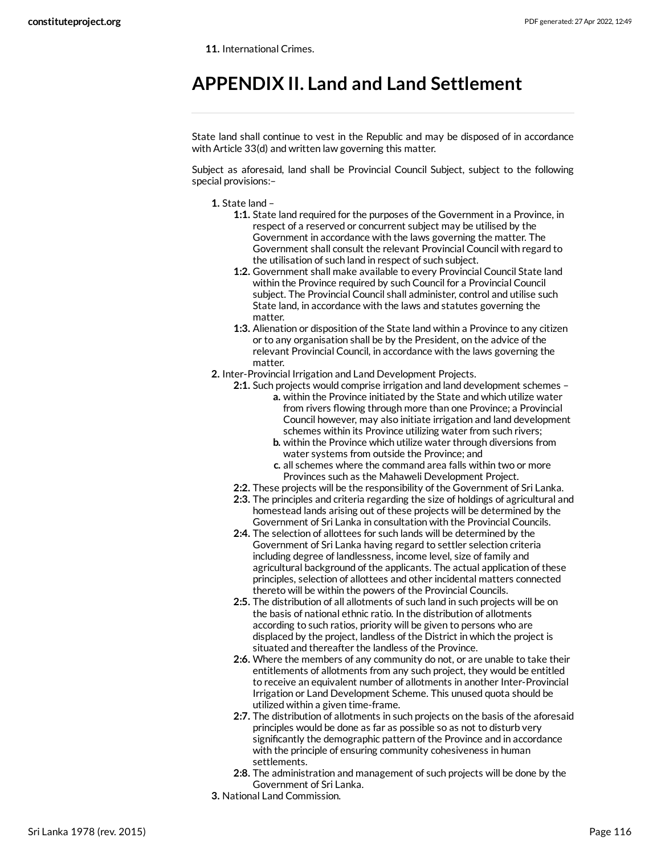**11.** International Crimes.

# **APPENDIX II. Land and Land Settlement**

State land shall continue to vest in the Republic and may be disposed of in accordance with Article 33(d) and written law governing this matter.

Subject as aforesaid, land shall be Provincial Council Subject, subject to the following special provisions:–

- **1.** State land
	- **1:1.** State land required for the purposes of the Government in a Province, in respect of a reserved or concurrent subject may be utilised by the Government in accordance with the laws governing the matter. The Government shall consult the relevant Provincial Council with regard to the utilisation of such land in respect of such subject.
	- **1:2.** Government shall make available to every Provincial Council State land within the Province required by such Council for a Provincial Council subject. The Provincial Council shall administer, control and utilise such State land, in accordance with the laws and statutes governing the matter.
	- **1:3.** Alienation or disposition of the State land within a Province to any citizen or to any organisation shall be by the President, on the advice of the relevant Provincial Council, in accordance with the laws governing the matter.
- **2.** Inter-Provincial Irrigation and Land Development Projects.
	- **2:1.** Such projects would comprise irrigation and land development schemes **a.** within the Province initiated by the State and which utilize water from rivers flowing through more than one Province; a Provincial Council however, may also initiate irrigation and land development schemes within its Province utilizing water from such rivers;
		- **b.** within the Province which utilize water through diversions from water systems from outside the Province; and
		- **c.** all schemes where the command area falls within two or more Provinces such as the Mahaweli Development Project.
	- **2:2.** These projects will be the responsibility of the Government of Sri Lanka.
	- **2:3.** The principles and criteria regarding the size of holdings of agricultural and homestead lands arising out of these projects will be determined by the Government of Sri Lanka in consultation with the Provincial Councils.
	- **2:4.** The selection of allottees for such lands will be determined by the Government of Sri Lanka having regard to settler selection criteria including degree of landlessness, income level, size of family and agricultural background of the applicants. The actual application of these principles, selection of allottees and other incidental matters connected thereto will be within the powers of the Provincial Councils.
	- **2:5.** The distribution of all allotments of such land in such projects will be on the basis of national ethnic ratio. In the distribution of allotments according to such ratios, priority will be given to persons who are displaced by the project, landless of the District in which the project is situated and thereafter the landless of the Province.
	- **2:6.** Where the members of any community do not, or are unable to take their entitlements of allotments from any such project, they would be entitled to receive an equivalent number of allotments in another Inter-Provincial Irrigation or Land Development Scheme. This unused quota should be utilized within a given time-frame.
	- **2:7.** The distribution of allotments in such projects on the basis of the aforesaid principles would be done as far as possible so as not to disturb very significantly the demographic pattern of the Province and in accordance with the principle of ensuring community cohesiveness in human settlements.
	- **2:8.** The administration and management of such projects will be done by the Government of Sri Lanka.
- **3.** National Land Commission.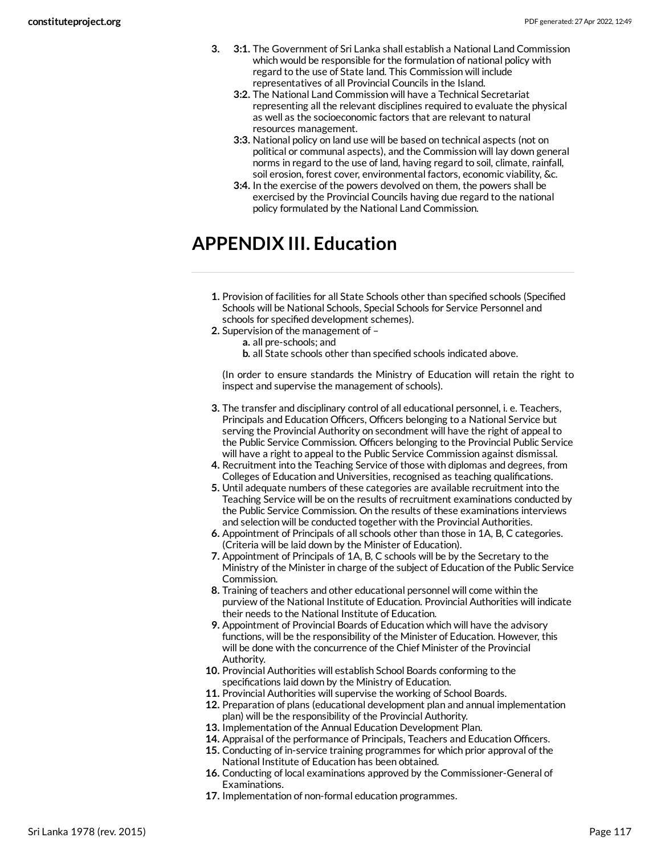- **3. 3:1.** The Government of Sri Lanka shall establish a National Land Commission which would be responsible for the formulation of national policy with regard to the use of State land. This Commission will include representatives of all Provincial Councils in the Island.
	- **3:2.** The National Land Commission will have a Technical Secretariat representing all the relevant disciplines required to evaluate the physical as well as the socioeconomic factors that are relevant to natural resources management.
	- **3:3.** National policy on land use will be based on technical aspects (not on political or communal aspects), and the Commission will lay down general norms in regard to the use of land, having regard to soil, climate, rainfall, soil erosion, forest cover, environmental factors, economic viability, &c.
	- **3:4.** In the exercise of the powers devolved on them, the powers shall be exercised by the Provincial Councils having due regard to the national policy formulated by the National Land Commission.

# <span id="page-116-0"></span>**APPENDIX III. Education**

- **1.** Provision of facilities for all State Schools other than specified schools (Specified Schools will be National Schools, Special Schools for Service Personnel and schools for specified development schemes).
- **2.** Supervision of the management of –

**a.** all pre-schools; and

**b.** all State schools other than specified schools indicated above.

(In order to ensure standards the Ministry of Education will retain the right to inspect and supervise the management of schools).

- **3.** The transfer and disciplinary control of all educational personnel, i. e. Teachers, Principals and Education Officers, Officers belonging to a National Service but serving the Provincial Authority on secondment will have the right of appeal to the Public Service Commission. Officers belonging to the Provincial Public Service will have a right to appeal to the Public Service Commission against dismissal.
- **4.** Recruitment into the Teaching Service of those with diplomas and degrees, from Colleges of Education and Universities, recognised as teaching qualifications.
- **5.** Until adequate numbers of these categories are available recruitment into the Teaching Service will be on the results of recruitment examinations conducted by the Public Service Commission. On the results of these examinations interviews and selection will be conducted together with the Provincial Authorities.
- **6.** Appointment of Principals of all schools other than those in 1A, B, C categories. (Criteria will be laid down by the Minister of Education).
- **7.** Appointment of Principals of 1A, B, C schools will be by the Secretary to the Ministry of the Minister in charge of the subject of Education of the Public Service Commission.
- **8.** Training of teachers and other educational personnel will come within the purview of the National Institute of Education. Provincial Authorities will indicate their needs to the National Institute of Education.
- **9.** Appointment of Provincial Boards of Education which will have the advisory functions, will be the responsibility of the Minister of Education. However, this will be done with the concurrence of the Chief Minister of the Provincial Authority.
- **10.** Provincial Authorities will establish School Boards conforming to the specifications laid down by the Ministry of Education.
- **11.** Provincial Authorities will supervise the working of School Boards.
- **12.** Preparation of plans (educational development plan and annual implementation plan) will be the responsibility of the Provincial Authority.
- **13.** Implementation of the Annual Education Development Plan.
- **14.** Appraisal of the performance of Principals, Teachers and Education Officers.
- **15.** Conducting of in-service training programmes for which prior approval of the National Institute of Education has been obtained.
- **16.** Conducting of local examinations approved by the Commissioner-General of Examinations.
- **17.** Implementation of non-formal education programmes.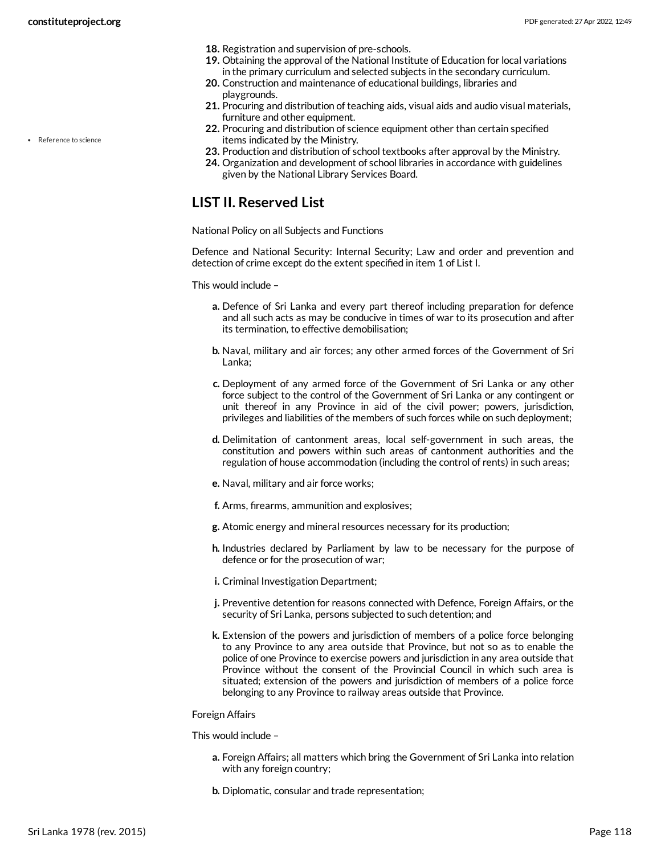- **18.** Registration and supervision of pre-schools.
- **19.** Obtaining the approval of the National Institute of Education for local variations in the primary curriculum and selected subjects in the secondary curriculum.
- **20.** Construction and maintenance of educational buildings, libraries and playgrounds.
- **21.** Procuring and distribution of teaching aids, visual aids and audio visual materials, furniture and other equipment.
- **22.** Procuring and distribution of science equipment other than certain specified items indicated by the Ministry.
- **23.** Production and distribution of school textbooks after approval by the Ministry.
- **24.** Organization and development of school libraries in accordance with guidelines given by the National Library Services Board.

#### **LIST II. Reserved List**

National Policy on all Subjects and Functions

Defence and National Security: Internal Security; Law and order and prevention and detection of crime except do the extent specified in item 1 of List I.

This would include –

- **a.** Defence of Sri Lanka and every part thereof including preparation for defence and all such acts as may be conducive in times of war to its prosecution and after its termination, to effective demobilisation;
- **b.** Naval, military and air forces; any other armed forces of the Government of Sri Lanka;
- **c.** Deployment of any armed force of the Government of Sri Lanka or any other force subject to the control of the Government of Sri Lanka or any contingent or unit thereof in any Province in aid of the civil power; powers, jurisdiction, privileges and liabilities of the members of such forces while on such deployment;
- **d.** Delimitation of cantonment areas, local self-government in such areas, the constitution and powers within such areas of cantonment authorities and the regulation of house accommodation (including the control of rents) in such areas;
- **e.** Naval, military and air force works;
- **f.** Arms, firearms, ammunition and explosives;
- **g.** Atomic energy and mineral resources necessary for its production;
- **h.** Industries declared by Parliament by law to be necessary for the purpose of defence or for the prosecution of war;
- **i.** Criminal Investigation Department;
- **j.** Preventive detention for reasons connected with Defence, Foreign Affairs, or the security of Sri Lanka, persons subjected to such detention; and
- **k.** Extension of the powers and jurisdiction of members of a police force belonging to any Province to any area outside that Province, but not so as to enable the police of one Province to exercise powers and jurisdiction in any area outside that Province without the consent of the Provincial Council in which such area is situated; extension of the powers and jurisdiction of members of a police force belonging to any Province to railway areas outside that Province.

Foreign Affairs

This would include –

- **a.** Foreign Affairs; all matters which bring the Government of Sri Lanka into relation with any foreign country;
- **b.** Diplomatic, consular and trade representation;

• Reference to science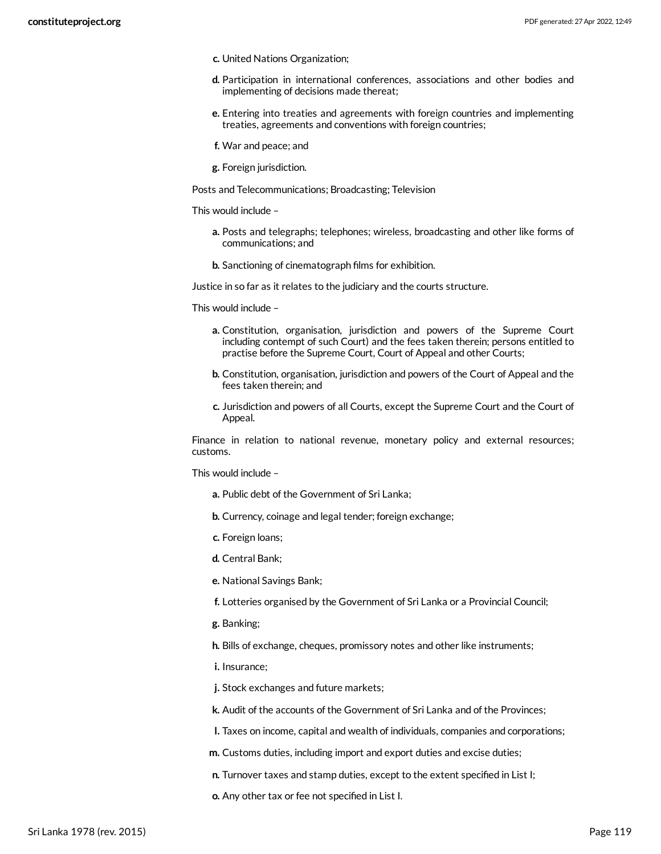- **c.** United Nations Organization;
- **d.** Participation in international conferences, associations and other bodies and implementing of decisions made thereat;
- **e.** Entering into treaties and agreements with foreign countries and implementing treaties, agreements and conventions with foreign countries;
- **f.** War and peace; and
- **g.** Foreign jurisdiction.

Posts and Telecommunications; Broadcasting; Television

This would include –

- **a.** Posts and telegraphs; telephones; wireless, broadcasting and other like forms of communications; and
- **b.** Sanctioning of cinematograph films for exhibition.

Justice in so far as it relates to the judiciary and the courts structure.

This would include –

- **a.** Constitution, organisation, jurisdiction and powers of the Supreme Court including contempt of such Court) and the fees taken therein; persons entitled to practise before the Supreme Court, Court of Appeal and other Courts;
- **b.** Constitution, organisation, jurisdiction and powers of the Court of Appeal and the fees taken therein; and
- **c.** Jurisdiction and powers of all Courts, except the Supreme Court and the Court of Appeal.

Finance in relation to national revenue, monetary policy and external resources; customs.

This would include –

- **a.** Public debt of the Government of Sri Lanka;
- **b.** Currency, coinage and legal tender; foreign exchange;
- **c.** Foreign loans;
- **d.** Central Bank;
- **e.** National Savings Bank;
- **f.** Lotteries organised by the Government of Sri Lanka or a Provincial Council;
- **g.** Banking;
- **h.** Bills of exchange, cheques, promissory notes and other like instruments;
- **i.** Insurance;
- **j.** Stock exchanges and future markets;
- **k.** Audit of the accounts of the Government of Sri Lanka and of the Provinces;
- **l.** Taxes on income, capital and wealth of individuals, companies and corporations;
- **m.** Customs duties, including import and export duties and excise duties;
- **n.** Turnover taxes and stamp duties, except to the extent specified in List I;

**o.** Any other tax or fee not specified in List I.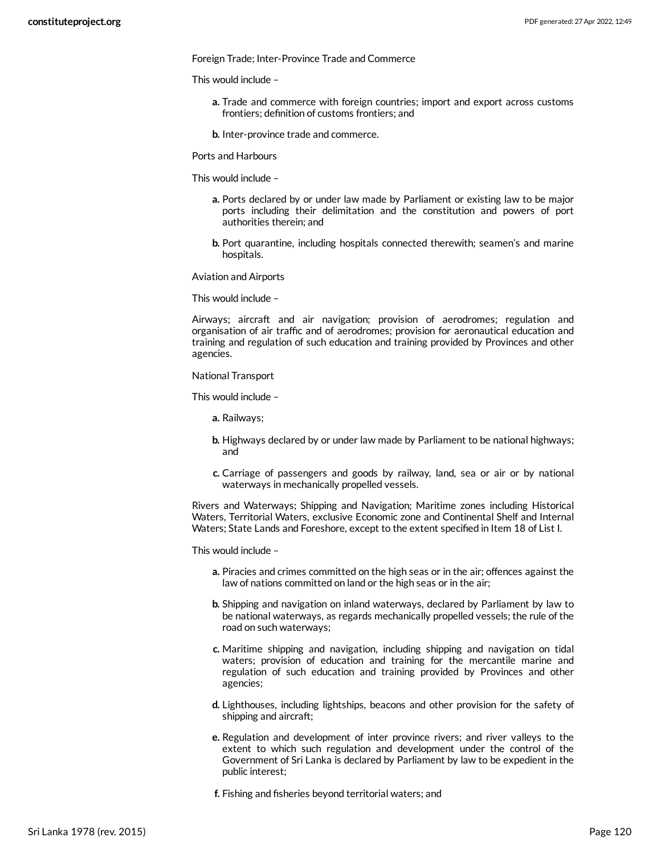Foreign Trade; Inter-Province Trade and Commerce

This would include –

- **a.** Trade and commerce with foreign countries; import and export across customs frontiers; definition of customs frontiers; and
- **b.** Inter-province trade and commerce.

Ports and Harbours

This would include –

- **a.** Ports declared by or under law made by Parliament or existing law to be major ports including their delimitation and the constitution and powers of port authorities therein; and
- **b.** Port quarantine, including hospitals connected therewith; seamen's and marine hospitals.

Aviation and Airports

This would include –

Airways; aircraft and air navigation; provision of aerodromes; regulation and organisation of air traffic and of aerodromes; provision for aeronautical education and training and regulation of such education and training provided by Provinces and other agencies.

National Transport

This would include –

**a.** Railways;

- **b.** Highways declared by or under law made by Parliament to be national highways; and
- **c.** Carriage of passengers and goods by railway, land, sea or air or by national waterways in mechanically propelled vessels.

Rivers and Waterways; Shipping and Navigation; Maritime zones including Historical Waters, Territorial Waters, exclusive Economic zone and Continental Shelf and Internal Waters; State Lands and Foreshore, except to the extent specified in Item 18 of List I.

This would include –

- **a.** Piracies and crimes committed on the high seas or in the air; offences against the law of nations committed on land or the high seas or in the air;
- **b.** Shipping and navigation on inland waterways, declared by Parliament by law to be national waterways, as regards mechanically propelled vessels; the rule of the road on such waterways;
- **c.** Maritime shipping and navigation, including shipping and navigation on tidal waters; provision of education and training for the mercantile marine and regulation of such education and training provided by Provinces and other agencies;
- **d.** Lighthouses, including lightships, beacons and other provision for the safety of shipping and aircraft;
- **e.** Regulation and development of inter province rivers; and river valleys to the extent to which such regulation and development under the control of the Government of Sri Lanka is declared by Parliament by law to be expedient in the public interest;

**f.** Fishing and fisheries beyond territorial waters; and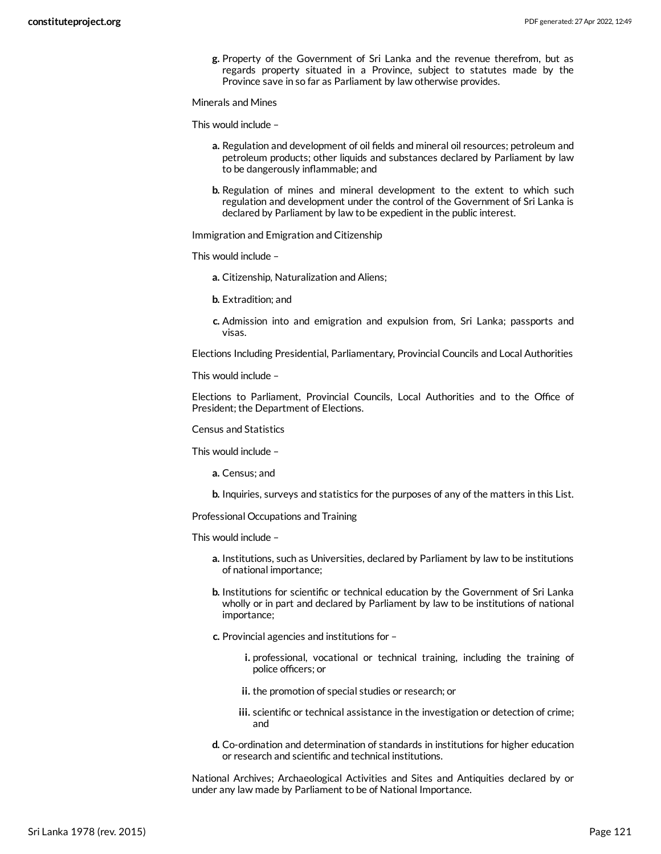**g.** Property of the Government of Sri Lanka and the revenue therefrom, but as regards property situated in a Province, subject to statutes made by the Province save in so far as Parliament by law otherwise provides.

#### Minerals and Mines

This would include –

- **a.** Regulation and development of oil fields and mineral oil resources; petroleum and petroleum products; other liquids and substances declared by Parliament by law to be dangerously inflammable; and
- **b.** Regulation of mines and mineral development to the extent to which such regulation and development under the control of the Government of Sri Lanka is declared by Parliament by law to be expedient in the public interest.

Immigration and Emigration and Citizenship

This would include –

- **a.** Citizenship, Naturalization and Aliens;
- **b.** Extradition; and
- **c.** Admission into and emigration and expulsion from, Sri Lanka; passports and visas.

Elections Including Presidential, Parliamentary, Provincial Councils and Local Authorities

This would include –

Elections to Parliament, Provincial Councils, Local Authorities and to the Office of President; the Department of Elections.

Census and Statistics

This would include –

**a.** Census; and

**b.** Inquiries, surveys and statistics for the purposes of any of the matters in this List.

Professional Occupations and Training

This would include –

- **a.** Institutions, such as Universities, declared by Parliament by law to be institutions of national importance;
- **b.** Institutions for scientific or technical education by the Government of Sri Lanka wholly or in part and declared by Parliament by law to be institutions of national importance;
- **c.** Provincial agencies and institutions for
	- **i.** professional, vocational or technical training, including the training of police officers; or
	- **ii.** the promotion of special studies or research; or
	- **iii.** scientific or technical assistance in the investigation or detection of crime; and
- **d.** Co-ordination and determination of standards in institutions for higher education or research and scientific and technical institutions.

National Archives; Archaeological Activities and Sites and Antiquities declared by or under any law made by Parliament to be of National Importance.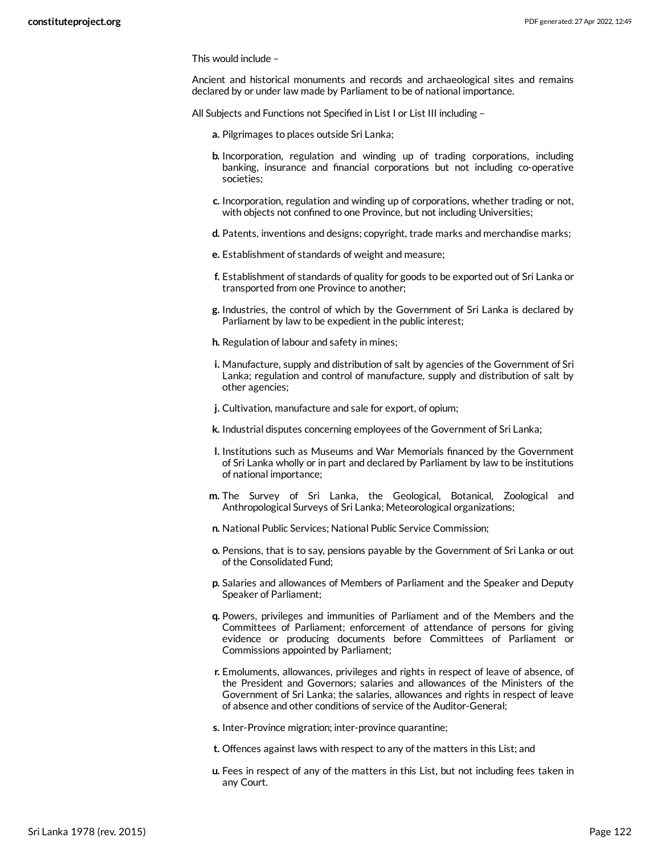This would include –

Ancient and historical monuments and records and archaeological sites and remains declared by or under law made by Parliament to be of national importance.

All Subjects and Functions not Specified in List I or List III including –

- **a.** Pilgrimages to places outside Sri Lanka;
- **b.** Incorporation, regulation and winding up of trading corporations, including banking, insurance and financial corporations but not including co-operative societies;
- **c.** Incorporation, regulation and winding up of corporations, whether trading or not, with objects not confined to one Province, but not including Universities;
- **d.** Patents, inventions and designs; copyright, trade marks and merchandise marks;
- **e.** Establishment of standards of weight and measure;
- **f.** Establishment of standards of quality for goods to be exported out of Sri Lanka or transported from one Province to another;
- **g.** Industries, the control of which by the Government of Sri Lanka is declared by Parliament by law to be expedient in the public interest;
- **h.** Regulation of labour and safety in mines;
- **i.** Manufacture, supply and distribution of salt by agencies of the Government of Sri Lanka; regulation and control of manufacture, supply and distribution of salt by other agencies;
- **j.** Cultivation, manufacture and sale for export, of opium;
- **k.** Industrial disputes concerning employees of the Government of Sri Lanka;
- **l.** Institutions such as Museums and War Memorials financed by the Government of Sri Lanka wholly or in part and declared by Parliament by law to be institutions of national importance;
- **m.** The Survey of Sri Lanka, the Geological, Botanical, Zoological and Anthropological Surveys of Sri Lanka; Meteorological organizations;
- **n.** National Public Services; National Public Service Commission;
- **o.** Pensions, that is to say, pensions payable by the Government of Sri Lanka or out of the Consolidated Fund;
- **p.** Salaries and allowances of Members of Parliament and the Speaker and Deputy Speaker of Parliament;
- **q.** Powers, privileges and immunities of Parliament and of the Members and the Committees of Parliament; enforcement of attendance of persons for giving evidence or producing documents before Committees of Parliament or Commissions appointed by Parliament;
- **r.** Emoluments, allowances, privileges and rights in respect of leave of absence, of the President and Governors; salaries and allowances of the Ministers of the Government of Sri Lanka; the salaries, allowances and rights in respect of leave of absence and other conditions of service of the Auditor-General;
- **s.** Inter-Province migration; inter-province quarantine;
- **t.** Offences against laws with respect to any of the matters in this List; and
- **u.** Fees in respect of any of the matters in this List, but not including fees taken in any Court.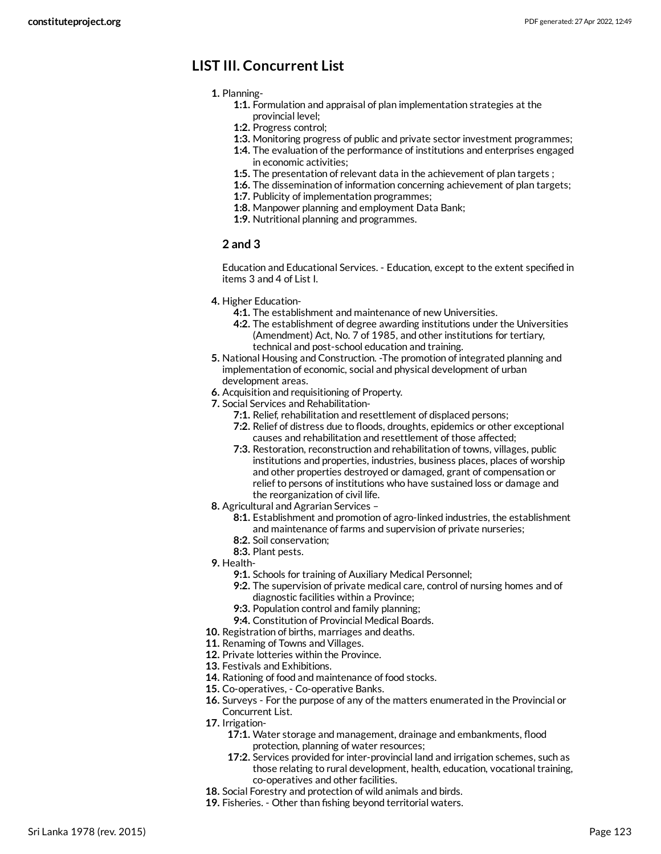### <span id="page-122-0"></span>**LIST III. Concurrent List**

- **1.** Planning-
	- **1:1.** Formulation and appraisal of plan implementation strategies at the provincial level;
	- **1:2.** Progress control;
	- **1:3.** Monitoring progress of public and private sector investment programmes;
	- **1:4.** The evaluation of the performance of institutions and enterprises engaged in economic activities;
	- **1:5.** The presentation of relevant data in the achievement of plan targets ;
	- **1:6.** The dissemination of information concerning achievement of plan targets;
	- **1:7.** Publicity of implementation programmes;
	- **1:8.** Manpower planning and employment Data Bank;
	- **1:9.** Nutritional planning and programmes.

#### **2 and 3**

Education and Educational Services. - Education, except to the extent specified in items 3 and 4 of List I.

- **4.** Higher Education-
	- **4:1.** The establishment and maintenance of new Universities.
	- **4:2.** The establishment of degree awarding institutions under the Universities (Amendment) Act, No. 7 of 1985, and other institutions for tertiary, technical and post-school education and training.
- **5.** National Housing and Construction. -The promotion of integrated planning and implementation of economic, social and physical development of urban development areas.
- **6.** Acquisition and requisitioning of Property.
- **7.** Social Services and Rehabilitation-
	- **7:1.** Relief, rehabilitation and resettlement of displaced persons;
	- **7:2.** Relief of distress due to floods, droughts, epidemics or other exceptional causes and rehabilitation and resettlement of those affected;
	- **7:3.** Restoration, reconstruction and rehabilitation of towns, villages, public institutions and properties, industries, business places, places of worship and other properties destroyed or damaged, grant of compensation or relief to persons of institutions who have sustained loss or damage and the reorganization of civil life.
- **8.** Agricultural and Agrarian Services
	- **8:1.** Establishment and promotion of agro-linked industries, the establishment and maintenance of farms and supervision of private nurseries;
	- **8:2.** Soil conservation;
	- **8:3.** Plant pests.
- **9.** Health-
	- **9:1.** Schools for training of Auxiliary Medical Personnel;
	- **9:2.** The supervision of private medical care, control of nursing homes and of diagnostic facilities within a Province;
	- **9:3.** Population control and family planning;
	- **9:4.** Constitution of Provincial Medical Boards.
- **10.** Registration of births, marriages and deaths.
- **11.** Renaming of Towns and Villages.
- **12.** Private lotteries within the Province.
- **13.** Festivals and Exhibitions.
- **14.** Rationing of food and maintenance of food stocks.
- **15.** Co-operatives, Co-operative Banks.
- **16.** Surveys For the purpose of any of the matters enumerated in the Provincial or
- Concurrent List.
- **17.** Irrigation-
	- **17:1.** Water storage and management, drainage and embankments, flood protection, planning of water resources;
	- **17:2.** Services provided for inter-provincial land and irrigation schemes, such as those relating to rural development, health, education, vocational training, co-operatives and other facilities.
- **18.** Social Forestry and protection of wild animals and birds.
- **19.** Fisheries. Other than fishing beyond territorial waters.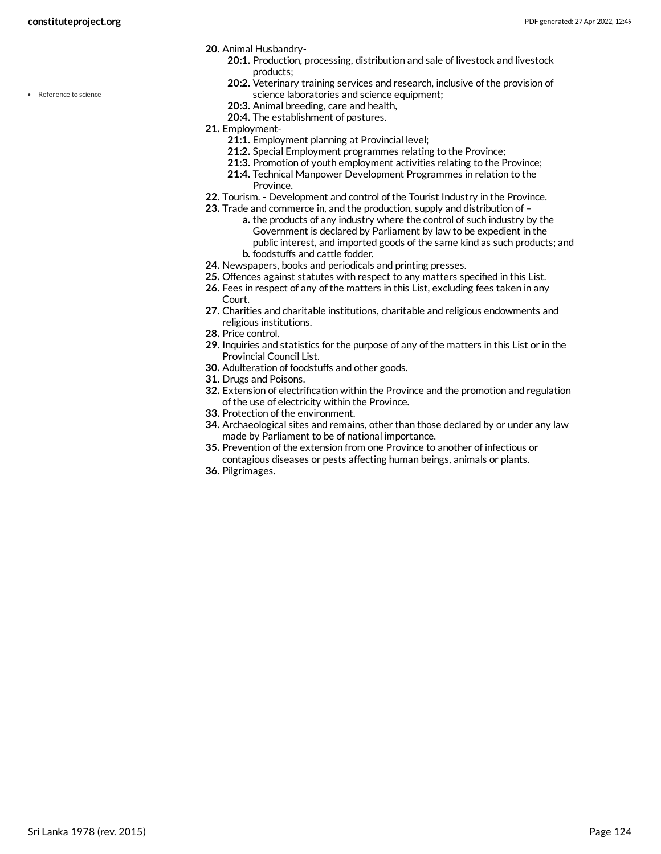- **20.** Animal Husbandry-
	- **20:1.** Production, processing, distribution and sale of livestock and livestock products;
	- **20:2.** Veterinary training services and research, inclusive of the provision of science laboratories and science equipment;
	- **20:3.** Animal breeding, care and health,
	- **20:4.** The establishment of pastures.
- **21.** Employment-
	- **21:1.** Employment planning at Provincial level;
	- **21:2.** Special Employment programmes relating to the Province;
	- **21:3.** Promotion of youth employment activities relating to the Province;
	- **21:4.** Technical Manpower Development Programmes in relation to the Province.
- **22.** Tourism. Development and control of the Tourist Industry in the Province.
- **23.** Trade and commerce in, and the production, supply and distribution of **a.** the products of any industry where the control of such industry by the Government is declared by Parliament by law to be expedient in the public interest, and imported goods of the same kind as such products; and
	- **b.** foodstuffs and cattle fodder.
- **24.** Newspapers, books and periodicals and printing presses.
- **25.** Offences against statutes with respect to any matters specified in this List.
- **26.** Fees in respect of any of the matters in this List, excluding fees taken in any Court.
- **27.** Charities and charitable institutions, charitable and religious endowments and religious institutions.
- **28.** Price control.
- **29.** Inquiries and statistics for the purpose of any of the matters in this List or in the Provincial Council List.
- **30.** Adulteration of foodstuffs and other goods.
- **31.** Drugs and Poisons.
- **32.** Extension of electrification within the Province and the promotion and regulation of the use of electricity within the Province.
- **33.** Protection of the environment.
- **34.** Archaeological sites and remains, other than those declared by or under any law made by Parliament to be of national importance.
- **35.** Prevention of the extension from one Province to another of infectious or contagious diseases or pests affecting human beings, animals or plants.
- **36.** Pilgrimages.

• Reference to science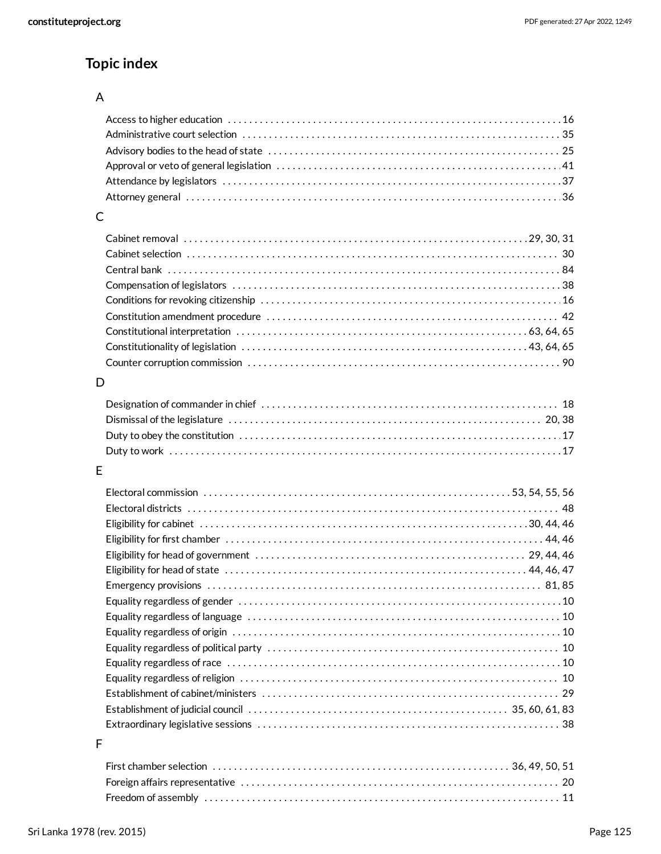# **Topic index**

#### A

### C

### D

### E

### F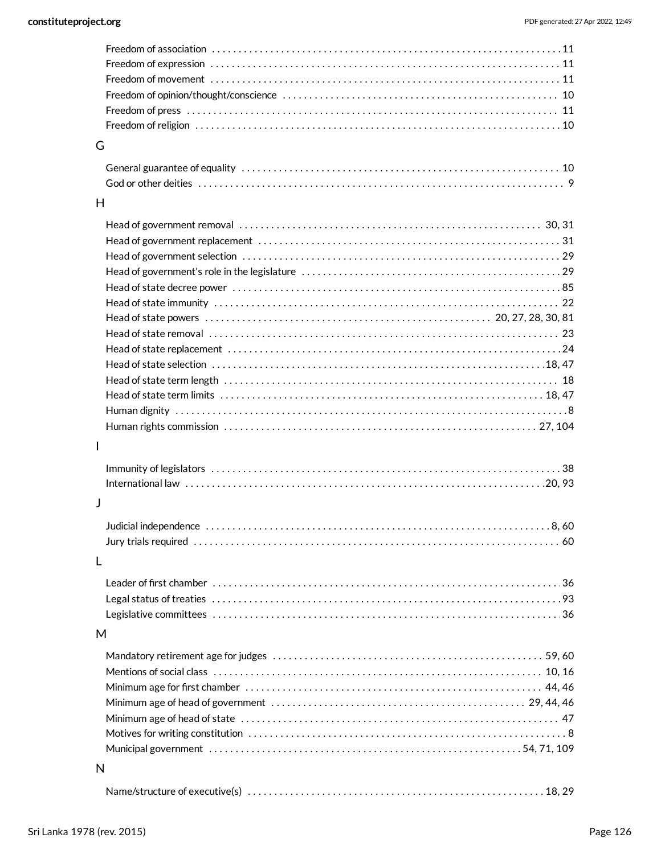| G |  |
|---|--|
|   |  |
|   |  |

#### $\boldsymbol{\mathsf{H}}$

#### $\overline{1}$

#### $\mathsf J$

| Judicial independence $\dots\dots\dots\dots\dots\dots\dots\dots\dots\dots\dots\dots\dots\dots\dots\dots\dots$ |  |
|---------------------------------------------------------------------------------------------------------------|--|
|                                                                                                               |  |

#### $\bar{\mathsf{L}}$

#### ${\sf M}$

#### $\overline{\mathsf{N}}$

|--|--|--|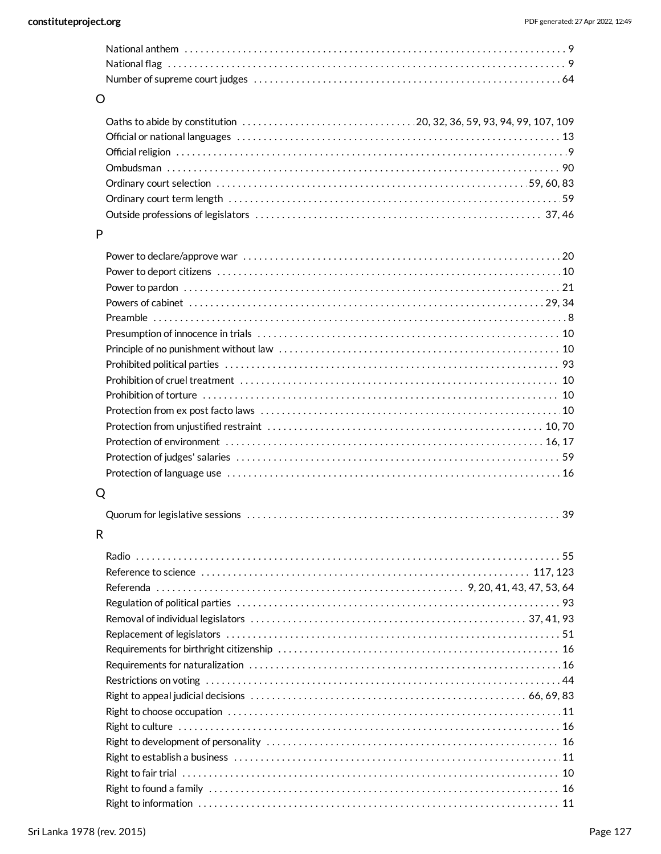| constituteproject.org |  |  |
|-----------------------|--|--|
|                       |  |  |

#### O

#### P

### Q

#### R